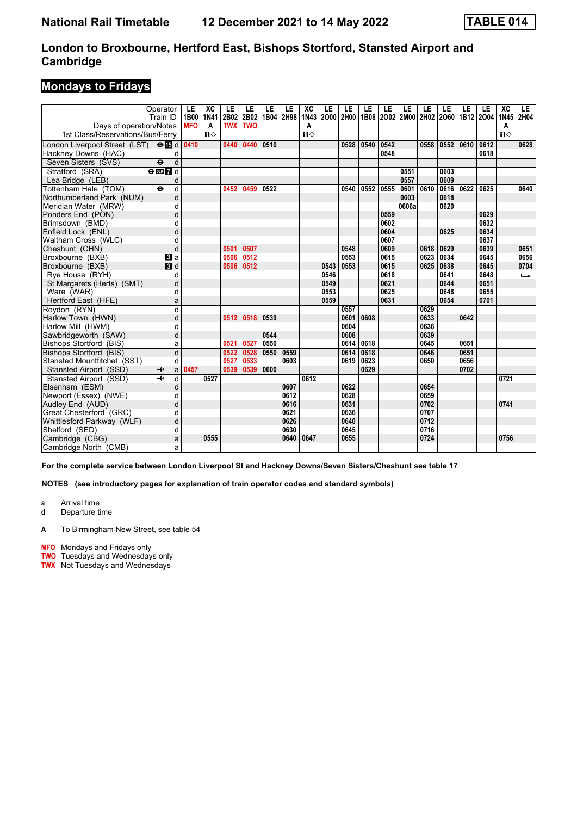# **Mondays to Fridays**

|                                             | Operator<br>Train ID          | LE<br>1B00 | XC<br><b>1N41</b> | LE<br>2B02 | LE<br>2B02 | LE<br>1B04 | LE<br>2H98 | XC<br>1N43   | LE<br>2000 | LE<br>2H00 | LE<br>1B08 | LE   | LE<br>2002 2M00 | LE<br>2H02 | LE<br>2060 | LE<br>1B12 2004 | LE   | XC<br>1N45   | LE.<br>2H04 |
|---------------------------------------------|-------------------------------|------------|-------------------|------------|------------|------------|------------|--------------|------------|------------|------------|------|-----------------|------------|------------|-----------------|------|--------------|-------------|
| Days of operation/Notes                     |                               | <b>MFO</b> | A                 | <b>TWX</b> | <b>TWO</b> |            |            | Α            |            |            |            |      |                 |            |            |                 |      | A            |             |
| 1st Class/Reservations/Bus/Ferry            |                               |            | $\mathbf{u}$      |            |            |            |            | $\mathbf{u}$ |            |            |            |      |                 |            |            |                 |      | $\mathbf{u}$ |             |
| London Liverpool Street (LST) <b>⊖ iB</b> d |                               | 0410       |                   | 0440       | 0440       | 0510       |            |              |            | 0528       | 0540       | 0542 |                 | 0558       | 0552       | 0610            | 0612 |              | 0628        |
| Hackney Downs (HAC)                         | d                             |            |                   |            |            |            |            |              |            |            |            | 0548 |                 |            |            |                 | 0618 |              |             |
| Seven Sisters (SVS)                         | d<br>$\ddot{\mathbf{e}}$      |            |                   |            |            |            |            |              |            |            |            |      |                 |            |            |                 |      |              |             |
| Stratford (SRA)                             | $e$ <b>m</b> $\overline{7}$ d |            |                   |            |            |            |            |              |            |            |            |      | 0551            |            | 0603       |                 |      |              |             |
| Lea Bridge (LEB)                            | d                             |            |                   |            |            |            |            |              |            |            |            |      | 0557            |            | 0609       |                 |      |              |             |
| Tottenham Hale (TOM)                        | $\ddot{\mathbf{e}}$<br>d      |            |                   | 0452       | 0459       | 0522       |            |              |            | 0540       | 0552       | 0555 | 0601            | 0610       | 0616       | 0622            | 0625 |              | 0640        |
| Northumberland Park (NUM)                   | d                             |            |                   |            |            |            |            |              |            |            |            |      | 0603            |            | 0618       |                 |      |              |             |
| Meridian Water (MRW)                        | d                             |            |                   |            |            |            |            |              |            |            |            |      | 0606a           |            | 0620       |                 |      |              |             |
| Ponders End (PON)                           | d                             |            |                   |            |            |            |            |              |            |            |            | 0559 |                 |            |            |                 | 0629 |              |             |
| Brimsdown (BMD)                             | d                             |            |                   |            |            |            |            |              |            |            |            | 0602 |                 |            |            |                 | 0632 |              |             |
| Enfield Lock (ENL)                          | d                             |            |                   |            |            |            |            |              |            |            |            | 0604 |                 |            | 0625       |                 | 0634 |              |             |
| Waltham Cross (WLC)                         | d                             |            |                   |            |            |            |            |              |            |            |            | 0607 |                 |            |            |                 | 0637 |              |             |
| Cheshunt (CHN)                              | d                             |            |                   | 0501       | 0507       |            |            |              |            | 0548       |            | 0609 |                 | 0618       | 0629       |                 | 0639 |              | 0651        |
| Broxbourne (BXB)                            | <b>B</b> la                   |            |                   | 0506       | 0512       |            |            |              |            | 0553       |            | 0615 |                 | 0623       | 0634       |                 | 0645 |              | 0656        |
| Broxbourne (BXB)                            | $\overline{\mathbf{B}}$ d     |            |                   | 0506       | 0512       |            |            |              | 0543       | 0553       |            | 0615 |                 | 0625       | 0638       |                 | 0645 |              | 0704        |
| Rye House (RYH)                             | d                             |            |                   |            |            |            |            |              | 0546       |            |            | 0618 |                 |            | 0641       |                 | 0648 |              | ←           |
| St Margarets (Herts) (SMT)                  | d                             |            |                   |            |            |            |            |              | 0549       |            |            | 0621 |                 |            | 0644       |                 | 0651 |              |             |
| Ware (WAR)                                  | d                             |            |                   |            |            |            |            |              | 0553       |            |            | 0625 |                 |            | 0648       |                 | 0655 |              |             |
| Hertford East (HFE)                         | a                             |            |                   |            |            |            |            |              | 0559       |            |            | 0631 |                 |            | 0654       |                 | 0701 |              |             |
| Roydon (RYN)                                | $\overline{\mathsf{d}}$       |            |                   |            |            |            |            |              |            | 0557       |            |      |                 | 0629       |            |                 |      |              |             |
| Harlow Town (HWN)                           | d                             |            |                   | 0512       | 0518       | 0539       |            |              |            | 0601       | 0608       |      |                 | 0633       |            | 0642            |      |              |             |
| Harlow Mill (HWM)                           | d                             |            |                   |            |            |            |            |              |            | 0604       |            |      |                 | 0636       |            |                 |      |              |             |
| Sawbridgeworth (SAW)                        | d                             |            |                   |            |            | 0544       |            |              |            | 0608       |            |      |                 | 0639       |            |                 |      |              |             |
| <b>Bishops Stortford (BIS)</b>              | a                             |            |                   | 0521       | 0527       | 0550       |            |              |            | 0614       | 0618       |      |                 | 0645       |            | 0651            |      |              |             |
| Bishops Stortford (BIS)                     | d                             |            |                   | 0522       | 0528       | 0550       | 0559       |              |            | 0614       | 0618       |      |                 | 0646       |            | 0651            |      |              |             |
| Stansted Mountfitchet (SST)                 | d                             |            |                   | 0527       | 0533       |            | 0603       |              |            | 0619       | 0623       |      |                 | 0650       |            | 0656            |      |              |             |
| Stansted Airport (SSD)                      | a<br>↞                        | 0457       |                   | 0539       | 0539       | 0600       |            |              |            |            | 0629       |      |                 |            |            | 0702            |      |              |             |
| Stansted Airport (SSD)                      | $\overline{\textbf{t}}$<br>d  |            | 0527              |            |            |            |            | 0612         |            |            |            |      |                 |            |            |                 |      | 0721         |             |
| Elsenham (ESM)                              | d                             |            |                   |            |            |            | 0607       |              |            | 0622       |            |      |                 | 0654       |            |                 |      |              |             |
| Newport (Essex) (NWE)                       | d                             |            |                   |            |            |            | 0612       |              |            | 0628       |            |      |                 | 0659       |            |                 |      |              |             |
| Audley End (AUD)                            | d                             |            |                   |            |            |            | 0616       |              |            | 0631       |            |      |                 | 0702       |            |                 |      | 0741         |             |
| Great Chesterford (GRC)                     | d                             |            |                   |            |            |            | 0621       |              |            | 0636       |            |      |                 | 0707       |            |                 |      |              |             |
| Whittlesford Parkway (WLF)                  | d                             |            |                   |            |            |            | 0626       |              |            | 0640       |            |      |                 | 0712       |            |                 |      |              |             |
| Shelford (SED)                              | d                             |            |                   |            |            |            | 0630       |              |            | 0645       |            |      |                 | 0716       |            |                 |      |              |             |
| Cambridge (CBG)                             | a                             |            | 0555              |            |            |            | 0640       | 0647         |            | 0655       |            |      |                 | 0724       |            |                 |      | 0756         |             |
| Cambridge North (CMB)                       | a                             |            |                   |            |            |            |            |              |            |            |            |      |                 |            |            |                 |      |              |             |

**For the complete service between London Liverpool St and Hackney Downs/Seven Sisters/Cheshunt see table 1**

**NOTES (see introductory pages for explanation of train operator codes and standard symbols)**

**a** Arrival time<br>**d** Departure t

**d** Departure time

A To Birmingham New Street, see table 54

**MFO** Mondays and Fridays only

**TWO** Tuesdays and Wednesdays only

**TWX** Not Tuesdays and Wednesdays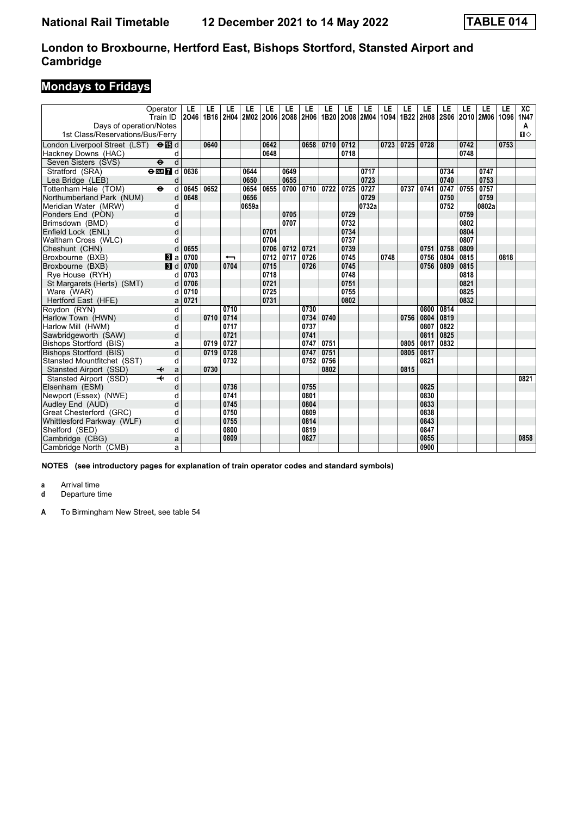# **Mondays to Fridays**

| Operator<br>Train ID<br>Days of operation/Notes                                                                 | LE<br>2046 | LE<br>1B <sub>16</sub> | LE   | LE<br>2H04 2M02 | LE           | LE   | LE<br>2006 2088 2H06 1B20 | LE   | LE           | LE<br>2008 2M04 | LE<br>1094 | LE<br>1B22 | LE   | LE   | LE           | LE<br>2H08 2S06 2O10 2M06 1O96 | LE   | XC<br>1N47<br>A<br>$\mathbf{u}$ |
|-----------------------------------------------------------------------------------------------------------------|------------|------------------------|------|-----------------|--------------|------|---------------------------|------|--------------|-----------------|------------|------------|------|------|--------------|--------------------------------|------|---------------------------------|
| 1st Class/Reservations/Bus/Ferry<br>London Liverpool Street (LST) $\Theta$ $\Box$ d<br>Hackney Downs (HAC)<br>d |            | 0640                   |      |                 | 0642<br>0648 |      | 0658                      | 0710 | 0712<br>0718 |                 | 0723       | 0725       | 0728 |      | 0742<br>0748 |                                | 0753 |                                 |
| d<br>Seven Sisters (SVS)<br>$\ddot{\mathbf{e}}$                                                                 |            |                        |      |                 |              |      |                           |      |              |                 |            |            |      |      |              |                                |      |                                 |
| Stratford (SRA)<br>$\Theta$ DE $\overline{7}$ d                                                                 | 0636       |                        |      | 0644            |              | 0649 |                           |      |              | 0717            |            |            |      | 0734 |              | 0747                           |      |                                 |
| Lea Bridge (LEB)<br>d                                                                                           |            |                        |      | 0650            |              | 0655 |                           |      |              | 0723            |            |            |      | 0740 |              | 0753                           |      |                                 |
| Tottenham Hale (TOM)<br>$\ddot{\mathbf{e}}$<br>d                                                                | 0645       | 0652                   |      | 0654            | 0655         | 0700 | 0710                      | 0722 | 0725         | 0727            |            | 0737       | 0741 | 0747 | 0755         | 0757                           |      |                                 |
| Northumberland Park (NUM)<br>d                                                                                  | 0648       |                        |      | 0656            |              |      |                           |      |              | 0729            |            |            |      | 0750 |              | 0759                           |      |                                 |
| Meridian Water (MRW)<br>d                                                                                       |            |                        |      | 0659a           |              |      |                           |      |              | 0732a           |            |            |      | 0752 |              | 0802a                          |      |                                 |
| d<br>Ponders End (PON)                                                                                          |            |                        |      |                 |              | 0705 |                           |      | 0729         |                 |            |            |      |      | 0759         |                                |      |                                 |
| Brimsdown (BMD)<br>d                                                                                            |            |                        |      |                 |              | 0707 |                           |      | 0732         |                 |            |            |      |      | 0802         |                                |      |                                 |
| d<br>Enfield Lock (ENL)                                                                                         |            |                        |      |                 | 0701         |      |                           |      | 0734         |                 |            |            |      |      | 0804         |                                |      |                                 |
| Waltham Cross (WLC)<br>d                                                                                        |            |                        |      |                 | 0704         |      |                           |      | 0737         |                 |            |            |      |      | 0807         |                                |      |                                 |
| Cheshunt (CHN)<br>d                                                                                             | 0655       |                        |      |                 | 0706         | 0712 | 0721                      |      | 0739         |                 |            |            | 0751 | 0758 | 0809         |                                |      |                                 |
| Broxbourne (BXB)<br>$\bf{B}$ a                                                                                  | 0700       |                        | ↽    |                 | 0712         | 0717 | 0726                      |      | 0745         |                 | 0748       |            | 0756 | 0804 | 0815         |                                | 0818 |                                 |
| 3d<br>Broxbourne (BXB)                                                                                          | 0700       |                        | 0704 |                 | 0715         |      | 0726                      |      | 0745         |                 |            |            | 0756 | 0809 | 0815         |                                |      |                                 |
| Rye House (RYH)<br>d                                                                                            | 0703       |                        |      |                 | 0718         |      |                           |      | 0748         |                 |            |            |      |      | 0818         |                                |      |                                 |
| St Margarets (Herts) (SMT)<br>d                                                                                 | 0706       |                        |      |                 | 0721         |      |                           |      | 0751         |                 |            |            |      |      | 0821         |                                |      |                                 |
| Ware (WAR)<br>d                                                                                                 | 0710       |                        |      |                 | 0725         |      |                           |      | 0755         |                 |            |            |      |      | 0825         |                                |      |                                 |
| Hertford East (HFE)<br>a                                                                                        | 0721       |                        |      |                 | 0731         |      |                           |      | 0802         |                 |            |            |      |      | 0832         |                                |      |                                 |
| Roydon (RYN)<br>d                                                                                               |            |                        | 0710 |                 |              |      | 0730                      |      |              |                 |            |            | 0800 | 0814 |              |                                |      |                                 |
| Harlow Town (HWN)<br>d                                                                                          |            | 0710                   | 0714 |                 |              |      | 0734                      | 0740 |              |                 |            | 0756       | 0804 | 0819 |              |                                |      |                                 |
| Harlow Mill (HWM)<br>d                                                                                          |            |                        | 0717 |                 |              |      | 0737                      |      |              |                 |            |            | 0807 | 0822 |              |                                |      |                                 |
| Sawbridgeworth (SAW)<br>d                                                                                       |            |                        | 0721 |                 |              |      | 0741                      |      |              |                 |            |            | 0811 | 0825 |              |                                |      |                                 |
| Bishops Stortford (BIS)<br>a                                                                                    |            | 0719                   | 0727 |                 |              |      | 0747                      | 0751 |              |                 |            | 0805       | 0817 | 0832 |              |                                |      |                                 |
| d<br><b>Bishops Stortford (BIS)</b>                                                                             |            | 0719                   | 0728 |                 |              |      | 0747                      | 0751 |              |                 |            | 0805       | 0817 |      |              |                                |      |                                 |
| Stansted Mountfitchet (SST)<br>d                                                                                |            |                        | 0732 |                 |              |      | 0752                      | 0756 |              |                 |            |            | 0821 |      |              |                                |      |                                 |
| Stansted Airport (SSD)<br>a                                                                                     |            | 0730                   |      |                 |              |      |                           | 0802 |              |                 |            | 0815       |      |      |              |                                |      |                                 |
| Stansted Airport (SSD)<br>d                                                                                     |            |                        |      |                 |              |      |                           |      |              |                 |            |            |      |      |              |                                |      | 0821                            |
| Elsenham (ESM)<br>d                                                                                             |            |                        | 0736 |                 |              |      | 0755                      |      |              |                 |            |            | 0825 |      |              |                                |      |                                 |
| Newport (Essex) (NWE)<br>d                                                                                      |            |                        | 0741 |                 |              |      | 0801                      |      |              |                 |            |            | 0830 |      |              |                                |      |                                 |
| Audley End (AUD)<br>d                                                                                           |            |                        | 0745 |                 |              |      | 0804                      |      |              |                 |            |            | 0833 |      |              |                                |      |                                 |
| Great Chesterford (GRC)<br>d                                                                                    |            |                        | 0750 |                 |              |      | 0809                      |      |              |                 |            |            | 0838 |      |              |                                |      |                                 |
| Whittlesford Parkway (WLF)<br>d                                                                                 |            |                        | 0755 |                 |              |      | 0814                      |      |              |                 |            |            | 0843 |      |              |                                |      |                                 |
| Shelford (SED)<br>d                                                                                             |            |                        | 0800 |                 |              |      | 0819                      |      |              |                 |            |            | 0847 |      |              |                                |      |                                 |
| Cambridge (CBG)<br>a                                                                                            |            |                        | 0809 |                 |              |      | 0827                      |      |              |                 |            |            | 0855 |      |              |                                |      | 0858                            |
| Cambridge North (CMB)<br>a                                                                                      |            |                        |      |                 |              |      |                           |      |              |                 |            |            | 0900 |      |              |                                |      |                                 |

**NOTES (see introductory pages for explanation of train operator codes and standard symbols)**

**a** Arrival time<br>**d** Departure t

**d** Departure time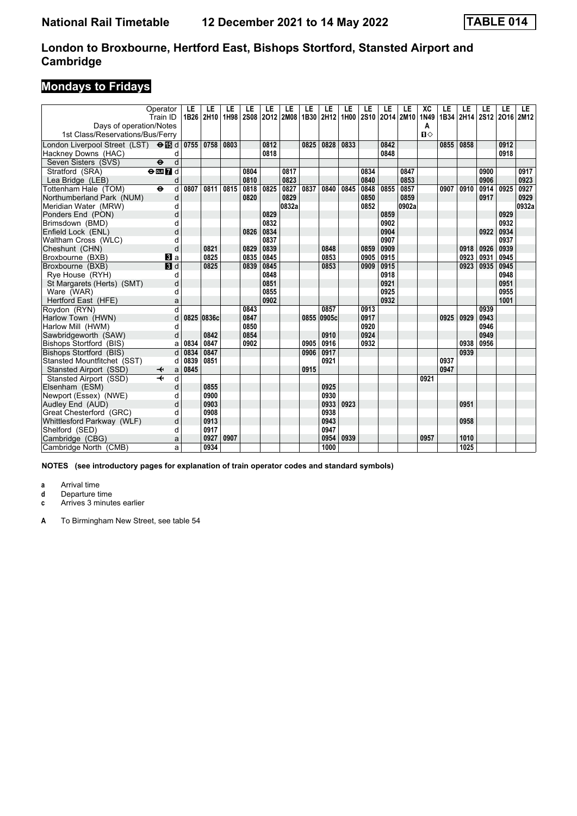# **Mondays to Fridays**

| Operator<br>Train ID                                        | LE<br>1B26 | LE<br>2H10 | LE<br>1H98 | LE<br>2S08 | LE   | LE<br>2012 2M08 | LE   | LE<br>1B30 2H12 | LE<br>1H <sub>00</sub> | LE   | LE<br>2S10 2O14 2M10 | LE    | XC<br>1N49        | LE   | LE<br>1B34 2H14 | LE<br>2S12 2O16 2M12 | LE   | LE.   |
|-------------------------------------------------------------|------------|------------|------------|------------|------|-----------------|------|-----------------|------------------------|------|----------------------|-------|-------------------|------|-----------------|----------------------|------|-------|
| Days of operation/Notes<br>1st Class/Reservations/Bus/Ferry |            |            |            |            |      |                 |      |                 |                        |      |                      |       | A<br>$\mathbf{u}$ |      |                 |                      |      |       |
| London Liverpool Street (LST) <b>⊖ iB</b> d                 | 0755       | 0758       | 0803       |            | 0812 |                 | 0825 | 0828            | 0833                   |      | 0842                 |       |                   | 0855 | 0858            |                      | 0912 |       |
| Hackney Downs (HAC)<br>d                                    |            |            |            |            | 0818 |                 |      |                 |                        |      | 0848                 |       |                   |      |                 |                      | 0918 |       |
| Seven Sisters (SVS)<br>d<br>$\ddot{\boldsymbol{\theta}}$    |            |            |            |            |      |                 |      |                 |                        |      |                      |       |                   |      |                 |                      |      |       |
| Stratford (SRA)<br>$\Theta$ DE $\overline{7}$ d             |            |            |            | 0804       |      | 0817            |      |                 |                        | 0834 |                      | 0847  |                   |      |                 | 0900                 |      | 0917  |
| Lea Bridge (LEB)<br>d                                       |            |            |            | 0810       |      | 0823            |      |                 |                        | 0840 |                      | 0853  |                   |      |                 | 0906                 |      | 0923  |
| Tottenham Hale (TOM)<br>$\ddot{\mathbf{e}}$<br>d            | 0807       | 0811       | 0815       | 0818       | 0825 | 0827            | 0837 | 0840            | 0845                   | 0848 | 0855                 | 0857  |                   | 0907 | 0910            | 0914                 | 0925 | 0927  |
| Northumberland Park (NUM)<br>d                              |            |            |            | 0820       |      | 0829            |      |                 |                        | 0850 |                      | 0859  |                   |      |                 | 0917                 |      | 0929  |
| Meridian Water (MRW)<br>d                                   |            |            |            |            |      | 0832a           |      |                 |                        | 0852 |                      | 0902a |                   |      |                 |                      |      | 0932a |
| d<br>Ponders End (PON)                                      |            |            |            |            | 0829 |                 |      |                 |                        |      | 0859                 |       |                   |      |                 |                      | 0929 |       |
| Brimsdown (BMD)<br>d                                        |            |            |            |            | 0832 |                 |      |                 |                        |      | 0902                 |       |                   |      |                 |                      | 0932 |       |
| Enfield Lock (ENL)<br>d                                     |            |            |            | 0826       | 0834 |                 |      |                 |                        |      | 0904                 |       |                   |      |                 | 0922                 | 0934 |       |
| Waltham Cross (WLC)<br>d                                    |            |            |            |            | 0837 |                 |      |                 |                        |      | 0907                 |       |                   |      |                 |                      | 0937 |       |
| Cheshunt (CHN)<br>d                                         |            | 0821       |            | 0829       | 0839 |                 |      | 0848            |                        | 0859 | 0909                 |       |                   |      | 0918            | 0926                 | 0939 |       |
| Broxbourne (BXB)<br>BI a                                    |            | 0825       |            | 0835       | 0845 |                 |      | 0853            |                        | 0905 | 0915                 |       |                   |      | 0923            | 0931                 | 0945 |       |
| 3d<br>Broxbourne (BXB)                                      |            | 0825       |            | 0839       | 0845 |                 |      | 0853            |                        | 0909 | 0915                 |       |                   |      | 0923            | 0935                 | 0945 |       |
| Rye House (RYH)<br>d                                        |            |            |            |            | 0848 |                 |      |                 |                        |      | 0918                 |       |                   |      |                 |                      | 0948 |       |
| St Margarets (Herts) (SMT)<br>d                             |            |            |            |            | 0851 |                 |      |                 |                        |      | 0921                 |       |                   |      |                 |                      | 0951 |       |
| Ware (WAR)<br>d                                             |            |            |            |            | 0855 |                 |      |                 |                        |      | 0925                 |       |                   |      |                 |                      | 0955 |       |
| Hertford East (HFE)<br>a                                    |            |            |            |            | 0902 |                 |      |                 |                        |      | 0932                 |       |                   |      |                 |                      | 1001 |       |
| d<br>Roydon (RYN)                                           |            |            |            | 0843       |      |                 |      | 0857            |                        | 0913 |                      |       |                   |      |                 | 0939                 |      |       |
| Harlow Town (HWN)<br>d                                      | 0825       | 0836c      |            | 0847       |      |                 |      | 0855 0905c      |                        | 0917 |                      |       |                   | 0925 | 0929            | 0943                 |      |       |
| Harlow Mill (HWM)<br>d                                      |            |            |            | 0850       |      |                 |      |                 |                        | 0920 |                      |       |                   |      |                 | 0946                 |      |       |
| Sawbridgeworth (SAW)<br>d                                   |            | 0842       |            | 0854       |      |                 |      | 0910            |                        | 0924 |                      |       |                   |      |                 | 0949                 |      |       |
| Bishops Stortford (BIS)<br>a                                | 0834       | 0847       |            | 0902       |      |                 | 0905 | 0916            |                        | 0932 |                      |       |                   |      | 0938            | 0956                 |      |       |
| Bishops Stortford (BIS)<br>d                                | 0834       | 0847       |            |            |      |                 | 0906 | 0917            |                        |      |                      |       |                   |      | 0939            |                      |      |       |
| Stansted Mountfitchet (SST)<br>d                            | 0839       | 0851       |            |            |      |                 |      | 0921            |                        |      |                      |       |                   | 0937 |                 |                      |      |       |
| Stansted Airport (SSD)<br>a<br>↞                            | 0845       |            |            |            |      |                 | 0915 |                 |                        |      |                      |       |                   | 0947 |                 |                      |      |       |
| Stansted Airport (SSD)<br>d                                 |            |            |            |            |      |                 |      |                 |                        |      |                      |       | 0921              |      |                 |                      |      |       |
| Elsenham (ESM)<br>d                                         |            | 0855       |            |            |      |                 |      | 0925            |                        |      |                      |       |                   |      |                 |                      |      |       |
| Newport (Essex) (NWE)<br>d                                  |            | 0900       |            |            |      |                 |      | 0930            |                        |      |                      |       |                   |      |                 |                      |      |       |
| Audley End (AUD)<br>d                                       |            | 0903       |            |            |      |                 |      | 0933            | 0923                   |      |                      |       |                   |      | 0951            |                      |      |       |
| Great Chesterford (GRC)<br>d                                |            | 0908       |            |            |      |                 |      | 0938            |                        |      |                      |       |                   |      |                 |                      |      |       |
| Whittlesford Parkway (WLF)<br>d                             |            | 0913       |            |            |      |                 |      | 0943            |                        |      |                      |       |                   |      | 0958            |                      |      |       |
| Shelford (SED)<br>d                                         |            | 0917       |            |            |      |                 |      | 0947            |                        |      |                      |       |                   |      |                 |                      |      |       |
| Cambridge (CBG)<br>a                                        |            | 0927       | 0907       |            |      |                 |      | 0954            | 0939                   |      |                      |       | 0957              |      | 1010            |                      |      |       |
| Cambridge North (CMB)<br>a                                  |            | 0934       |            |            |      |                 |      | 1000            |                        |      |                      |       |                   |      | 1025            |                      |      |       |

**NOTES (see introductory pages for explanation of train operator codes and standard symbols)**

**a** Arrival time

**d** Departure time<br>**c** Arrives 3 minute

**c** Arrives 3 minutes earlier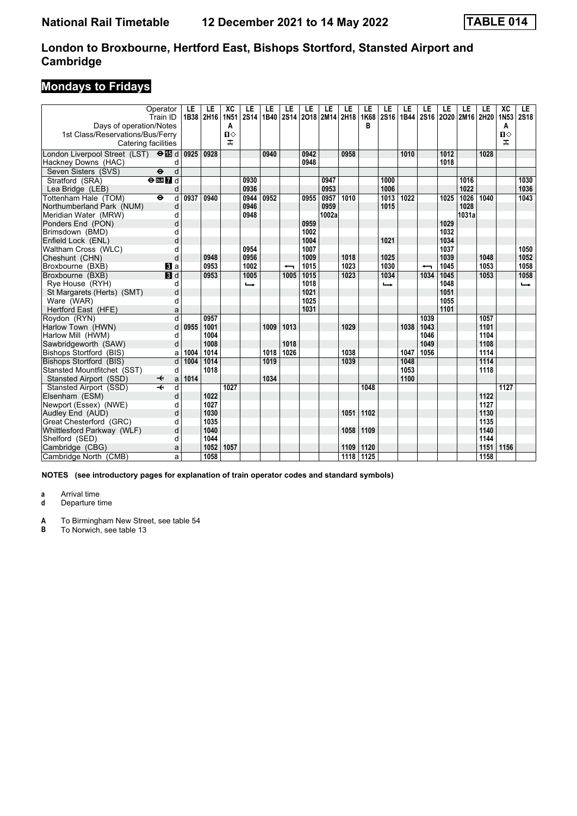# **Mondays to Fridays**

|                                           | Operator                          | LE   | LE   | XC               | LE                       | LE   | LE                       | LE   | LE                  | LE   | LE        | LE               | LE   | LE                       | LE   | LE    | LE   | $\overline{AC}$       | LE            |
|-------------------------------------------|-----------------------------------|------|------|------------------|--------------------------|------|--------------------------|------|---------------------|------|-----------|------------------|------|--------------------------|------|-------|------|-----------------------|---------------|
| Days of operation/Notes                   | Train ID                          | 1B38 | 2H16 | <b>1N51</b><br>A | 2S14                     | 1B40 |                          |      | 2S14 2O18 2M14 2H18 |      | 1K68<br>R | 2S <sub>16</sub> |      | 1B44 2S16 2O20 2M16 2H20 |      |       |      | 1N <sub>53</sub><br>A | <b>2S18</b>   |
| 1st Class/Reservations/Bus/Ferry          |                                   |      |      | $\mathbf{u}$     |                          |      |                          |      |                     |      |           |                  |      |                          |      |       |      | $\mathbf{u}$          |               |
|                                           | Catering facilities               |      |      | ᠼ                |                          |      |                          |      |                     |      |           |                  |      |                          |      |       |      | ᅚ                     |               |
| London Liverpool Street (LST) <b>O</b> id |                                   | 0925 | 0928 |                  |                          | 0940 |                          | 0942 |                     | 0958 |           |                  | 1010 |                          | 1012 |       | 1028 |                       |               |
| Hackney Downs (HAC)                       | d                                 |      |      |                  |                          |      |                          | 0948 |                     |      |           |                  |      |                          | 1018 |       |      |                       |               |
| Seven Sisters (SVS)                       | d<br>$\ddot{\boldsymbol{\theta}}$ |      |      |                  |                          |      |                          |      |                     |      |           |                  |      |                          |      |       |      |                       |               |
| Stratford (SRA)                           | $e$ <b>m</b> $I$ d                |      |      |                  | 0930                     |      |                          |      | 0947                |      |           | 1000             |      |                          |      | 1016  |      |                       | 1030          |
| Lea Bridge (LEB)                          | d                                 |      |      |                  | 0936                     |      |                          |      | 0953                |      |           | 1006             |      |                          |      | 1022  |      |                       | 1036          |
| Tottenham Hale (TOM)                      | d<br>$\ddot{\mathbf{e}}$          | 0937 | 0940 |                  | 0944                     | 0952 |                          | 0955 | 0957                | 1010 |           | 1013             | 1022 |                          | 1025 | 1026  | 1040 |                       | 1043          |
| Northumberland Park (NUM)                 | d                                 |      |      |                  | 0946                     |      |                          |      | 0959                |      |           | 1015             |      |                          |      | 1028  |      |                       |               |
| Meridian Water (MRW)                      | d                                 |      |      |                  | 0948                     |      |                          |      | 1002a               |      |           |                  |      |                          |      | 1031a |      |                       |               |
| Ponders End (PON)                         | d                                 |      |      |                  |                          |      |                          | 0959 |                     |      |           |                  |      |                          | 1029 |       |      |                       |               |
| Brimsdown (BMD)                           | d                                 |      |      |                  |                          |      |                          | 1002 |                     |      |           |                  |      |                          | 1032 |       |      |                       |               |
| Enfield Lock (ENL)                        | d                                 |      |      |                  |                          |      |                          | 1004 |                     |      |           | 1021             |      |                          | 1034 |       |      |                       |               |
| Waltham Cross (WLC)                       | d                                 |      |      |                  | 0954                     |      |                          | 1007 |                     |      |           |                  |      |                          | 1037 |       |      |                       | 1050          |
| Cheshunt (CHN)                            | d                                 |      | 0948 |                  | 0956                     |      |                          | 1009 |                     | 1018 |           | 1025             |      |                          | 1039 |       | 1048 |                       | 1052          |
| Broxbourne (BXB)                          | <b>3</b> a                        |      | 0953 |                  | 1002                     |      | $\overline{\phantom{0}}$ | 1015 |                     | 1023 |           | 1030             |      | ↽                        | 1045 |       | 1053 |                       | 1058          |
| Broxbourne (BXB)                          | $\overline{\mathbf{B}}$ d         |      | 0953 |                  | 1005                     |      | 1005                     | 1015 |                     | 1023 |           | 1034             |      | 1034                     | 1045 |       | 1053 |                       | 1058          |
| Rye House (RYH)                           | d                                 |      |      |                  | $\overline{\phantom{a}}$ |      |                          | 1018 |                     |      |           | ⊷                |      |                          | 1048 |       |      |                       | $\rightarrow$ |
| St Margarets (Herts) (SMT)                | d                                 |      |      |                  |                          |      |                          | 1021 |                     |      |           |                  |      |                          | 1051 |       |      |                       |               |
| Ware (WAR)                                | d                                 |      |      |                  |                          |      |                          | 1025 |                     |      |           |                  |      |                          | 1055 |       |      |                       |               |
| Hertford East (HFE)                       | a                                 |      |      |                  |                          |      |                          | 1031 |                     |      |           |                  |      |                          | 1101 |       |      |                       |               |
| Rovdon (RYN)                              | $\overline{\mathsf{d}}$           |      | 0957 |                  |                          |      |                          |      |                     |      |           |                  |      | 1039                     |      |       | 1057 |                       |               |
| Harlow Town (HWN)                         | d                                 | 0955 | 1001 |                  |                          | 1009 | 1013                     |      |                     | 1029 |           |                  | 1038 | 1043                     |      |       | 1101 |                       |               |
| Harlow Mill (HWM)                         | d                                 |      | 1004 |                  |                          |      |                          |      |                     |      |           |                  |      | 1046                     |      |       | 1104 |                       |               |
| Sawbridgeworth (SAW)                      | d                                 |      | 1008 |                  |                          |      | 1018                     |      |                     |      |           |                  |      | 1049                     |      |       | 1108 |                       |               |
| Bishops Stortford (BIS)                   | a                                 | 1004 | 1014 |                  |                          | 1018 | 1026                     |      |                     | 1038 |           |                  | 1047 | 1056                     |      |       | 1114 |                       |               |
| Bishops Stortford (BIS)                   | d                                 | 1004 | 1014 |                  |                          | 1019 |                          |      |                     | 1039 |           |                  | 1048 |                          |      |       | 1114 |                       |               |
| Stansted Mountfitchet (SST)               | d                                 |      | 1018 |                  |                          |      |                          |      |                     |      |           |                  | 1053 |                          |      |       | 1118 |                       |               |
| Stansted Airport (SSD)                    | a<br>↞                            | 1014 |      |                  |                          | 1034 |                          |      |                     |      |           |                  | 1100 |                          |      |       |      |                       |               |
| Stansted Airport (SSD)                    | $\overline{\textbf{+}}$<br>d      |      |      | 1027             |                          |      |                          |      |                     |      | 1048      |                  |      |                          |      |       |      | 1127                  |               |
| Elsenham (ESM)                            | d                                 |      | 1022 |                  |                          |      |                          |      |                     |      |           |                  |      |                          |      |       | 1122 |                       |               |
| Newport (Essex) (NWE)                     | d                                 |      | 1027 |                  |                          |      |                          |      |                     |      |           |                  |      |                          |      |       | 1127 |                       |               |
| Audley End (AUD)                          | d                                 |      | 1030 |                  |                          |      |                          |      |                     | 1051 | 1102      |                  |      |                          |      |       | 1130 |                       |               |
| Great Chesterford (GRC)                   | d                                 |      | 1035 |                  |                          |      |                          |      |                     |      |           |                  |      |                          |      |       | 1135 |                       |               |
| Whittlesford Parkway (WLF)                | d                                 |      | 1040 |                  |                          |      |                          |      |                     | 1058 | 1109      |                  |      |                          |      |       | 1140 |                       |               |
| Shelford (SED)                            | d                                 |      | 1044 |                  |                          |      |                          |      |                     |      |           |                  |      |                          |      |       | 1144 |                       |               |
| Cambridge (CBG)                           | a                                 |      | 1052 | 1057             |                          |      |                          |      |                     | 1109 | 1120      |                  |      |                          |      |       | 1151 | 1156                  |               |
| Cambridge North (CMB)                     | a                                 |      | 1058 |                  |                          |      |                          |      |                     | 1118 | 1125      |                  |      |                          |      |       | 1158 |                       |               |

**NOTES (see introductory pages for explanation of train operator codes and standard symbols)**

**a** Arrival time<br>**d** Departure t **d** Departure time

**A** To Birmingham New Street, see table 54<br>**B** To Norwich, see table 13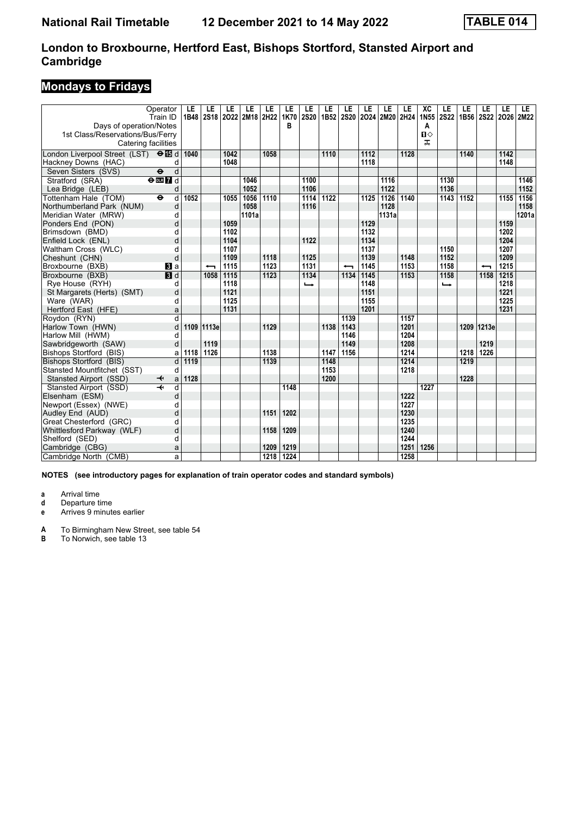# **Mondays to Fridays**

|                                             | Operator<br>Train ID         | LE<br>1B48 | LE<br><b>2S18</b> | LE<br>2022 | LE<br>2M18 2H22 | LE   | LE<br>1K70 | LE<br><b>2S20</b> | LE<br>1B52 | LE<br><b>2S20</b>        | LE   | LE<br>2024 2M20 2H24 | LE   | <b>XC</b><br>1N55 | LE<br><b>2S22</b> | LE<br>1B56 2S22 | LE    | LE<br>2026 2M22 | LE.   |
|---------------------------------------------|------------------------------|------------|-------------------|------------|-----------------|------|------------|-------------------|------------|--------------------------|------|----------------------|------|-------------------|-------------------|-----------------|-------|-----------------|-------|
| Days of operation/Notes                     |                              |            |                   |            |                 |      | в          |                   |            |                          |      |                      |      | A                 |                   |                 |       |                 |       |
| 1st Class/Reservations/Bus/Ferry            |                              |            |                   |            |                 |      |            |                   |            |                          |      |                      |      | Ⅱ◇                |                   |                 |       |                 |       |
|                                             | Catering facilities          |            |                   |            |                 |      |            |                   |            |                          |      |                      |      | ᠼ                 |                   |                 |       |                 |       |
| London Liverpool Street (LST) $\Theta$ is d |                              | 1040       |                   | 1042       |                 | 1058 |            |                   | 1110       |                          | 1112 |                      | 1128 |                   |                   | 1140            |       | 1142            |       |
| Hackney Downs (HAC)                         | d                            |            |                   | 1048       |                 |      |            |                   |            |                          | 1118 |                      |      |                   |                   |                 |       | 1148            |       |
| Seven Sisters (SVS)                         | $\ddot{\mathbf{e}}$<br>d     |            |                   |            |                 |      |            |                   |            |                          |      |                      |      |                   |                   |                 |       |                 |       |
| Stratford (SRA)                             | $e$ <b>m</b> $I$ d           |            |                   |            | 1046            |      |            | 1100              |            |                          |      | 1116                 |      |                   | 1130              |                 |       |                 | 1146  |
| Lea Bridge (LEB)                            | d                            |            |                   |            | 1052            |      |            | 1106              |            |                          |      | 1122                 |      |                   | 1136              |                 |       |                 | 1152  |
| Tottenham Hale (TOM)                        | d<br>$\bullet$               | 1052       |                   | 1055       | 1056            | 1110 |            | 1114              | 1122       |                          | 1125 | 1126                 | 1140 |                   | 1143              | 1152            |       | 1155            | 1156  |
| Northumberland Park (NUM)                   | d                            |            |                   |            | 1058            |      |            | 1116              |            |                          |      | 1128                 |      |                   |                   |                 |       |                 | 1158  |
| Meridian Water (MRW)                        | d                            |            |                   |            | 1101a           |      |            |                   |            |                          |      | 1131a                |      |                   |                   |                 |       |                 | 1201a |
| Ponders End (PON)                           | d                            |            |                   | 1059       |                 |      |            |                   |            |                          | 1129 |                      |      |                   |                   |                 |       | 1159            |       |
| Brimsdown (BMD)                             | d                            |            |                   | 1102       |                 |      |            |                   |            |                          | 1132 |                      |      |                   |                   |                 |       | 1202            |       |
| Enfield Lock (ENL)                          | d                            |            |                   | 1104       |                 |      |            | 1122              |            |                          | 1134 |                      |      |                   |                   |                 |       | 1204            |       |
| Waltham Cross (WLC)                         | d                            |            |                   | 1107       |                 |      |            |                   |            |                          | 1137 |                      |      |                   | 1150              |                 |       | 1207            |       |
| Cheshunt (CHN)                              | d                            |            |                   | 1109       |                 | 1118 |            | 1125              |            |                          | 1139 |                      | 1148 |                   | 1152              |                 |       | 1209            |       |
| Broxbourne (BXB)                            | <b>B</b> la                  |            | ↽                 | 1115       |                 | 1123 |            | 1131              |            | $\overline{\phantom{0}}$ | 1145 |                      | 1153 |                   | 1158              |                 | ↽     | 1215            |       |
| Broxbourne (BXB)                            | $\overline{\mathbf{B}}$ d    |            | 1058              | 1115       |                 | 1123 |            | 1134              |            | 1134                     | 1145 |                      | 1153 |                   | 1158              |                 | 1158  | 1215            |       |
| Rye House (RYH)                             | d                            |            |                   | 1118       |                 |      |            | ⊷                 |            |                          | 1148 |                      |      |                   | –                 |                 |       | 1218            |       |
| St Margarets (Herts) (SMT)                  | d                            |            |                   | 1121       |                 |      |            |                   |            |                          | 1151 |                      |      |                   |                   |                 |       | 1221            |       |
| Ware (WAR)                                  | d                            |            |                   | 1125       |                 |      |            |                   |            |                          | 1155 |                      |      |                   |                   |                 |       | 1225            |       |
| Hertford East (HFE)                         | a                            |            |                   | 1131       |                 |      |            |                   |            |                          | 1201 |                      |      |                   |                   |                 |       | 1231            |       |
| Rovdon (RYN)                                | $\overline{\mathsf{d}}$      |            |                   |            |                 |      |            |                   |            | 1139                     |      |                      | 1157 |                   |                   |                 |       |                 |       |
| Harlow Town (HWN)                           | d                            | 1109       | 1113e             |            |                 | 1129 |            |                   | 1138       | 1143                     |      |                      | 1201 |                   |                   | 1209            | 1213e |                 |       |
| Harlow Mill (HWM)                           | d                            |            |                   |            |                 |      |            |                   |            | 1146                     |      |                      | 1204 |                   |                   |                 |       |                 |       |
| Sawbridgeworth (SAW)                        | d                            |            | 1119              |            |                 |      |            |                   |            | 1149                     |      |                      | 1208 |                   |                   |                 | 1219  |                 |       |
| Bishops Stortford (BIS)                     | a                            | 1118       | 1126              |            |                 | 1138 |            |                   | 1147       | 1156                     |      |                      | 1214 |                   |                   | 1218            | 1226  |                 |       |
| Bishops Stortford (BIS)                     | d                            | 1119       |                   |            |                 | 1139 |            |                   | 1148       |                          |      |                      | 1214 |                   |                   | 1219            |       |                 |       |
| Stansted Mountfitchet (SST)                 | d                            |            |                   |            |                 |      |            |                   | 1153       |                          |      |                      | 1218 |                   |                   |                 |       |                 |       |
| Stansted Airport (SSD)                      | a<br>↞                       | 1128       |                   |            |                 |      |            |                   | 1200       |                          |      |                      |      |                   |                   | 1228            |       |                 |       |
| Stansted Airport (SSD)                      | $\overline{\mathbf{r}}$<br>d |            |                   |            |                 |      | 1148       |                   |            |                          |      |                      |      | 1227              |                   |                 |       |                 |       |
| Elsenham (ESM)                              | d                            |            |                   |            |                 |      |            |                   |            |                          |      |                      | 1222 |                   |                   |                 |       |                 |       |
| Newport (Essex) (NWE)                       | d                            |            |                   |            |                 |      |            |                   |            |                          |      |                      | 1227 |                   |                   |                 |       |                 |       |
| Audley End (AUD)                            | d                            |            |                   |            |                 | 1151 | 1202       |                   |            |                          |      |                      | 1230 |                   |                   |                 |       |                 |       |
| Great Chesterford (GRC)                     | d                            |            |                   |            |                 |      |            |                   |            |                          |      |                      | 1235 |                   |                   |                 |       |                 |       |
| Whittlesford Parkway (WLF)                  | d                            |            |                   |            |                 | 1158 | 1209       |                   |            |                          |      |                      | 1240 |                   |                   |                 |       |                 |       |
| Shelford (SED)                              | d                            |            |                   |            |                 |      |            |                   |            |                          |      |                      | 1244 |                   |                   |                 |       |                 |       |
| Cambridge (CBG)                             | a                            |            |                   |            |                 | 1209 | 1219       |                   |            |                          |      |                      | 1251 | 1256              |                   |                 |       |                 |       |
| Cambridge North (CMB)                       | a                            |            |                   |            |                 | 1218 | 1224       |                   |            |                          |      |                      | 1258 |                   |                   |                 |       |                 |       |

**NOTES (see introductory pages for explanation of train operator codes and standard symbols)**

**a** Arrival time<br>**d** Departure ti

**d** Departure time

**e** Arrives 9 minutes earlier

**A** To Birmingham New Street, see table 54<br>**B** To Norwich, see table 13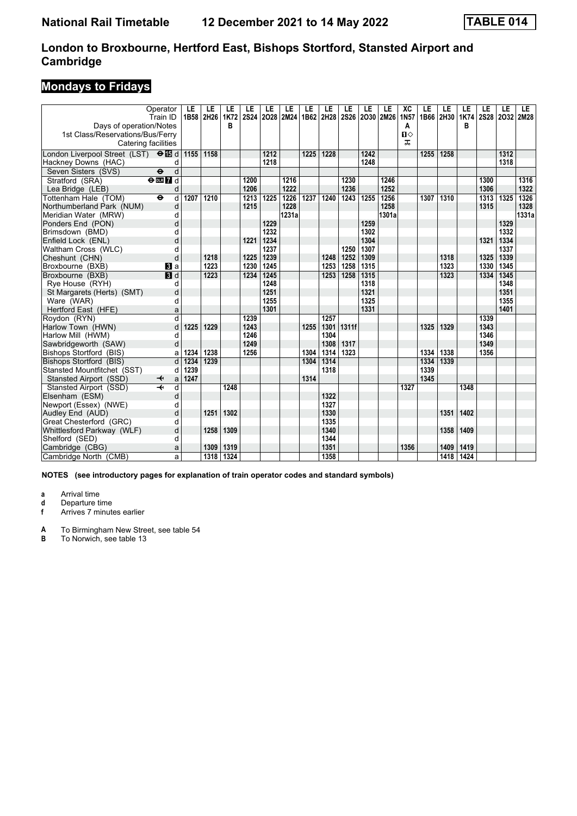# **Mondays to Fridays**

|                                           | Operator<br>Train ID              | LE<br>1B58 | LE<br>2H26 | LE<br>1K72 | LE<br><b>2S24</b> | LE   | LE<br>2028 2M24 | LE   | LE<br>1B62 2H28 | LE<br><b>2S26</b> | LE<br>2030 2M26 | LE    | XC<br><b>1N57</b> | LE<br>1B66 | LE<br>2H30 | LE<br>1K74 | LE<br><b>2S28</b> | LE<br>2032 2M28 | LE.   |
|-------------------------------------------|-----------------------------------|------------|------------|------------|-------------------|------|-----------------|------|-----------------|-------------------|-----------------|-------|-------------------|------------|------------|------------|-------------------|-----------------|-------|
| Days of operation/Notes                   |                                   |            |            | В          |                   |      |                 |      |                 |                   |                 |       | A                 |            |            | в          |                   |                 |       |
| 1st Class/Reservations/Bus/Ferry          |                                   |            |            |            |                   |      |                 |      |                 |                   |                 |       | $\mathbf{n}$      |            |            |            |                   |                 |       |
|                                           | Catering facilities               |            |            |            |                   |      |                 |      |                 |                   |                 |       | ㅈ                 |            |            |            |                   |                 |       |
| London Liverpool Street (LST) <b>OI</b> d |                                   | 1155       | 1158       |            |                   | 1212 |                 | 1225 | 1228            |                   | 1242            |       |                   | 1255       | 1258       |            |                   | 1312            |       |
| Hackney Downs (HAC)                       | d                                 |            |            |            |                   | 1218 |                 |      |                 |                   | 1248            |       |                   |            |            |            |                   | 1318            |       |
| Seven Sisters (SVS)                       | $\ddot{\mathbf{e}}$<br>d          |            |            |            |                   |      |                 |      |                 |                   |                 |       |                   |            |            |            |                   |                 |       |
| Stratford (SRA)                           | $e$ <b>m</b> $I$ d                |            |            |            | 1200              |      | 1216            |      |                 | 1230              |                 | 1246  |                   |            |            |            | 1300              |                 | 1316  |
| Lea Bridge (LEB)                          | d                                 |            |            |            | 1206              |      | 1222            |      |                 | 1236              |                 | 1252  |                   |            |            |            | 1306              |                 | 1322  |
| Tottenham Hale (TOM)                      | $\ddot{\boldsymbol{\Theta}}$<br>d | 1207       | 1210       |            | 1213              | 1225 | 1226            | 1237 | 1240            | 1243              | 1255            | 1256  |                   | 1307       | 1310       |            | 1313              | 1325            | 1326  |
| Northumberland Park (NUM)                 | d                                 |            |            |            | 1215              |      | 1228            |      |                 |                   |                 | 1258  |                   |            |            |            | 1315              |                 | 1328  |
| Meridian Water (MRW)                      | d                                 |            |            |            |                   |      | 1231a           |      |                 |                   |                 | 1301a |                   |            |            |            |                   |                 | 1331a |
| Ponders End (PON)                         | d                                 |            |            |            |                   | 1229 |                 |      |                 |                   | 1259            |       |                   |            |            |            |                   | 1329            |       |
| Brimsdown (BMD)                           | d                                 |            |            |            |                   | 1232 |                 |      |                 |                   | 1302            |       |                   |            |            |            |                   | 1332            |       |
| Enfield Lock (ENL)                        | d                                 |            |            |            | 1221              | 1234 |                 |      |                 |                   | 1304            |       |                   |            |            |            | 1321              | 1334            |       |
| Waltham Cross (WLC)                       | d                                 |            |            |            |                   | 1237 |                 |      |                 | 1250              | 1307            |       |                   |            |            |            |                   | 1337            |       |
| Cheshunt (CHN)                            | d                                 |            | 1218       |            | 1225              | 1239 |                 |      | 1248            | 1252              | 1309            |       |                   |            | 1318       |            | 1325              | 1339            |       |
| Broxbourne (BXB)                          | <b>B</b> la                       |            | 1223       |            | 1230              | 1245 |                 |      | 1253            | 1258              | 1315            |       |                   |            | 1323       |            | 1330              | 1345            |       |
| Broxbourne (BXB)                          | $\overline{\mathbf{B}}$ d         |            | 1223       |            | 1234              | 1245 |                 |      | 1253            | 1258              | 1315            |       |                   |            | 1323       |            | 1334              | 1345            |       |
| Rye House (RYH)                           | d                                 |            |            |            |                   | 1248 |                 |      |                 |                   | 1318            |       |                   |            |            |            |                   | 1348            |       |
| St Margarets (Herts) (SMT)                | d                                 |            |            |            |                   | 1251 |                 |      |                 |                   | 1321            |       |                   |            |            |            |                   | 1351            |       |
| Ware (WAR)                                | d                                 |            |            |            |                   | 1255 |                 |      |                 |                   | 1325            |       |                   |            |            |            |                   | 1355            |       |
| Hertford East (HFE)                       | a                                 |            |            |            |                   | 1301 |                 |      |                 |                   | 1331            |       |                   |            |            |            |                   | 1401            |       |
| Rovdon (RYN)                              | $\overline{\mathsf{d}}$           |            |            |            | 1239              |      |                 |      | 1257            |                   |                 |       |                   |            |            |            | 1339              |                 |       |
| Harlow Town (HWN)                         | d                                 | 1225       | 1229       |            | 1243              |      |                 | 1255 | 1301            | 1311f             |                 |       |                   | 1325       | 1329       |            | 1343              |                 |       |
| Harlow Mill (HWM)                         | d                                 |            |            |            | 1246              |      |                 |      | 1304            |                   |                 |       |                   |            |            |            | 1346              |                 |       |
| Sawbridgeworth (SAW)                      | d                                 |            |            |            | 1249              |      |                 |      | 1308            | 1317              |                 |       |                   |            |            |            | 1349              |                 |       |
| Bishops Stortford (BIS)                   | a                                 | 1234       | 1238       |            | 1256              |      |                 | 1304 | 1314            | 1323              |                 |       |                   | 1334       | 1338       |            | 1356              |                 |       |
| Bishops Stortford (BIS)                   | d                                 | 1234       | 1239       |            |                   |      |                 | 1304 | 1314            |                   |                 |       |                   | 1334       | 1339       |            |                   |                 |       |
| Stansted Mountfitchet (SST)               | d                                 | 1239       |            |            |                   |      |                 |      | 1318            |                   |                 |       |                   | 1339       |            |            |                   |                 |       |
| Stansted Airport (SSD)                    | a<br>↞                            | 1247       |            |            |                   |      |                 | 1314 |                 |                   |                 |       |                   | 1345       |            |            |                   |                 |       |
| Stansted Airport (SSD)                    | $\overline{\mathbf{r}}$<br>d      |            |            | 1248       |                   |      |                 |      |                 |                   |                 |       | 1327              |            |            | 1348       |                   |                 |       |
| Elsenham (ESM)                            | d                                 |            |            |            |                   |      |                 |      | 1322            |                   |                 |       |                   |            |            |            |                   |                 |       |
| Newport (Essex) (NWE)                     | d                                 |            |            |            |                   |      |                 |      | 1327            |                   |                 |       |                   |            |            |            |                   |                 |       |
| Audley End (AUD)                          | d                                 |            | 1251       | 1302       |                   |      |                 |      | 1330            |                   |                 |       |                   |            | 1351       | 1402       |                   |                 |       |
| Great Chesterford (GRC)                   | d                                 |            |            |            |                   |      |                 |      | 1335            |                   |                 |       |                   |            |            |            |                   |                 |       |
| Whittlesford Parkway (WLF)                | d                                 |            | 1258       | 1309       |                   |      |                 |      | 1340            |                   |                 |       |                   |            | 1358       | 1409       |                   |                 |       |
| Shelford (SED)                            | d                                 |            |            |            |                   |      |                 |      | 1344            |                   |                 |       |                   |            |            |            |                   |                 |       |
| Cambridge (CBG)                           | a                                 |            | 1309       | 1319       |                   |      |                 |      | 1351            |                   |                 |       | 1356              |            | 1409       | 1419       |                   |                 |       |
| Cambridge North (CMB)                     | a                                 |            | 1318       | 1324       |                   |      |                 |      | 1358            |                   |                 |       |                   |            | 1418       | 1424       |                   |                 |       |

**NOTES (see introductory pages for explanation of train operator codes and standard symbols)**

**a** Arrival time<br>**d** Departure ti

**d** Departure time<br>**f** Arrives 7 minut

**f** Arrives 7 minutes earlier

**A** To Birmingham New Street, see table 54<br>**B** To Norwich, see table 13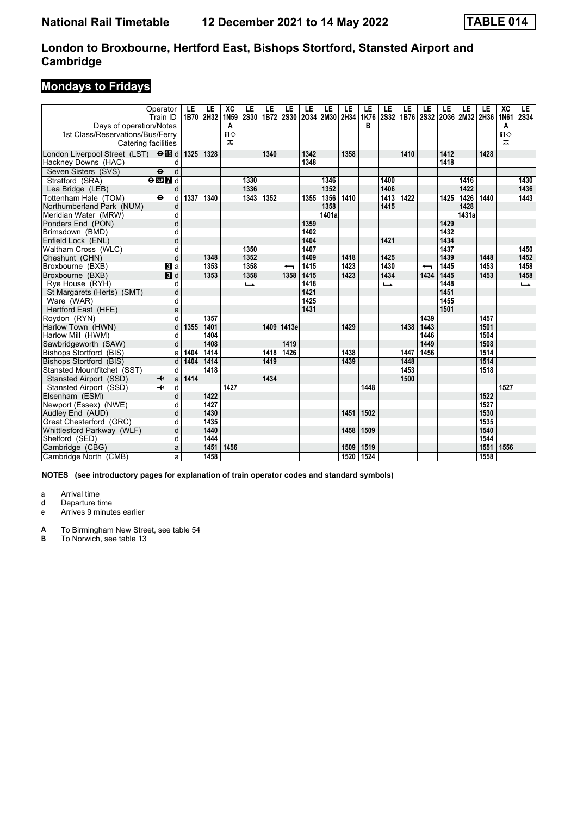# **Mondays to Fridays**

|                                           | Operator<br>Train ID         | LE<br>1B70 | LE<br>2H32 | XC<br>1N59   | LE<br><b>2S30</b> | LE<br>1B72 | LE                       | LE   | LE<br>2S30 2O34 2M30 2H34 | LE   | LE<br>1K76 | LE<br>2S32 | LE   | LE<br>1B76 2S32 2O36 2M32 2H36 | LE   | LE    | LE   | XC<br>1N61   | LE.<br><b>2S34</b> |
|-------------------------------------------|------------------------------|------------|------------|--------------|-------------------|------------|--------------------------|------|---------------------------|------|------------|------------|------|--------------------------------|------|-------|------|--------------|--------------------|
| Days of operation/Notes                   |                              |            |            | A            |                   |            |                          |      |                           |      | в          |            |      |                                |      |       |      | A            |                    |
| 1st Class/Reservations/Bus/Ferry          |                              |            |            | $\mathbf{n}$ |                   |            |                          |      |                           |      |            |            |      |                                |      |       |      | $\mathbf{u}$ |                    |
| Catering facilities                       |                              |            |            | ᠼ            |                   |            |                          |      |                           |      |            |            |      |                                |      |       |      | ᅚ            |                    |
| London Liverpool Street (LST) <b>OI</b> d |                              | 1325       | 1328       |              |                   | 1340       |                          | 1342 |                           | 1358 |            |            | 1410 |                                | 1412 |       | 1428 |              |                    |
| Hackney Downs (HAC)                       | d                            |            |            |              |                   |            |                          | 1348 |                           |      |            |            |      |                                | 1418 |       |      |              |                    |
| Seven Sisters (SVS)                       | d<br>$\ddot{\mathbf{e}}$     |            |            |              |                   |            |                          |      |                           |      |            |            |      |                                |      |       |      |              |                    |
| Stratford (SRA)                           | $e$ <b>m</b> $I$ d           |            |            |              | 1330              |            |                          |      | 1346                      |      |            | 1400       |      |                                |      | 1416  |      |              | 1430               |
| Lea Bridge (LEB)                          | d                            |            |            |              | 1336              |            |                          |      | 1352                      |      |            | 1406       |      |                                |      | 1422  |      |              | 1436               |
| Tottenham Hale (TOM)                      | d<br>$\ddot{\mathbf{e}}$     | 1337       | 1340       |              | 1343              | 1352       |                          | 1355 | 1356                      | 1410 |            | 1413       | 1422 |                                | 1425 | 1426  | 1440 |              | 1443               |
| Northumberland Park (NUM)                 | d                            |            |            |              |                   |            |                          |      | 1358                      |      |            | 1415       |      |                                |      | 1428  |      |              |                    |
| Meridian Water (MRW)                      | d                            |            |            |              |                   |            |                          |      | 1401a                     |      |            |            |      |                                |      | 1431a |      |              |                    |
| Ponders End (PON)                         | d                            |            |            |              |                   |            |                          | 1359 |                           |      |            |            |      |                                | 1429 |       |      |              |                    |
| Brimsdown (BMD)                           | d                            |            |            |              |                   |            |                          | 1402 |                           |      |            |            |      |                                | 1432 |       |      |              |                    |
| Enfield Lock (ENL)                        | d                            |            |            |              |                   |            |                          | 1404 |                           |      |            | 1421       |      |                                | 1434 |       |      |              |                    |
| Waltham Cross (WLC)                       | d                            |            |            |              | 1350              |            |                          | 1407 |                           |      |            |            |      |                                | 1437 |       |      |              | 1450               |
| Cheshunt (CHN)                            | d                            |            | 1348       |              | 1352              |            |                          | 1409 |                           | 1418 |            | 1425       |      |                                | 1439 |       | 1448 |              | 1452               |
| Broxbourne (BXB)                          | $\mathbf{B}$ a               |            | 1353       |              | 1358              |            | $\overline{\phantom{0}}$ | 1415 |                           | 1423 |            | 1430       |      | ↽                              | 1445 |       | 1453 |              | 1458               |
| Broxbourne (BXB)                          | $\overline{\mathbf{B}}$ d    |            | 1353       |              | 1358              |            | 1358                     | 1415 |                           | 1423 |            | 1434       |      | 1434                           | 1445 |       | 1453 |              | 1458               |
| Rye House (RYH)                           | d                            |            |            |              | ←                 |            |                          | 1418 |                           |      |            | د          |      |                                | 1448 |       |      |              | $\rightarrow$      |
| St Margarets (Herts) (SMT)                | d                            |            |            |              |                   |            |                          | 1421 |                           |      |            |            |      |                                | 1451 |       |      |              |                    |
| Ware (WAR)                                | d                            |            |            |              |                   |            |                          | 1425 |                           |      |            |            |      |                                | 1455 |       |      |              |                    |
| Hertford East (HFE)                       | a                            |            |            |              |                   |            |                          | 1431 |                           |      |            |            |      |                                | 1501 |       |      |              |                    |
| Roydon (RYN)                              | d                            |            | 1357       |              |                   |            |                          |      |                           |      |            |            |      | 1439                           |      |       | 1457 |              |                    |
| Harlow Town (HWN)                         | d                            | 1355       | 1401       |              |                   |            | 1409 1413e               |      |                           | 1429 |            |            | 1438 | 1443                           |      |       | 1501 |              |                    |
| Harlow Mill (HWM)                         | d                            |            | 1404       |              |                   |            |                          |      |                           |      |            |            |      | 1446                           |      |       | 1504 |              |                    |
| Sawbridgeworth (SAW)                      | d                            |            | 1408       |              |                   |            | 1419                     |      |                           |      |            |            |      | 1449                           |      |       | 1508 |              |                    |
| Bishops Stortford (BIS)                   | a                            | 1404       | 1414       |              |                   | 1418       | 1426                     |      |                           | 1438 |            |            | 1447 | 1456                           |      |       | 1514 |              |                    |
| <b>Bishops Stortford (BIS)</b>            | $\overline{d}$               | 1404       | 1414       |              |                   | 1419       |                          |      |                           | 1439 |            |            | 1448 |                                |      |       | 1514 |              |                    |
| Stansted Mountfitchet (SST)               | d                            |            | 1418       |              |                   |            |                          |      |                           |      |            |            | 1453 |                                |      |       | 1518 |              |                    |
| Stansted Airport (SSD)                    | a<br>↞                       | 1414       |            |              |                   | 1434       |                          |      |                           |      |            |            | 1500 |                                |      |       |      |              |                    |
| Stansted Airport (SSD)                    | $\overline{\mathbf{H}}$<br>d |            |            | 1427         |                   |            |                          |      |                           |      | 1448       |            |      |                                |      |       |      | 1527         |                    |
| Elsenham (ESM)                            | d                            |            | 1422       |              |                   |            |                          |      |                           |      |            |            |      |                                |      |       | 1522 |              |                    |
| Newport (Essex) (NWE)                     | d                            |            | 1427       |              |                   |            |                          |      |                           |      |            |            |      |                                |      |       | 1527 |              |                    |
| Audley End (AUD)                          | d                            |            | 1430       |              |                   |            |                          |      |                           | 1451 | 1502       |            |      |                                |      |       | 1530 |              |                    |
| Great Chesterford (GRC)                   | d                            |            | 1435       |              |                   |            |                          |      |                           |      |            |            |      |                                |      |       | 1535 |              |                    |
| Whittlesford Parkway (WLF)                | d                            |            | 1440       |              |                   |            |                          |      |                           | 1458 | 1509       |            |      |                                |      |       | 1540 |              |                    |
| Shelford (SED)                            | d                            |            | 1444       |              |                   |            |                          |      |                           |      |            |            |      |                                |      |       | 1544 |              |                    |
| Cambridge (CBG)                           | a                            |            | 1451       | 1456         |                   |            |                          |      |                           | 1509 | 1519       |            |      |                                |      |       | 1551 | 1556         |                    |
| Cambridge North (CMB)                     | a                            |            | 1458       |              |                   |            |                          |      |                           | 1520 | 1524       |            |      |                                |      |       | 1558 |              |                    |

**NOTES (see introductory pages for explanation of train operator codes and standard symbols)**

**a** Arrival time<br>**d** Departure ti

**d** Departure time

**e** Arrives 9 minutes earlier

**A** To Birmingham New Street, see table 54<br>**B** To Norwich, see table 13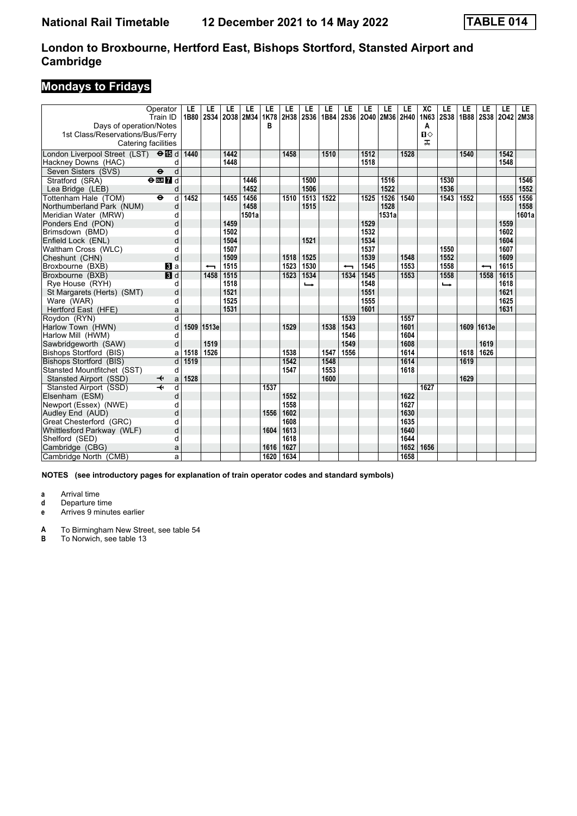# **Mondays to Fridays**

| Days of operation/Notes<br>1st Class/Reservations/Bus/Ferry | Operator<br>Train ID         | LE<br>1B80 | LE<br><b>2S34</b> | LE<br>2038 2M34 | LE    | LE<br><b>1K78</b><br>в | LE<br>2H38 | LE<br>2S36 | LE<br>1B84 | LE<br><b>2S36</b> | LE<br>2040 2M36 2H40 | LE    | LE   | XC<br>1N63<br>A<br>$\Pi$ | LE<br><b>2S38</b> | LE<br>1B88 | LE<br>2S38 2O42 2M38 | LE   | LE.   |
|-------------------------------------------------------------|------------------------------|------------|-------------------|-----------------|-------|------------------------|------------|------------|------------|-------------------|----------------------|-------|------|--------------------------|-------------------|------------|----------------------|------|-------|
| Catering facilities                                         |                              |            |                   |                 |       |                        |            |            |            |                   |                      |       |      | ᠼ                        |                   |            |                      |      |       |
| London Liverpool Street (LST) $\Theta$ <b>is</b> d          |                              | 1440       |                   | 1442            |       |                        | 1458       |            | 1510       |                   | 1512                 |       | 1528 |                          |                   | 1540       |                      | 1542 |       |
| Hackney Downs (HAC)                                         | d                            |            |                   | 1448            |       |                        |            |            |            |                   | 1518                 |       |      |                          |                   |            |                      | 1548 |       |
| Seven Sisters (SVS)                                         | $\ddot{\mathbf{e}}$<br>d     |            |                   |                 |       |                        |            |            |            |                   |                      |       |      |                          |                   |            |                      |      |       |
| Stratford (SRA)                                             | $e$ <b>m</b> $I$ d           |            |                   |                 | 1446  |                        |            | 1500       |            |                   |                      | 1516  |      |                          | 1530              |            |                      |      | 1546  |
| Lea Bridge (LEB)                                            | d                            |            |                   |                 | 1452  |                        |            | 1506       |            |                   |                      | 1522  |      |                          | 1536              |            |                      |      | 1552  |
| Tottenham Hale (TOM)                                        | d<br>$\bullet$               | 1452       |                   | 1455            | 1456  |                        | 1510       | 1513       | 1522       |                   | 1525                 | 1526  | 1540 |                          | 1543              | 1552       |                      | 1555 | 1556  |
| Northumberland Park (NUM)                                   | d                            |            |                   |                 | 1458  |                        |            | 1515       |            |                   |                      | 1528  |      |                          |                   |            |                      |      | 1558  |
| Meridian Water (MRW)                                        | d                            |            |                   |                 | 1501a |                        |            |            |            |                   |                      | 1531a |      |                          |                   |            |                      |      | 1601a |
| Ponders End (PON)                                           | d                            |            |                   | 1459            |       |                        |            |            |            |                   | 1529                 |       |      |                          |                   |            |                      | 1559 |       |
| Brimsdown (BMD)                                             | d                            |            |                   | 1502            |       |                        |            |            |            |                   | 1532                 |       |      |                          |                   |            |                      | 1602 |       |
| Enfield Lock (ENL)                                          | d                            |            |                   | 1504            |       |                        |            | 1521       |            |                   | 1534                 |       |      |                          |                   |            |                      | 1604 |       |
| Waltham Cross (WLC)                                         | d                            |            |                   | 1507            |       |                        |            |            |            |                   | 1537                 |       |      |                          | 1550              |            |                      | 1607 |       |
| Cheshunt (CHN)                                              | d                            |            |                   | 1509            |       |                        | 1518       | 1525       |            |                   | 1539                 |       | 1548 |                          | 1552              |            |                      | 1609 |       |
| Broxbourne (BXB)                                            | <b>B</b> la                  |            | ↽                 | 1515            |       |                        | 1523       | 1530       |            | ╼                 | 1545                 |       | 1553 |                          | 1558              |            | ↽                    | 1615 |       |
| Broxbourne (BXB)                                            | $\overline{\mathbf{B}}$ d    |            | 1458              | 1515            |       |                        | 1523       | 1534       |            | 1534              | 1545                 |       | 1553 |                          | 1558              |            | 1558                 | 1615 |       |
| Rye House (RYH)                                             | d                            |            |                   | 1518            |       |                        |            | ⊷          |            |                   | 1548                 |       |      |                          | –                 |            |                      | 1618 |       |
| St Margarets (Herts) (SMT)                                  | d                            |            |                   | 1521            |       |                        |            |            |            |                   | 1551                 |       |      |                          |                   |            |                      | 1621 |       |
| Ware (WAR)                                                  | d                            |            |                   | 1525            |       |                        |            |            |            |                   | 1555                 |       |      |                          |                   |            |                      | 1625 |       |
| Hertford East (HFE)                                         | a                            |            |                   | 1531            |       |                        |            |            |            |                   | 1601                 |       |      |                          |                   |            |                      | 1631 |       |
| Roydon (RYN)                                                | $\overline{\mathsf{d}}$      |            |                   |                 |       |                        |            |            |            | 1539              |                      |       | 1557 |                          |                   |            |                      |      |       |
| Harlow Town (HWN)                                           | d                            | 1509       | 1513e             |                 |       |                        | 1529       |            | 1538       | 1543              |                      |       | 1601 |                          |                   | 1609       | 1613e                |      |       |
| Harlow Mill (HWM)                                           | d                            |            |                   |                 |       |                        |            |            |            | 1546              |                      |       | 1604 |                          |                   |            |                      |      |       |
| Sawbridgeworth (SAW)                                        | d                            |            | 1519              |                 |       |                        |            |            |            | 1549              |                      |       | 1608 |                          |                   |            | 1619                 |      |       |
| Bishops Stortford (BIS)                                     | a                            | 1518       | 1526              |                 |       |                        | 1538       |            | 1547       | 1556              |                      |       | 1614 |                          |                   | 1618       | 1626                 |      |       |
| Bishops Stortford (BIS)                                     | d                            | 1519       |                   |                 |       |                        | 1542       |            | 1548       |                   |                      |       | 1614 |                          |                   | 1619       |                      |      |       |
| Stansted Mountfitchet (SST)                                 | d                            |            |                   |                 |       |                        | 1547       |            | 1553       |                   |                      |       | 1618 |                          |                   |            |                      |      |       |
| Stansted Airport (SSD)                                      | a<br>↞                       | 1528       |                   |                 |       |                        |            |            | 1600       |                   |                      |       |      |                          |                   | 1629       |                      |      |       |
| Stansted Airport (SSD)                                      | $\overline{\mathbf{H}}$<br>d |            |                   |                 |       | 1537                   |            |            |            |                   |                      |       |      | 1627                     |                   |            |                      |      |       |
| Elsenham (ESM)                                              | d                            |            |                   |                 |       |                        | 1552       |            |            |                   |                      |       | 1622 |                          |                   |            |                      |      |       |
| Newport (Essex) (NWE)                                       | d                            |            |                   |                 |       |                        | 1558       |            |            |                   |                      |       | 1627 |                          |                   |            |                      |      |       |
| Audley End (AUD)                                            | d                            |            |                   |                 |       | 1556                   | 1602       |            |            |                   |                      |       | 1630 |                          |                   |            |                      |      |       |
| Great Chesterford (GRC)                                     | d                            |            |                   |                 |       |                        | 1608       |            |            |                   |                      |       | 1635 |                          |                   |            |                      |      |       |
| Whittlesford Parkway (WLF)                                  | d                            |            |                   |                 |       | 1604                   | 1613       |            |            |                   |                      |       | 1640 |                          |                   |            |                      |      |       |
| Shelford (SED)                                              | d                            |            |                   |                 |       |                        | 1618       |            |            |                   |                      |       | 1644 |                          |                   |            |                      |      |       |
| Cambridge (CBG)                                             | a                            |            |                   |                 |       | 1616                   | 1627       |            |            |                   |                      |       | 1652 | 1656                     |                   |            |                      |      |       |
| Cambridge North (CMB)                                       | a                            |            |                   |                 |       | 1620                   | 1634       |            |            |                   |                      |       | 1658 |                          |                   |            |                      |      |       |

**NOTES (see introductory pages for explanation of train operator codes and standard symbols)**

**a** Arrival time<br>**d** Departure ti

**d** Departure time

**e** Arrives 9 minutes earlier

**A** To Birmingham New Street, see table 54<br>**B** To Norwich, see table 13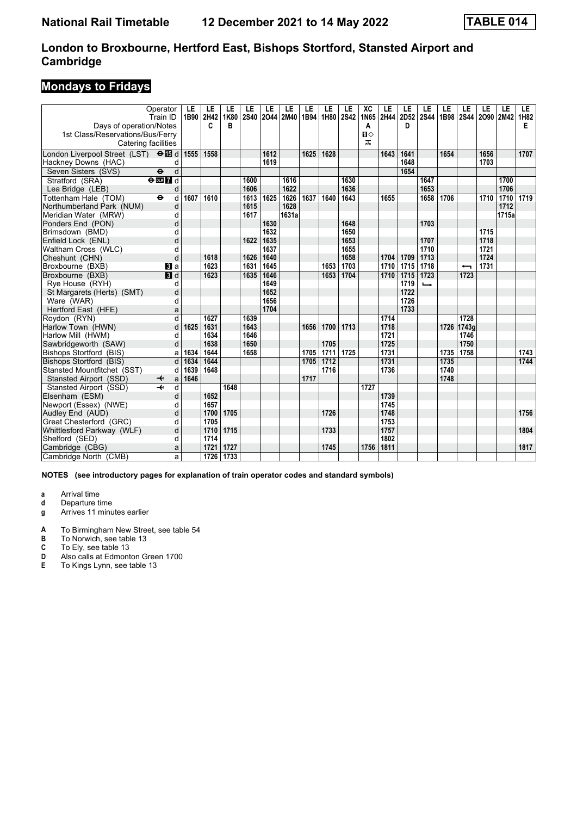# **Mondays to Fridays**

|                                                    | Operator<br>Train ID              | LE<br>1B90 | LE<br>2H42 | LE<br>1K80 | LE<br><b>2S40</b> | LE   | LE<br>2044 2M40 | LE<br>1B94 | LE<br>1H80 | LE<br><b>2S42</b> | XC<br>1N65   | LE<br>2H44 | LE<br>2D52 | LE<br><b>2S44</b> | LE<br>1B98 | LE         | LE<br>2S44 2O90 2M42 | LE    | LE.<br>1H82 |
|----------------------------------------------------|-----------------------------------|------------|------------|------------|-------------------|------|-----------------|------------|------------|-------------------|--------------|------------|------------|-------------------|------------|------------|----------------------|-------|-------------|
| Days of operation/Notes                            |                                   |            | C          | B          |                   |      |                 |            |            |                   | A            |            | D          |                   |            |            |                      |       | Е           |
| 1st Class/Reservations/Bus/Ferry                   |                                   |            |            |            |                   |      |                 |            |            |                   | $\mathbf{u}$ |            |            |                   |            |            |                      |       |             |
| Catering facilities                                |                                   |            |            |            |                   |      |                 |            |            |                   | ᠼ            |            |            |                   |            |            |                      |       |             |
| London Liverpool Street (LST) $\Theta$ <b>is</b> d |                                   | 1555       | 1558       |            |                   | 1612 |                 | 1625       | 1628       |                   |              | 1643       | 1641       |                   | 1654       |            | 1656                 |       | 1707        |
| Hackney Downs (HAC)                                | d                                 |            |            |            |                   | 1619 |                 |            |            |                   |              |            | 1648       |                   |            |            | 1703                 |       |             |
| Seven Sisters (SVS)                                | d<br>$\ddot{\boldsymbol{\Theta}}$ |            |            |            |                   |      |                 |            |            |                   |              |            | 1654       |                   |            |            |                      |       |             |
| Stratford (SRA)                                    | $e$ <b>m</b> $I$ d                |            |            |            | 1600              |      | 1616            |            |            | 1630              |              |            |            | 1647              |            |            |                      | 1700  |             |
| Lea Bridge (LEB)                                   | d                                 |            |            |            | 1606              |      | 1622            |            |            | 1636              |              |            |            | 1653              |            |            |                      | 1706  |             |
| Tottenham Hale (TOM)                               | d<br>$\ddot{\boldsymbol{\Theta}}$ | 1607       | 1610       |            | 1613              | 1625 | 1626            | 1637       | 1640       | 1643              |              | 1655       |            | 1658              | 1706       |            | 1710                 | 1710  | 1719        |
| Northumberland Park (NUM)                          | d                                 |            |            |            | 1615              |      | 1628            |            |            |                   |              |            |            |                   |            |            |                      | 1712  |             |
| Meridian Water (MRW)                               | d                                 |            |            |            | 1617              |      | 1631a           |            |            |                   |              |            |            |                   |            |            |                      | 1715a |             |
| Ponders End (PON)                                  | d                                 |            |            |            |                   | 1630 |                 |            |            | 1648              |              |            |            | 1703              |            |            |                      |       |             |
| Brimsdown (BMD)                                    | d                                 |            |            |            |                   | 1632 |                 |            |            | 1650              |              |            |            |                   |            |            | 1715                 |       |             |
| Enfield Lock (ENL)                                 | d                                 |            |            |            | 1622              | 1635 |                 |            |            | 1653              |              |            |            | 1707              |            |            | 1718                 |       |             |
| Waltham Cross (WLC)                                | d                                 |            |            |            |                   | 1637 |                 |            |            | 1655              |              |            |            | 1710              |            |            | 1721                 |       |             |
| Cheshunt (CHN)                                     | d                                 |            | 1618       |            | 1626              | 1640 |                 |            |            | 1658              |              | 1704       | 1709       | 1713              |            |            | 1724                 |       |             |
| Broxbourne (BXB)                                   | $\mathbf{B}$ a                    |            | 1623       |            | 1631              | 1645 |                 |            | 1653       | 1703              |              | 1710       | 1715       | 1718              |            | ↽          | 1731                 |       |             |
| Broxbourne (BXB)                                   | 3d                                |            | 1623       |            | 1635              | 1646 |                 |            | 1653       | 1704              |              | 1710       | 1715       | 1723              |            | 1723       |                      |       |             |
| Rye House (RYH)                                    | d                                 |            |            |            |                   | 1649 |                 |            |            |                   |              |            | 1719       | $\rightarrow$     |            |            |                      |       |             |
| St Margarets (Herts) (SMT)                         | d                                 |            |            |            |                   | 1652 |                 |            |            |                   |              |            | 1722       |                   |            |            |                      |       |             |
| Ware (WAR)                                         | d                                 |            |            |            |                   | 1656 |                 |            |            |                   |              |            | 1726       |                   |            |            |                      |       |             |
| Hertford East (HFE)                                | a                                 |            |            |            |                   | 1704 |                 |            |            |                   |              |            | 1733       |                   |            |            |                      |       |             |
| Roydon (RYN)                                       | $\overline{\mathsf{d}}$           |            | 1627       |            | 1639              |      |                 |            |            |                   |              | 1714       |            |                   |            | 1728       |                      |       |             |
| Harlow Town (HWN)                                  | d                                 | 1625       | 1631       |            | 1643              |      |                 | 1656       | 1700       | 1713              |              | 1718       |            |                   |            | 1726 1743a |                      |       |             |
| Harlow Mill (HWM)                                  | d                                 |            | 1634       |            | 1646              |      |                 |            |            |                   |              | 1721       |            |                   |            | 1746       |                      |       |             |
| Sawbridgeworth (SAW)                               | d                                 |            | 1638       |            | 1650              |      |                 |            | 1705       |                   |              | 1725       |            |                   |            | 1750       |                      |       |             |
| Bishops Stortford (BIS)                            | a                                 | 1634       | 1644       |            | 1658              |      |                 | 1705       | 1711       | 1725              |              | 1731       |            |                   | 1735       | 1758       |                      |       | 1743        |
| Bishops Stortford (BIS)                            | d                                 | 1634       | 1644       |            |                   |      |                 | 1705       | 1712       |                   |              | 1731       |            |                   | 1735       |            |                      |       | 1744        |
| Stansted Mountfitchet (SST)                        | d                                 | 1639       | 1648       |            |                   |      |                 |            | 1716       |                   |              | 1736       |            |                   | 1740       |            |                      |       |             |
| Stansted Airport (SSD)                             | a<br>↞                            | 1646       |            |            |                   |      |                 | 1717       |            |                   |              |            |            |                   | 1748       |            |                      |       |             |
| Stansted Airport (SSD)                             | $\overline{\textbf{+}}$<br>d      |            |            | 1648       |                   |      |                 |            |            |                   | 1727         |            |            |                   |            |            |                      |       |             |
| Elsenham (ESM)                                     | d                                 |            | 1652       |            |                   |      |                 |            |            |                   |              | 1739       |            |                   |            |            |                      |       |             |
| Newport (Essex) (NWE)                              | d                                 |            | 1657       |            |                   |      |                 |            |            |                   |              | 1745       |            |                   |            |            |                      |       |             |
| Audley End (AUD)                                   | d                                 |            | 1700       | 1705       |                   |      |                 |            | 1726       |                   |              | 1748       |            |                   |            |            |                      |       | 1756        |
| Great Chesterford (GRC)                            | d                                 |            | 1705       |            |                   |      |                 |            |            |                   |              | 1753       |            |                   |            |            |                      |       |             |
| Whittlesford Parkway (WLF)                         | d                                 |            | 1710       | 1715       |                   |      |                 |            | 1733       |                   |              | 1757       |            |                   |            |            |                      |       | 1804        |
| Shelford (SED)                                     | d                                 |            | 1714       |            |                   |      |                 |            |            |                   |              | 1802       |            |                   |            |            |                      |       |             |
| Cambridge (CBG)                                    | a                                 |            | 1721       | 1727       |                   |      |                 |            | 1745       |                   | 1756         | 1811       |            |                   |            |            |                      |       | 1817        |
| Cambridge North (CMB)                              | a                                 |            | 1726       | 1733       |                   |      |                 |            |            |                   |              |            |            |                   |            |            |                      |       |             |

**NOTES (see introductory pages for explanation of train operator codes and standard symbols)**

**a** Arrival time<br>**d** Departure ti

**d** Departure time

**g** Arrives 11 minutes earlier

**A** To Birmingham New Street, see table 54<br>**B** To Norwich, see table 13

**B** To Norwich, see table 13<br>**C** To Elv. see table 13

**C** To Ely, see table 13<br>**D** Also calls at Edmont

**D** Also calls at Edmonton Green 1700<br>**E** To Kings Lynn, see table 13

To Kings Lynn, see table 13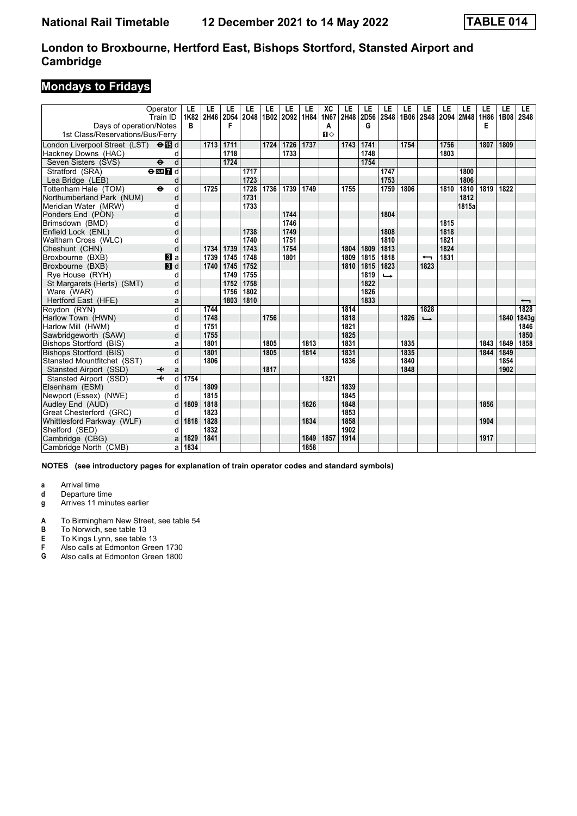# **Mondays to Fridays**

| Operator<br>Train ID                               | LE<br>1K82 | LE<br>2H46 | LE<br>2D54 | LE<br>2048 | LE   | LE<br>1B02 2O92 | LE<br>1H84 | XC<br>1N67   | LE<br>2H48 | LE<br>2D56 | LE<br><b>2S48</b> | LE   | LE<br>1B06 2S48 2O94 2M48 1H86 | LE   | LE    | LE   | LE<br><b>1B08</b> | LE<br><b>2S48</b> |
|----------------------------------------------------|------------|------------|------------|------------|------|-----------------|------------|--------------|------------|------------|-------------------|------|--------------------------------|------|-------|------|-------------------|-------------------|
| Days of operation/Notes                            | B          |            | F          |            |      |                 |            | Α            |            | G          |                   |      |                                |      |       | Е    |                   |                   |
| 1st Class/Reservations/Bus/Ferry                   |            |            |            |            |      |                 |            | $\mathbf{u}$ |            |            |                   |      |                                |      |       |      |                   |                   |
| London Liverpool Street (LST) $\Theta$ <b>is</b> d |            | 1713       | 1711       |            | 1724 | 1726            | 1737       |              | 1743       | 1741       |                   | 1754 |                                | 1756 |       | 1807 | 1809              |                   |
| Hackney Downs (HAC)                                | d          |            | 1718       |            |      | 1733            |            |              |            | 1748       |                   |      |                                | 1803 |       |      |                   |                   |
| Seven Sisters (SVS)<br>$\ddot{\mathbf{e}}$         | d          |            | 1724       |            |      |                 |            |              |            | 1754       |                   |      |                                |      |       |      |                   |                   |
| Stratford (SRA)<br>$\Theta$ <b>ER</b>              |            |            |            | 1717       |      |                 |            |              |            |            | 1747              |      |                                |      | 1800  |      |                   |                   |
| Lea Bridge (LEB)                                   | d          |            |            | 1723       |      |                 |            |              |            |            | 1753              |      |                                |      | 1806  |      |                   |                   |
| Tottenham Hale (TOM)<br>$\ddot{\mathbf{e}}$        | d          | 1725       |            | 1728       | 1736 | 1739            | 1749       |              | 1755       |            | 1759              | 1806 |                                | 1810 | 1810  | 1819 | 1822              |                   |
| Northumberland Park (NUM)                          | d          |            |            | 1731       |      |                 |            |              |            |            |                   |      |                                |      | 1812  |      |                   |                   |
| Meridian Water (MRW)                               | d          |            |            | 1733       |      |                 |            |              |            |            |                   |      |                                |      | 1815a |      |                   |                   |
| Ponders End (PON)                                  | d          |            |            |            |      | 1744            |            |              |            |            | 1804              |      |                                |      |       |      |                   |                   |
| Brimsdown (BMD)                                    | d          |            |            |            |      | 1746            |            |              |            |            |                   |      |                                | 1815 |       |      |                   |                   |
| Enfield Lock (ENL)                                 | d          |            |            | 1738       |      | 1749            |            |              |            |            | 1808              |      |                                | 1818 |       |      |                   |                   |
| Waltham Cross (WLC)                                | d          |            |            | 1740       |      | 1751            |            |              |            |            | 1810              |      |                                | 1821 |       |      |                   |                   |
| Cheshunt (CHN)                                     | d          | 1734       | 1739       | 1743       |      | 1754            |            |              | 1804       | 1809       | 1813              |      |                                | 1824 |       |      |                   |                   |
| Broxbourne (BXB)<br>$\mathbf{B}$ a                 |            | 1739       | 1745       | 1748       |      | 1801            |            |              | 1809       | 1815       | 1818              |      | ↽                              | 1831 |       |      |                   |                   |
| $\blacksquare$<br>Broxbourne (BXB)                 |            | 1740       | 1745       | 1752       |      |                 |            |              | 1810       | 1815       | 1823              |      | 1823                           |      |       |      |                   |                   |
| Rye House (RYH)                                    | d          |            | 1749       | 1755       |      |                 |            |              |            | 1819       | $\rightarrow$     |      |                                |      |       |      |                   |                   |
| St Margarets (Herts) (SMT)                         | d          |            | 1752       | 1758       |      |                 |            |              |            | 1822       |                   |      |                                |      |       |      |                   |                   |
| Ware (WAR)                                         | d          |            | 1756       | 1802       |      |                 |            |              |            | 1826       |                   |      |                                |      |       |      |                   |                   |
| Hertford East (HFE)                                | a          |            | 1803       | 1810       |      |                 |            |              |            | 1833       |                   |      |                                |      |       |      |                   | ↽                 |
| Roydon (RYN)                                       | d          | 1744       |            |            |      |                 |            |              | 1814       |            |                   |      | 1828                           |      |       |      |                   | 1828              |
| Harlow Town (HWN)                                  | d          | 1748       |            |            | 1756 |                 |            |              | 1818       |            |                   | 1826 | $\rightarrow$                  |      |       |      | 1840              | 1843g             |
| Harlow Mill (HWM)                                  | d          | 1751       |            |            |      |                 |            |              | 1821       |            |                   |      |                                |      |       |      |                   | 1846              |
| Sawbridgeworth (SAW)                               | d          | 1755       |            |            |      |                 |            |              | 1825       |            |                   |      |                                |      |       |      |                   | 1850              |
| Bishops Stortford (BIS)                            | a          | 1801       |            |            | 1805 |                 | 1813       |              | 1831       |            |                   | 1835 |                                |      |       | 1843 | 1849              | 1858              |
| <b>Bishops Stortford (BIS)</b>                     | d          | 1801       |            |            | 1805 |                 | 1814       |              | 1831       |            |                   | 1835 |                                |      |       | 1844 | 1849              |                   |
| Stansted Mountfitchet (SST)                        | d          | 1806       |            |            |      |                 |            |              | 1836       |            |                   | 1840 |                                |      |       |      | 1854              |                   |
| Stansted Airport (SSD)                             | a          |            |            |            | 1817 |                 |            |              |            |            |                   | 1848 |                                |      |       |      | 1902              |                   |
| Stansted Airport (SSD)                             | 1754<br>d  |            |            |            |      |                 |            | 1821         |            |            |                   |      |                                |      |       |      |                   |                   |
| Elsenham (ESM)                                     | d          | 1809       |            |            |      |                 |            |              | 1839       |            |                   |      |                                |      |       |      |                   |                   |
| Newport (Essex) (NWE)                              | d          | 1815       |            |            |      |                 |            |              | 1845       |            |                   |      |                                |      |       |      |                   |                   |
| Audley End (AUD)                                   | 1809<br>d  | 1818       |            |            |      |                 | 1826       |              | 1848       |            |                   |      |                                |      |       | 1856 |                   |                   |
| Great Chesterford (GRC)                            | d          | 1823       |            |            |      |                 |            |              | 1853       |            |                   |      |                                |      |       |      |                   |                   |
| Whittlesford Parkway (WLF)                         | 1818<br>d  | 1828       |            |            |      |                 | 1834       |              | 1858       |            |                   |      |                                |      |       | 1904 |                   |                   |
| Shelford (SED)                                     | d          | 1832       |            |            |      |                 |            |              | 1902       |            |                   |      |                                |      |       |      |                   |                   |
| Cambridge (CBG)                                    | 1829<br>a  | 1841       |            |            |      |                 | 1849       | 1857         | 1914       |            |                   |      |                                |      |       | 1917 |                   |                   |
| Cambridge North (CMB)                              | 1834<br>a  |            |            |            |      |                 | 1858       |              |            |            |                   |      |                                |      |       |      |                   |                   |

**NOTES (see introductory pages for explanation of train operator codes and standard symbols)**

- **d** Departure time
- **g** Arrives 11 minutes earlier
- **A** To Birmingham New Street, see table 54<br>**B** To Norwich, see table 13
- **B** To Norwich, see table 13<br>**E** To Kings Lynn, see table
- **E** To Kings Lynn, see table 13<br>**F** Also calls at Edmonton Gree
- **F** Also calls at Edmonton Green 1730<br>**G** Also calls at Edmonton Green 1800
- Also calls at Edmonton Green 1800

**a** Arrival time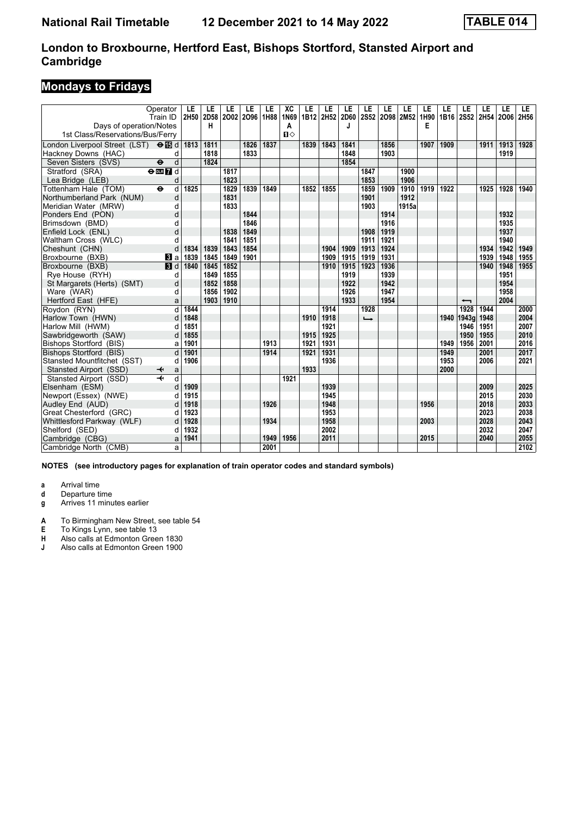# **Mondays to Fridays**

| 1st Class/Reservations/Bus/Ferry<br>London Liverpool Street (LST) $\Theta$ $\Box$ d<br>1811<br>1826<br>1837<br>1843<br>1841<br>1856<br>1907<br>1911<br>1913<br>1928<br>1813<br>1839<br>1909<br>1848<br>Hackney Downs (HAC)<br>1818<br>1833<br>1903<br>1919<br>d<br>d<br>1824<br>1854<br>Seven Sisters (SVS)<br>$\ddot{\mathbf{e}}$<br>Stratford (SRA)<br>$\Theta$ DE $\overline{7}$ d<br>1817<br>1847<br>1900<br>1853<br>1906<br>Lea Bridge (LEB)<br>1823<br>d<br>1829<br>1910<br>Tottenham Hale (TOM)<br>$\ddot{\mathbf{e}}$<br>d<br>1825<br>1839<br>1849<br>1859<br>1909<br>1919<br>1928<br>1940<br>1852<br>1855<br>1922<br>1925<br>1901<br>Northumberland Park (NUM)<br>1831<br>1912<br>d<br>1833<br>1915a<br>1903<br>Meridian Water (MRW)<br>d<br>1914<br>d<br>1844<br>1932<br>1935<br>1846<br>1916<br>Brimsdown (BMD)<br>d<br>1849<br>1937<br>Enfield Lock (ENL)<br>d<br>1838<br>1908<br>1919<br>1851<br>1940<br>Waltham Cross (WLC)<br>1841<br>1911<br>1921<br>d<br>1854<br>1942<br>d<br>1839<br>1843<br>1904<br>1909<br>1913<br>1924<br>1934<br>1949<br>1834<br>1839<br>1845<br>1849<br>1901<br>1909<br>1915<br>1919<br>1931<br>1939<br>1948<br>1955<br>Broxbourne (BXB)<br>$\bf{B}$ a<br>$\blacksquare$<br>1840<br>1852<br>1936<br>1955<br>1845<br>1910<br>1915<br>1923<br>1940<br>1948<br>1849<br>1855<br>1919<br>1939<br>1951<br>Rye House (RYH)<br>d<br>1922<br>1942<br>1954<br>1852<br>1858<br>St Margarets (Herts) (SMT)<br>d<br>1947<br>1958<br>Ware (WAR)<br>1856<br>1902<br>1926<br>d<br>1910<br>1933<br>2004<br>Hertford East (HFE)<br>1903<br>1954<br>a<br>$\overline{\phantom{0}}$<br>d<br>1914<br>1928<br>1928<br>1944<br>2000<br>1844<br>1848<br>1940 1943q<br>1948<br>2004<br>d<br>1910<br>1918<br>$\rightarrow$<br>1851<br>1921<br>2007<br>1946<br>1951<br>d<br>2010<br>Sawbridgeworth (SAW)<br>1855<br>1925<br>1950<br>1955<br>1915<br>d<br>1949<br>2001<br>Bishops Stortford (BIS)<br>1901<br>1913<br>1931<br>1956<br>2016<br>1921<br>a<br>1901<br>1931<br>2001<br>2017<br>d<br>1914<br>1921<br>1949<br>1906<br>1953<br>Stansted Mountfitchet (SST)<br>1936<br>2006<br>2021<br>d<br>1933<br>2000<br>Stansted Airport (SSD)<br>a<br>d<br>Stansted Airport (SSD)<br>1921<br>1909<br>1939<br>2009<br>2025<br>Elsenham (ESM)<br>d<br>Newport (Essex) (NWE)<br>1915<br>1945<br>2015<br>2030<br>d<br>1918<br>1926<br>1948<br>2018<br>2033<br>Audley End (AUD)<br>1956<br>d<br>2023<br>2038<br>1923<br>1953<br>Great Chesterford (GRC)<br>d<br>1928<br>1934<br>1958<br>2003<br>2028<br>2043<br>Whittlesford Parkway (WLF)<br>d<br>2032<br>2047<br>1932<br>2002<br>Shelford (SED)<br>d<br>2055<br>1941<br>1949<br>1956<br>2011<br>2015<br>2040<br>Cambridge (CBG)<br>a | Operator<br>Train ID<br>Days of operation/Notes | LE<br>2H50 | LE<br>2D58<br>н | LE | LE<br>2002 2096 | LE<br>1H88 | XC<br>1N69<br>Α | LE | LE<br>1B12 2H52 | LE<br>2D60<br>J | LE<br>2S52 | LE | LE<br>2098 2M52 | LE<br>1H90<br>Е | LE | LE<br>1B16 2S52 | LE<br>2H54 | LE<br>2006 | LE.<br>2H56 |
|-----------------------------------------------------------------------------------------------------------------------------------------------------------------------------------------------------------------------------------------------------------------------------------------------------------------------------------------------------------------------------------------------------------------------------------------------------------------------------------------------------------------------------------------------------------------------------------------------------------------------------------------------------------------------------------------------------------------------------------------------------------------------------------------------------------------------------------------------------------------------------------------------------------------------------------------------------------------------------------------------------------------------------------------------------------------------------------------------------------------------------------------------------------------------------------------------------------------------------------------------------------------------------------------------------------------------------------------------------------------------------------------------------------------------------------------------------------------------------------------------------------------------------------------------------------------------------------------------------------------------------------------------------------------------------------------------------------------------------------------------------------------------------------------------------------------------------------------------------------------------------------------------------------------------------------------------------------------------------------------------------------------------------------------------------------------------------------------------------------------------------------------------------------------------------------------------------------------------------------------------------------------------------------------------------------------------------------------------------------------------------------------------------------------------------------------------------------------------------------------------------------------------------------------------------------------------------------------------------------------------------------------------------------------------------------------|-------------------------------------------------|------------|-----------------|----|-----------------|------------|-----------------|----|-----------------|-----------------|------------|----|-----------------|-----------------|----|-----------------|------------|------------|-------------|
|                                                                                                                                                                                                                                                                                                                                                                                                                                                                                                                                                                                                                                                                                                                                                                                                                                                                                                                                                                                                                                                                                                                                                                                                                                                                                                                                                                                                                                                                                                                                                                                                                                                                                                                                                                                                                                                                                                                                                                                                                                                                                                                                                                                                                                                                                                                                                                                                                                                                                                                                                                                                                                                                                         |                                                 |            |                 |    |                 |            | $\mathbf{u}$    |    |                 |                 |            |    |                 |                 |    |                 |            |            |             |
|                                                                                                                                                                                                                                                                                                                                                                                                                                                                                                                                                                                                                                                                                                                                                                                                                                                                                                                                                                                                                                                                                                                                                                                                                                                                                                                                                                                                                                                                                                                                                                                                                                                                                                                                                                                                                                                                                                                                                                                                                                                                                                                                                                                                                                                                                                                                                                                                                                                                                                                                                                                                                                                                                         |                                                 |            |                 |    |                 |            |                 |    |                 |                 |            |    |                 |                 |    |                 |            |            |             |
|                                                                                                                                                                                                                                                                                                                                                                                                                                                                                                                                                                                                                                                                                                                                                                                                                                                                                                                                                                                                                                                                                                                                                                                                                                                                                                                                                                                                                                                                                                                                                                                                                                                                                                                                                                                                                                                                                                                                                                                                                                                                                                                                                                                                                                                                                                                                                                                                                                                                                                                                                                                                                                                                                         |                                                 |            |                 |    |                 |            |                 |    |                 |                 |            |    |                 |                 |    |                 |            |            |             |
|                                                                                                                                                                                                                                                                                                                                                                                                                                                                                                                                                                                                                                                                                                                                                                                                                                                                                                                                                                                                                                                                                                                                                                                                                                                                                                                                                                                                                                                                                                                                                                                                                                                                                                                                                                                                                                                                                                                                                                                                                                                                                                                                                                                                                                                                                                                                                                                                                                                                                                                                                                                                                                                                                         |                                                 |            |                 |    |                 |            |                 |    |                 |                 |            |    |                 |                 |    |                 |            |            |             |
|                                                                                                                                                                                                                                                                                                                                                                                                                                                                                                                                                                                                                                                                                                                                                                                                                                                                                                                                                                                                                                                                                                                                                                                                                                                                                                                                                                                                                                                                                                                                                                                                                                                                                                                                                                                                                                                                                                                                                                                                                                                                                                                                                                                                                                                                                                                                                                                                                                                                                                                                                                                                                                                                                         |                                                 |            |                 |    |                 |            |                 |    |                 |                 |            |    |                 |                 |    |                 |            |            |             |
|                                                                                                                                                                                                                                                                                                                                                                                                                                                                                                                                                                                                                                                                                                                                                                                                                                                                                                                                                                                                                                                                                                                                                                                                                                                                                                                                                                                                                                                                                                                                                                                                                                                                                                                                                                                                                                                                                                                                                                                                                                                                                                                                                                                                                                                                                                                                                                                                                                                                                                                                                                                                                                                                                         |                                                 |            |                 |    |                 |            |                 |    |                 |                 |            |    |                 |                 |    |                 |            |            |             |
|                                                                                                                                                                                                                                                                                                                                                                                                                                                                                                                                                                                                                                                                                                                                                                                                                                                                                                                                                                                                                                                                                                                                                                                                                                                                                                                                                                                                                                                                                                                                                                                                                                                                                                                                                                                                                                                                                                                                                                                                                                                                                                                                                                                                                                                                                                                                                                                                                                                                                                                                                                                                                                                                                         |                                                 |            |                 |    |                 |            |                 |    |                 |                 |            |    |                 |                 |    |                 |            |            |             |
|                                                                                                                                                                                                                                                                                                                                                                                                                                                                                                                                                                                                                                                                                                                                                                                                                                                                                                                                                                                                                                                                                                                                                                                                                                                                                                                                                                                                                                                                                                                                                                                                                                                                                                                                                                                                                                                                                                                                                                                                                                                                                                                                                                                                                                                                                                                                                                                                                                                                                                                                                                                                                                                                                         |                                                 |            |                 |    |                 |            |                 |    |                 |                 |            |    |                 |                 |    |                 |            |            |             |
|                                                                                                                                                                                                                                                                                                                                                                                                                                                                                                                                                                                                                                                                                                                                                                                                                                                                                                                                                                                                                                                                                                                                                                                                                                                                                                                                                                                                                                                                                                                                                                                                                                                                                                                                                                                                                                                                                                                                                                                                                                                                                                                                                                                                                                                                                                                                                                                                                                                                                                                                                                                                                                                                                         | Ponders End (PON)                               |            |                 |    |                 |            |                 |    |                 |                 |            |    |                 |                 |    |                 |            |            |             |
|                                                                                                                                                                                                                                                                                                                                                                                                                                                                                                                                                                                                                                                                                                                                                                                                                                                                                                                                                                                                                                                                                                                                                                                                                                                                                                                                                                                                                                                                                                                                                                                                                                                                                                                                                                                                                                                                                                                                                                                                                                                                                                                                                                                                                                                                                                                                                                                                                                                                                                                                                                                                                                                                                         |                                                 |            |                 |    |                 |            |                 |    |                 |                 |            |    |                 |                 |    |                 |            |            |             |
|                                                                                                                                                                                                                                                                                                                                                                                                                                                                                                                                                                                                                                                                                                                                                                                                                                                                                                                                                                                                                                                                                                                                                                                                                                                                                                                                                                                                                                                                                                                                                                                                                                                                                                                                                                                                                                                                                                                                                                                                                                                                                                                                                                                                                                                                                                                                                                                                                                                                                                                                                                                                                                                                                         |                                                 |            |                 |    |                 |            |                 |    |                 |                 |            |    |                 |                 |    |                 |            |            |             |
|                                                                                                                                                                                                                                                                                                                                                                                                                                                                                                                                                                                                                                                                                                                                                                                                                                                                                                                                                                                                                                                                                                                                                                                                                                                                                                                                                                                                                                                                                                                                                                                                                                                                                                                                                                                                                                                                                                                                                                                                                                                                                                                                                                                                                                                                                                                                                                                                                                                                                                                                                                                                                                                                                         |                                                 |            |                 |    |                 |            |                 |    |                 |                 |            |    |                 |                 |    |                 |            |            |             |
|                                                                                                                                                                                                                                                                                                                                                                                                                                                                                                                                                                                                                                                                                                                                                                                                                                                                                                                                                                                                                                                                                                                                                                                                                                                                                                                                                                                                                                                                                                                                                                                                                                                                                                                                                                                                                                                                                                                                                                                                                                                                                                                                                                                                                                                                                                                                                                                                                                                                                                                                                                                                                                                                                         | Cheshunt (CHN)                                  |            |                 |    |                 |            |                 |    |                 |                 |            |    |                 |                 |    |                 |            |            |             |
|                                                                                                                                                                                                                                                                                                                                                                                                                                                                                                                                                                                                                                                                                                                                                                                                                                                                                                                                                                                                                                                                                                                                                                                                                                                                                                                                                                                                                                                                                                                                                                                                                                                                                                                                                                                                                                                                                                                                                                                                                                                                                                                                                                                                                                                                                                                                                                                                                                                                                                                                                                                                                                                                                         |                                                 |            |                 |    |                 |            |                 |    |                 |                 |            |    |                 |                 |    |                 |            |            |             |
|                                                                                                                                                                                                                                                                                                                                                                                                                                                                                                                                                                                                                                                                                                                                                                                                                                                                                                                                                                                                                                                                                                                                                                                                                                                                                                                                                                                                                                                                                                                                                                                                                                                                                                                                                                                                                                                                                                                                                                                                                                                                                                                                                                                                                                                                                                                                                                                                                                                                                                                                                                                                                                                                                         | Broxbourne (BXB)                                |            |                 |    |                 |            |                 |    |                 |                 |            |    |                 |                 |    |                 |            |            |             |
|                                                                                                                                                                                                                                                                                                                                                                                                                                                                                                                                                                                                                                                                                                                                                                                                                                                                                                                                                                                                                                                                                                                                                                                                                                                                                                                                                                                                                                                                                                                                                                                                                                                                                                                                                                                                                                                                                                                                                                                                                                                                                                                                                                                                                                                                                                                                                                                                                                                                                                                                                                                                                                                                                         |                                                 |            |                 |    |                 |            |                 |    |                 |                 |            |    |                 |                 |    |                 |            |            |             |
|                                                                                                                                                                                                                                                                                                                                                                                                                                                                                                                                                                                                                                                                                                                                                                                                                                                                                                                                                                                                                                                                                                                                                                                                                                                                                                                                                                                                                                                                                                                                                                                                                                                                                                                                                                                                                                                                                                                                                                                                                                                                                                                                                                                                                                                                                                                                                                                                                                                                                                                                                                                                                                                                                         |                                                 |            |                 |    |                 |            |                 |    |                 |                 |            |    |                 |                 |    |                 |            |            |             |
|                                                                                                                                                                                                                                                                                                                                                                                                                                                                                                                                                                                                                                                                                                                                                                                                                                                                                                                                                                                                                                                                                                                                                                                                                                                                                                                                                                                                                                                                                                                                                                                                                                                                                                                                                                                                                                                                                                                                                                                                                                                                                                                                                                                                                                                                                                                                                                                                                                                                                                                                                                                                                                                                                         |                                                 |            |                 |    |                 |            |                 |    |                 |                 |            |    |                 |                 |    |                 |            |            |             |
|                                                                                                                                                                                                                                                                                                                                                                                                                                                                                                                                                                                                                                                                                                                                                                                                                                                                                                                                                                                                                                                                                                                                                                                                                                                                                                                                                                                                                                                                                                                                                                                                                                                                                                                                                                                                                                                                                                                                                                                                                                                                                                                                                                                                                                                                                                                                                                                                                                                                                                                                                                                                                                                                                         |                                                 |            |                 |    |                 |            |                 |    |                 |                 |            |    |                 |                 |    |                 |            |            |             |
|                                                                                                                                                                                                                                                                                                                                                                                                                                                                                                                                                                                                                                                                                                                                                                                                                                                                                                                                                                                                                                                                                                                                                                                                                                                                                                                                                                                                                                                                                                                                                                                                                                                                                                                                                                                                                                                                                                                                                                                                                                                                                                                                                                                                                                                                                                                                                                                                                                                                                                                                                                                                                                                                                         | Roydon (RYN)                                    |            |                 |    |                 |            |                 |    |                 |                 |            |    |                 |                 |    |                 |            |            |             |
|                                                                                                                                                                                                                                                                                                                                                                                                                                                                                                                                                                                                                                                                                                                                                                                                                                                                                                                                                                                                                                                                                                                                                                                                                                                                                                                                                                                                                                                                                                                                                                                                                                                                                                                                                                                                                                                                                                                                                                                                                                                                                                                                                                                                                                                                                                                                                                                                                                                                                                                                                                                                                                                                                         | Harlow Town (HWN)                               |            |                 |    |                 |            |                 |    |                 |                 |            |    |                 |                 |    |                 |            |            |             |
|                                                                                                                                                                                                                                                                                                                                                                                                                                                                                                                                                                                                                                                                                                                                                                                                                                                                                                                                                                                                                                                                                                                                                                                                                                                                                                                                                                                                                                                                                                                                                                                                                                                                                                                                                                                                                                                                                                                                                                                                                                                                                                                                                                                                                                                                                                                                                                                                                                                                                                                                                                                                                                                                                         | Harlow Mill (HWM)                               |            |                 |    |                 |            |                 |    |                 |                 |            |    |                 |                 |    |                 |            |            |             |
|                                                                                                                                                                                                                                                                                                                                                                                                                                                                                                                                                                                                                                                                                                                                                                                                                                                                                                                                                                                                                                                                                                                                                                                                                                                                                                                                                                                                                                                                                                                                                                                                                                                                                                                                                                                                                                                                                                                                                                                                                                                                                                                                                                                                                                                                                                                                                                                                                                                                                                                                                                                                                                                                                         |                                                 |            |                 |    |                 |            |                 |    |                 |                 |            |    |                 |                 |    |                 |            |            |             |
|                                                                                                                                                                                                                                                                                                                                                                                                                                                                                                                                                                                                                                                                                                                                                                                                                                                                                                                                                                                                                                                                                                                                                                                                                                                                                                                                                                                                                                                                                                                                                                                                                                                                                                                                                                                                                                                                                                                                                                                                                                                                                                                                                                                                                                                                                                                                                                                                                                                                                                                                                                                                                                                                                         |                                                 |            |                 |    |                 |            |                 |    |                 |                 |            |    |                 |                 |    |                 |            |            |             |
|                                                                                                                                                                                                                                                                                                                                                                                                                                                                                                                                                                                                                                                                                                                                                                                                                                                                                                                                                                                                                                                                                                                                                                                                                                                                                                                                                                                                                                                                                                                                                                                                                                                                                                                                                                                                                                                                                                                                                                                                                                                                                                                                                                                                                                                                                                                                                                                                                                                                                                                                                                                                                                                                                         | <b>Bishops Stortford (BIS)</b>                  |            |                 |    |                 |            |                 |    |                 |                 |            |    |                 |                 |    |                 |            |            |             |
|                                                                                                                                                                                                                                                                                                                                                                                                                                                                                                                                                                                                                                                                                                                                                                                                                                                                                                                                                                                                                                                                                                                                                                                                                                                                                                                                                                                                                                                                                                                                                                                                                                                                                                                                                                                                                                                                                                                                                                                                                                                                                                                                                                                                                                                                                                                                                                                                                                                                                                                                                                                                                                                                                         |                                                 |            |                 |    |                 |            |                 |    |                 |                 |            |    |                 |                 |    |                 |            |            |             |
|                                                                                                                                                                                                                                                                                                                                                                                                                                                                                                                                                                                                                                                                                                                                                                                                                                                                                                                                                                                                                                                                                                                                                                                                                                                                                                                                                                                                                                                                                                                                                                                                                                                                                                                                                                                                                                                                                                                                                                                                                                                                                                                                                                                                                                                                                                                                                                                                                                                                                                                                                                                                                                                                                         |                                                 |            |                 |    |                 |            |                 |    |                 |                 |            |    |                 |                 |    |                 |            |            |             |
|                                                                                                                                                                                                                                                                                                                                                                                                                                                                                                                                                                                                                                                                                                                                                                                                                                                                                                                                                                                                                                                                                                                                                                                                                                                                                                                                                                                                                                                                                                                                                                                                                                                                                                                                                                                                                                                                                                                                                                                                                                                                                                                                                                                                                                                                                                                                                                                                                                                                                                                                                                                                                                                                                         |                                                 |            |                 |    |                 |            |                 |    |                 |                 |            |    |                 |                 |    |                 |            |            |             |
|                                                                                                                                                                                                                                                                                                                                                                                                                                                                                                                                                                                                                                                                                                                                                                                                                                                                                                                                                                                                                                                                                                                                                                                                                                                                                                                                                                                                                                                                                                                                                                                                                                                                                                                                                                                                                                                                                                                                                                                                                                                                                                                                                                                                                                                                                                                                                                                                                                                                                                                                                                                                                                                                                         |                                                 |            |                 |    |                 |            |                 |    |                 |                 |            |    |                 |                 |    |                 |            |            |             |
|                                                                                                                                                                                                                                                                                                                                                                                                                                                                                                                                                                                                                                                                                                                                                                                                                                                                                                                                                                                                                                                                                                                                                                                                                                                                                                                                                                                                                                                                                                                                                                                                                                                                                                                                                                                                                                                                                                                                                                                                                                                                                                                                                                                                                                                                                                                                                                                                                                                                                                                                                                                                                                                                                         |                                                 |            |                 |    |                 |            |                 |    |                 |                 |            |    |                 |                 |    |                 |            |            |             |
|                                                                                                                                                                                                                                                                                                                                                                                                                                                                                                                                                                                                                                                                                                                                                                                                                                                                                                                                                                                                                                                                                                                                                                                                                                                                                                                                                                                                                                                                                                                                                                                                                                                                                                                                                                                                                                                                                                                                                                                                                                                                                                                                                                                                                                                                                                                                                                                                                                                                                                                                                                                                                                                                                         |                                                 |            |                 |    |                 |            |                 |    |                 |                 |            |    |                 |                 |    |                 |            |            |             |
|                                                                                                                                                                                                                                                                                                                                                                                                                                                                                                                                                                                                                                                                                                                                                                                                                                                                                                                                                                                                                                                                                                                                                                                                                                                                                                                                                                                                                                                                                                                                                                                                                                                                                                                                                                                                                                                                                                                                                                                                                                                                                                                                                                                                                                                                                                                                                                                                                                                                                                                                                                                                                                                                                         |                                                 |            |                 |    |                 |            |                 |    |                 |                 |            |    |                 |                 |    |                 |            |            |             |
|                                                                                                                                                                                                                                                                                                                                                                                                                                                                                                                                                                                                                                                                                                                                                                                                                                                                                                                                                                                                                                                                                                                                                                                                                                                                                                                                                                                                                                                                                                                                                                                                                                                                                                                                                                                                                                                                                                                                                                                                                                                                                                                                                                                                                                                                                                                                                                                                                                                                                                                                                                                                                                                                                         |                                                 |            |                 |    |                 |            |                 |    |                 |                 |            |    |                 |                 |    |                 |            |            |             |
|                                                                                                                                                                                                                                                                                                                                                                                                                                                                                                                                                                                                                                                                                                                                                                                                                                                                                                                                                                                                                                                                                                                                                                                                                                                                                                                                                                                                                                                                                                                                                                                                                                                                                                                                                                                                                                                                                                                                                                                                                                                                                                                                                                                                                                                                                                                                                                                                                                                                                                                                                                                                                                                                                         |                                                 |            |                 |    |                 |            |                 |    |                 |                 |            |    |                 |                 |    |                 |            |            |             |
|                                                                                                                                                                                                                                                                                                                                                                                                                                                                                                                                                                                                                                                                                                                                                                                                                                                                                                                                                                                                                                                                                                                                                                                                                                                                                                                                                                                                                                                                                                                                                                                                                                                                                                                                                                                                                                                                                                                                                                                                                                                                                                                                                                                                                                                                                                                                                                                                                                                                                                                                                                                                                                                                                         |                                                 |            |                 |    |                 |            |                 |    |                 |                 |            |    |                 |                 |    |                 |            |            |             |
| 2102<br>2001<br>a                                                                                                                                                                                                                                                                                                                                                                                                                                                                                                                                                                                                                                                                                                                                                                                                                                                                                                                                                                                                                                                                                                                                                                                                                                                                                                                                                                                                                                                                                                                                                                                                                                                                                                                                                                                                                                                                                                                                                                                                                                                                                                                                                                                                                                                                                                                                                                                                                                                                                                                                                                                                                                                                       | Cambridge North (CMB)                           |            |                 |    |                 |            |                 |    |                 |                 |            |    |                 |                 |    |                 |            |            |             |

**NOTES (see introductory pages for explanation of train operator codes and standard symbols)**

**a** Arrival time

**d** Departure time

**g** Arrives 11 minutes earlier

**A** To Birmingham New Street, see table 54<br>**E** To Kings Lynn, see table 13

**E** To Kings Lynn, see table 13<br>**H** Also calls at Edmonton Gree

**+** Also calls at Edmonton Green 1830<br>**4** Also calls at Edmonton Green 1900

**-** Also calls at Edmonton Green 1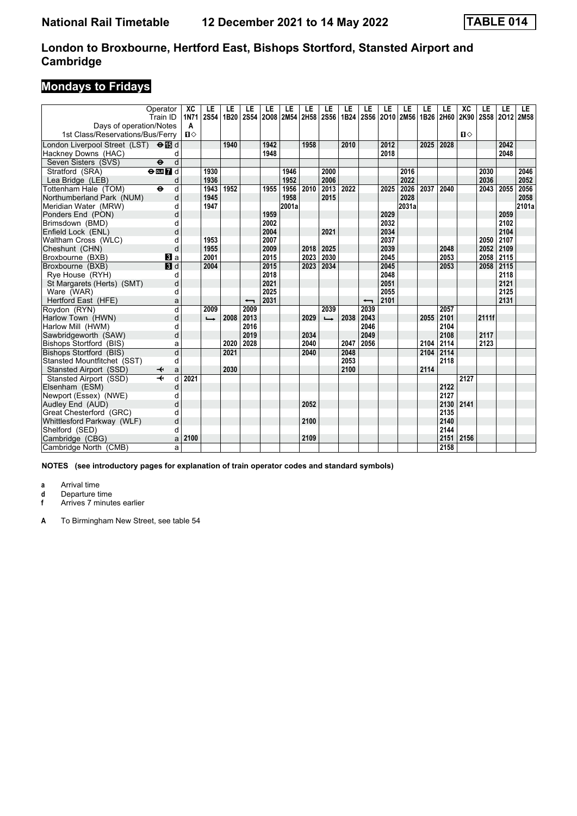# **Mondays to Fridays**

| Operator<br>Train ID<br>Davs of operation/Notes<br>1st Class/Reservations/Bus/Ferry | XC<br><b>1N71</b><br>A<br>$\mathbf{u}$ | LE<br><b>2S54</b> | LE<br>1B20 | LE<br><b>2S54</b>        | LE   | LE<br>2008 2M54 2H58 | LE   | LE<br><b>2S56</b> | LE<br>1B24 | LE                       | LE   | LE<br>2S56 2O10 2M56 1B26 | LE   | LE<br>2H60 | XC<br>2K90<br>п⇔ | LE<br>2S58 2O12 2M58 | LE   | LE    |
|-------------------------------------------------------------------------------------|----------------------------------------|-------------------|------------|--------------------------|------|----------------------|------|-------------------|------------|--------------------------|------|---------------------------|------|------------|------------------|----------------------|------|-------|
|                                                                                     |                                        |                   | 1940       |                          | 1942 |                      | 1958 |                   |            |                          | 2012 |                           |      | 2028       |                  |                      | 2042 |       |
| London Liverpool Street (LST) <b>← iB</b> d                                         |                                        |                   |            |                          | 1948 |                      |      |                   | 2010       |                          | 2018 |                           | 2025 |            |                  |                      | 2048 |       |
| Hackney Downs (HAC)                                                                 | d                                      |                   |            |                          |      |                      |      |                   |            |                          |      |                           |      |            |                  |                      |      |       |
| Seven Sisters (SVS)<br>$\ddot{\boldsymbol{\Theta}}$                                 | $\mathsf{d}$                           |                   |            |                          |      |                      |      |                   |            |                          |      |                           |      |            |                  |                      |      |       |
| Stratford (SRA)<br>$\Theta$ DE $\overline{Z}$ d                                     |                                        | 1930              |            |                          |      | 1946                 |      | 2000              |            |                          |      | 2016                      |      |            |                  | 2030                 |      | 2046  |
| Lea Bridge (LEB)                                                                    | d                                      | 1936              |            |                          |      | 1952                 |      | 2006              |            |                          |      | 2022                      |      |            |                  | 2036                 |      | 2052  |
| Tottenham Hale (TOM)<br>$\ddot{\mathbf{e}}$                                         | d                                      | 1943              | 1952       |                          | 1955 | 1956                 | 2010 | 2013              | 2022       |                          | 2025 | 2026                      | 2037 | 2040       |                  | 2043                 | 2055 | 2056  |
| Northumberland Park (NUM)                                                           | d                                      | 1945              |            |                          |      | 1958                 |      | 2015              |            |                          |      | 2028                      |      |            |                  |                      |      | 2058  |
| Meridian Water (MRW)                                                                | d                                      | 1947              |            |                          |      | 2001a                |      |                   |            |                          |      | 2031a                     |      |            |                  |                      |      | 2101a |
| Ponders End (PON)                                                                   | d                                      |                   |            |                          | 1959 |                      |      |                   |            |                          | 2029 |                           |      |            |                  |                      | 2059 |       |
| Brimsdown (BMD)                                                                     | d                                      |                   |            |                          | 2002 |                      |      |                   |            |                          | 2032 |                           |      |            |                  |                      | 2102 |       |
| Enfield Lock (ENL)                                                                  | d                                      |                   |            |                          | 2004 |                      |      | 2021              |            |                          | 2034 |                           |      |            |                  |                      | 2104 |       |
| Waltham Cross (WLC)                                                                 | d                                      | 1953              |            |                          | 2007 |                      |      |                   |            |                          | 2037 |                           |      |            |                  | 2050                 | 2107 |       |
| Cheshunt (CHN)                                                                      | d                                      | 1955              |            |                          | 2009 |                      | 2018 | 2025              |            |                          | 2039 |                           |      | 2048       |                  | 2052                 | 2109 |       |
| Broxbourne (BXB)<br><b>El</b> a                                                     |                                        | 2001              |            |                          | 2015 |                      | 2023 | 2030              |            |                          | 2045 |                           |      | 2053       |                  | 2058                 | 2115 |       |
| $\blacksquare$<br>Broxbourne (BXB)                                                  |                                        | 2004              |            |                          | 2015 |                      | 2023 | 2034              |            |                          | 2045 |                           |      | 2053       |                  | 2058                 | 2115 |       |
| Rye House (RYH)                                                                     | d                                      |                   |            |                          | 2018 |                      |      |                   |            |                          | 2048 |                           |      |            |                  |                      | 2118 |       |
| St Margarets (Herts) (SMT)                                                          | d                                      |                   |            |                          | 2021 |                      |      |                   |            |                          | 2051 |                           |      |            |                  |                      | 2121 |       |
| Ware (WAR)                                                                          | d                                      |                   |            |                          | 2025 |                      |      |                   |            |                          | 2055 |                           |      |            |                  |                      | 2125 |       |
| Hertford East (HFE)                                                                 | a                                      |                   |            | $\overline{\phantom{0}}$ | 2031 |                      |      |                   |            | $\overline{\phantom{0}}$ | 2101 |                           |      |            |                  |                      | 2131 |       |
| Roydon (RYN)                                                                        | $\overline{d}$                         | 2009              |            | 2009                     |      |                      |      | 2039              |            | 2039                     |      |                           |      | 2057       |                  |                      |      |       |
| Harlow Town (HWN)                                                                   | d                                      | ┗                 | 2008       | 2013                     |      |                      | 2029 | $\rightarrow$     | 2038       | 2043                     |      |                           | 2055 | 2101       |                  | 2111f                |      |       |
| Harlow Mill (HWM)                                                                   | d                                      |                   |            | 2016                     |      |                      |      |                   |            | 2046                     |      |                           |      | 2104       |                  |                      |      |       |
| Sawbridgeworth (SAW)                                                                | d                                      |                   |            | 2019                     |      |                      | 2034 |                   |            | 2049                     |      |                           |      | 2108       |                  | 2117                 |      |       |
| Bishops Stortford (BIS)                                                             | a                                      |                   | 2020       | 2028                     |      |                      | 2040 |                   | 2047       | 2056                     |      |                           | 2104 | 2114       |                  | 2123                 |      |       |
| Bishops Stortford (BIS)                                                             | d                                      |                   | 2021       |                          |      |                      | 2040 |                   | 2048       |                          |      |                           | 2104 | 2114       |                  |                      |      |       |
| Stansted Mountfitchet (SST)                                                         | d                                      |                   |            |                          |      |                      |      |                   | 2053       |                          |      |                           |      | 2118       |                  |                      |      |       |
| Stansted Airport (SSD)<br>↞                                                         | a                                      |                   | 2030       |                          |      |                      |      |                   | 2100       |                          |      |                           | 2114 |            |                  |                      |      |       |
| Stansted Airport (SSD)<br>$\overline{\phantom{a}}$                                  | d<br>2021                              |                   |            |                          |      |                      |      |                   |            |                          |      |                           |      |            | 2127             |                      |      |       |
| Elsenham (ESM)                                                                      | d                                      |                   |            |                          |      |                      |      |                   |            |                          |      |                           |      | 2122       |                  |                      |      |       |
| Newport (Essex) (NWE)                                                               | d                                      |                   |            |                          |      |                      |      |                   |            |                          |      |                           |      | 2127       |                  |                      |      |       |
| Audley End (AUD)                                                                    | d                                      |                   |            |                          |      |                      | 2052 |                   |            |                          |      |                           |      | 2130       | 2141             |                      |      |       |
| Great Chesterford (GRC)                                                             | d                                      |                   |            |                          |      |                      |      |                   |            |                          |      |                           |      | 2135       |                  |                      |      |       |
| Whittlesford Parkway (WLF)                                                          | d                                      |                   |            |                          |      |                      | 2100 |                   |            |                          |      |                           |      | 2140       |                  |                      |      |       |
| Shelford (SED)                                                                      | d                                      |                   |            |                          |      |                      |      |                   |            |                          |      |                           |      | 2144       |                  |                      |      |       |
| Cambridge (CBG)                                                                     | 2100<br>a                              |                   |            |                          |      |                      | 2109 |                   |            |                          |      |                           |      | 2151       | 2156             |                      |      |       |
| Cambridge North (CMB)                                                               | a                                      |                   |            |                          |      |                      |      |                   |            |                          |      |                           |      | 2158       |                  |                      |      |       |

**NOTES (see introductory pages for explanation of train operator codes and standard symbols)**

**a** Arrival time

**d** Departure time<br>**f** Arrives 7 minute

**f** Arrives 7 minutes earlier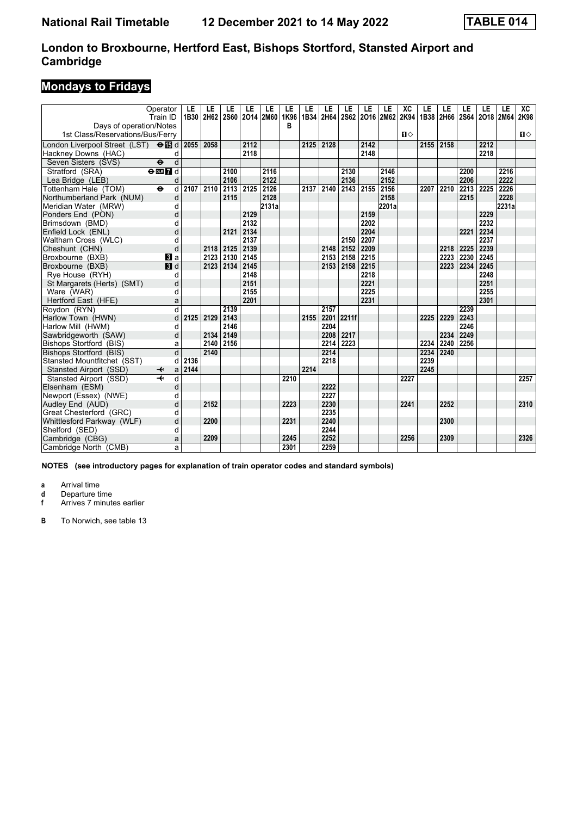# **Mondays to Fridays**

|                                                    | Operator<br>Train ID         | LE<br>1B30 | LE<br>2H62 | LE<br><b>2S60</b> | LE   | LE<br>2014 2M60 | LE<br>1K96 | LE<br>1B34 | LE<br>2H64 | LE    | LE   | LE<br>2S62 2O16 2M62 2K94 | XC           | LE<br>1B38 2H66 | LE   | LE<br>2S64 2O18 2M64 | LE   | LE    | XC<br>2K98   |
|----------------------------------------------------|------------------------------|------------|------------|-------------------|------|-----------------|------------|------------|------------|-------|------|---------------------------|--------------|-----------------|------|----------------------|------|-------|--------------|
| Days of operation/Notes                            |                              |            |            |                   |      |                 | в          |            |            |       |      |                           |              |                 |      |                      |      |       |              |
| 1st Class/Reservations/Bus/Ferry                   |                              |            |            |                   |      |                 |            |            |            |       |      |                           | $\mathbf{u}$ |                 |      |                      |      |       | $\mathbf{u}$ |
| London Liverpool Street (LST) $\Theta$ <b>is</b> d |                              | 2055       | 2058       |                   | 2112 |                 |            | 2125       | 2128       |       | 2142 |                           |              | 2155            | 2158 |                      | 2212 |       |              |
| Hackney Downs (HAC)                                | d                            |            |            |                   | 2118 |                 |            |            |            |       | 2148 |                           |              |                 |      |                      | 2218 |       |              |
| Seven Sisters (SVS)<br>$\ddot{\mathbf{e}}$         | d                            |            |            |                   |      |                 |            |            |            |       |      |                           |              |                 |      |                      |      |       |              |
| Stratford (SRA)                                    | $\Theta$ DE $\overline{7}$ d |            |            | 2100              |      | 2116            |            |            |            | 2130  |      | 2146                      |              |                 |      | 2200                 |      | 2216  |              |
| Lea Bridge (LEB)                                   | d                            |            |            | 2106              |      | 2122            |            |            |            | 2136  |      | 2152                      |              |                 |      | 2206                 |      | 2222  |              |
| Tottenham Hale (TOM)<br>$\bullet$                  | d                            | 2107       | 2110       | 2113              | 2125 | 2126            |            | 2137       | 2140       | 2143  | 2155 | 2156                      |              | 2207            | 2210 | 2213                 | 2225 | 2226  |              |
| Northumberland Park (NUM)                          | d                            |            |            | 2115              |      | 2128            |            |            |            |       |      | 2158                      |              |                 |      | 2215                 |      | 2228  |              |
| Meridian Water (MRW)                               | d                            |            |            |                   |      | 2131a           |            |            |            |       |      | 2201a                     |              |                 |      |                      |      | 2231a |              |
| Ponders End (PON)                                  | d                            |            |            |                   | 2129 |                 |            |            |            |       | 2159 |                           |              |                 |      |                      | 2229 |       |              |
| Brimsdown (BMD)                                    | d                            |            |            |                   | 2132 |                 |            |            |            |       | 2202 |                           |              |                 |      |                      | 2232 |       |              |
| Enfield Lock (ENL)                                 | d                            |            |            | 2121              | 2134 |                 |            |            |            |       | 2204 |                           |              |                 |      | 2221                 | 2234 |       |              |
| Waltham Cross (WLC)                                | d                            |            |            |                   | 2137 |                 |            |            |            | 2150  | 2207 |                           |              |                 |      |                      | 2237 |       |              |
| Cheshunt (CHN)                                     | d                            |            | 2118       | 2125              | 2139 |                 |            |            | 2148       | 2152  | 2209 |                           |              |                 | 2218 | 2225                 | 2239 |       |              |
| Broxbourne (BXB)                                   | <b>B</b> a                   |            | 2123       | 2130              | 2145 |                 |            |            | 2153 2158  |       | 2215 |                           |              |                 | 2223 | 2230                 | 2245 |       |              |
| Broxbourne (BXB)                                   | $\blacksquare$               |            | 2123       | 2134              | 2145 |                 |            |            | 2153       | 2158  | 2215 |                           |              |                 | 2223 | 2234                 | 2245 |       |              |
| Rye House (RYH)                                    | d                            |            |            |                   | 2148 |                 |            |            |            |       | 2218 |                           |              |                 |      |                      | 2248 |       |              |
| St Margarets (Herts) (SMT)                         | d                            |            |            |                   | 2151 |                 |            |            |            |       | 2221 |                           |              |                 |      |                      | 2251 |       |              |
| Ware (WAR)                                         | d                            |            |            |                   | 2155 |                 |            |            |            |       | 2225 |                           |              |                 |      |                      | 2255 |       |              |
| Hertford East (HFE)                                | a                            |            |            |                   | 2201 |                 |            |            |            |       | 2231 |                           |              |                 |      |                      | 2301 |       |              |
| Roydon (RYN)                                       | d                            |            |            | 2139              |      |                 |            |            | 2157       |       |      |                           |              |                 |      | 2239                 |      |       |              |
| Harlow Town (HWN)                                  | d                            | 2125       | 2129       | 2143              |      |                 |            | 2155       | 2201       | 2211f |      |                           |              | 2225            | 2229 | 2243                 |      |       |              |
| Harlow Mill (HWM)                                  | d                            |            |            | 2146              |      |                 |            |            | 2204       |       |      |                           |              |                 |      | 2246                 |      |       |              |
| Sawbridgeworth (SAW)                               | d                            |            | 2134       | 2149              |      |                 |            |            | 2208       | 2217  |      |                           |              |                 | 2234 | 2249                 |      |       |              |
| Bishops Stortford (BIS)                            | a                            |            | 2140       | 2156              |      |                 |            |            | 2214       | 2223  |      |                           |              | 2234            | 2240 | 2256                 |      |       |              |
| Bishops Stortford (BIS)                            | d                            |            | 2140       |                   |      |                 |            |            | 2214       |       |      |                           |              | 2234            | 2240 |                      |      |       |              |
| Stansted Mountfitchet (SST)                        | d                            | 2136       |            |                   |      |                 |            |            | 2218       |       |      |                           |              | 2239            |      |                      |      |       |              |
| Stansted Airport (SSD)<br>↞                        | a                            | 2144       |            |                   |      |                 |            | 2214       |            |       |      |                           |              | 2245            |      |                      |      |       |              |
| Stansted Airport (SSD)                             | d                            |            |            |                   |      |                 | 2210       |            |            |       |      |                           | 2227         |                 |      |                      |      |       | 2257         |
| Elsenham (ESM)                                     | d                            |            |            |                   |      |                 |            |            | 2222       |       |      |                           |              |                 |      |                      |      |       |              |
| Newport (Essex) (NWE)                              | d                            |            |            |                   |      |                 |            |            | 2227       |       |      |                           |              |                 |      |                      |      |       |              |
| Audley End (AUD)                                   | d                            |            | 2152       |                   |      |                 | 2223       |            | 2230       |       |      |                           | 2241         |                 | 2252 |                      |      |       | 2310         |
| Great Chesterford (GRC)                            | d                            |            |            |                   |      |                 |            |            | 2235       |       |      |                           |              |                 |      |                      |      |       |              |
| Whittlesford Parkway (WLF)                         | d                            |            | 2200       |                   |      |                 | 2231       |            | 2240       |       |      |                           |              |                 | 2300 |                      |      |       |              |
| Shelford (SED)                                     | d                            |            |            |                   |      |                 |            |            | 2244       |       |      |                           |              |                 |      |                      |      |       |              |
| Cambridge (CBG)                                    | a                            |            | 2209       |                   |      |                 | 2245       |            | 2252       |       |      |                           | 2256         |                 | 2309 |                      |      |       | 2326         |
| Cambridge North (CMB)                              | a                            |            |            |                   |      |                 | 2301       |            | 2259       |       |      |                           |              |                 |      |                      |      |       |              |

**NOTES (see introductory pages for explanation of train operator codes and standard symbols)**

**a** Arrival time

**d** Departure time<br>**f** Arrives 7 minute

**f** Arrives 7 minutes earlier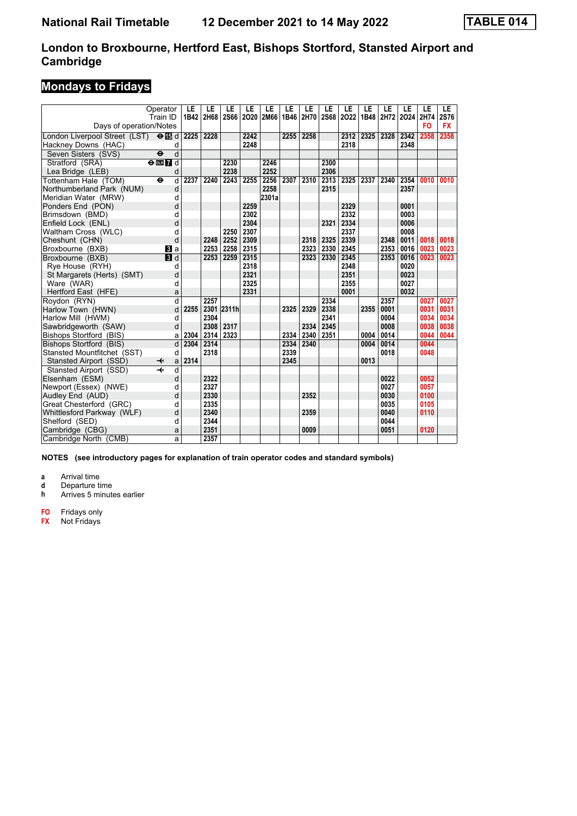# **Mondays to Fridays**

|                                           | Operator<br>Train ID                      | LE<br>1B42 | LE<br>2H68 | LE         | LE   | LE<br>2S66 2O20 2M66 | LE<br>1B46 | LE<br>2H70 | LE<br><b>2S68</b> | LE<br>2022 | LE<br>1B48 | LE<br>2H72 | LE<br>2024 2H74 | LE        | LE<br>2S76 |
|-------------------------------------------|-------------------------------------------|------------|------------|------------|------|----------------------|------------|------------|-------------------|------------|------------|------------|-----------------|-----------|------------|
| Days of operation/Notes                   |                                           |            |            |            |      |                      |            |            |                   |            |            |            |                 | <b>FO</b> | <b>FX</b>  |
| London Liverpool Street (LST) <b>OI</b> d |                                           | 2225 2228  |            |            | 2242 |                      | 2255       | 2258       |                   | 2312       | 2325       | 2328       | 2342            | 2358      | 2358       |
| Hackney Downs (HAC)                       | d                                         |            |            |            | 2248 |                      |            |            |                   | 2318       |            |            | 2348            |           |            |
| Seven Sisters (SVS)                       | $\overline{d}$<br>$\ddot{\mathbf{e}}$     |            |            |            |      |                      |            |            |                   |            |            |            |                 |           |            |
| Stratford (SRA)                           | $\Theta$ or $\boldsymbol{\Pi}$ d          |            |            | 2230       |      | 2246                 |            |            | 2300              |            |            |            |                 |           |            |
| Lea Bridge (LEB)                          | d                                         |            |            | 2238       |      | 2252                 |            |            | 2306              |            |            |            |                 |           |            |
| Tottenham Hale (TOM)                      | d<br>$\bullet$                            | 2237       | 2240       | 2243       | 2255 | 2256                 | 2307       | 2310       | 2313              | 2325       | 2337       | 2340       | 2354            | 0010      | 0010       |
| Northumberland Park (NUM)                 | d                                         |            |            |            |      | 2258                 |            |            | 2315              |            |            |            | 2357            |           |            |
| Meridian Water (MRW)                      | d                                         |            |            |            |      | 2301a                |            |            |                   |            |            |            |                 |           |            |
| Ponders End (PON)                         | d                                         |            |            |            | 2259 |                      |            |            |                   | 2329       |            |            | 0001            |           |            |
| Brimsdown (BMD)                           | d                                         |            |            |            | 2302 |                      |            |            |                   | 2332       |            |            | 0003            |           |            |
| Enfield Lock (ENL)                        | d                                         |            |            |            | 2304 |                      |            |            | 2321              | 2334       |            |            | 0006            |           |            |
| Waltham Cross (WLC)                       | d                                         |            |            | 2250       | 2307 |                      |            |            |                   | 2337       |            |            | 0008            |           |            |
| Cheshunt (CHN)                            | d                                         |            | 2248       | 2252       | 2309 |                      |            | 2318       | 2325              | 2339       |            | 2348       | 0011            | 0018      | 0018       |
| Broxbourne (BXB)                          | <b>B</b> la                               |            | 2253       | 2258 2315  |      |                      |            | 2323       | 2330              | 2345       |            | 2353       | 0016            | 0023      | 0023       |
| Broxbourne (BXB)                          | $\blacksquare$                            |            | 2253       | 2259       | 2315 |                      |            | 2323       | 2330              | 2345       |            | 2353       | 0016            | 0023      | 0023       |
| Rve House (RYH)                           | d                                         |            |            |            | 2318 |                      |            |            |                   | 2348       |            |            | 0020            |           |            |
| St Margarets (Herts) (SMT)                | d                                         |            |            |            | 2321 |                      |            |            |                   | 2351       |            |            | 0023            |           |            |
| Ware (WAR)                                | d                                         |            |            |            | 2325 |                      |            |            |                   | 2355       |            |            | 0027            |           |            |
| Hertford East (HFE)                       | a                                         |            |            |            | 2331 |                      |            |            |                   | 0001       |            |            | 0032            |           |            |
| Roydon (RYN)                              | d                                         |            | 2257       |            |      |                      |            |            | 2334              |            |            | 2357       |                 | 0027      | 0027       |
| Harlow Town (HWN)                         | d                                         | 2255       |            | 2301 2311h |      |                      | 2325       | 2329       | 2338              |            | 2355       | 0001       |                 | 0031      | 0031       |
| Harlow Mill (HWM)                         | d                                         |            | 2304       |            |      |                      |            |            | 2341              |            |            | 0004       |                 | 0034      | 0034       |
| Sawbridgeworth (SAW)                      | d                                         |            | 2308       | 2317       |      |                      |            | 2334       | 2345              |            |            | 0008       |                 | 0038      | 0038       |
| <b>Bishops Stortford (BIS)</b>            | a                                         | 2304       | 2314       | 2323       |      |                      | 2334       | 2340       | 2351              |            | 0004       | 0014       |                 | 0044      | 0044       |
| Bishops Stortford (BIS)                   | d                                         | 2304       | 2314       |            |      |                      | 2334       | 2340       |                   |            | 0004       | 0014       |                 | 0044      |            |
| Stansted Mountfitchet (SST)               | d                                         |            | 2318       |            |      |                      | 2339       |            |                   |            |            | 0018       |                 | 0048      |            |
| Stansted Airport (SSD)                    | ↞<br>a                                    | 2314       |            |            |      |                      | 2345       |            |                   |            | 0013       |            |                 |           |            |
| Stansted Airport (SSD)                    | $\overline{\mathbf{t}}$<br>$\overline{d}$ |            |            |            |      |                      |            |            |                   |            |            |            |                 |           |            |
| Elsenham (ESM)                            | d                                         |            | 2322       |            |      |                      |            |            |                   |            |            | 0022       |                 | 0052      |            |
| Newport (Essex) (NWE)                     | d                                         |            | 2327       |            |      |                      |            |            |                   |            |            | 0027       |                 | 0057      |            |
| Audley End (AUD)                          | d                                         |            | 2330       |            |      |                      |            | 2352       |                   |            |            | 0030       |                 | 0100      |            |
| Great Chesterford (GRC)                   | d                                         |            | 2335       |            |      |                      |            |            |                   |            |            | 0035       |                 | 0105      |            |
| Whittlesford Parkway (WLF)                | d                                         |            | 2340       |            |      |                      |            | 2359       |                   |            |            | 0040       |                 | 0110      |            |
| Shelford (SED)                            | d                                         |            | 2344       |            |      |                      |            |            |                   |            |            | 0044       |                 |           |            |
| Cambridge (CBG)                           | a                                         |            | 2351       |            |      |                      |            | 0009       |                   |            |            | 0051       |                 | 0120      |            |
| Cambridge North (CMB)                     | a                                         |            | 2357       |            |      |                      |            |            |                   |            |            |            |                 |           |            |

**NOTES (see introductory pages for explanation of train operator codes and standard symbols)**

**a** Arrival time<br>**d** Departure time

**d** Departure time<br>**h** Arrives 5 minute

**K** Arrives 5 minutes earlier

**F2** Fridays only

**FX** Not Fridays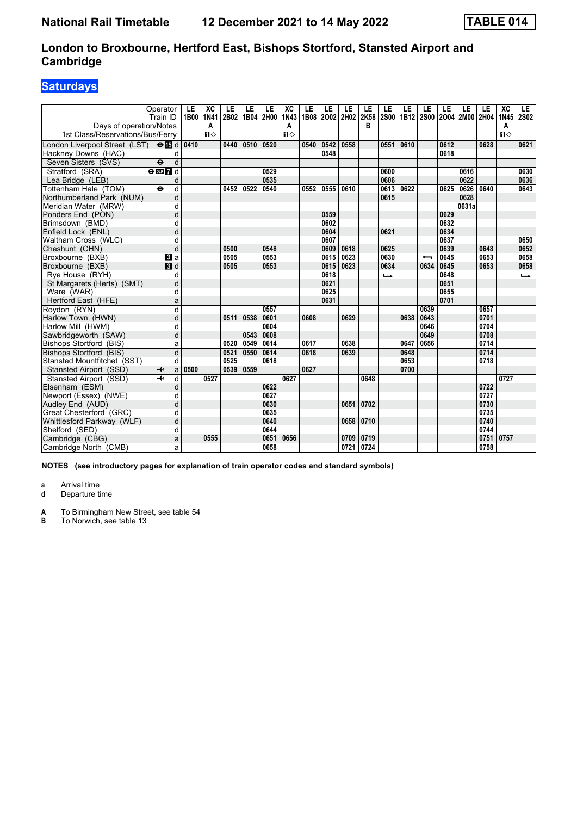# **Saturdays**

| Operator<br>Train ID<br>Days of operation/Notes    | LE<br>1B00 | XC<br><b>1N41</b><br>A | LE<br>2B02 | LE<br>1B04 | LE<br>2H00 | XC<br>1N43<br>Α | LE<br>1B08 | LE<br>2002 2H02 | LE   | LE<br>2K58<br>в | LE<br><b>2S00</b> | LE<br>1B12 | LE<br><b>2S00</b> | LE<br>2004 | LE<br>2M00 | LE<br>2H04 | XC<br><b>1N45</b><br>А | LE.<br><b>2S02</b> |
|----------------------------------------------------|------------|------------------------|------------|------------|------------|-----------------|------------|-----------------|------|-----------------|-------------------|------------|-------------------|------------|------------|------------|------------------------|--------------------|
| 1st Class/Reservations/Bus/Ferry                   |            | $\mathbf{u}$           |            |            |            | $\P$            |            |                 |      |                 |                   |            |                   |            |            |            | $\mathbf{u}$           |                    |
| London Liverpool Street (LST) $\Theta$ <b>is</b> d | 0410       |                        | 0440       | 0510       | 0520       |                 | 0540       | 0542            | 0558 |                 | 0551              | 0610       |                   | 0612       |            | 0628       |                        | 0621               |
| Hackney Downs (HAC)<br>d                           |            |                        |            |            |            |                 |            | 0548            |      |                 |                   |            |                   | 0618       |            |            |                        |                    |
| d<br>Seven Sisters (SVS)<br>$\ddot{\mathbf{e}}$    |            |                        |            |            |            |                 |            |                 |      |                 |                   |            |                   |            |            |            |                        |                    |
| Stratford (SRA)<br>$\Theta$ or $\bf{Z}$ d          |            |                        |            |            | 0529       |                 |            |                 |      |                 | 0600              |            |                   |            | 0616       |            |                        | 0630               |
| Lea Bridge (LEB)<br>d                              |            |                        |            |            | 0535       |                 |            |                 |      |                 | 0606              |            |                   |            | 0622       |            |                        | 0636               |
| Tottenham Hale (TOM)<br>$\ddot{\mathbf{e}}$<br>d   |            |                        | 0452       | 0522       | 0540       |                 | 0552       | 0555            | 0610 |                 | 0613              | 0622       |                   | 0625       | 0626       | 0640       |                        | 0643               |
| Northumberland Park (NUM)<br>d                     |            |                        |            |            |            |                 |            |                 |      |                 | 0615              |            |                   |            | 0628       |            |                        |                    |
| Meridian Water (MRW)<br>d                          |            |                        |            |            |            |                 |            |                 |      |                 |                   |            |                   |            | 0631a      |            |                        |                    |
| d<br>Ponders End (PON)                             |            |                        |            |            |            |                 |            | 0559            |      |                 |                   |            |                   | 0629       |            |            |                        |                    |
| Brimsdown (BMD)<br>d                               |            |                        |            |            |            |                 |            | 0602            |      |                 |                   |            |                   | 0632       |            |            |                        |                    |
| Enfield Lock (ENL)<br>d                            |            |                        |            |            |            |                 |            | 0604            |      |                 | 0621              |            |                   | 0634       |            |            |                        |                    |
| Waltham Cross (WLC)                                | d          |                        |            |            |            |                 |            | 0607            |      |                 |                   |            |                   | 0637       |            |            |                        | 0650               |
| Cheshunt (CHN)                                     | d          |                        | 0500       |            | 0548       |                 |            | 0609            | 0618 |                 | 0625              |            |                   | 0639       |            | 0648       |                        | 0652               |
| Broxbourne (BXB)<br>BI a                           |            |                        | 0505       |            | 0553       |                 |            | 0615            | 0623 |                 | 0630              |            | ↽                 | 0645       |            | 0653       |                        | 0658               |
| $\blacksquare$<br>Broxbourne (BXB)                 |            |                        | 0505       |            | 0553       |                 |            | 0615            | 0623 |                 | 0634              |            | 0634              | 0645       |            | 0653       |                        | 0658               |
| Rye House (RYH)<br>d                               |            |                        |            |            |            |                 |            | 0618            |      |                 | $\rightarrow$     |            |                   | 0648       |            |            |                        | $\rightarrow$      |
| St Margarets (Herts) (SMT)<br>d                    |            |                        |            |            |            |                 |            | 0621            |      |                 |                   |            |                   | 0651       |            |            |                        |                    |
| Ware (WAR)<br>d                                    |            |                        |            |            |            |                 |            | 0625            |      |                 |                   |            |                   | 0655       |            |            |                        |                    |
| Hertford East (HFE)<br>a                           |            |                        |            |            |            |                 |            | 0631            |      |                 |                   |            |                   | 0701       |            |            |                        |                    |
| d<br>Roydon (RYN)                                  |            |                        |            |            | 0557       |                 |            |                 |      |                 |                   |            | 0639              |            |            | 0657       |                        |                    |
| d<br>Harlow Town (HWN)                             |            |                        | 0511       | 0538       | 0601       |                 | 0608       |                 | 0629 |                 |                   | 0638       | 0643              |            |            | 0701       |                        |                    |
| Harlow Mill (HWM)                                  | d          |                        |            |            | 0604       |                 |            |                 |      |                 |                   |            | 0646              |            |            | 0704       |                        |                    |
| d<br>Sawbridgeworth (SAW)                          |            |                        |            | 0543       | 0608       |                 |            |                 |      |                 |                   |            | 0649              |            |            | 0708       |                        |                    |
| Bishops Stortford (BIS)<br>a                       |            |                        | 0520       | 0549       | 0614       |                 | 0617       |                 | 0638 |                 |                   | 0647       | 0656              |            |            | 0714       |                        |                    |
| d<br>Bishops Stortford (BIS)                       |            |                        | 0521       | 0550       | 0614       |                 | 0618       |                 | 0639 |                 |                   | 0648       |                   |            |            | 0714       |                        |                    |
| Stansted Mountfitchet (SST)<br>d                   |            |                        | 0525       |            | 0618       |                 |            |                 |      |                 |                   | 0653       |                   |            |            | 0718       |                        |                    |
| Stansted Airport (SSD)<br>↞<br>a                   | 0500       |                        | 0539       | 0559       |            |                 | 0627       |                 |      |                 |                   | 0700       |                   |            |            |            |                        |                    |
| Stansted Airport (SSD)<br>d                        |            | 0527                   |            |            |            | 0627            |            |                 |      | 0648            |                   |            |                   |            |            |            | 0727                   |                    |
| Elsenham (ESM)<br>d                                |            |                        |            |            | 0622       |                 |            |                 |      |                 |                   |            |                   |            |            | 0722       |                        |                    |
| Newport (Essex) (NWE)<br>d                         |            |                        |            |            | 0627       |                 |            |                 |      |                 |                   |            |                   |            |            | 0727       |                        |                    |
| d<br>Audley End (AUD)                              |            |                        |            |            | 0630       |                 |            |                 | 0651 | 0702            |                   |            |                   |            |            | 0730       |                        |                    |
| Great Chesterford (GRC)<br>d                       |            |                        |            |            | 0635       |                 |            |                 |      |                 |                   |            |                   |            |            | 0735       |                        |                    |
| d<br>Whittlesford Parkway (WLF)                    |            |                        |            |            | 0640       |                 |            |                 | 0658 | 0710            |                   |            |                   |            |            | 0740       |                        |                    |
| Shelford (SED)<br>d                                |            |                        |            |            | 0644       |                 |            |                 |      |                 |                   |            |                   |            |            | 0744       |                        |                    |
| Cambridge (CBG)<br>a                               |            | 0555                   |            |            | 0651       | 0656            |            |                 | 0709 | 0719            |                   |            |                   |            |            | 0751       | 0757                   |                    |
| Cambridge North (CMB)<br>a                         |            |                        |            |            | 0658       |                 |            |                 | 0721 | 0724            |                   |            |                   |            |            | 0758       |                        |                    |

**NOTES (see introductory pages for explanation of train operator codes and standard symbols)**

**a** Arrival time<br>**d** Departure t

**d** Departure time

**A** To Birmingham New Street, see table 54<br>**B** To Norwich, see table 13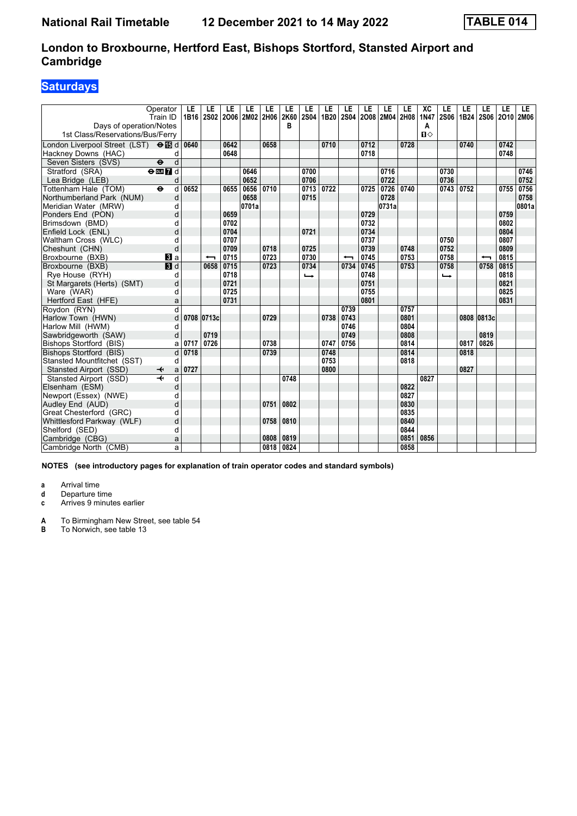# **Saturdays**

| Days of operation/Notes<br>1st Class/Reservations/Bus/Ferry | Operator<br>Train ID     | LE<br>1B16 | LE                       | LE<br>2S02 2O06 2M02 2H06 | LE    | LE   | LE<br>2K60<br>в | LE<br><b>2S04</b> | LE<br>1B20 | LE   | LE   | LE<br>2S04 2O08 2M04 2H08 | LE   | XC<br><b>1N47</b><br>A<br>$\mathbf{u}$ | LE<br><b>2S06</b> | LE<br>1B24 | LE<br>2S06 2O10 2M06     | LE   | LE    |
|-------------------------------------------------------------|--------------------------|------------|--------------------------|---------------------------|-------|------|-----------------|-------------------|------------|------|------|---------------------------|------|----------------------------------------|-------------------|------------|--------------------------|------|-------|
| London Liverpool Street (LST) <b>⊖ iB</b> d                 |                          | 0640       |                          | 0642                      |       | 0658 |                 |                   | 0710       |      | 0712 |                           | 0728 |                                        |                   | 0740       |                          | 0742 |       |
| Hackney Downs (HAC)                                         | d                        |            |                          | 0648                      |       |      |                 |                   |            |      | 0718 |                           |      |                                        |                   |            |                          | 0748 |       |
| Seven Sisters (SVS)                                         | d<br>$\ddot{\mathbf{e}}$ |            |                          |                           |       |      |                 |                   |            |      |      |                           |      |                                        |                   |            |                          |      |       |
| Stratford (SRA)                                             | $\Theta$ <b>ER</b> $d$   |            |                          |                           | 0646  |      |                 | 0700              |            |      |      | 0716                      |      |                                        | 0730              |            |                          |      | 0746  |
| Lea Bridge (LEB)                                            | d                        |            |                          |                           | 0652  |      |                 | 0706              |            |      |      | 0722                      |      |                                        | 0736              |            |                          |      | 0752  |
| Tottenham Hale (TOM)                                        | d<br>$\ddot{\mathbf{e}}$ | 0652       |                          | 0655                      | 0656  | 0710 |                 | 0713              | 0722       |      | 0725 | 0726                      | 0740 |                                        | 0743              | 0752       |                          | 0755 | 0756  |
| Northumberland Park (NUM)                                   | d                        |            |                          |                           | 0658  |      |                 | 0715              |            |      |      | 0728                      |      |                                        |                   |            |                          |      | 0758  |
| Meridian Water (MRW)                                        | d                        |            |                          |                           | 0701a |      |                 |                   |            |      |      | 0731a                     |      |                                        |                   |            |                          |      | 0801a |
| Ponders End (PON)                                           | d                        |            |                          | 0659                      |       |      |                 |                   |            |      | 0729 |                           |      |                                        |                   |            |                          | 0759 |       |
| Brimsdown (BMD)                                             | d                        |            |                          | 0702                      |       |      |                 |                   |            |      | 0732 |                           |      |                                        |                   |            |                          | 0802 |       |
| Enfield Lock (ENL)                                          | d                        |            |                          | 0704                      |       |      |                 | 0721              |            |      | 0734 |                           |      |                                        |                   |            |                          | 0804 |       |
| Waltham Cross (WLC)                                         | d                        |            |                          | 0707                      |       |      |                 |                   |            |      | 0737 |                           |      |                                        | 0750              |            |                          | 0807 |       |
| Cheshunt (CHN)                                              | d                        |            |                          | 0709                      |       | 0718 |                 | 0725              |            |      | 0739 |                           | 0748 |                                        | 0752              |            |                          | 0809 |       |
| Broxbourne (BXB)                                            | $\bf{B}$ a               |            | $\overline{\phantom{0}}$ | 0715                      |       | 0723 |                 | 0730              |            | ↽    | 0745 |                           | 0753 |                                        | 0758              |            | $\overline{\phantom{0}}$ | 0815 |       |
| Broxbourne (BXB)                                            | <b>B</b> d               |            | 0658                     | 0715                      |       | 0723 |                 | 0734              |            | 0734 | 0745 |                           | 0753 |                                        | 0758              |            | 0758                     | 0815 |       |
| Rye House (RYH)                                             | d                        |            |                          | 0718                      |       |      |                 | $\rightarrow$     |            |      | 0748 |                           |      |                                        | $\rightarrow$     |            |                          | 0818 |       |
| St Margarets (Herts) (SMT)                                  | d                        |            |                          | 0721                      |       |      |                 |                   |            |      | 0751 |                           |      |                                        |                   |            |                          | 0821 |       |
| Ware (WAR)                                                  | d                        |            |                          | 0725                      |       |      |                 |                   |            |      | 0755 |                           |      |                                        |                   |            |                          | 0825 |       |
| Hertford East (HFE)                                         | a                        |            |                          | 0731                      |       |      |                 |                   |            |      | 0801 |                           |      |                                        |                   |            |                          | 0831 |       |
| Roydon (RYN)                                                | $\overline{d}$           |            |                          |                           |       |      |                 |                   |            | 0739 |      |                           | 0757 |                                        |                   |            |                          |      |       |
| Harlow Town (HWN)                                           | d                        |            | 0708 0713c               |                           |       | 0729 |                 |                   | 0738       | 0743 |      |                           | 0801 |                                        |                   |            | 0808 0813c               |      |       |
| Harlow Mill (HWM)                                           | d                        |            |                          |                           |       |      |                 |                   |            | 0746 |      |                           | 0804 |                                        |                   |            |                          |      |       |
| Sawbridgeworth (SAW)                                        | d                        |            | 0719                     |                           |       |      |                 |                   |            | 0749 |      |                           | 0808 |                                        |                   |            | 0819                     |      |       |
| Bishops Stortford (BIS)                                     | a                        | 0717       | 0726                     |                           |       | 0738 |                 |                   | 0747       | 0756 |      |                           | 0814 |                                        |                   | 0817       | 0826                     |      |       |
| Bishops Stortford (BIS)                                     | d                        | 0718       |                          |                           |       | 0739 |                 |                   | 0748       |      |      |                           | 0814 |                                        |                   | 0818       |                          |      |       |
| Stansted Mountfitchet (SST)                                 | d                        |            |                          |                           |       |      |                 |                   | 0753       |      |      |                           | 0818 |                                        |                   |            |                          |      |       |
| Stansted Airport (SSD)                                      | ↞<br>a                   | 0727       |                          |                           |       |      |                 |                   | 0800       |      |      |                           |      |                                        |                   | 0827       |                          |      |       |
| Stansted Airport (SSD)                                      | d                        |            |                          |                           |       |      | 0748            |                   |            |      |      |                           |      | 0827                                   |                   |            |                          |      |       |
| Elsenham (ESM)                                              | d                        |            |                          |                           |       |      |                 |                   |            |      |      |                           | 0822 |                                        |                   |            |                          |      |       |
| Newport (Essex) (NWE)                                       | d                        |            |                          |                           |       |      |                 |                   |            |      |      |                           | 0827 |                                        |                   |            |                          |      |       |
| Audley End (AUD)                                            | d                        |            |                          |                           |       | 0751 | 0802            |                   |            |      |      |                           | 0830 |                                        |                   |            |                          |      |       |
| Great Chesterford (GRC)                                     | d                        |            |                          |                           |       |      |                 |                   |            |      |      |                           | 0835 |                                        |                   |            |                          |      |       |
| Whittlesford Parkway (WLF)                                  | d                        |            |                          |                           |       | 0758 | 0810            |                   |            |      |      |                           | 0840 |                                        |                   |            |                          |      |       |
| Shelford (SED)                                              | d                        |            |                          |                           |       |      |                 |                   |            |      |      |                           | 0844 |                                        |                   |            |                          |      |       |
| Cambridge (CBG)                                             | a                        |            |                          |                           |       | 0808 | 0819            |                   |            |      |      |                           | 0851 | 0856                                   |                   |            |                          |      |       |
| Cambridge North (CMB)                                       | a                        |            |                          |                           |       | 0818 | 0824            |                   |            |      |      |                           | 0858 |                                        |                   |            |                          |      |       |

**NOTES (see introductory pages for explanation of train operator codes and standard symbols)**

**a** Arrival time

**d** Departure time<br>**c** Arrives 9 minute

Arrives 9 minutes earlier

**A** To Birmingham New Street, see table 54<br>**B** To Norwich, see table 13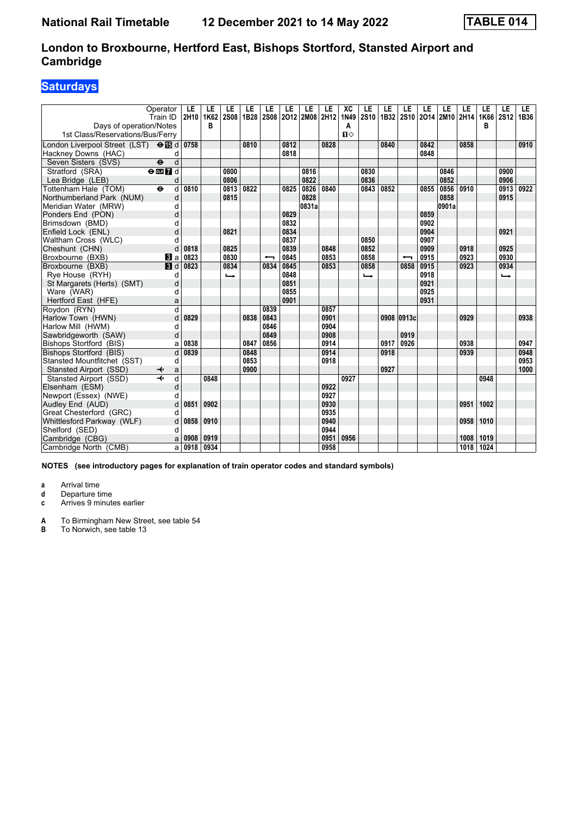# **Saturdays**

| Operator<br>Train ID<br>Days of operation/Notes | LE<br>2H10              | LE<br>1K62<br>в | LE<br><b>2S08</b> | LE<br>1B28 | LE<br><b>2S08</b> | LE   | LE<br>2012 2M08 2H12 | LE   | XC<br>1N49<br>Α | LE<br><b>2S10</b> | LE<br>1B32 | LE         | LE   | LE<br>2S10 2O14 2M10 2H14 | LE   | LE<br>1K66<br>в | LE<br>2S12    | LE.<br>1B36 |
|-------------------------------------------------|-------------------------|-----------------|-------------------|------------|-------------------|------|----------------------|------|-----------------|-------------------|------------|------------|------|---------------------------|------|-----------------|---------------|-------------|
| 1st Class/Reservations/Bus/Ferry                |                         |                 |                   |            |                   |      |                      |      | $\P$            |                   |            |            |      |                           |      |                 |               |             |
| London Liverpool Street (LST) <b>⊖ iB</b> d     | 0758                    |                 |                   | 0810       |                   | 0812 |                      | 0828 |                 |                   | 0840       |            | 0842 |                           | 0858 |                 |               | 0910        |
| Hackney Downs (HAC)                             | d                       |                 |                   |            |                   | 0818 |                      |      |                 |                   |            |            | 0848 |                           |      |                 |               |             |
| Seven Sisters (SVS)<br>$\ddot{\mathbf{e}}$      | d                       |                 |                   |            |                   |      |                      |      |                 |                   |            |            |      |                           |      |                 |               |             |
| Stratford (SRA)<br>$\Theta$ or $\bf{Z}$ d       |                         |                 | 0800              |            |                   |      | 0816                 |      |                 | 0830              |            |            |      | 0846                      |      |                 | 0900          |             |
| Lea Bridge (LEB)                                | d                       |                 | 0806              |            |                   |      | 0822                 |      |                 | 0836              |            |            |      | 0852                      |      |                 | 0906          |             |
| Tottenham Hale (TOM)<br>$\ddot{\mathbf{e}}$     | d<br>0810               |                 | 0813              | 0822       |                   | 0825 | 0826                 | 0840 |                 | 0843              | 0852       |            | 0855 | 0856                      | 0910 |                 | 0913          | 0922        |
| Northumberland Park (NUM)                       | d                       |                 | 0815              |            |                   |      | 0828                 |      |                 |                   |            |            |      | 0858                      |      |                 | 0915          |             |
| Meridian Water (MRW)                            | d                       |                 |                   |            |                   |      | 0831a                |      |                 |                   |            |            |      | 0901a                     |      |                 |               |             |
| Ponders End (PON)                               | d                       |                 |                   |            |                   | 0829 |                      |      |                 |                   |            |            | 0859 |                           |      |                 |               |             |
| Brimsdown (BMD)                                 | d                       |                 |                   |            |                   | 0832 |                      |      |                 |                   |            |            | 0902 |                           |      |                 |               |             |
| Enfield Lock (ENL)                              | d                       |                 | 0821              |            |                   | 0834 |                      |      |                 |                   |            |            | 0904 |                           |      |                 | 0921          |             |
| Waltham Cross (WLC)                             | d                       |                 |                   |            |                   | 0837 |                      |      |                 | 0850              |            |            | 0907 |                           |      |                 |               |             |
| Cheshunt (CHN)                                  | d<br>0818               |                 | 0825              |            |                   | 0839 |                      | 0848 |                 | 0852              |            |            | 0909 |                           | 0918 |                 | 0925          |             |
| Broxbourne (BXB)<br><b>B</b> la                 | 0823                    |                 | 0830              |            | ↽                 | 0845 |                      | 0853 |                 | 0858              |            | ↽          | 0915 |                           | 0923 |                 | 0930          |             |
| Broxbourne (BXB)<br>$\blacksquare$              | 0823                    |                 | 0834              |            | 0834              | 0845 |                      | 0853 |                 | 0858              |            | 0858       | 0915 |                           | 0923 |                 | 0934          |             |
| Rye House (RYH)                                 | d                       |                 | $\rightarrow$     |            |                   | 0848 |                      |      |                 | $\rightarrow$     |            |            | 0918 |                           |      |                 | $\rightarrow$ |             |
| St Margarets (Herts) (SMT)                      | d                       |                 |                   |            |                   | 0851 |                      |      |                 |                   |            |            | 0921 |                           |      |                 |               |             |
| Ware (WAR)                                      | d                       |                 |                   |            |                   | 0855 |                      |      |                 |                   |            |            | 0925 |                           |      |                 |               |             |
| Hertford East (HFE)                             | a                       |                 |                   |            |                   | 0901 |                      |      |                 |                   |            |            | 0931 |                           |      |                 |               |             |
| Roydon (RYN)                                    | $\overline{\mathsf{d}}$ |                 |                   |            | 0839              |      |                      | 0857 |                 |                   |            |            |      |                           |      |                 |               |             |
| Harlow Town (HWN)                               | d<br>0829               |                 |                   | 0838       | 0843              |      |                      | 0901 |                 |                   |            | 0908 0913c |      |                           | 0929 |                 |               | 0938        |
| Harlow Mill (HWM)                               | d                       |                 |                   |            | 0846              |      |                      | 0904 |                 |                   |            |            |      |                           |      |                 |               |             |
| Sawbridgeworth (SAW)                            | d                       |                 |                   |            | 0849              |      |                      | 0908 |                 |                   |            | 0919       |      |                           |      |                 |               |             |
| Bishops Stortford (BIS)                         | 0838<br>a               |                 |                   | 0847       | 0856              |      |                      | 0914 |                 |                   | 0917       | 0926       |      |                           | 0938 |                 |               | 0947        |
| Bishops Stortford (BIS)                         | d<br>0839               |                 |                   | 0848       |                   |      |                      | 0914 |                 |                   | 0918       |            |      |                           | 0939 |                 |               | 0948        |
| Stansted Mountfitchet (SST)                     | d                       |                 |                   | 0853       |                   |      |                      | 0918 |                 |                   |            |            |      |                           |      |                 |               | 0953        |
| Stansted Airport (SSD)                          | a                       |                 |                   | 0900       |                   |      |                      |      |                 |                   | 0927       |            |      |                           |      |                 |               | 1000        |
| Stansted Airport (SSD)                          | d                       | 0848            |                   |            |                   |      |                      |      | 0927            |                   |            |            |      |                           |      | 0948            |               |             |
| Elsenham (ESM)                                  | d                       |                 |                   |            |                   |      |                      | 0922 |                 |                   |            |            |      |                           |      |                 |               |             |
| Newport (Essex) (NWE)                           | d                       |                 |                   |            |                   |      |                      | 0927 |                 |                   |            |            |      |                           |      |                 |               |             |
| Audley End (AUD)                                | 0851<br>d               | 0902            |                   |            |                   |      |                      | 0930 |                 |                   |            |            |      |                           | 0951 | 1002            |               |             |
| Great Chesterford (GRC)                         | d                       |                 |                   |            |                   |      |                      | 0935 |                 |                   |            |            |      |                           |      |                 |               |             |
| Whittlesford Parkway (WLF)                      | d<br>0858               | 0910            |                   |            |                   |      |                      | 0940 |                 |                   |            |            |      |                           | 0958 | 1010            |               |             |
| Shelford (SED)                                  | d                       |                 |                   |            |                   |      |                      | 0944 |                 |                   |            |            |      |                           |      |                 |               |             |
| Cambridge (CBG)                                 | 0908<br>a               | 0919            |                   |            |                   |      |                      | 0951 | 0956            |                   |            |            |      |                           | 1008 | 1019            |               |             |
| Cambridge North (CMB)                           | 0918<br>a               | 0934            |                   |            |                   |      |                      | 0958 |                 |                   |            |            |      |                           | 1018 | 1024            |               |             |

**NOTES (see introductory pages for explanation of train operator codes and standard symbols)**

**a** Arrival time

**d** Departure time<br>**c** Arrives 9 minute

Arrives 9 minutes earlier

**A** To Birmingham New Street, see table 54<br>**B** To Norwich, see table 13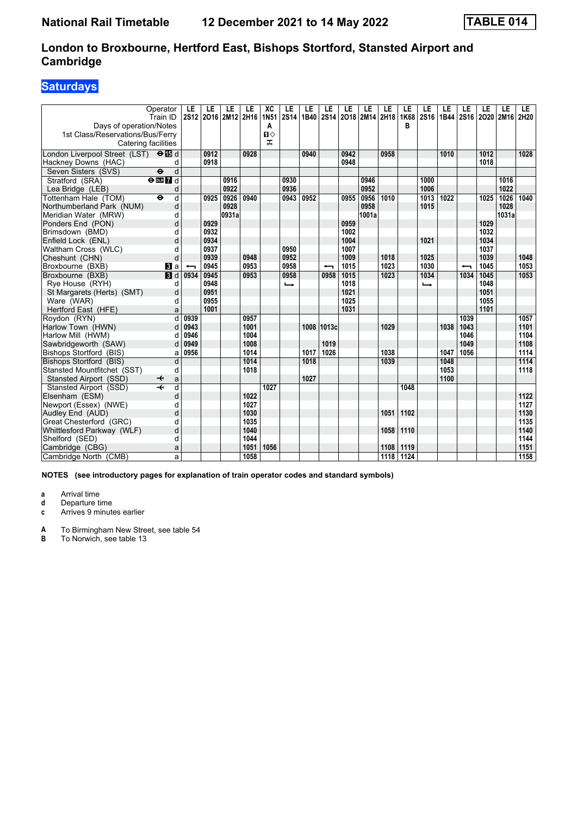# **Saturdays**

| Days of operation/Notes<br>1st Class/Reservations/Bus/Ferry<br>Catering facilities | Operator<br>Train ID      | LE<br>2S12 | LE   | LE<br>2016 2M12 2H16 | LE   | XC<br><b>1N51</b><br>A<br>п⇔<br>ᠼ | LE<br><b>2S14</b> | LE<br>1B40 | LE<br><b>2S14</b>        | LE   | LE<br>2018 2M14 2H18 | LE                | LE<br>1K68<br>в | LE<br>2S16 | LE<br>1B44 | LE   | LE<br>2S16 2O20 2M16 | LE    | LE.<br>2H20 |
|------------------------------------------------------------------------------------|---------------------------|------------|------|----------------------|------|-----------------------------------|-------------------|------------|--------------------------|------|----------------------|-------------------|-----------------|------------|------------|------|----------------------|-------|-------------|
| London Liverpool Street (LST) $\Theta$ <b>B</b> d                                  |                           |            | 0912 |                      | 0928 |                                   |                   | 0940       |                          | 0942 |                      | 0958              |                 |            | 1010       |      | 1012                 |       | 1028        |
| Hackney Downs (HAC)                                                                | d                         |            | 0918 |                      |      |                                   |                   |            |                          | 0948 |                      |                   |                 |            |            |      | 1018                 |       |             |
| Seven Sisters (SVS)                                                                | $\ddot{\mathbf{e}}$<br>d  |            |      |                      |      |                                   |                   |            |                          |      |                      |                   |                 |            |            |      |                      |       |             |
| Stratford (SRA)                                                                    | $\Theta$ or $\bf{Z}$ d    |            |      | 0916                 |      |                                   | 0930              |            |                          |      | 0946                 |                   |                 | 1000       |            |      |                      | 1016  |             |
| Lea Bridge (LEB)                                                                   | d                         |            |      | 0922                 |      |                                   | 0936              |            |                          |      | 0952                 |                   |                 | 1006       |            |      |                      | 1022  |             |
| Tottenham Hale (TOM)                                                               | d<br>$\ddot{\mathbf{e}}$  |            | 0925 | 0926                 | 0940 |                                   | 0943              | 0952       |                          | 0955 | 0956                 | 1010              |                 | 1013       | 1022       |      | 1025                 | 1026  | 1040        |
| Northumberland Park (NUM)                                                          | d                         |            |      | 0928                 |      |                                   |                   |            |                          |      | 0958                 |                   |                 | 1015       |            |      |                      | 1028  |             |
| Meridian Water (MRW)                                                               | d                         |            |      | 0931a                |      |                                   |                   |            |                          |      | 1001a                |                   |                 |            |            |      |                      | 1031a |             |
| Ponders End (PON)                                                                  | d                         |            | 0929 |                      |      |                                   |                   |            |                          | 0959 |                      |                   |                 |            |            |      | 1029                 |       |             |
| Brimsdown (BMD)                                                                    | d                         |            | 0932 |                      |      |                                   |                   |            |                          | 1002 |                      |                   |                 |            |            |      | 1032                 |       |             |
| Enfield Lock (ENL)                                                                 | d                         |            | 0934 |                      |      |                                   |                   |            |                          | 1004 |                      |                   |                 | 1021       |            |      | 1034                 |       |             |
| Waltham Cross (WLC)                                                                | d                         |            | 0937 |                      |      |                                   | 0950              |            |                          | 1007 |                      |                   |                 |            |            |      | 1037                 |       |             |
| Cheshunt (CHN)                                                                     | d                         |            | 0939 |                      | 0948 |                                   | 0952              |            |                          | 1009 |                      | 1018              |                 | 1025       |            |      | 1039                 |       | 1048        |
| Broxbourne (BXB)                                                                   | <b>B</b> la               |            | 0945 |                      | 0953 |                                   | 0958              |            | $\overline{\phantom{0}}$ | 1015 |                      | 1023              |                 | 1030       |            | ↽    | 1045                 |       | 1053        |
| Broxbourne (BXB)                                                                   | $\overline{\mathbf{B}}$ d | 0934       | 0945 |                      | 0953 |                                   | 0958              |            | 0958                     | 1015 |                      | $\overline{1023}$ |                 | 1034       |            | 1034 | 1045                 |       | 1053        |
| Rye House (RYH)                                                                    | d                         |            | 0948 |                      |      |                                   | د                 |            |                          | 1018 |                      |                   |                 | ⊷          |            |      | 1048                 |       |             |
| St Margarets (Herts) (SMT)                                                         | d                         |            | 0951 |                      |      |                                   |                   |            |                          | 1021 |                      |                   |                 |            |            |      | 1051                 |       |             |
| Ware (WAR)                                                                         | d                         |            | 0955 |                      |      |                                   |                   |            |                          | 1025 |                      |                   |                 |            |            |      | 1055                 |       |             |
| Hertford East (HFE)                                                                | a                         |            | 1001 |                      |      |                                   |                   |            |                          | 1031 |                      |                   |                 |            |            |      | 1101                 |       |             |
| Roydon (RYN)                                                                       | d                         | 0939       |      |                      | 0957 |                                   |                   |            |                          |      |                      |                   |                 |            |            | 1039 |                      |       | 1057        |
| Harlow Town (HWN)                                                                  | d                         | 0943       |      |                      | 1001 |                                   |                   |            | 1008 1013c               |      |                      | 1029              |                 |            | 1038       | 1043 |                      |       | 1101        |
| Harlow Mill (HWM)                                                                  | d                         | 0946       |      |                      | 1004 |                                   |                   |            |                          |      |                      |                   |                 |            |            | 1046 |                      |       | 1104        |
| Sawbridgeworth (SAW)                                                               | d                         | 0949       |      |                      | 1008 |                                   |                   |            | 1019                     |      |                      |                   |                 |            |            | 1049 |                      |       | 1108        |
| Bishops Stortford (BIS)                                                            | a                         | 0956       |      |                      | 1014 |                                   |                   | 1017       | 1026                     |      |                      | 1038              |                 |            | 1047       | 1056 |                      |       | 1114        |
| <b>Bishops Stortford (BIS)</b>                                                     | d                         |            |      |                      | 1014 |                                   |                   | 1018       |                          |      |                      | 1039              |                 |            | 1048       |      |                      |       | 1114        |
| Stansted Mountfitchet (SST)                                                        | d                         |            |      |                      | 1018 |                                   |                   |            |                          |      |                      |                   |                 |            | 1053       |      |                      |       | 1118        |
| Stansted Airport (SSD)                                                             | a<br>↞                    |            |      |                      |      |                                   |                   | 1027       |                          |      |                      |                   |                 |            | 1100       |      |                      |       |             |
| Stansted Airport (SSD)                                                             | $\overline{+}$<br>d       |            |      |                      |      | 1027                              |                   |            |                          |      |                      |                   | 1048            |            |            |      |                      |       |             |
| Elsenham (ESM)                                                                     | d                         |            |      |                      | 1022 |                                   |                   |            |                          |      |                      |                   |                 |            |            |      |                      |       | 1122        |
| Newport (Essex) (NWE)                                                              | d                         |            |      |                      | 1027 |                                   |                   |            |                          |      |                      |                   |                 |            |            |      |                      |       | 1127        |
| Audley End (AUD)                                                                   | d                         |            |      |                      | 1030 |                                   |                   |            |                          |      |                      | 1051              | 1102            |            |            |      |                      |       | 1130        |
| Great Chesterford (GRC)                                                            | d                         |            |      |                      | 1035 |                                   |                   |            |                          |      |                      |                   |                 |            |            |      |                      |       | 1135        |
| Whittlesford Parkway (WLF)                                                         | d                         |            |      |                      | 1040 |                                   |                   |            |                          |      |                      | 1058              | 1110            |            |            |      |                      |       | 1140        |
| Shelford (SED)                                                                     | d                         |            |      |                      | 1044 |                                   |                   |            |                          |      |                      |                   |                 |            |            |      |                      |       | 1144        |
| Cambridge (CBG)                                                                    | a                         |            |      |                      | 1051 | 1056                              |                   |            |                          |      |                      | 1108              | 1119            |            |            |      |                      |       | 1151        |
| Cambridge North (CMB)                                                              | a                         |            |      |                      | 1058 |                                   |                   |            |                          |      |                      | 1118              | 1124            |            |            |      |                      |       | 1158        |

**NOTES (see introductory pages for explanation of train operator codes and standard symbols)**

**a** Arrival time<br>**d** Departure ti

**d** Departure time

**c** Arrives 9 minutes earlier

**A** To Birmingham New Street, see table 54<br>**B** To Norwich, see table 13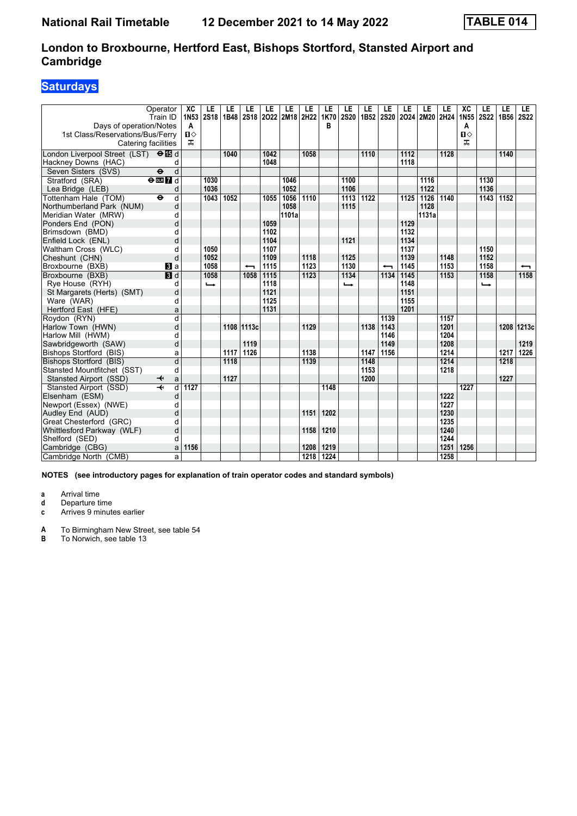# **Saturdays**

| Days of operation/Notes<br>1st Class/Reservations/Bus/Ferry<br>Catering facilities | Operator<br>Train ID              | XC<br>1N <sub>53</sub><br>A<br>$\mathbf{u}$<br>ᠼ | LE<br><b>2S18</b> | LE<br>1B48 | LE<br>2S <sub>18</sub>           | LE           | LE<br>2022 2M18 2H22 | LE                        | LE<br>1K70<br>в | LE<br><b>2S20</b> | LE<br>1B <sub>52</sub> | LE                       | LE           | LE<br>2S20 2O24 2M20 2H24 | LE           | XC<br>1N <sub>55</sub><br>A<br>$\mathbf{u}$<br>ᠼ | LE<br><b>2S22</b> | LE<br>1B56 | LE.<br><b>2S22</b> |
|------------------------------------------------------------------------------------|-----------------------------------|--------------------------------------------------|-------------------|------------|----------------------------------|--------------|----------------------|---------------------------|-----------------|-------------------|------------------------|--------------------------|--------------|---------------------------|--------------|--------------------------------------------------|-------------------|------------|--------------------|
| London Liverpool Street (LST) $\Theta$ is d                                        |                                   |                                                  |                   | 1040       |                                  | 1042         |                      | 1058                      |                 |                   | 1110                   |                          | 1112         |                           | 1128         |                                                  |                   | 1140       |                    |
|                                                                                    |                                   |                                                  |                   |            |                                  | 1048         |                      |                           |                 |                   |                        |                          | 1118         |                           |              |                                                  |                   |            |                    |
| Hackney Downs (HAC)                                                                | d<br>$\overline{\mathbf{e}}$<br>d |                                                  |                   |            |                                  |              |                      |                           |                 |                   |                        |                          |              |                           |              |                                                  |                   |            |                    |
| Seven Sisters (SVS)                                                                |                                   |                                                  |                   |            |                                  |              |                      |                           |                 |                   |                        |                          |              |                           |              |                                                  |                   |            |                    |
| Stratford (SRA)                                                                    | $\Theta$ <b>ER</b>                |                                                  | 1030              |            |                                  |              | 1046                 |                           |                 | 1100              |                        |                          |              | 1116                      |              |                                                  | 1130              |            |                    |
| Lea Bridge (LEB)                                                                   | d                                 |                                                  | 1036              |            |                                  |              | 1052                 |                           |                 | 1106              |                        |                          |              | 1122                      |              |                                                  | 1136              |            |                    |
| Tottenham Hale (TOM)                                                               | $\ddot{\mathbf{e}}$<br>d          |                                                  | 1043              | 1052       |                                  | 1055         | 1056                 | 1110                      |                 | 1113              | 1122                   |                          | 1125         | $\frac{1126}{ }$          | 1140         |                                                  | 1143              | 1152       |                    |
| Northumberland Park (NUM)                                                          | d                                 |                                                  |                   |            |                                  |              | 1058                 |                           |                 | 1115              |                        |                          |              | 1128                      |              |                                                  |                   |            |                    |
| Meridian Water (MRW)                                                               | d                                 |                                                  |                   |            |                                  |              | 1101a                |                           |                 |                   |                        |                          |              | 1131a                     |              |                                                  |                   |            |                    |
| Ponders End (PON)                                                                  | d                                 |                                                  |                   |            |                                  | 1059         |                      |                           |                 |                   |                        |                          | 1129         |                           |              |                                                  |                   |            |                    |
| Brimsdown (BMD)                                                                    | d                                 |                                                  |                   |            |                                  | 1102<br>1104 |                      |                           |                 | 1121              |                        |                          | 1132<br>1134 |                           |              |                                                  |                   |            |                    |
| Enfield Lock (ENL)                                                                 | d                                 |                                                  | 1050              |            |                                  | 1107         |                      |                           |                 |                   |                        |                          | 1137         |                           |              |                                                  | 1150              |            |                    |
| Waltham Cross (WLC)                                                                | d<br>d                            |                                                  | 1052              |            |                                  | 1109         |                      | 1118                      |                 | 1125              |                        |                          | 1139         |                           | 1148         |                                                  | 1152              |            |                    |
| Cheshunt (CHN)                                                                     |                                   |                                                  | 1058              |            |                                  |              |                      |                           |                 |                   |                        |                          | 1145         |                           |              |                                                  |                   |            |                    |
| Broxbourne (BXB)                                                                   | <b>B</b> la                       |                                                  | 1058              |            | $\overline{\phantom{0}}$<br>1058 | 1115<br>1115 |                      | 1123<br>$\overline{1123}$ |                 | 1130<br>1134      |                        | $\overline{\phantom{0}}$ | 1145         |                           | 1153<br>1153 |                                                  | 1158<br>1158      |            | ↽<br>1158          |
| Broxbourne (BXB)                                                                   | $\overline{\mathbf{B}}$ d         |                                                  |                   |            |                                  |              |                      |                           |                 |                   |                        | 1134                     |              |                           |              |                                                  |                   |            |                    |
| Rye House (RYH)                                                                    | d                                 |                                                  | $\rightarrow$     |            |                                  | 1118<br>1121 |                      |                           |                 | ←                 |                        |                          | 1148         |                           |              |                                                  | $\rightarrow$     |            |                    |
| St Margarets (Herts) (SMT)                                                         | d                                 |                                                  |                   |            |                                  |              |                      |                           |                 |                   |                        |                          | 1151         |                           |              |                                                  |                   |            |                    |
| Ware (WAR)                                                                         | d                                 |                                                  |                   |            |                                  | 1125<br>1131 |                      |                           |                 |                   |                        |                          | 1155<br>1201 |                           |              |                                                  |                   |            |                    |
| Hertford East (HFE)                                                                | a                                 |                                                  |                   |            |                                  |              |                      |                           |                 |                   |                        |                          |              |                           |              |                                                  |                   |            |                    |
| Roydon (RYN)                                                                       | d                                 |                                                  |                   |            |                                  |              |                      |                           |                 |                   |                        | 1139                     |              |                           | 1157         |                                                  |                   |            |                    |
| Harlow Town (HWN)                                                                  | d                                 |                                                  |                   |            | 1108 11113c                      |              |                      | 1129                      |                 |                   | 1138                   | 1143                     |              |                           | 1201         |                                                  |                   |            | 1208 1213c         |
| Harlow Mill (HWM)                                                                  | d                                 |                                                  |                   |            |                                  |              |                      |                           |                 |                   |                        | 1146                     |              |                           | 1204         |                                                  |                   |            |                    |
| Sawbridgeworth (SAW)                                                               | d                                 |                                                  |                   |            | 1119                             |              |                      |                           |                 |                   |                        | 1149                     |              |                           | 1208         |                                                  |                   |            | 1219               |
| Bishops Stortford (BIS)                                                            | a                                 |                                                  |                   | 1117       | 1126                             |              |                      | 1138                      |                 |                   | 1147                   | 1156                     |              |                           | 1214         |                                                  |                   | 1217       | 1226               |
| Bishops Stortford (BIS)                                                            | $\overline{\mathsf{d}}$           |                                                  |                   | 1118       |                                  |              |                      | 1139                      |                 |                   | 1148                   |                          |              |                           | 1214         |                                                  |                   | 1218       |                    |
| Stansted Mountfitchet (SST)                                                        | d                                 |                                                  |                   |            |                                  |              |                      |                           |                 |                   | 1153                   |                          |              |                           | 1218         |                                                  |                   |            |                    |
| Stansted Airport (SSD)                                                             | a<br>↞<br>$\overline{\mathbf{H}}$ |                                                  |                   | 1127       |                                  |              |                      |                           |                 |                   | 1200                   |                          |              |                           |              |                                                  |                   | 1227       |                    |
| Stansted Airport (SSD)                                                             | d                                 | 1127                                             |                   |            |                                  |              |                      |                           | 1148            |                   |                        |                          |              |                           |              | 1227                                             |                   |            |                    |
| Elsenham (ESM)                                                                     | d                                 |                                                  |                   |            |                                  |              |                      |                           |                 |                   |                        |                          |              |                           | 1222         |                                                  |                   |            |                    |
| Newport (Essex) (NWE)                                                              | d                                 |                                                  |                   |            |                                  |              |                      |                           |                 |                   |                        |                          |              |                           | 1227         |                                                  |                   |            |                    |
| Audley End (AUD)                                                                   | d                                 |                                                  |                   |            |                                  |              |                      | 1151                      | 1202            |                   |                        |                          |              |                           | 1230         |                                                  |                   |            |                    |
| Great Chesterford (GRC)                                                            | d                                 |                                                  |                   |            |                                  |              |                      |                           |                 |                   |                        |                          |              |                           | 1235         |                                                  |                   |            |                    |
| Whittlesford Parkway (WLF)                                                         | d                                 |                                                  |                   |            |                                  |              |                      | 1158                      | 1210            |                   |                        |                          |              |                           | 1240         |                                                  |                   |            |                    |
| Shelford (SED)                                                                     | d                                 |                                                  |                   |            |                                  |              |                      |                           |                 |                   |                        |                          |              |                           | 1244         |                                                  |                   |            |                    |
| Cambridge (CBG)                                                                    | a                                 | 1156                                             |                   |            |                                  |              |                      | 1208                      | 1219            |                   |                        |                          |              |                           | 1251         | 1256                                             |                   |            |                    |
| Cambridge North (CMB)                                                              | a                                 |                                                  |                   |            |                                  |              |                      | 1218                      | 1224            |                   |                        |                          |              |                           | 1258         |                                                  |                   |            |                    |

**NOTES (see introductory pages for explanation of train operator codes and standard symbols)**

**a** Arrival time<br>**d** Departure ti

**d** Departure time

**c** Arrives 9 minutes earlier

**A** To Birmingham New Street, see table 54<br>**B** To Norwich, see table 13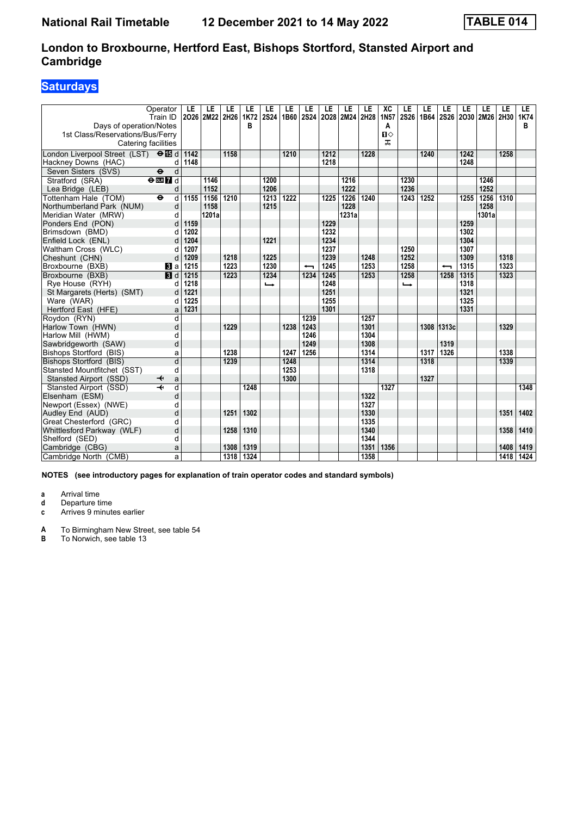# **Saturdays**

| Days of operation/Notes<br>1st Class/Reservations/Bus/Ferry<br>Catering facilities | Operator<br>Train ID              | LE<br>2026        | LE<br>2M22 2H26 | LE   | LE<br>1K72<br>B | LE<br><b>2S24</b> | LE<br>1B60 | LE   | LE<br>2S24 2O28 2M24 | LE    | LE<br>2H28 | XC<br>1N57<br>A<br>Ⅱ◇<br>ᠼ | LE<br><b>2S26</b> | LE<br>1B64 | LE<br><b>2S26</b> | LE<br>  2030   2M26   2H30 | LE    | LE   | LE.<br>1K74<br>B |
|------------------------------------------------------------------------------------|-----------------------------------|-------------------|-----------------|------|-----------------|-------------------|------------|------|----------------------|-------|------------|----------------------------|-------------------|------------|-------------------|----------------------------|-------|------|------------------|
| London Liverpool Street (LST) $\Theta$ <b>is</b> d                                 |                                   | 1142              |                 | 1158 |                 |                   | 1210       |      | 1212                 |       | 1228       |                            |                   | 1240       |                   | 1242                       |       | 1258 |                  |
| Hackney Downs (HAC)                                                                | d                                 | 1148              |                 |      |                 |                   |            |      | 1218                 |       |            |                            |                   |            |                   | 1248                       |       |      |                  |
| Seven Sisters (SVS)                                                                | $\ddot{\mathbf{e}}$<br>d          |                   |                 |      |                 |                   |            |      |                      |       |            |                            |                   |            |                   |                            |       |      |                  |
| Stratford (SRA)                                                                    | $\Theta$ DE $\overline{7}$ d      |                   | 1146            |      |                 | 1200              |            |      |                      | 1216  |            |                            | 1230              |            |                   |                            | 1246  |      |                  |
| Lea Bridge (LEB)                                                                   | d                                 |                   | 1152            |      |                 | 1206              |            |      |                      | 1222  |            |                            | 1236              |            |                   |                            | 1252  |      |                  |
| Tottenham Hale (TOM)                                                               | $\ddot{\boldsymbol{\Theta}}$<br>d | 1155              | 1156            | 1210 |                 | 1213              | 1222       |      | 1225                 | 1226  | 1240       |                            | 1243              | 1252       |                   | 1255                       | 1256  | 1310 |                  |
| Northumberland Park (NUM)                                                          | d                                 |                   | 1158            |      |                 | 1215              |            |      |                      | 1228  |            |                            |                   |            |                   |                            | 1258  |      |                  |
| Meridian Water (MRW)                                                               | d                                 |                   | 1201a           |      |                 |                   |            |      |                      | 1231a |            |                            |                   |            |                   |                            | 1301a |      |                  |
| Ponders End (PON)                                                                  | d                                 | 1159              |                 |      |                 |                   |            |      | 1229                 |       |            |                            |                   |            |                   | 1259                       |       |      |                  |
| Brimsdown (BMD)                                                                    | d                                 | 1202              |                 |      |                 |                   |            |      | 1232                 |       |            |                            |                   |            |                   | 1302                       |       |      |                  |
| Enfield Lock (ENL)                                                                 | d                                 | 1204              |                 |      |                 | 1221              |            |      | 1234                 |       |            |                            |                   |            |                   | 1304                       |       |      |                  |
| Waltham Cross (WLC)                                                                | d                                 | 1207              |                 |      |                 |                   |            |      | 1237                 |       |            |                            | 1250              |            |                   | 1307                       |       |      |                  |
| Cheshunt (CHN)                                                                     | d                                 | 1209              |                 | 1218 |                 | 1225              |            |      | 1239                 |       | 1248       |                            | 1252              |            |                   | 1309                       |       | 1318 |                  |
| Broxbourne (BXB)                                                                   | <b>B</b> la                       | 1215              |                 | 1223 |                 | 1230              |            | ╼    | 1245                 |       | 1253       |                            | 1258              |            | ↽                 | 1315                       |       | 1323 |                  |
| Broxbourne (BXB)                                                                   | $\blacksquare$                    | $\overline{1215}$ |                 | 1223 |                 | 1234              |            | 1234 | 1245                 |       | 1253       |                            | 1258              |            | 1258              | 1315                       |       | 1323 |                  |
| Rye House (RYH)                                                                    | d                                 | 1218              |                 |      |                 | ←                 |            |      | 1248                 |       |            |                            | ⊷                 |            |                   | 1318                       |       |      |                  |
| St Margarets (Herts) (SMT)                                                         | d                                 | 1221              |                 |      |                 |                   |            |      | 1251                 |       |            |                            |                   |            |                   | 1321                       |       |      |                  |
| Ware (WAR)                                                                         | d                                 | 1225              |                 |      |                 |                   |            |      | 1255                 |       |            |                            |                   |            |                   | 1325                       |       |      |                  |
| Hertford East (HFE)                                                                | a                                 | 1231              |                 |      |                 |                   |            |      | 1301                 |       |            |                            |                   |            |                   | 1331                       |       |      |                  |
| Roydon (RYN)                                                                       | d                                 |                   |                 |      |                 |                   |            | 1239 |                      |       | 1257       |                            |                   |            |                   |                            |       |      |                  |
| Harlow Town (HWN)                                                                  | d                                 |                   |                 | 1229 |                 |                   | 1238       | 1243 |                      |       | 1301       |                            |                   |            | 1308 1313c        |                            |       | 1329 |                  |
| Harlow Mill (HWM)                                                                  | d                                 |                   |                 |      |                 |                   |            | 1246 |                      |       | 1304       |                            |                   |            |                   |                            |       |      |                  |
| Sawbridgeworth (SAW)                                                               | d                                 |                   |                 |      |                 |                   |            | 1249 |                      |       | 1308       |                            |                   |            | 1319              |                            |       |      |                  |
| Bishops Stortford (BIS)                                                            | a                                 |                   |                 | 1238 |                 |                   | 1247       | 1256 |                      |       | 1314       |                            |                   | 1317       | 1326              |                            |       | 1338 |                  |
| <b>Bishops Stortford (BIS)</b>                                                     | d                                 |                   |                 | 1239 |                 |                   | 1248       |      |                      |       | 1314       |                            |                   | 1318       |                   |                            |       | 1339 |                  |
| Stansted Mountfitchet (SST)                                                        | d                                 |                   |                 |      |                 |                   | 1253       |      |                      |       | 1318       |                            |                   |            |                   |                            |       |      |                  |
| Stansted Airport (SSD)                                                             | a<br>↞                            |                   |                 |      |                 |                   | 1300       |      |                      |       |            |                            |                   | 1327       |                   |                            |       |      |                  |
| Stansted Airport (SSD)                                                             | $\overline{\mathbf{t}}$<br>d      |                   |                 |      | 1248            |                   |            |      |                      |       |            | 1327                       |                   |            |                   |                            |       |      | 1348             |
| Elsenham (ESM)                                                                     | d                                 |                   |                 |      |                 |                   |            |      |                      |       | 1322       |                            |                   |            |                   |                            |       |      |                  |
| Newport (Essex) (NWE)                                                              | d                                 |                   |                 |      |                 |                   |            |      |                      |       | 1327       |                            |                   |            |                   |                            |       |      |                  |
| Audley End (AUD)                                                                   | d                                 |                   |                 | 1251 | 1302            |                   |            |      |                      |       | 1330       |                            |                   |            |                   |                            |       | 1351 | 1402             |
| Great Chesterford (GRC)                                                            | d                                 |                   |                 |      |                 |                   |            |      |                      |       | 1335       |                            |                   |            |                   |                            |       |      |                  |
| Whittlesford Parkway (WLF)                                                         | d                                 |                   |                 | 1258 | 1310            |                   |            |      |                      |       | 1340       |                            |                   |            |                   |                            |       | 1358 | 1410             |
| Shelford (SED)                                                                     | d                                 |                   |                 |      |                 |                   |            |      |                      |       | 1344       |                            |                   |            |                   |                            |       |      |                  |
| Cambridge (CBG)                                                                    | a                                 |                   |                 | 1308 | 1319            |                   |            |      |                      |       | 1351       | 1356                       |                   |            |                   |                            |       | 1408 | 1419             |
| Cambridge North (CMB)                                                              | a                                 |                   |                 | 1318 | 1324            |                   |            |      |                      |       | 1358       |                            |                   |            |                   |                            |       | 1418 | 1424             |

**NOTES (see introductory pages for explanation of train operator codes and standard symbols)**

**a** Arrival time<br>**d** Departure ti

**d** Departure time

**c** Arrives 9 minutes earlier

**A** To Birmingham New Street, see table 54<br>**B** To Norwich, see table 13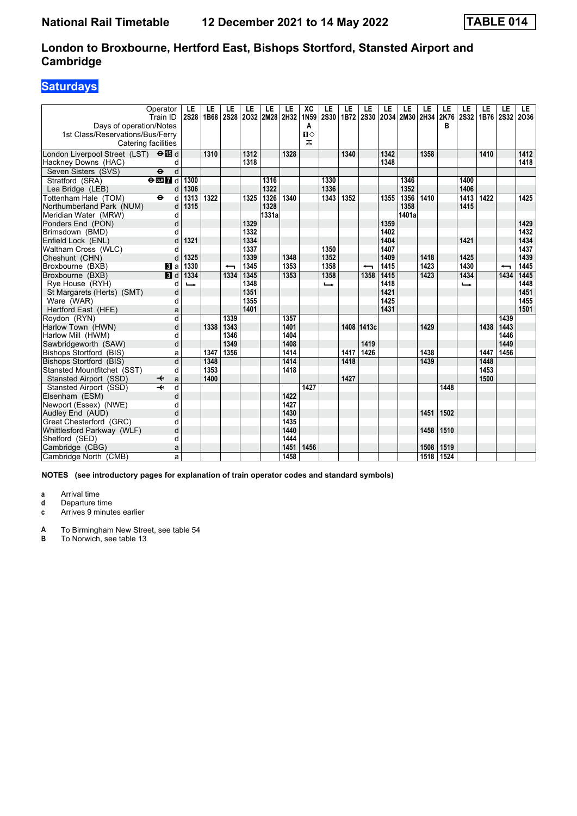# **Saturdays**

| Days of operation/Notes<br>1st Class/Reservations/Bus/Ferry<br>Catering facilities | Operator<br>Train ID         | LE<br><b>2S28</b>        | LE<br>1B68 | LE                       | LE   | LE<br>2S28 2O32 2M28 2H32 | LE   | XC<br>1N59<br>А<br>$\mathbf{u}$<br>ᠼ | LE<br><b>2S30</b> | LE<br>1B72 | LE<br>2S30               | LE   | LE<br>2034 2M30 2H34 2K76 | LE   | LE<br>в | LE<br><b>2S32</b> | LE<br>1B76 2S32 | LE   | LE.<br>2036 |
|------------------------------------------------------------------------------------|------------------------------|--------------------------|------------|--------------------------|------|---------------------------|------|--------------------------------------|-------------------|------------|--------------------------|------|---------------------------|------|---------|-------------------|-----------------|------|-------------|
| London Liverpool Street (LST) $\Theta$ <b>is</b> d                                 |                              |                          | 1310       |                          | 1312 |                           | 1328 |                                      |                   | 1340       |                          | 1342 |                           | 1358 |         |                   | 1410            |      | 1412        |
| Hackney Downs (HAC)                                                                | d                            |                          |            |                          | 1318 |                           |      |                                      |                   |            |                          | 1348 |                           |      |         |                   |                 |      | 1418        |
| Seven Sisters (SVS)                                                                | $\overline{\mathbf{e}}$<br>d |                          |            |                          |      |                           |      |                                      |                   |            |                          |      |                           |      |         |                   |                 |      |             |
| Stratford (SRA)                                                                    | $\Theta$ DE $7$ d            | 1300                     |            |                          |      | 1316                      |      |                                      | 1330              |            |                          |      | 1346                      |      |         | 1400              |                 |      |             |
| Lea Bridge (LEB)                                                                   | d                            | 1306                     |            |                          |      | 1322                      |      |                                      | 1336              |            |                          |      | 1352                      |      |         | 1406              |                 |      |             |
| Tottenham Hale (TOM)                                                               | $\ddot{\phantom{1}}$<br>d    | 1313                     | 1322       |                          | 1325 | 1326                      | 1340 |                                      | 1343              | 1352       |                          | 1355 | 1356                      | 1410 |         | 1413              | 1422            |      | 1425        |
| Northumberland Park (NUM)                                                          | d                            | 1315                     |            |                          |      | 1328                      |      |                                      |                   |            |                          |      | 1358                      |      |         | 1415              |                 |      |             |
| Meridian Water (MRW)                                                               | d                            |                          |            |                          |      | 1331a                     |      |                                      |                   |            |                          |      | 1401a                     |      |         |                   |                 |      |             |
| Ponders End (PON)                                                                  | d                            |                          |            |                          | 1329 |                           |      |                                      |                   |            |                          | 1359 |                           |      |         |                   |                 |      | 1429        |
| Brimsdown (BMD)                                                                    | d                            |                          |            |                          | 1332 |                           |      |                                      |                   |            |                          | 1402 |                           |      |         |                   |                 |      | 1432        |
| Enfield Lock (ENL)                                                                 | d                            | 1321                     |            |                          | 1334 |                           |      |                                      |                   |            |                          | 1404 |                           |      |         | 1421              |                 |      | 1434        |
| Waltham Cross (WLC)                                                                | d                            |                          |            |                          | 1337 |                           |      |                                      | 1350              |            |                          | 1407 |                           |      |         |                   |                 |      | 1437        |
| Cheshunt (CHN)                                                                     | d                            | 1325                     |            |                          | 1339 |                           | 1348 |                                      | 1352              |            |                          | 1409 |                           | 1418 |         | 1425              |                 |      | 1439        |
| Broxbourne (BXB)                                                                   | <b>B</b> la                  | 1330                     |            | $\overline{\phantom{0}}$ | 1345 |                           | 1353 |                                      | 1358              |            | $\overline{\phantom{0}}$ | 1415 |                           | 1423 |         | 1430              |                 |      | 1445        |
| Broxbourne (BXB)                                                                   | $\blacksquare$               | 1334                     |            | 1334                     | 1345 |                           | 1353 |                                      | 1358              |            | 1358                     | 1415 |                           | 1423 |         | 1434              |                 | 1434 | 1445        |
| Rye House (RYH)                                                                    | d                            | $\overline{\phantom{a}}$ |            |                          | 1348 |                           |      |                                      | $\rightarrow$     |            |                          | 1418 |                           |      |         | $\rightarrow$     |                 |      | 1448        |
| St Margarets (Herts) (SMT)                                                         | d                            |                          |            |                          | 1351 |                           |      |                                      |                   |            |                          | 1421 |                           |      |         |                   |                 |      | 1451        |
| Ware (WAR)                                                                         | d                            |                          |            |                          | 1355 |                           |      |                                      |                   |            |                          | 1425 |                           |      |         |                   |                 |      | 1455        |
| Hertford East (HFE)                                                                | a                            |                          |            |                          | 1401 |                           |      |                                      |                   |            |                          | 1431 |                           |      |         |                   |                 |      | 1501        |
| Roydon (RYN)                                                                       | $\overline{d}$               |                          |            | 1339                     |      |                           | 1357 |                                      |                   |            |                          |      |                           |      |         |                   |                 | 1439 |             |
| Harlow Town (HWN)                                                                  | d                            |                          | 1338       | 1343                     |      |                           | 1401 |                                      |                   |            | 1408 1413c               |      |                           | 1429 |         |                   | 1438            | 1443 |             |
| Harlow Mill (HWM)                                                                  | d                            |                          |            | 1346                     |      |                           | 1404 |                                      |                   |            |                          |      |                           |      |         |                   |                 | 1446 |             |
| Sawbridgeworth (SAW)                                                               | d                            |                          |            | 1349                     |      |                           | 1408 |                                      |                   |            | 1419                     |      |                           |      |         |                   |                 | 1449 |             |
| <b>Bishops Stortford (BIS)</b>                                                     | a                            |                          | 1347       | 1356                     |      |                           | 1414 |                                      |                   | 1417       | 1426                     |      |                           | 1438 |         |                   | 1447            | 1456 |             |
| <b>Bishops Stortford (BIS)</b>                                                     | $\overline{d}$               |                          | 1348       |                          |      |                           | 1414 |                                      |                   | 1418       |                          |      |                           | 1439 |         |                   | 1448            |      |             |
| Stansted Mountfitchet (SST)                                                        | d                            |                          | 1353       |                          |      |                           | 1418 |                                      |                   |            |                          |      |                           |      |         |                   | 1453            |      |             |
| Stansted Airport (SSD)                                                             | a<br>↞                       |                          | 1400       |                          |      |                           |      |                                      |                   | 1427       |                          |      |                           |      |         |                   | 1500            |      |             |
| Stansted Airport (SSD)                                                             | $\overline{\mathbf{r}}$<br>d |                          |            |                          |      |                           |      | 1427                                 |                   |            |                          |      |                           |      | 1448    |                   |                 |      |             |
| Elsenham (ESM)                                                                     | d                            |                          |            |                          |      |                           | 1422 |                                      |                   |            |                          |      |                           |      |         |                   |                 |      |             |
| Newport (Essex) (NWE)                                                              | d                            |                          |            |                          |      |                           | 1427 |                                      |                   |            |                          |      |                           |      |         |                   |                 |      |             |
| Audley End (AUD)                                                                   | d                            |                          |            |                          |      |                           | 1430 |                                      |                   |            |                          |      |                           | 1451 | 1502    |                   |                 |      |             |
| Great Chesterford (GRC)                                                            | d                            |                          |            |                          |      |                           | 1435 |                                      |                   |            |                          |      |                           |      |         |                   |                 |      |             |
| Whittlesford Parkway (WLF)                                                         | d                            |                          |            |                          |      |                           | 1440 |                                      |                   |            |                          |      |                           | 1458 | 1510    |                   |                 |      |             |
| Shelford (SED)                                                                     | d                            |                          |            |                          |      |                           | 1444 |                                      |                   |            |                          |      |                           |      |         |                   |                 |      |             |
| Cambridge (CBG)                                                                    | a                            |                          |            |                          |      |                           | 1451 | 1456                                 |                   |            |                          |      |                           | 1508 | 1519    |                   |                 |      |             |
| Cambridge North (CMB)                                                              | a                            |                          |            |                          |      |                           | 1458 |                                      |                   |            |                          |      |                           | 1518 | 1524    |                   |                 |      |             |

**NOTES (see introductory pages for explanation of train operator codes and standard symbols)**

**a** Arrival time<br>**d** Departure ti

**d** Departure time

**c** Arrives 9 minutes earlier

**A** To Birmingham New Street, see table 54<br>**B** To Norwich, see table 13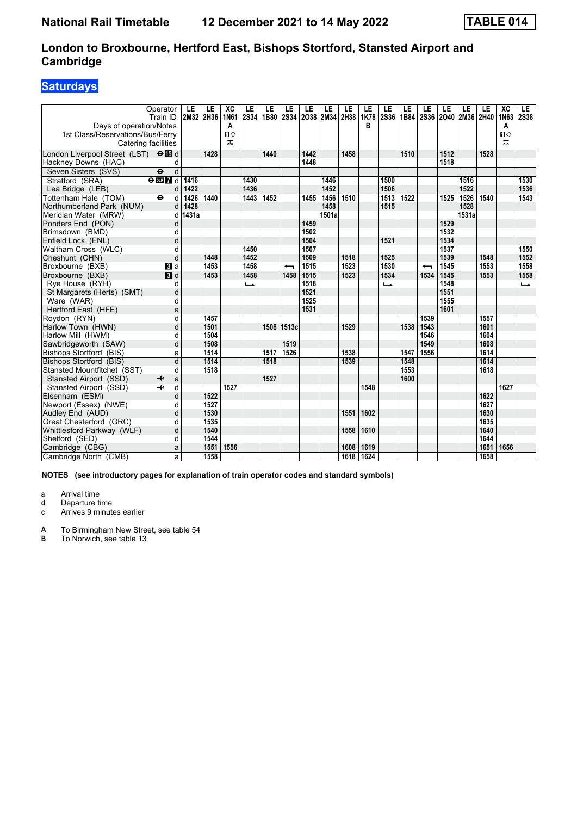# **Saturdays**

| Days of operation/Notes<br>1st Class/Reservations/Bus/Ferry<br>Catering facilities | Operator<br>Train ID          | LE    | LE<br>2M32 2H36 | XC<br>1N61<br>A<br>$\mathbf{u}$<br>ᠼ | LE<br><b>2S34</b> | LE   | LE<br>1B80 2S34          | LE   | LE<br>2038 2M34 2H38 | LE   | LE<br>1K78<br>в | LE<br>2S36 | LE<br>1B84 | LE<br>2S36               | LE<br>2040 | LE<br>2M36 2H40 | LE   | XC<br>1N63<br>A<br>$\mathbf{u}$<br>ᠼ | LE<br><b>2S38</b> |
|------------------------------------------------------------------------------------|-------------------------------|-------|-----------------|--------------------------------------|-------------------|------|--------------------------|------|----------------------|------|-----------------|------------|------------|--------------------------|------------|-----------------|------|--------------------------------------|-------------------|
| London Liverpool Street (LST) <b>O</b> id                                          |                               |       | 1428            |                                      |                   | 1440 |                          | 1442 |                      | 1458 |                 |            | 1510       |                          | 1512       |                 | 1528 |                                      |                   |
| Hackney Downs (HAC)                                                                | d                             |       |                 |                                      |                   |      |                          | 1448 |                      |      |                 |            |            |                          | 1518       |                 |      |                                      |                   |
| Seven Sisters (SVS)                                                                | $\overline{\bullet}$<br>d     |       |                 |                                      |                   |      |                          |      |                      |      |                 |            |            |                          |            |                 |      |                                      |                   |
| Stratford (SRA)                                                                    | $\Theta$ DIR $\overline{7}$ d | 1416  |                 |                                      | 1430              |      |                          |      | 1446                 |      |                 | 1500       |            |                          |            | 1516            |      |                                      | 1530              |
| Lea Bridge (LEB)                                                                   | d                             | 1422  |                 |                                      | 1436              |      |                          |      | 1452                 |      |                 | 1506       |            |                          |            | 1522            |      |                                      | 1536              |
| Tottenham Hale (TOM)                                                               | $\ddot{\phantom{1}}$<br>d     | 1426  | 1440            |                                      | 1443              | 1452 |                          | 1455 | 1456                 | 1510 |                 | 1513       | 1522       |                          | 1525       | 1526            | 1540 |                                      | 1543              |
| Northumberland Park (NUM)                                                          | d                             | 1428  |                 |                                      |                   |      |                          |      | 1458                 |      |                 | 1515       |            |                          |            | 1528            |      |                                      |                   |
| Meridian Water (MRW)                                                               | d                             | 1431a |                 |                                      |                   |      |                          |      | 1501a                |      |                 |            |            |                          |            | 1531a           |      |                                      |                   |
| Ponders End (PON)                                                                  | d                             |       |                 |                                      |                   |      |                          | 1459 |                      |      |                 |            |            |                          | 1529       |                 |      |                                      |                   |
| Brimsdown (BMD)                                                                    | d                             |       |                 |                                      |                   |      |                          | 1502 |                      |      |                 |            |            |                          | 1532       |                 |      |                                      |                   |
| Enfield Lock (ENL)                                                                 | d                             |       |                 |                                      |                   |      |                          | 1504 |                      |      |                 | 1521       |            |                          | 1534       |                 |      |                                      |                   |
| Waltham Cross (WLC)                                                                | d                             |       |                 |                                      | 1450              |      |                          | 1507 |                      |      |                 |            |            |                          | 1537       |                 |      |                                      | 1550              |
| Cheshunt (CHN)                                                                     | d                             |       | 1448            |                                      | 1452              |      |                          | 1509 |                      | 1518 |                 | 1525       |            |                          | 1539       |                 | 1548 |                                      | 1552              |
| Broxbourne (BXB)                                                                   | <b>3</b> a                    |       | 1453            |                                      | 1458              |      | $\overline{\phantom{0}}$ | 1515 |                      | 1523 |                 | 1530       |            | $\overline{\phantom{0}}$ | 1545       |                 | 1553 |                                      | 1558              |
| Broxbourne (BXB)                                                                   | <b>B</b> d                    |       | 1453            |                                      | 1458              |      | 1458                     | 1515 |                      | 1523 |                 | 1534       |            | 1534                     | 1545       |                 | 1553 |                                      | 1558              |
| Rye House (RYH)                                                                    | d                             |       |                 |                                      | $\rightarrow$     |      |                          | 1518 |                      |      |                 | د          |            |                          | 1548       |                 |      |                                      | $\rightarrow$     |
| St Margarets (Herts) (SMT)                                                         | d                             |       |                 |                                      |                   |      |                          | 1521 |                      |      |                 |            |            |                          | 1551       |                 |      |                                      |                   |
| Ware (WAR)                                                                         | d                             |       |                 |                                      |                   |      |                          | 1525 |                      |      |                 |            |            |                          | 1555       |                 |      |                                      |                   |
| Hertford East (HFE)                                                                | a                             |       |                 |                                      |                   |      |                          | 1531 |                      |      |                 |            |            |                          | 1601       |                 |      |                                      |                   |
| Roydon (RYN)                                                                       | $\overline{\mathsf{d}}$       |       | 1457            |                                      |                   |      |                          |      |                      |      |                 |            |            | 1539                     |            |                 | 1557 |                                      |                   |
| Harlow Town (HWN)                                                                  | d                             |       | 1501            |                                      |                   |      | 1508 1513c               |      |                      | 1529 |                 |            | 1538       | 1543                     |            |                 | 1601 |                                      |                   |
| Harlow Mill (HWM)                                                                  | d                             |       | 1504            |                                      |                   |      |                          |      |                      |      |                 |            |            | 1546                     |            |                 | 1604 |                                      |                   |
| Sawbridgeworth (SAW)                                                               | d                             |       | 1508            |                                      |                   |      | 1519                     |      |                      |      |                 |            |            | 1549                     |            |                 | 1608 |                                      |                   |
| Bishops Stortford (BIS)                                                            | a                             |       | 1514            |                                      |                   | 1517 | 1526                     |      |                      | 1538 |                 |            | 1547       | 1556                     |            |                 | 1614 |                                      |                   |
| <b>Bishops Stortford (BIS)</b>                                                     | $\overline{d}$                |       | 1514            |                                      |                   | 1518 |                          |      |                      | 1539 |                 |            | 1548       |                          |            |                 | 1614 |                                      |                   |
| Stansted Mountfitchet (SST)                                                        | d                             |       | 1518            |                                      |                   |      |                          |      |                      |      |                 |            | 1553       |                          |            |                 | 1618 |                                      |                   |
| Stansted Airport (SSD)                                                             | a<br>↞                        |       |                 |                                      |                   | 1527 |                          |      |                      |      |                 |            | 1600       |                          |            |                 |      |                                      |                   |
| Stansted Airport (SSD)                                                             | $\overline{\mathbf{r}}$<br>d  |       |                 | 1527                                 |                   |      |                          |      |                      |      | 1548            |            |            |                          |            |                 |      | 1627                                 |                   |
| Elsenham (ESM)                                                                     | d                             |       | 1522            |                                      |                   |      |                          |      |                      |      |                 |            |            |                          |            |                 | 1622 |                                      |                   |
| Newport (Essex) (NWE)                                                              | d                             |       | 1527            |                                      |                   |      |                          |      |                      |      |                 |            |            |                          |            |                 | 1627 |                                      |                   |
| Audley End (AUD)                                                                   | d                             |       | 1530            |                                      |                   |      |                          |      |                      | 1551 | 1602            |            |            |                          |            |                 | 1630 |                                      |                   |
| Great Chesterford (GRC)                                                            | d                             |       | 1535            |                                      |                   |      |                          |      |                      |      |                 |            |            |                          |            |                 | 1635 |                                      |                   |
| Whittlesford Parkway (WLF)                                                         | d                             |       | 1540            |                                      |                   |      |                          |      |                      | 1558 | 1610            |            |            |                          |            |                 | 1640 |                                      |                   |
| Shelford (SED)                                                                     | d                             |       | 1544            |                                      |                   |      |                          |      |                      |      |                 |            |            |                          |            |                 | 1644 |                                      |                   |
| Cambridge (CBG)                                                                    | a                             |       | 1551            | 1556                                 |                   |      |                          |      |                      | 1608 | 1619            |            |            |                          |            |                 | 1651 | 1656                                 |                   |
| Cambridge North (CMB)                                                              | a                             |       | 1558            |                                      |                   |      |                          |      |                      | 1618 | 1624            |            |            |                          |            |                 | 1658 |                                      |                   |

**NOTES (see introductory pages for explanation of train operator codes and standard symbols)**

**a** Arrival time<br>**d** Departure ti

**d** Departure time

**c** Arrives 9 minutes earlier

**A** To Birmingham New Street, see table 54<br>**B** To Norwich, see table 13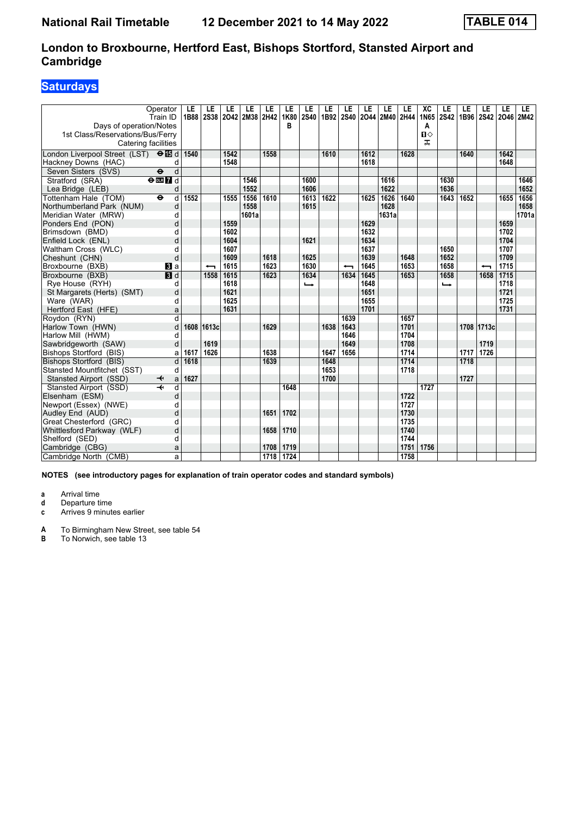# **Saturdays**

| Days of operation/Notes<br>1st Class/Reservations/Bus/Ferry<br>Catering facilities | Operator<br>Train ID         | LE<br>1B88 | LE<br>2S38 | LE   | LE<br>2042 2M38 | LE<br>2H42 | LE<br>1K80<br>в | LE<br>2S40 | LE<br>1B92 | LE<br><b>2S40</b>        | LE   | LE<br>2044 2M40 2H44 | LE   | XC<br>1N65<br>A<br>Ⅱ◇<br>ᠼ | LE<br><b>2S42</b> | LE<br>1B96 2S42 | LE                       | LE<br>2046 2M42 | LE.   |
|------------------------------------------------------------------------------------|------------------------------|------------|------------|------|-----------------|------------|-----------------|------------|------------|--------------------------|------|----------------------|------|----------------------------|-------------------|-----------------|--------------------------|-----------------|-------|
| London Liverpool Street (LST) $\Theta$ <b>is</b> d                                 |                              | 1540       |            | 1542 |                 | 1558       |                 |            | 1610       |                          | 1612 |                      | 1628 |                            |                   | 1640            |                          | 1642            |       |
| Hackney Downs (HAC)                                                                | d                            |            |            | 1548 |                 |            |                 |            |            |                          | 1618 |                      |      |                            |                   |                 |                          | 1648            |       |
| Seven Sisters (SVS)                                                                | $\overline{\mathbf{e}}$<br>d |            |            |      |                 |            |                 |            |            |                          |      |                      |      |                            |                   |                 |                          |                 |       |
| Stratford (SRA)                                                                    | $\Theta$ <b>ER</b> $d$       |            |            |      | 1546            |            |                 | 1600       |            |                          |      | 1616                 |      |                            | 1630              |                 |                          |                 | 1646  |
| Lea Bridge (LEB)                                                                   | d                            |            |            |      | 1552            |            |                 | 1606       |            |                          |      | 1622                 |      |                            | 1636              |                 |                          |                 | 1652  |
| Tottenham Hale (TOM)                                                               | $\ddot{\mathbf{e}}$<br>d     | 1552       |            | 1555 | 1556            | 1610       |                 | 1613       | 1622       |                          | 1625 | 1626                 | 1640 |                            | 1643              | 1652            |                          | 1655            | 1656  |
| Northumberland Park (NUM)                                                          | d                            |            |            |      | 1558            |            |                 | 1615       |            |                          |      | 1628                 |      |                            |                   |                 |                          |                 | 1658  |
| Meridian Water (MRW)                                                               | d                            |            |            |      | 1601a           |            |                 |            |            |                          |      | 1631a                |      |                            |                   |                 |                          |                 | 1701a |
| Ponders End (PON)                                                                  | d                            |            |            | 1559 |                 |            |                 |            |            |                          | 1629 |                      |      |                            |                   |                 |                          | 1659            |       |
| Brimsdown (BMD)                                                                    | d                            |            |            | 1602 |                 |            |                 |            |            |                          | 1632 |                      |      |                            |                   |                 |                          | 1702            |       |
| Enfield Lock (ENL)                                                                 | d                            |            |            | 1604 |                 |            |                 | 1621       |            |                          | 1634 |                      |      |                            |                   |                 |                          | 1704            |       |
| Waltham Cross (WLC)                                                                | d                            |            |            | 1607 |                 |            |                 |            |            |                          | 1637 |                      |      |                            | 1650              |                 |                          | 1707            |       |
| Cheshunt (CHN)                                                                     | d                            |            |            | 1609 |                 | 1618       |                 | 1625       |            |                          | 1639 |                      | 1648 |                            | 1652              |                 |                          | 1709            |       |
| Broxbourne (BXB)                                                                   | <b>B</b> la                  |            | ↽          | 1615 |                 | 1623       |                 | 1630       |            | $\overline{\phantom{0}}$ | 1645 |                      | 1653 |                            | 1658              |                 | $\overline{\phantom{0}}$ | 1715            |       |
| Broxbourne (BXB)                                                                   | $\overline{\mathbf{B}}$ d    |            | 1558       | 1615 |                 | 1623       |                 | 1634       |            | 1634                     | 1645 |                      | 1653 |                            | 1658              |                 | 1658                     | 1715            |       |
| Rye House (RYH)                                                                    | d                            |            |            | 1618 |                 |            |                 | ↳          |            |                          | 1648 |                      |      |                            | ↳                 |                 |                          | 1718            |       |
| St Margarets (Herts) (SMT)                                                         | d                            |            |            | 1621 |                 |            |                 |            |            |                          | 1651 |                      |      |                            |                   |                 |                          | 1721            |       |
| Ware (WAR)                                                                         | d                            |            |            | 1625 |                 |            |                 |            |            |                          | 1655 |                      |      |                            |                   |                 |                          | 1725            |       |
| Hertford East (HFE)                                                                | a                            |            |            | 1631 |                 |            |                 |            |            |                          | 1701 |                      |      |                            |                   |                 |                          | 1731            |       |
| Rovdon (RYN)                                                                       | $\overline{d}$               |            |            |      |                 |            |                 |            |            | 1639                     |      |                      | 1657 |                            |                   |                 |                          |                 |       |
| Harlow Town (HWN)                                                                  | d                            | 1608       | 1613c      |      |                 | 1629       |                 |            | 1638       | 1643                     |      |                      | 1701 |                            |                   |                 | 1708 1713c               |                 |       |
| Harlow Mill (HWM)                                                                  | d                            |            |            |      |                 |            |                 |            |            | 1646                     |      |                      | 1704 |                            |                   |                 |                          |                 |       |
| Sawbridgeworth (SAW)                                                               | d                            |            | 1619       |      |                 |            |                 |            |            | 1649                     |      |                      | 1708 |                            |                   |                 | 1719                     |                 |       |
| Bishops Stortford (BIS)                                                            | a                            | 1617       | 1626       |      |                 | 1638       |                 |            | 1647       | 1656                     |      |                      | 1714 |                            |                   | 1717            | 1726                     |                 |       |
| Bishops Stortford (BIS)                                                            | d                            | 1618       |            |      |                 | 1639       |                 |            | 1648       |                          |      |                      | 1714 |                            |                   | 1718            |                          |                 |       |
| Stansted Mountfitchet (SST)                                                        | d                            |            |            |      |                 |            |                 |            | 1653       |                          |      |                      | 1718 |                            |                   |                 |                          |                 |       |
| Stansted Airport (SSD)                                                             | a<br>↞                       | 1627       |            |      |                 |            |                 |            | 1700       |                          |      |                      |      |                            |                   | 1727            |                          |                 |       |
| Stansted Airport (SSD)                                                             | $\overline{+}$<br>d          |            |            |      |                 |            | 1648            |            |            |                          |      |                      |      | 1727                       |                   |                 |                          |                 |       |
| Elsenham (ESM)                                                                     | d                            |            |            |      |                 |            |                 |            |            |                          |      |                      | 1722 |                            |                   |                 |                          |                 |       |
| Newport (Essex) (NWE)                                                              | d                            |            |            |      |                 |            |                 |            |            |                          |      |                      | 1727 |                            |                   |                 |                          |                 |       |
| Audley End (AUD)                                                                   | d                            |            |            |      |                 | 1651       | 1702            |            |            |                          |      |                      | 1730 |                            |                   |                 |                          |                 |       |
| Great Chesterford (GRC)                                                            | d                            |            |            |      |                 |            |                 |            |            |                          |      |                      | 1735 |                            |                   |                 |                          |                 |       |
| Whittlesford Parkway (WLF)                                                         | d                            |            |            |      |                 | 1658       | 1710            |            |            |                          |      |                      | 1740 |                            |                   |                 |                          |                 |       |
| Shelford (SED)                                                                     | d                            |            |            |      |                 |            |                 |            |            |                          |      |                      | 1744 |                            |                   |                 |                          |                 |       |
| Cambridge (CBG)                                                                    | a                            |            |            |      |                 | 1708       | 1719            |            |            |                          |      |                      | 1751 | 1756                       |                   |                 |                          |                 |       |
| Cambridge North (CMB)                                                              | a                            |            |            |      |                 | 1718       | 1724            |            |            |                          |      |                      | 1758 |                            |                   |                 |                          |                 |       |

**NOTES (see introductory pages for explanation of train operator codes and standard symbols)**

**a** Arrival time<br>**d** Departure ti

**d** Departure time

**c** Arrives 9 minutes earlier

**A** To Birmingham New Street, see table 54<br>**B** To Norwich, see table 13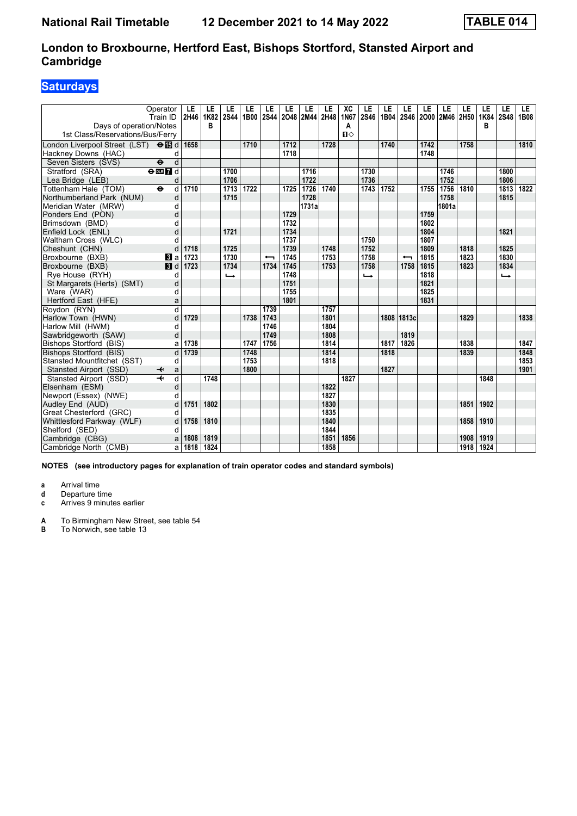# **Saturdays**

| Operator<br>Days of operation/Notes         | Train ID                     | LE<br>2H46 | LE<br>1K82<br>в | LE<br><b>2S44</b> | LE<br>1B00 | LE<br><b>2S44</b>        | LE   | LE<br>2048 2M44 2H48 | LE   | XC<br>1N67        | LE<br>2S46 | LE<br>1B04 | LE                       | LE<br>2S46 2000 2M46 | LE    | LE<br>2H50 | LE<br>1K84<br>в | LE<br><b>2S48</b> | LE.<br><b>1B08</b> |
|---------------------------------------------|------------------------------|------------|-----------------|-------------------|------------|--------------------------|------|----------------------|------|-------------------|------------|------------|--------------------------|----------------------|-------|------------|-----------------|-------------------|--------------------|
| 1st Class/Reservations/Bus/Ferry            |                              |            |                 |                   |            |                          |      |                      |      | Α<br>$\mathbf{u}$ |            |            |                          |                      |       |            |                 |                   |                    |
| London Liverpool Street (LST) <b>⊖ iB</b> d |                              | 1658       |                 |                   | 1710       |                          | 1712 |                      | 1728 |                   |            | 1740       |                          | 1742                 |       | 1758       |                 |                   | 1810               |
| Hackney Downs (HAC)                         | d                            |            |                 |                   |            |                          | 1718 |                      |      |                   |            |            |                          | 1748                 |       |            |                 |                   |                    |
| Seven Sisters (SVS)<br>$\ddot{\mathbf{e}}$  | d                            |            |                 |                   |            |                          |      |                      |      |                   |            |            |                          |                      |       |            |                 |                   |                    |
| Stratford (SRA)                             | $\Theta$ DE $\overline{7}$ d |            |                 | 1700              |            |                          |      | 1716                 |      |                   | 1730       |            |                          |                      | 1746  |            |                 | 1800              |                    |
| Lea Bridge (LEB)                            | d                            |            |                 | 1706              |            |                          |      | 1722                 |      |                   | 1736       |            |                          |                      | 1752  |            |                 | 1806              |                    |
| Tottenham Hale (TOM)<br>$\ddot{\mathbf{e}}$ | d                            | 1710       |                 | 1713              | 1722       |                          | 1725 | 1726                 | 1740 |                   | 1743       | 1752       |                          | 1755                 | 1756  | 1810       |                 | 1813              | 1822               |
| Northumberland Park (NUM)                   | d                            |            |                 | 1715              |            |                          |      | 1728                 |      |                   |            |            |                          |                      | 1758  |            |                 | 1815              |                    |
| Meridian Water (MRW)                        | d                            |            |                 |                   |            |                          |      | 1731a                |      |                   |            |            |                          |                      | 1801a |            |                 |                   |                    |
| Ponders End (PON)                           | d                            |            |                 |                   |            |                          | 1729 |                      |      |                   |            |            |                          | 1759                 |       |            |                 |                   |                    |
| Brimsdown (BMD)                             | d                            |            |                 |                   |            |                          | 1732 |                      |      |                   |            |            |                          | 1802                 |       |            |                 |                   |                    |
| Enfield Lock (ENL)                          | d                            |            |                 | 1721              |            |                          | 1734 |                      |      |                   |            |            |                          | 1804                 |       |            |                 | 1821              |                    |
| Waltham Cross (WLC)                         | d                            |            |                 |                   |            |                          | 1737 |                      |      |                   | 1750       |            |                          | 1807                 |       |            |                 |                   |                    |
| Cheshunt (CHN)                              | d                            | 1718       |                 | 1725              |            |                          | 1739 |                      | 1748 |                   | 1752       |            |                          | 1809                 |       | 1818       |                 | 1825              |                    |
| Broxbourne (BXB)                            | $\bf{B}$ a                   | 1723       |                 | 1730              |            | $\overline{\phantom{0}}$ | 1745 |                      | 1753 |                   | 1758       |            | $\overline{\phantom{0}}$ | 1815                 |       | 1823       |                 | 1830              |                    |
| Broxbourne (BXB)                            | $\blacksquare$               | 1723       |                 | 1734              |            | 1734                     | 1745 |                      | 1753 |                   | 1758       |            | 1758                     | 1815                 |       | 1823       |                 | 1834              |                    |
| Rye House (RYH)                             | d                            |            |                 | $\rightarrow$     |            |                          | 1748 |                      |      |                   | ↳          |            |                          | 1818                 |       |            |                 | $\rightarrow$     |                    |
| St Margarets (Herts) (SMT)                  | d                            |            |                 |                   |            |                          | 1751 |                      |      |                   |            |            |                          | 1821                 |       |            |                 |                   |                    |
| Ware (WAR)                                  | d                            |            |                 |                   |            |                          | 1755 |                      |      |                   |            |            |                          | 1825                 |       |            |                 |                   |                    |
| Hertford East (HFE)                         | a                            |            |                 |                   |            |                          | 1801 |                      |      |                   |            |            |                          | 1831                 |       |            |                 |                   |                    |
| Roydon (RYN)                                | $\overline{d}$               |            |                 |                   |            | 1739                     |      |                      | 1757 |                   |            |            |                          |                      |       |            |                 |                   |                    |
| Harlow Town (HWN)                           | d                            | 1729       |                 |                   | 1738       | 1743                     |      |                      | 1801 |                   |            |            | 1808 1813c               |                      |       | 1829       |                 |                   | 1838               |
| Harlow Mill (HWM)                           | d                            |            |                 |                   |            | 1746                     |      |                      | 1804 |                   |            |            |                          |                      |       |            |                 |                   |                    |
| Sawbridgeworth (SAW)                        | d                            |            |                 |                   |            | 1749                     |      |                      | 1808 |                   |            |            | 1819                     |                      |       |            |                 |                   |                    |
| Bishops Stortford (BIS)                     | a                            | 1738       |                 |                   | 1747       | 1756                     |      |                      | 1814 |                   |            | 1817       | 1826                     |                      |       | 1838       |                 |                   | 1847               |
| Bishops Stortford (BIS)                     | d                            | 1739       |                 |                   | 1748       |                          |      |                      | 1814 |                   |            | 1818       |                          |                      |       | 1839       |                 |                   | 1848               |
| Stansted Mountfitchet (SST)                 | d                            |            |                 |                   | 1753       |                          |      |                      | 1818 |                   |            |            |                          |                      |       |            |                 |                   | 1853               |
| Stansted Airport (SSD)                      | a                            |            |                 |                   | 1800       |                          |      |                      |      |                   |            | 1827       |                          |                      |       |            |                 |                   | 1901               |
| Stansted Airport (SSD)                      | d                            |            | 1748            |                   |            |                          |      |                      |      | 1827              |            |            |                          |                      |       |            | 1848            |                   |                    |
| Elsenham (ESM)                              | d                            |            |                 |                   |            |                          |      |                      | 1822 |                   |            |            |                          |                      |       |            |                 |                   |                    |
| Newport (Essex) (NWE)                       | d                            |            |                 |                   |            |                          |      |                      | 1827 |                   |            |            |                          |                      |       |            |                 |                   |                    |
| Audley End (AUD)                            | d                            | 1751       | 1802            |                   |            |                          |      |                      | 1830 |                   |            |            |                          |                      |       | 1851       | 1902            |                   |                    |
| Great Chesterford (GRC)                     | d                            |            |                 |                   |            |                          |      |                      | 1835 |                   |            |            |                          |                      |       |            |                 |                   |                    |
| Whittlesford Parkway (WLF)                  | d                            | 1758       | 1810            |                   |            |                          |      |                      | 1840 |                   |            |            |                          |                      |       | 1858       | 1910            |                   |                    |
| Shelford (SED)                              | d                            |            |                 |                   |            |                          |      |                      | 1844 |                   |            |            |                          |                      |       |            |                 |                   |                    |
| Cambridge (CBG)                             | a                            | 1808       | 1819            |                   |            |                          |      |                      | 1851 | 1856              |            |            |                          |                      |       | 1908       | 1919            |                   |                    |
| Cambridge North (CMB)                       | a                            | 1818       | 1824            |                   |            |                          |      |                      | 1858 |                   |            |            |                          |                      |       | 1918       | 1924            |                   |                    |

**NOTES (see introductory pages for explanation of train operator codes and standard symbols)**

**a** Arrival time

**d** Departure time<br>**c** Arrives 9 minute

Arrives 9 minutes earlier

**A** To Birmingham New Street, see table 54<br>**B** To Norwich, see table 13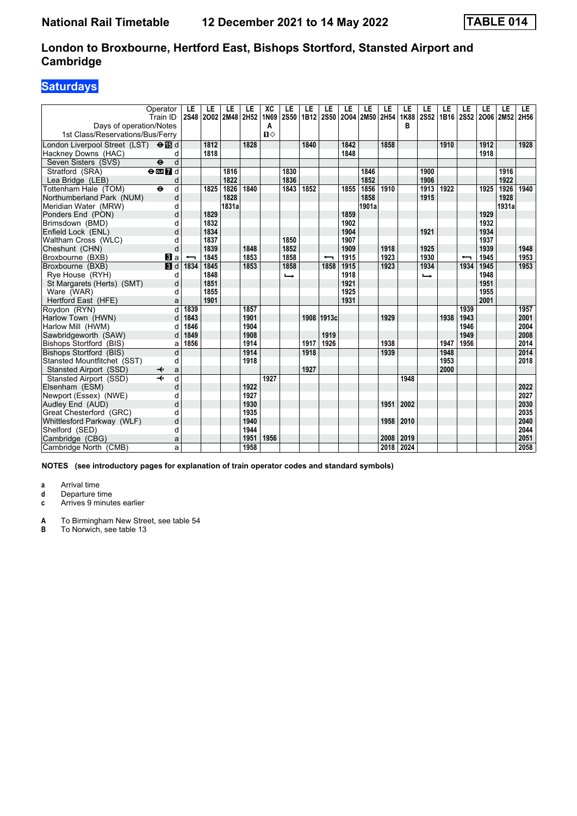# **Saturdays**

| Operator<br>Train ID<br>Days of operation/Notes<br>1st Class/Reservations/Bus/Ferry              |                | LE<br><b>2S48</b> | LE           | LE<br>2002 2M48 | LE<br>2H52 | XC<br>1N69<br>Α<br>Ⅱ◇ | LE<br><b>2S50</b> | LE<br>1B12 | LE<br><b>2S50</b>        | LE<br>2004   | LE<br>2M50 2H54 | LE   | LE<br>1K88<br>в | LE<br><b>2S52</b> | LE   | LE<br>1B16 2S52 2O06 2M52 | LE           | LE    | LE.<br>2H56 |
|--------------------------------------------------------------------------------------------------|----------------|-------------------|--------------|-----------------|------------|-----------------------|-------------------|------------|--------------------------|--------------|-----------------|------|-----------------|-------------------|------|---------------------------|--------------|-------|-------------|
| London Liverpool Street (LST) <b>⊖ iB</b> d<br>Hackney Downs (HAC)                               | d              |                   | 1812<br>1818 |                 | 1828       |                       |                   | 1840       |                          | 1842<br>1848 |                 | 1858 |                 |                   | 1910 |                           | 1912<br>1918 |       | 1928        |
| Seven Sisters (SVS)<br>$\ddot{\boldsymbol{\Theta}}$<br>Stratford (SRA)<br>$\Theta$ or $\bf{Z}$ d | d              |                   |              |                 |            |                       | 1830              |            |                          |              | 1846            |      |                 |                   |      |                           |              | 1916  |             |
| Lea Bridge (LEB)                                                                                 | d              |                   |              | 1816<br>1822    |            |                       | 1836              |            |                          |              | 1852            |      |                 | 1900<br>1906      |      |                           |              | 1922  |             |
| Tottenham Hale (TOM)<br>$\ddot{\mathbf{e}}$                                                      | d              |                   | 1825         | 1826            | 1840       |                       | 1843              | 1852       |                          | 1855         | 1856            | 1910 |                 | 1913              | 1922 |                           | 1925         | 1926  | 1940        |
| Northumberland Park (NUM)                                                                        | d              |                   |              | 1828            |            |                       |                   |            |                          |              | 1858            |      |                 | 1915              |      |                           |              | 1928  |             |
| Meridian Water (MRW)                                                                             | d              |                   |              | 1831a           |            |                       |                   |            |                          |              | 1901a           |      |                 |                   |      |                           |              | 1931a |             |
| Ponders End (PON)                                                                                | d              |                   | 1829         |                 |            |                       |                   |            |                          | 1859         |                 |      |                 |                   |      |                           | 1929         |       |             |
| Brimsdown (BMD)                                                                                  | d              |                   | 1832         |                 |            |                       |                   |            |                          | 1902         |                 |      |                 |                   |      |                           | 1932         |       |             |
| Enfield Lock (ENL)                                                                               | d              |                   | 1834         |                 |            |                       |                   |            |                          | 1904         |                 |      |                 | 1921              |      |                           | 1934         |       |             |
| Waltham Cross (WLC)                                                                              | d              |                   | 1837         |                 |            |                       | 1850              |            |                          | 1907         |                 |      |                 |                   |      |                           | 1937         |       |             |
| Cheshunt (CHN)                                                                                   | d              |                   | 1839         |                 | 1848       |                       | 1852              |            |                          | 1909         |                 | 1918 |                 | 1925              |      |                           | 1939         |       | 1948        |
| Broxbourne (BXB)                                                                                 | <b>B</b> a     |                   | 1845         |                 | 1853       |                       | 1858              |            | $\overline{\phantom{0}}$ | 1915         |                 | 1923 |                 | 1930              |      | ↽                         | 1945         |       | 1953        |
| Broxbourne (BXB)                                                                                 | $\blacksquare$ | 1834              | 1845         |                 | 1853       |                       | 1858              |            | 1858                     | 1915         |                 | 1923 |                 | 1934              |      | 1934                      | 1945         |       | 1953        |
| Rye House (RYH)                                                                                  | d              |                   | 1848         |                 |            |                       | $\rightarrow$     |            |                          | 1918         |                 |      |                 | ←                 |      |                           | 1948         |       |             |
| St Margarets (Herts) (SMT)                                                                       | d              |                   | 1851         |                 |            |                       |                   |            |                          | 1921         |                 |      |                 |                   |      |                           | 1951         |       |             |
| Ware (WAR)                                                                                       | d              |                   | 1855         |                 |            |                       |                   |            |                          | 1925         |                 |      |                 |                   |      |                           | 1955         |       |             |
| Hertford East (HFE)                                                                              | a              |                   | 1901         |                 |            |                       |                   |            |                          | 1931         |                 |      |                 |                   |      |                           | 2001         |       |             |
| Roydon (RYN)                                                                                     | d              | 1839              |              |                 | 1857       |                       |                   |            |                          |              |                 |      |                 |                   |      | 1939                      |              |       | 1957        |
| Harlow Town (HWN)                                                                                | d              | 1843              |              |                 | 1901       |                       |                   |            | 1908 1913c               |              |                 | 1929 |                 |                   | 1938 | 1943                      |              |       | 2001        |
| Harlow Mill (HWM)                                                                                | d              | 1846              |              |                 | 1904       |                       |                   |            |                          |              |                 |      |                 |                   |      | 1946                      |              |       | 2004        |
| Sawbridgeworth (SAW)                                                                             | d              | 1849              |              |                 | 1908       |                       |                   |            | 1919                     |              |                 |      |                 |                   |      | 1949                      |              |       | 2008        |
| Bishops Stortford (BIS)                                                                          | a              | 1856              |              |                 | 1914       |                       |                   | 1917       | 1926                     |              |                 | 1938 |                 |                   | 1947 | 1956                      |              |       | 2014        |
| Bishops Stortford (BIS)                                                                          | d              |                   |              |                 | 1914       |                       |                   | 1918       |                          |              |                 | 1939 |                 |                   | 1948 |                           |              |       | 2014        |
| Stansted Mountfitchet (SST)                                                                      | d              |                   |              |                 | 1918       |                       |                   |            |                          |              |                 |      |                 |                   | 1953 |                           |              |       | 2018        |
| Stansted Airport (SSD)<br>↞                                                                      | a              |                   |              |                 |            |                       |                   | 1927       |                          |              |                 |      |                 |                   | 2000 |                           |              |       |             |
| Stansted Airport (SSD)                                                                           | d              |                   |              |                 |            | 1927                  |                   |            |                          |              |                 |      | 1948            |                   |      |                           |              |       |             |
| Elsenham (ESM)                                                                                   | d              |                   |              |                 | 1922       |                       |                   |            |                          |              |                 |      |                 |                   |      |                           |              |       | 2022        |
| Newport (Essex) (NWE)                                                                            | d              |                   |              |                 | 1927       |                       |                   |            |                          |              |                 |      |                 |                   |      |                           |              |       | 2027        |
| Audley End (AUD)                                                                                 | d              |                   |              |                 | 1930       |                       |                   |            |                          |              |                 | 1951 | 2002            |                   |      |                           |              |       | 2030        |
| Great Chesterford (GRC)                                                                          | d              |                   |              |                 | 1935       |                       |                   |            |                          |              |                 |      |                 |                   |      |                           |              |       | 2035        |
| Whittlesford Parkway (WLF)                                                                       | d              |                   |              |                 | 1940       |                       |                   |            |                          |              |                 | 1958 | 2010            |                   |      |                           |              |       | 2040        |
| Shelford (SED)                                                                                   | d              |                   |              |                 | 1944       |                       |                   |            |                          |              |                 |      |                 |                   |      |                           |              |       | 2044        |
| Cambridge (CBG)                                                                                  | a              |                   |              |                 | 1951       | 1956                  |                   |            |                          |              |                 | 2008 | 2019            |                   |      |                           |              |       | 2051        |
| Cambridge North (CMB)                                                                            | a              |                   |              |                 | 1958       |                       |                   |            |                          |              |                 | 2018 | 2024            |                   |      |                           |              |       | 2058        |

**NOTES (see introductory pages for explanation of train operator codes and standard symbols)**

**a** Arrival time

**d** Departure time<br>**c** Arrives 9 minute

Arrives 9 minutes earlier

**A** To Birmingham New Street, see table 54<br>**B** To Norwich, see table 13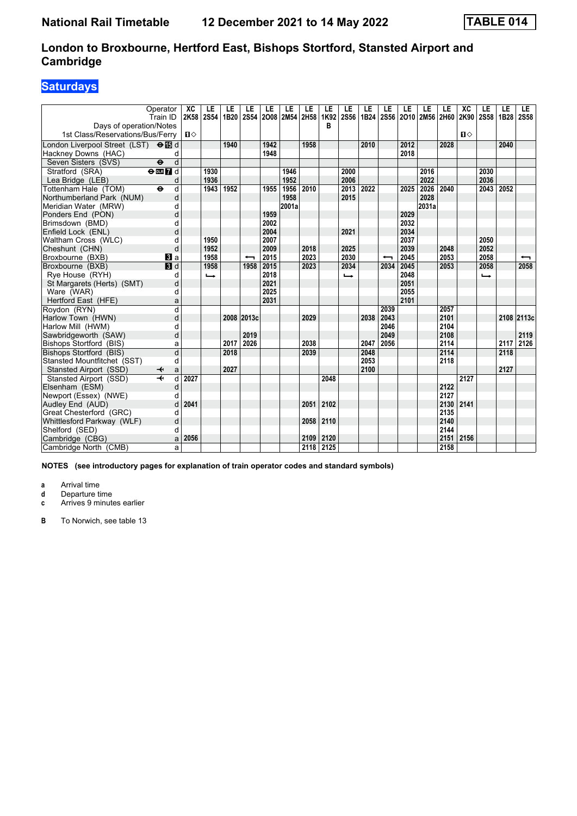# **Saturdays**

|                                                             | Operator<br>Train ID              | XC<br>2K58   | LE<br><b>2S54</b> | LE<br>1B20 | LE<br><b>2S54</b>        | LE   | LE<br>2008 2M54 2H58 | LE   | LE<br>1K92 | LE<br><b>2S56</b> | LE<br>1B24 | LE<br><b>2S56</b>        | LE<br>2010 2M56 | LE    | LE<br>2H60 | XC<br>2K90 | LE<br><b>2S58</b> | LE<br>1B28 | <b>LE</b><br><b>2S58</b> |
|-------------------------------------------------------------|-----------------------------------|--------------|-------------------|------------|--------------------------|------|----------------------|------|------------|-------------------|------------|--------------------------|-----------------|-------|------------|------------|-------------------|------------|--------------------------|
| Davs of operation/Notes<br>1st Class/Reservations/Bus/Ferry |                                   | $\mathbf{u}$ |                   |            |                          |      |                      |      | в          |                   |            |                          |                 |       |            | п⇔         |                   |            |                          |
| London Liverpool Street (LST) <b>⊖ iB</b> d                 |                                   |              |                   | 1940       |                          | 1942 |                      | 1958 |            |                   | 2010       |                          | 2012            |       | 2028       |            |                   | 2040       |                          |
| Hackney Downs (HAC)                                         | d                                 |              |                   |            |                          | 1948 |                      |      |            |                   |            |                          | 2018            |       |            |            |                   |            |                          |
| Seven Sisters (SVS)                                         | d<br>$\ddot{\boldsymbol{\Theta}}$ |              |                   |            |                          |      |                      |      |            |                   |            |                          |                 |       |            |            |                   |            |                          |
| Stratford (SRA)                                             | $\Theta$ <b>ER</b>                |              | 1930              |            |                          |      | 1946                 |      |            | 2000              |            |                          |                 | 2016  |            |            | 2030              |            |                          |
| Lea Bridge (LEB)                                            | d                                 |              | 1936              |            |                          |      | 1952                 |      |            | 2006              |            |                          |                 | 2022  |            |            | 2036              |            |                          |
| Tottenham Hale (TOM)                                        | $\ddot{\mathbf{e}}$<br>d          |              | 1943              | 1952       |                          | 1955 | 1956                 | 2010 |            | 2013              | 2022       |                          | 2025            | 2026  | 2040       |            | 2043              | 2052       |                          |
| Northumberland Park (NUM)                                   | d                                 |              |                   |            |                          |      | 1958                 |      |            | 2015              |            |                          |                 | 2028  |            |            |                   |            |                          |
| Meridian Water (MRW)                                        | d                                 |              |                   |            |                          |      | 2001a                |      |            |                   |            |                          |                 | 2031a |            |            |                   |            |                          |
| Ponders End (PON)                                           | d                                 |              |                   |            |                          | 1959 |                      |      |            |                   |            |                          | 2029            |       |            |            |                   |            |                          |
| Brimsdown (BMD)                                             | d                                 |              |                   |            |                          | 2002 |                      |      |            |                   |            |                          | 2032            |       |            |            |                   |            |                          |
| Enfield Lock (ENL)                                          | d                                 |              |                   |            |                          | 2004 |                      |      |            | 2021              |            |                          | 2034            |       |            |            |                   |            |                          |
| Waltham Cross (WLC)                                         | d                                 |              | 1950              |            |                          | 2007 |                      |      |            |                   |            |                          | 2037            |       |            |            | 2050              |            |                          |
| Cheshunt (CHN)                                              | d                                 |              | 1952              |            |                          | 2009 |                      | 2018 |            | 2025              |            |                          | 2039            |       | 2048       |            | 2052              |            |                          |
| Broxbourne (BXB)                                            | <b>3</b> a                        |              | 1958              |            | $\overline{\phantom{0}}$ | 2015 |                      | 2023 |            | 2030              |            | $\overline{\phantom{0}}$ | 2045            |       | 2053       |            | 2058              |            | $\overline{\phantom{0}}$ |
| Broxbourne (BXB)                                            | <b>B</b> d                        |              | 1958              |            | 1958                     | 2015 |                      | 2023 |            | 2034              |            | 2034                     | 2045            |       | 2053       |            | 2058              |            | 2058                     |
| Rye House (RYH)                                             | d                                 |              | $\rightarrow$     |            |                          | 2018 |                      |      |            | ←                 |            |                          | 2048            |       |            |            | $\rightarrow$     |            |                          |
| St Margarets (Herts) (SMT)                                  | d                                 |              |                   |            |                          | 2021 |                      |      |            |                   |            |                          | 2051            |       |            |            |                   |            |                          |
| Ware (WAR)                                                  | d                                 |              |                   |            |                          | 2025 |                      |      |            |                   |            |                          | 2055            |       |            |            |                   |            |                          |
| Hertford East (HFE)                                         | a                                 |              |                   |            |                          | 2031 |                      |      |            |                   |            |                          | 2101            |       |            |            |                   |            |                          |
| Roydon (RYN)                                                | $\overline{\mathsf{d}}$           |              |                   |            |                          |      |                      |      |            |                   |            | 2039                     |                 |       | 2057       |            |                   |            |                          |
| Harlow Town (HWN)                                           | d                                 |              |                   |            | 2008 2013c               |      |                      | 2029 |            |                   | 2038       | 2043                     |                 |       | 2101       |            |                   |            | 2108 2113c               |
| Harlow Mill (HWM)                                           | d                                 |              |                   |            |                          |      |                      |      |            |                   |            | 2046                     |                 |       | 2104       |            |                   |            |                          |
| Sawbridgeworth (SAW)                                        | d                                 |              |                   |            | 2019                     |      |                      |      |            |                   |            | 2049                     |                 |       | 2108       |            |                   |            | 2119                     |
| Bishops Stortford (BIS)                                     | a                                 |              |                   | 2017       | 2026                     |      |                      | 2038 |            |                   | 2047       | 2056                     |                 |       | 2114       |            |                   | 2117       | 2126                     |
| Bishops Stortford (BIS)                                     | d                                 |              |                   | 2018       |                          |      |                      | 2039 |            |                   | 2048       |                          |                 |       | 2114       |            |                   | 2118       |                          |
| Stansted Mountfitchet (SST)                                 | d                                 |              |                   |            |                          |      |                      |      |            |                   | 2053       |                          |                 |       | 2118       |            |                   |            |                          |
| Stansted Airport (SSD)                                      | a<br>↞                            |              |                   | 2027       |                          |      |                      |      |            |                   | 2100       |                          |                 |       |            |            |                   | 2127       |                          |
| Stansted Airport (SSD)                                      | d                                 | 2027         |                   |            |                          |      |                      |      | 2048       |                   |            |                          |                 |       |            | 2127       |                   |            |                          |
| Elsenham (ESM)                                              | d                                 |              |                   |            |                          |      |                      |      |            |                   |            |                          |                 |       | 2122       |            |                   |            |                          |
| Newport (Essex) (NWE)                                       | d                                 |              |                   |            |                          |      |                      |      |            |                   |            |                          |                 |       | 2127       |            |                   |            |                          |
| Audley End (AUD)                                            | d                                 | 2041         |                   |            |                          |      |                      | 2051 | 2102       |                   |            |                          |                 |       | 2130       | 2141       |                   |            |                          |
| Great Chesterford (GRC)                                     | d                                 |              |                   |            |                          |      |                      |      |            |                   |            |                          |                 |       | 2135       |            |                   |            |                          |
| Whittlesford Parkway (WLF)                                  | d                                 |              |                   |            |                          |      |                      | 2058 | 2110       |                   |            |                          |                 |       | 2140       |            |                   |            |                          |
| Shelford (SED)                                              | d                                 |              |                   |            |                          |      |                      |      |            |                   |            |                          |                 |       | 2144       |            |                   |            |                          |
| Cambridge (CBG)                                             | a                                 | 2056         |                   |            |                          |      |                      | 2109 | 2120       |                   |            |                          |                 |       | 2151       | 2156       |                   |            |                          |
| Cambridge North (CMB)                                       | a                                 |              |                   |            |                          |      |                      |      | 2118 2125  |                   |            |                          |                 |       | 2158       |            |                   |            |                          |

**NOTES (see introductory pages for explanation of train operator codes and standard symbols)**

**a** Arrival time

**d** Departure time<br>**c** Arrives 9 minute

Arrives 9 minutes earlier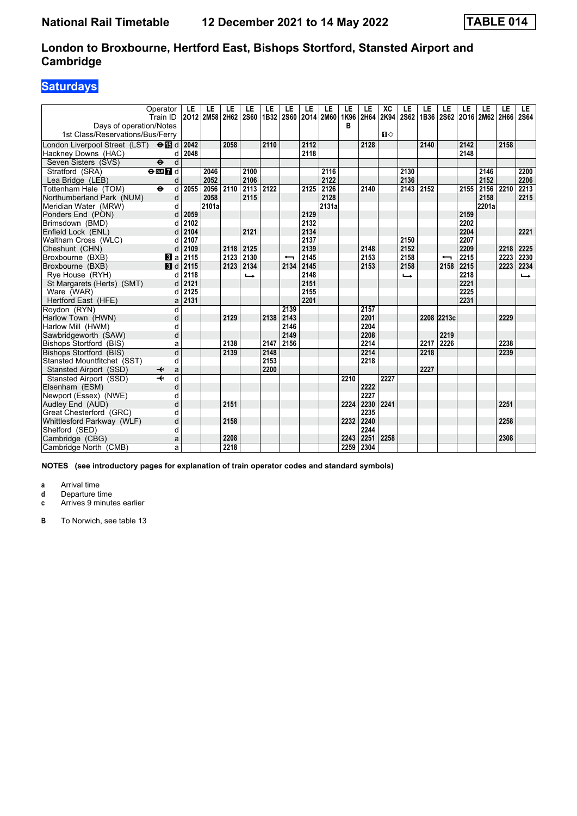# **Saturdays**

| Operator<br>Train ID                                        | LE<br>2012 | LE<br>2M58 | LE<br>2H62 | LE<br><b>2S60</b>        | LE<br>1B32 | LE                       | LE   | LE<br>2S60 2O14 2M60 | LE<br>1K96 | LE<br>2H64 | XC<br>2K94   | LE<br>2S62    | LE   | LE<br>1B36 2S62 2O16 2M62 2H66 | LE   | LE    | LE   | LE.<br><b>2S64</b> |
|-------------------------------------------------------------|------------|------------|------------|--------------------------|------------|--------------------------|------|----------------------|------------|------------|--------------|---------------|------|--------------------------------|------|-------|------|--------------------|
| Days of operation/Notes<br>1st Class/Reservations/Bus/Ferry |            |            |            |                          |            |                          |      |                      | в          |            | $\mathbf{u}$ |               |      |                                |      |       |      |                    |
| London Liverpool Street (LST) <b>⊖ iB</b> d                 | 2042       |            | 2058       |                          | 2110       |                          | 2112 |                      |            | 2128       |              |               | 2140 |                                | 2142 |       | 2158 |                    |
| Hackney Downs (HAC)<br>d                                    | 2048       |            |            |                          |            |                          | 2118 |                      |            |            |              |               |      |                                | 2148 |       |      |                    |
| d<br>$\ddot{\mathbf{e}}$<br>Seven Sisters (SVS)             |            |            |            |                          |            |                          |      |                      |            |            |              |               |      |                                |      |       |      |                    |
| Stratford (SRA)<br>$\overline{\Theta}$ or $\overline{7}$ d  |            | 2046       |            | 2100                     |            |                          |      | 2116                 |            |            |              | 2130          |      |                                |      | 2146  |      | 2200               |
| Lea Bridge (LEB)<br>d                                       |            | 2052       |            | 2106                     |            |                          |      | 2122                 |            |            |              | 2136          |      |                                |      | 2152  |      | 2206               |
| $\ddot{\mathbf{e}}$<br>d<br>Tottenham Hale (TOM)            | 2055       | 2056       | 2110       | 2113                     | 2122       |                          | 2125 | $\overline{2126}$    |            | 2140       |              | 2143          | 2152 |                                | 2155 | 2156  | 2210 | 2213               |
| d<br>Northumberland Park (NUM)                              |            | 2058       |            | 2115                     |            |                          |      | 2128                 |            |            |              |               |      |                                |      | 2158  |      | 2215               |
| Meridian Water (MRW)<br>d                                   |            | 2101a      |            |                          |            |                          |      | 2131a                |            |            |              |               |      |                                |      | 2201a |      |                    |
| Ponders End (PON)<br>d                                      | 2059       |            |            |                          |            |                          | 2129 |                      |            |            |              |               |      |                                | 2159 |       |      |                    |
| Brimsdown (BMD)<br>d                                        | 2102       |            |            |                          |            |                          | 2132 |                      |            |            |              |               |      |                                | 2202 |       |      |                    |
| Enfield Lock (ENL)<br>d                                     | 2104       |            |            | 2121                     |            |                          | 2134 |                      |            |            |              |               |      |                                | 2204 |       |      | 2221               |
| Waltham Cross (WLC)<br>d                                    | 2107       |            |            |                          |            |                          | 2137 |                      |            |            |              | 2150          |      |                                | 2207 |       |      |                    |
| d<br>Cheshunt (CHN)                                         | 2109       |            | 2118       | 2125                     |            |                          | 2139 |                      |            | 2148       |              | 2152          |      |                                | 2209 |       | 2218 | 2225               |
| Broxbourne (BXB)<br><b>B</b> la                             | 2115       |            | 2123       | 2130                     |            | $\overline{\phantom{0}}$ | 2145 |                      |            | 2153       |              | 2158          |      | $\overline{\phantom{0}}$       | 2215 |       | 2223 | 2230               |
| Broxbourne (BXB)<br>$\blacksquare$                          | 2115       |            | 2123       | 2134                     |            | 2134                     | 2145 |                      |            | 2153       |              | 2158          |      | 2158                           | 2215 |       | 2223 | 2234               |
| Rye House (RYH)<br>d                                        | 2118       |            |            | $\overline{\phantom{a}}$ |            |                          | 2148 |                      |            |            |              | $\rightarrow$ |      |                                | 2218 |       |      | $\rightarrow$      |
| St Margarets (Herts) (SMT)<br>d                             | 2121       |            |            |                          |            |                          | 2151 |                      |            |            |              |               |      |                                | 2221 |       |      |                    |
| Ware (WAR)<br>d                                             | 2125       |            |            |                          |            |                          | 2155 |                      |            |            |              |               |      |                                | 2225 |       |      |                    |
| Hertford East (HFE)<br>a                                    | 2131       |            |            |                          |            |                          | 2201 |                      |            |            |              |               |      |                                | 2231 |       |      |                    |
| Roydon (RYN)<br>d                                           |            |            |            |                          |            | 2139                     |      |                      |            | 2157       |              |               |      |                                |      |       |      |                    |
| d<br>Harlow Town (HWN)                                      |            |            | 2129       |                          | 2138       | 2143                     |      |                      |            | 2201       |              |               |      | 2208 2213c                     |      |       | 2229 |                    |
| Harlow Mill (HWM)<br>d                                      |            |            |            |                          |            | 2146                     |      |                      |            | 2204       |              |               |      |                                |      |       |      |                    |
| d<br>Sawbridgeworth (SAW)                                   |            |            |            |                          |            | 2149                     |      |                      |            | 2208       |              |               |      | 2219                           |      |       |      |                    |
| Bishops Stortford (BIS)<br>a                                |            |            | 2138       |                          | 2147       | 2156                     |      |                      |            | 2214       |              |               | 2217 | 2226                           |      |       | 2238 |                    |
| d<br>Bishops Stortford (BIS)                                |            |            | 2139       |                          | 2148       |                          |      |                      |            | 2214       |              |               | 2218 |                                |      |       | 2239 |                    |
| Stansted Mountfitchet (SST)<br>d                            |            |            |            |                          | 2153       |                          |      |                      |            | 2218       |              |               |      |                                |      |       |      |                    |
| Stansted Airport (SSD)<br>a<br>↞                            |            |            |            |                          | 2200       |                          |      |                      |            |            |              |               | 2227 |                                |      |       |      |                    |
| d<br>Stansted Airport (SSD)                                 |            |            |            |                          |            |                          |      |                      | 2210       |            | 2227         |               |      |                                |      |       |      |                    |
| Elsenham (ESM)<br>d                                         |            |            |            |                          |            |                          |      |                      |            | 2222       |              |               |      |                                |      |       |      |                    |
| Newport (Essex) (NWE)<br>d                                  |            |            |            |                          |            |                          |      |                      |            | 2227       |              |               |      |                                |      |       |      |                    |
| d<br>Audley End (AUD)                                       |            |            | 2151       |                          |            |                          |      |                      | 2224       | 2230       | 2241         |               |      |                                |      |       | 2251 |                    |
| Great Chesterford (GRC)<br>d                                |            |            |            |                          |            |                          |      |                      |            | 2235       |              |               |      |                                |      |       |      |                    |
| Whittlesford Parkway (WLF)<br>d                             |            |            | 2158       |                          |            |                          |      |                      | 2232       | 2240       |              |               |      |                                |      |       | 2258 |                    |
| Shelford (SED)<br>d                                         |            |            |            |                          |            |                          |      |                      |            | 2244       |              |               |      |                                |      |       |      |                    |
| Cambridge (CBG)<br>a                                        |            |            | 2208       |                          |            |                          |      |                      | 2243       | 2251       | 2258         |               |      |                                |      |       | 2308 |                    |
| a<br>Cambridge North (CMB)                                  |            |            | 2218       |                          |            |                          |      |                      | 2259       | 2304       |              |               |      |                                |      |       |      |                    |

**NOTES (see introductory pages for explanation of train operator codes and standard symbols)**

**a** Arrival time

**d** Departure time<br>**c** Arrives 9 minute

Arrives 9 minutes earlier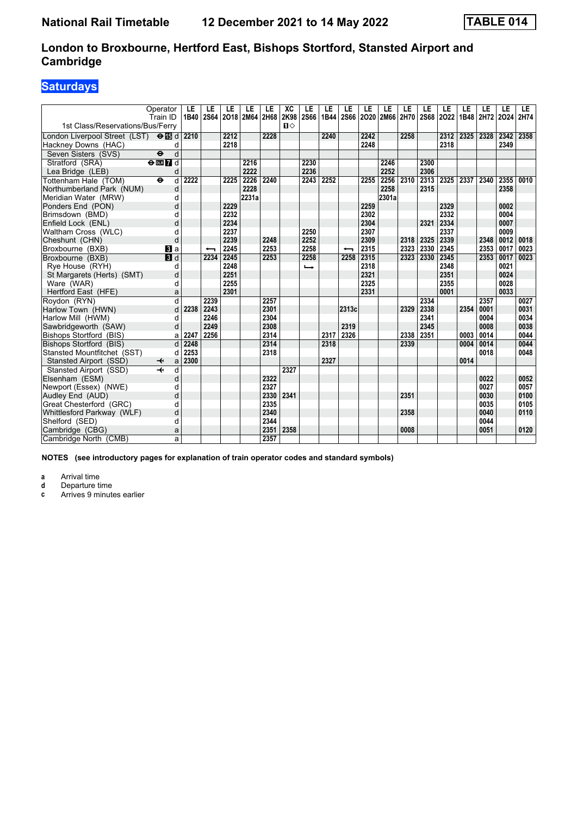# **Saturdays**

|                                           | Operator<br>Train ID         | LE<br>1B40 | LE   | LE<br>2S64 2O18 2M64 2H68 | LE    | LE   | XC<br>2K98 | LE<br><b>2S66</b> | LE<br>1B44 | LE    | LE<br>2S66 2O20 2M66 2H70 | LE    | LE   | LE   | LE<br>2S68 2O22 1B48 2H72 | LE   | LE   | LE<br>2024 | LE.<br>2H74 |
|-------------------------------------------|------------------------------|------------|------|---------------------------|-------|------|------------|-------------------|------------|-------|---------------------------|-------|------|------|---------------------------|------|------|------------|-------------|
| 1st Class/Reservations/Bus/Ferry          |                              |            |      |                           |       |      | $\P$       |                   |            |       |                           |       |      |      |                           |      |      |            |             |
| London Liverpool Street (LST) <b>OI</b> d |                              | 2210       |      | 2212                      |       | 2228 |            |                   | 2240       |       | 2242                      |       | 2258 |      | 2312                      | 2325 | 2328 | 2342       | 2358        |
| Hackney Downs (HAC)                       | d                            |            |      | 2218                      |       |      |            |                   |            |       | 2248                      |       |      |      | 2318                      |      |      | 2349       |             |
| Seven Sisters (SVS)                       | d<br>$\ddot{\bm{\Theta}}$    |            |      |                           |       |      |            |                   |            |       |                           |       |      |      |                           |      |      |            |             |
| Stratford (SRA)                           | $\Theta$ <b>ER</b> d         |            |      |                           | 2216  |      |            | 2230              |            |       |                           | 2246  |      | 2300 |                           |      |      |            |             |
| Lea Bridge (LEB)                          | d                            |            |      |                           | 2222  |      |            | 2236              |            |       |                           | 2252  |      | 2306 |                           |      |      |            |             |
| Tottenham Hale (TOM)                      | d<br>$\bullet$               | 2222       |      | 2225                      | 2226  | 2240 |            | 2243              | 2252       |       | 2255                      | 2256  | 2310 | 2313 | 2325                      | 2337 | 2340 | 2355       | 0010        |
| Northumberland Park (NUM)                 | d                            |            |      |                           | 2228  |      |            |                   |            |       |                           | 2258  |      | 2315 |                           |      |      | 2358       |             |
| Meridian Water (MRW)                      | d                            |            |      |                           | 2231a |      |            |                   |            |       |                           | 2301a |      |      |                           |      |      |            |             |
| Ponders End (PON)                         | d                            |            |      | 2229                      |       |      |            |                   |            |       | 2259                      |       |      |      | 2329                      |      |      | 0002       |             |
| Brimsdown (BMD)                           | d                            |            |      | 2232                      |       |      |            |                   |            |       | 2302                      |       |      |      | 2332                      |      |      | 0004       |             |
| Enfield Lock (ENL)                        | d                            |            |      | 2234                      |       |      |            |                   |            |       | 2304                      |       |      | 2321 | 2334                      |      |      | 0007       |             |
| Waltham Cross (WLC)                       | d                            |            |      | 2237                      |       |      |            | 2250              |            |       | 2307                      |       |      |      | 2337                      |      |      | 0009       |             |
| Cheshunt (CHN)                            | d                            |            |      | 2239                      |       | 2248 |            | 2252              |            |       | 2309                      |       | 2318 | 2325 | 2339                      |      | 2348 | 0012       | 0018        |
| Broxbourne (BXB)                          | BI a                         |            | ↽    | 2245                      |       | 2253 |            | 2258              |            | ↽     | 2315                      |       | 2323 | 2330 | 2345                      |      | 2353 | 0017       | 0023        |
| Broxbourne (BXB)                          | <b>B</b> d                   |            | 2234 | 2245                      |       | 2253 |            | 2258              |            | 2258  | 2315                      |       | 2323 | 2330 | 2345                      |      | 2353 | 0017       | 0023        |
| Rye House (RYH)                           | d                            |            |      | 2248                      |       |      |            | ⊷                 |            |       | 2318                      |       |      |      | 2348                      |      |      | 0021       |             |
| St Margarets (Herts) (SMT)                | d                            |            |      | 2251                      |       |      |            |                   |            |       | 2321                      |       |      |      | 2351                      |      |      | 0024       |             |
| Ware (WAR)                                | d                            |            |      | 2255                      |       |      |            |                   |            |       | 2325                      |       |      |      | 2355                      |      |      | 0028       |             |
| Hertford East (HFE)                       | a                            |            |      | 2301                      |       |      |            |                   |            |       | 2331                      |       |      |      | 0001                      |      |      | 0033       |             |
| Roydon (RYN)                              | d                            |            | 2239 |                           |       | 2257 |            |                   |            |       |                           |       |      | 2334 |                           |      | 2357 |            | 0027        |
| Harlow Town (HWN)                         | d                            | 2238       | 2243 |                           |       | 2301 |            |                   |            | 2313c |                           |       | 2329 | 2338 |                           | 2354 | 0001 |            | 0031        |
| Harlow Mill (HWM)                         | d                            |            | 2246 |                           |       | 2304 |            |                   |            |       |                           |       |      | 2341 |                           |      | 0004 |            | 0034        |
| Sawbridgeworth (SAW)                      | d                            |            | 2249 |                           |       | 2308 |            |                   |            | 2319  |                           |       |      | 2345 |                           |      | 0008 |            | 0038        |
| <b>Bishops Stortford (BIS)</b>            | a                            | 2247       | 2256 |                           |       | 2314 |            |                   | 2317       | 2326  |                           |       | 2338 | 2351 |                           | 0003 | 0014 |            | 0044        |
| Bishops Stortford (BIS)                   | d                            | 2248       |      |                           |       | 2314 |            |                   | 2318       |       |                           |       | 2339 |      |                           | 0004 | 0014 |            | 0044        |
| Stansted Mountfitchet (SST)               | d                            | 2253       |      |                           |       | 2318 |            |                   |            |       |                           |       |      |      |                           |      | 0018 |            | 0048        |
| Stansted Airport (SSD)                    | $\overline{\mathbf{t}}$<br>a | 2300       |      |                           |       |      |            |                   | 2327       |       |                           |       |      |      |                           | 0014 |      |            |             |
| Stansted Airport (SSD)                    | $\overline{\textbf{t}}$<br>d |            |      |                           |       |      | 2327       |                   |            |       |                           |       |      |      |                           |      |      |            |             |
| Elsenham (ESM)                            | d                            |            |      |                           |       | 2322 |            |                   |            |       |                           |       |      |      |                           |      | 0022 |            | 0052        |
| Newport (Essex) (NWE)                     | d                            |            |      |                           |       | 2327 |            |                   |            |       |                           |       |      |      |                           |      | 0027 |            | 0057        |
| Audley End (AUD)                          | d                            |            |      |                           |       | 2330 | 2341       |                   |            |       |                           |       | 2351 |      |                           |      | 0030 |            | 0100        |
| Great Chesterford (GRC)                   | d                            |            |      |                           |       | 2335 |            |                   |            |       |                           |       |      |      |                           |      | 0035 |            | 0105        |
| Whittlesford Parkway (WLF)                | d                            |            |      |                           |       | 2340 |            |                   |            |       |                           |       | 2358 |      |                           |      | 0040 |            | 0110        |
| Shelford (SED)                            | d                            |            |      |                           |       | 2344 |            |                   |            |       |                           |       |      |      |                           |      | 0044 |            |             |
| Cambridge (CBG)                           | a                            |            |      |                           |       | 2351 | 2358       |                   |            |       |                           |       | 0008 |      |                           |      | 0051 |            | 0120        |
| Cambridge North (CMB)                     | a                            |            |      |                           |       | 2357 |            |                   |            |       |                           |       |      |      |                           |      |      |            |             |

**NOTES (see introductory pages for explanation of train operator codes and standard symbols)**

**a** Arrival time<br>**d** Departure ti

**d** Departure time<br>**c** Arrives 9 minute

Arrives 9 minutes earlier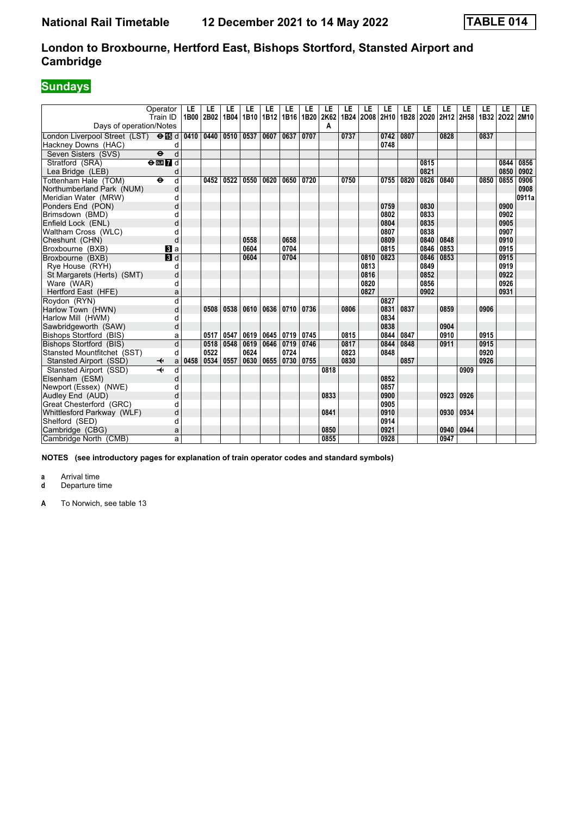# **Sundays**

| Operator                                           | Train ID                      | LE<br>1B00 | LE<br>2B02 | LE<br>1B04 | LE<br>1B10 | LE   | LE<br>1B12 1B16 1B20 | LE   | LE<br>2K62 | LE<br>1B24 | LE   | LE<br>2008 2H10 | LE<br>1B28 2020 | LE   | LE<br>2H12 | LE<br>2H58 | LE   | LE<br>1B32 2O22 2M10 | LE    |
|----------------------------------------------------|-------------------------------|------------|------------|------------|------------|------|----------------------|------|------------|------------|------|-----------------|-----------------|------|------------|------------|------|----------------------|-------|
| Days of operation/Notes                            |                               |            |            |            |            |      |                      |      | A          |            |      |                 |                 |      |            |            |      |                      |       |
| London Liverpool Street (LST) <b>⊖ is</b> d        |                               | 0410       | 0440       | 0510       | 0537       | 0607 | 0637                 | 0707 |            | 0737       |      | 0742            | 0807            |      | 0828       |            | 0837 |                      |       |
| Hackney Downs (HAC)                                | d                             |            |            |            |            |      |                      |      |            |            |      | 0748            |                 |      |            |            |      |                      |       |
| Seven Sisters (SVS)<br>$\ddot{\bm{\Theta}}$        | d                             |            |            |            |            |      |                      |      |            |            |      |                 |                 |      |            |            |      |                      |       |
| Stratford (SRA)                                    | $\Theta$ DLR $\overline{7}$ d |            |            |            |            |      |                      |      |            |            |      |                 |                 | 0815 |            |            |      | 0844                 | 0856  |
| Lea Bridge (LEB)                                   | d                             |            |            |            |            |      |                      |      |            |            |      |                 |                 | 0821 |            |            |      | 0850                 | 0902  |
| Tottenham Hale (TOM)<br>٠                          | d                             |            | 0452       | 0522       | 0550       | 0620 | 0650                 | 0720 |            | 0750       |      | 0755            | 0820            | 0826 | 0840       |            | 0850 | 0855                 | 0906  |
| Northumberland Park (NUM)                          | d                             |            |            |            |            |      |                      |      |            |            |      |                 |                 |      |            |            |      |                      | 0908  |
| Meridian Water (MRW)                               | d                             |            |            |            |            |      |                      |      |            |            |      |                 |                 |      |            |            |      |                      | 0911a |
| Ponders End (PON)                                  | d                             |            |            |            |            |      |                      |      |            |            |      | 0759            |                 | 0830 |            |            |      | 0900                 |       |
| Brimsdown (BMD)                                    | d                             |            |            |            |            |      |                      |      |            |            |      | 0802            |                 | 0833 |            |            |      | 0902                 |       |
| Enfield Lock (ENL)                                 | d                             |            |            |            |            |      |                      |      |            |            |      | 0804            |                 | 0835 |            |            |      | 0905                 |       |
| Waltham Cross (WLC)                                | d                             |            |            |            |            |      |                      |      |            |            |      | 0807            |                 | 0838 |            |            |      | 0907                 |       |
| Cheshunt (CHN)                                     | d                             |            |            |            | 0558       |      | 0658                 |      |            |            |      | 0809            |                 | 0840 | 0848       |            |      | 0910                 |       |
| Broxbourne (BXB)                                   | <b>B</b> la                   |            |            |            | 0604       |      | 0704                 |      |            |            |      | 0815            |                 | 0846 | 0853       |            |      | 0915                 |       |
| Broxbourne (BXB)                                   | $\blacksquare$                |            |            |            | 0604       |      | 0704                 |      |            |            | 0810 | 0823            |                 | 0846 | 0853       |            |      | 0915                 |       |
| Rye House (RYH)                                    | d                             |            |            |            |            |      |                      |      |            |            | 0813 |                 |                 | 0849 |            |            |      | 0919                 |       |
| St Margarets (Herts) (SMT)                         | d                             |            |            |            |            |      |                      |      |            |            | 0816 |                 |                 | 0852 |            |            |      | 0922                 |       |
| Ware (WAR)                                         | d                             |            |            |            |            |      |                      |      |            |            | 0820 |                 |                 | 0856 |            |            |      | 0926                 |       |
| Hertford East (HFE)                                | a                             |            |            |            |            |      |                      |      |            |            | 0827 |                 |                 | 0902 |            |            |      | 0931                 |       |
| Roydon (RYN)                                       | d                             |            |            |            |            |      |                      |      |            |            |      | 0827            |                 |      |            |            |      |                      |       |
| Harlow Town (HWN)                                  | d                             |            | 0508       | 0538       | 0610       | 0636 | 0710                 | 0736 |            | 0806       |      | 0831            | 0837            |      | 0859       |            | 0906 |                      |       |
| Harlow Mill (HWM)                                  | d                             |            |            |            |            |      |                      |      |            |            |      | 0834            |                 |      |            |            |      |                      |       |
| Sawbridgeworth (SAW)                               | d                             |            |            |            |            |      |                      |      |            |            |      | 0838            |                 |      | 0904       |            |      |                      |       |
| Bishops Stortford (BIS)                            | a                             |            | 0517       | 0547       | 0619       | 0645 | 0719                 | 0745 |            | 0815       |      | 0844            | 0847            |      | 0910       |            | 0915 |                      |       |
| Bishops Stortford (BIS)                            | d                             |            | 0518       | 0548       | 0619       | 0646 | 0719                 | 0746 |            | 0817       |      | 0844            | 0848            |      | 0911       |            | 0915 |                      |       |
| Stansted Mountfitchet (SST)                        | d                             |            | 0522       |            | 0624       |      | 0724                 |      |            | 0823       |      | 0848            |                 |      |            |            | 0920 |                      |       |
| Stansted Airport (SSD)<br>$\overline{\mathbf{t}}$  | a                             | 0458       | 0534       | 0557       | 0630       | 0655 | 0730                 | 0755 |            | 0830       |      |                 | 0857            |      |            |            | 0926 |                      |       |
| $\overline{\mathcal{H}}$<br>Stansted Airport (SSD) | d                             |            |            |            |            |      |                      |      | 0818       |            |      |                 |                 |      |            | 0909       |      |                      |       |
| Elsenham (ESM)                                     | d                             |            |            |            |            |      |                      |      |            |            |      | 0852            |                 |      |            |            |      |                      |       |
| Newport (Essex) (NWE)                              | d                             |            |            |            |            |      |                      |      |            |            |      | 0857            |                 |      |            |            |      |                      |       |
| Audley End (AUD)                                   | d                             |            |            |            |            |      |                      |      | 0833       |            |      | 0900            |                 |      | 0923       | 0926       |      |                      |       |
| Great Chesterford (GRC)                            | d                             |            |            |            |            |      |                      |      |            |            |      | 0905            |                 |      |            |            |      |                      |       |
| Whittlesford Parkway (WLF)                         | d                             |            |            |            |            |      |                      |      | 0841       |            |      | 0910            |                 |      | 0930       | 0934       |      |                      |       |
| Shelford (SED)                                     | d                             |            |            |            |            |      |                      |      |            |            |      | 0914            |                 |      |            |            |      |                      |       |
| Cambridge (CBG)                                    | a                             |            |            |            |            |      |                      |      | 0850       |            |      | 0921            |                 |      | 0940       | 0944       |      |                      |       |
| Cambridge North (CMB)                              | a                             |            |            |            |            |      |                      |      | 0855       |            |      | 0928            |                 |      | 0947       |            |      |                      |       |

**NOTES (see introductory pages for explanation of train operator codes and standard symbols)**

**a** Arrival time<br>**d** Departure time **d** Departure time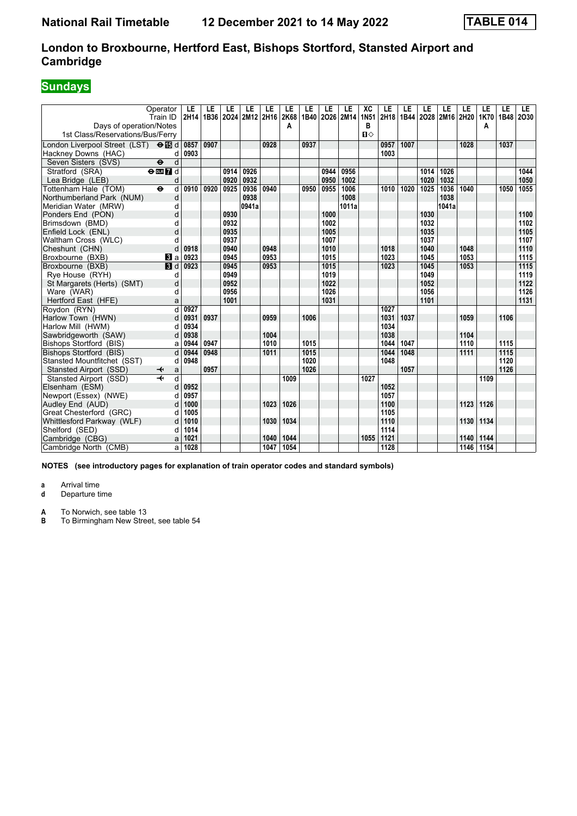# **Sundays**

| Operator<br>Train ID<br>Days of operation/Notes        | LE<br>2H14 | LE<br>1B36 | LE   | LE<br>2024 2M12 2H16 | LE   | LE<br>2K68<br>A | LE   | LE   | LE<br>1B40 2026 2M14 | XC<br><b>1N51</b><br>в | LE<br>2H18 | LE<br>1B44 | LE   | LE<br>2028 2M16 2H20 | LE   | LE<br>1K70<br>A | LE<br>1B48 | LE.<br>2030 |
|--------------------------------------------------------|------------|------------|------|----------------------|------|-----------------|------|------|----------------------|------------------------|------------|------------|------|----------------------|------|-----------------|------------|-------------|
| 1st Class/Reservations/Bus/Ferry                       |            |            |      |                      |      |                 |      |      |                      | $\P$                   |            |            |      |                      |      |                 |            |             |
| London Liverpool Street (LST) $\Theta$ $\Box$ d        | 0857       | 0907       |      |                      | 0928 |                 | 0937 |      |                      |                        | 0957       | 1007       |      |                      | 1028 |                 | 1037       |             |
| Hackney Downs (HAC)<br>d                               | 0903       |            |      |                      |      |                 |      |      |                      |                        | 1003       |            |      |                      |      |                 |            |             |
| d<br>Seven Sisters (SVS)<br>$\ddot{\mathbf{e}}$        |            |            |      |                      |      |                 |      |      |                      |                        |            |            |      |                      |      |                 |            |             |
| Stratford (SRA)<br>$\Theta$ DE $\overline{7}$ d        |            |            | 0914 | 0926                 |      |                 |      | 0944 | 0956                 |                        |            |            | 1014 | 1026                 |      |                 |            | 1044        |
| Lea Bridge (LEB)<br>d                                  |            |            | 0920 | 0932                 |      |                 |      | 0950 | 1002                 |                        |            |            | 1020 | 1032                 |      |                 |            | 1050        |
| Tottenham Hale (TOM)<br>$\ddot{\mathbf{e}}$<br>d       | 0910       | 0920       | 0925 | 0936                 | 0940 |                 | 0950 | 0955 | 1006                 |                        | 1010       | 1020       | 1025 | 1036                 | 1040 |                 | 1050       | 1055        |
| Northumberland Park (NUM)<br>d                         |            |            |      | 0938                 |      |                 |      |      | 1008                 |                        |            |            |      | 1038                 |      |                 |            |             |
| Meridian Water (MRW)<br>d                              |            |            |      | 0941a                |      |                 |      |      | 1011a                |                        |            |            |      | 1041a                |      |                 |            |             |
| d<br>Ponders End (PON)                                 |            |            | 0930 |                      |      |                 |      | 1000 |                      |                        |            |            | 1030 |                      |      |                 |            | 1100        |
| Brimsdown (BMD)<br>d                                   |            |            | 0932 |                      |      |                 |      | 1002 |                      |                        |            |            | 1032 |                      |      |                 |            | 1102        |
| d<br>Enfield Lock (ENL)                                |            |            | 0935 |                      |      |                 |      | 1005 |                      |                        |            |            | 1035 |                      |      |                 |            | 1105        |
| Waltham Cross (WLC)<br>d                               |            |            | 0937 |                      |      |                 |      | 1007 |                      |                        |            |            | 1037 |                      |      |                 |            | 1107        |
| Cheshunt (CHN)<br>d                                    | 0918       |            | 0940 |                      | 0948 |                 |      | 1010 |                      |                        | 1018       |            | 1040 |                      | 1048 |                 |            | 1110        |
| Broxbourne (BXB)<br><b>B</b> la                        | 0923       |            | 0945 |                      | 0953 |                 |      | 1015 |                      |                        | 1023       |            | 1045 |                      | 1053 |                 |            | 1115        |
| Broxbourne (BXB)<br>$\blacksquare$                     | 0923       |            | 0945 |                      | 0953 |                 |      | 1015 |                      |                        | 1023       |            | 1045 |                      | 1053 |                 |            | 1115        |
| Rye House (RYH)<br>d                                   |            |            | 0949 |                      |      |                 |      | 1019 |                      |                        |            |            | 1049 |                      |      |                 |            | 1119        |
| St Margarets (Herts) (SMT)<br>d                        |            |            | 0952 |                      |      |                 |      | 1022 |                      |                        |            |            | 1052 |                      |      |                 |            | 1122        |
| Ware (WAR)<br>d                                        |            |            | 0956 |                      |      |                 |      | 1026 |                      |                        |            |            | 1056 |                      |      |                 |            | 1126        |
| Hertford East (HFE)<br>a                               |            |            | 1001 |                      |      |                 |      | 1031 |                      |                        |            |            | 1101 |                      |      |                 |            | 1131        |
| d<br>Roydon (RYN)                                      | 0927       |            |      |                      |      |                 |      |      |                      |                        | 1027       |            |      |                      |      |                 |            |             |
| Harlow Town (HWN)<br>d                                 | 0931       | 0937       |      |                      | 0959 |                 | 1006 |      |                      |                        | 1031       | 1037       |      |                      | 1059 |                 | 1106       |             |
| Harlow Mill (HWM)<br>d                                 | 0934       |            |      |                      |      |                 |      |      |                      |                        | 1034       |            |      |                      |      |                 |            |             |
| Sawbridgeworth (SAW)<br>d                              | 0938       |            |      |                      | 1004 |                 |      |      |                      |                        | 1038       |            |      |                      | 1104 |                 |            |             |
| Bishops Stortford (BIS)<br>a                           | 0944       | 0947       |      |                      | 1010 |                 | 1015 |      |                      |                        | 1044       | 1047       |      |                      | 1110 |                 | 1115       |             |
| d<br>Bishops Stortford (BIS)                           | 0944       | 0948       |      |                      | 1011 |                 | 1015 |      |                      |                        | 1044       | 1048       |      |                      | 1111 |                 | 1115       |             |
| Stansted Mountfitchet (SST)<br>d                       | 0948       |            |      |                      |      |                 | 1020 |      |                      |                        | 1048       |            |      |                      |      |                 | 1120       |             |
| Stansted Airport (SSD)<br>↞<br>a                       |            | 0957       |      |                      |      |                 | 1026 |      |                      |                        |            | 1057       |      |                      |      |                 | 1126       |             |
| $\overline{\mathbf{r}}$<br>d<br>Stansted Airport (SSD) |            |            |      |                      |      | 1009            |      |      |                      | 1027                   |            |            |      |                      |      | 1109            |            |             |
| Elsenham (ESM)<br>d                                    | 0952       |            |      |                      |      |                 |      |      |                      |                        | 1052       |            |      |                      |      |                 |            |             |
| Newport (Essex) (NWE)<br>d                             | 0957       |            |      |                      |      |                 |      |      |                      |                        | 1057       |            |      |                      |      |                 |            |             |
| Audley End (AUD)<br>d                                  | 1000       |            |      |                      | 1023 | 1026            |      |      |                      |                        | 1100       |            |      |                      | 1123 | 1126            |            |             |
| Great Chesterford (GRC)<br>d                           | 1005       |            |      |                      |      |                 |      |      |                      |                        | 1105       |            |      |                      |      |                 |            |             |
| Whittlesford Parkway (WLF)<br>d                        | 1010       |            |      |                      | 1030 | 1034            |      |      |                      |                        | 1110       |            |      |                      | 1130 | 1134            |            |             |
| Shelford (SED)<br>d                                    | 1014       |            |      |                      |      |                 |      |      |                      |                        | 1114       |            |      |                      |      |                 |            |             |
| Cambridge (CBG)<br>a                                   | 1021       |            |      |                      | 1040 | 1044            |      |      |                      | 1055                   | 1121       |            |      |                      | 1140 | 1144            |            |             |
| Cambridge North (CMB)<br>a                             | 1028       |            |      |                      | 1047 | 1054            |      |      |                      |                        | 1128       |            |      |                      | 1146 | 1154            |            |             |

**NOTES (see introductory pages for explanation of train operator codes and standard symbols)**

**a** Arrival time<br>**d** Departure t

**d** Departure time

**A** To Norwich, see table 13<br>**B** To Birmingham New Stree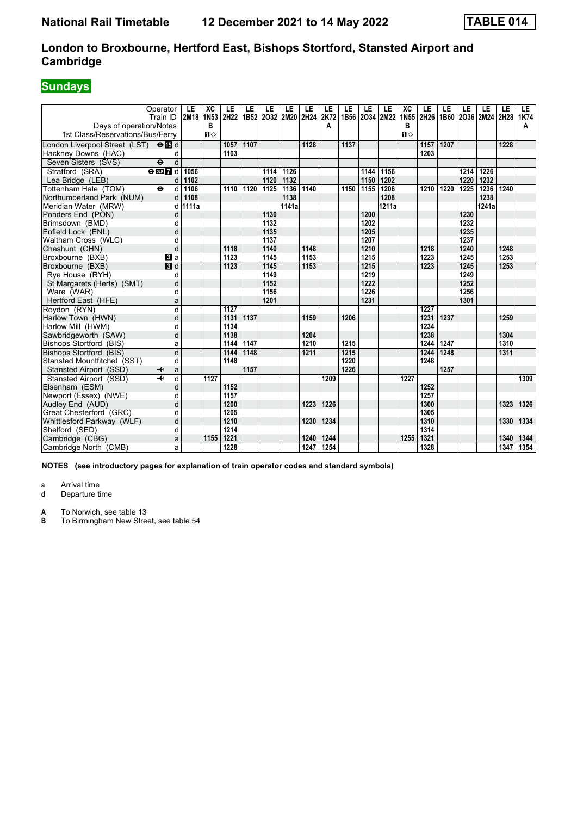# **Sundays**

| Operator<br>Train ID<br>Days of operation/Notes | LE<br>2M18     | XC<br>1N <sub>53</sub><br>B | LE<br>2H22 | LE   | LE   | LE<br>1B52 2032 2M20 | LE<br>2H24 | LE<br>2K72<br>А | LE   | LE   | LE<br>1B56 2034 2M22 | XC<br>1N <sub>55</sub><br>в | LE<br>2H26   1B60   2O36   2M24 | LE   | LE   | LE    | LE<br>2H28 | LE<br>1K74<br>А |
|-------------------------------------------------|----------------|-----------------------------|------------|------|------|----------------------|------------|-----------------|------|------|----------------------|-----------------------------|---------------------------------|------|------|-------|------------|-----------------|
| 1st Class/Reservations/Bus/Ferry                |                | $\P$                        |            |      |      |                      |            |                 |      |      |                      | $\Pi$                       |                                 |      |      |       |            |                 |
| London Liverpool Street (LST) <b>⊖ iB</b> d     |                |                             | 1057       | 1107 |      |                      | 1128       |                 | 1137 |      |                      |                             | 1157                            | 1207 |      |       | 1228       |                 |
| Hackney Downs (HAC)                             | d              |                             | 1103       |      |      |                      |            |                 |      |      |                      |                             | 1203                            |      |      |       |            |                 |
| Seven Sisters (SVS)<br>$\ddot{\mathbf{e}}$      | $\overline{d}$ |                             |            |      |      |                      |            |                 |      |      |                      |                             |                                 |      |      |       |            |                 |
| Stratford (SRA)<br>$\Theta$ or $\overline{Z}$ d | 1056           |                             |            |      | 1114 | 1126                 |            |                 |      | 1144 | 1156                 |                             |                                 |      | 1214 | 1226  |            |                 |
| Lea Bridge (LEB)                                | 1102<br>d      |                             |            |      | 1120 | 1132                 |            |                 |      | 1150 | 1202                 |                             |                                 |      | 1220 | 1232  |            |                 |
| Tottenham Hale (TOM)<br>$\bullet$               | d<br>1106      |                             | 1110       | 1120 | 1125 | 1136                 | 1140       |                 | 1150 | 1155 | 1206                 |                             | 1210                            | 1220 | 1225 | 1236  | 1240       |                 |
| Northumberland Park (NUM)                       | 1108<br>d      |                             |            |      |      | 1138                 |            |                 |      |      | 1208                 |                             |                                 |      |      | 1238  |            |                 |
| Meridian Water (MRW)                            | 1111a<br>d     |                             |            |      |      | 1141a                |            |                 |      |      | 1211a                |                             |                                 |      |      | 1241a |            |                 |
| Ponders End (PON)                               | d              |                             |            |      | 1130 |                      |            |                 |      | 1200 |                      |                             |                                 |      | 1230 |       |            |                 |
| Brimsdown (BMD)                                 | d              |                             |            |      | 1132 |                      |            |                 |      | 1202 |                      |                             |                                 |      | 1232 |       |            |                 |
| Enfield Lock (ENL)                              | d              |                             |            |      | 1135 |                      |            |                 |      | 1205 |                      |                             |                                 |      | 1235 |       |            |                 |
| Waltham Cross (WLC)                             | d              |                             |            |      | 1137 |                      |            |                 |      | 1207 |                      |                             |                                 |      | 1237 |       |            |                 |
| Cheshunt (CHN)                                  | d              |                             | 1118       |      | 1140 |                      | 1148       |                 |      | 1210 |                      |                             | 1218                            |      | 1240 |       | 1248       |                 |
| Broxbourne (BXB)<br>$\mathbf{B}$ a              |                |                             | 1123       |      | 1145 |                      | 1153       |                 |      | 1215 |                      |                             | 1223                            |      | 1245 |       | 1253       |                 |
| $\blacksquare$<br>Broxbourne (BXB)              |                |                             | 1123       |      | 1145 |                      | 1153       |                 |      | 1215 |                      |                             | 1223                            |      | 1245 |       | 1253       |                 |
| Rye House (RYH)                                 | d              |                             |            |      | 1149 |                      |            |                 |      | 1219 |                      |                             |                                 |      | 1249 |       |            |                 |
| St Margarets (Herts) (SMT)                      | d              |                             |            |      | 1152 |                      |            |                 |      | 1222 |                      |                             |                                 |      | 1252 |       |            |                 |
| Ware (WAR)                                      | d              |                             |            |      | 1156 |                      |            |                 |      | 1226 |                      |                             |                                 |      | 1256 |       |            |                 |
| Hertford East (HFE)                             | a              |                             |            |      | 1201 |                      |            |                 |      | 1231 |                      |                             |                                 |      | 1301 |       |            |                 |
| Roydon (RYN)                                    | d              |                             | 1127       |      |      |                      |            |                 |      |      |                      |                             | 1227                            |      |      |       |            |                 |
| Harlow Town (HWN)                               | d              |                             | 1131       | 1137 |      |                      | 1159       |                 | 1206 |      |                      |                             | 1231                            | 1237 |      |       | 1259       |                 |
| Harlow Mill (HWM)                               | d              |                             | 1134       |      |      |                      |            |                 |      |      |                      |                             | 1234                            |      |      |       |            |                 |
| Sawbridgeworth (SAW)                            | d              |                             | 1138       |      |      |                      | 1204       |                 |      |      |                      |                             | 1238                            |      |      |       | 1304       |                 |
| Bishops Stortford (BIS)                         | a              |                             | 1144       | 1147 |      |                      | 1210       |                 | 1215 |      |                      |                             | 1244                            | 1247 |      |       | 1310       |                 |
| Bishops Stortford (BIS)                         | d              |                             | 1144       | 1148 |      |                      | 1211       |                 | 1215 |      |                      |                             | 1244                            | 1248 |      |       | 1311       |                 |
| Stansted Mountfitchet (SST)                     | d              |                             | 1148       |      |      |                      |            |                 | 1220 |      |                      |                             | 1248                            |      |      |       |            |                 |
| Stansted Airport (SSD)<br>↞                     | a              |                             |            | 1157 |      |                      |            |                 | 1226 |      |                      |                             |                                 | 1257 |      |       |            |                 |
| Stansted Airport (SSD)                          | d              | 1127                        |            |      |      |                      |            | 1209            |      |      |                      | 1227                        |                                 |      |      |       |            | 1309            |
| Elsenham (ESM)                                  | d              |                             | 1152       |      |      |                      |            |                 |      |      |                      |                             | 1252                            |      |      |       |            |                 |
| Newport (Essex) (NWE)                           | d              |                             | 1157       |      |      |                      |            |                 |      |      |                      |                             | 1257                            |      |      |       |            |                 |
| Audley End (AUD)                                | d              |                             | 1200       |      |      |                      | 1223       | 1226            |      |      |                      |                             | 1300                            |      |      |       | 1323       | 1326            |
| Great Chesterford (GRC)                         | d              |                             | 1205       |      |      |                      |            |                 |      |      |                      |                             | 1305                            |      |      |       |            |                 |
| Whittlesford Parkway (WLF)                      | d              |                             | 1210       |      |      |                      | 1230       | 1234            |      |      |                      |                             | 1310                            |      |      |       | 1330       | 1334            |
| Shelford (SED)                                  | d              |                             | 1214       |      |      |                      |            |                 |      |      |                      |                             | 1314                            |      |      |       |            |                 |
| Cambridge (CBG)                                 | a              | 1155                        | 1221       |      |      |                      | 1240       | 1244            |      |      |                      | 1255                        | 1321                            |      |      |       | 1340       | 1344            |
| Cambridge North (CMB)                           | a              |                             | 1228       |      |      |                      | 1247       | 1254            |      |      |                      |                             | 1328                            |      |      |       | 1347       | 1354            |

**NOTES (see introductory pages for explanation of train operator codes and standard symbols)**

**a** Arrival time<br>**d** Departure t

**d** Departure time

**A** To Norwich, see table 13<br>**B** To Birmingham New Stree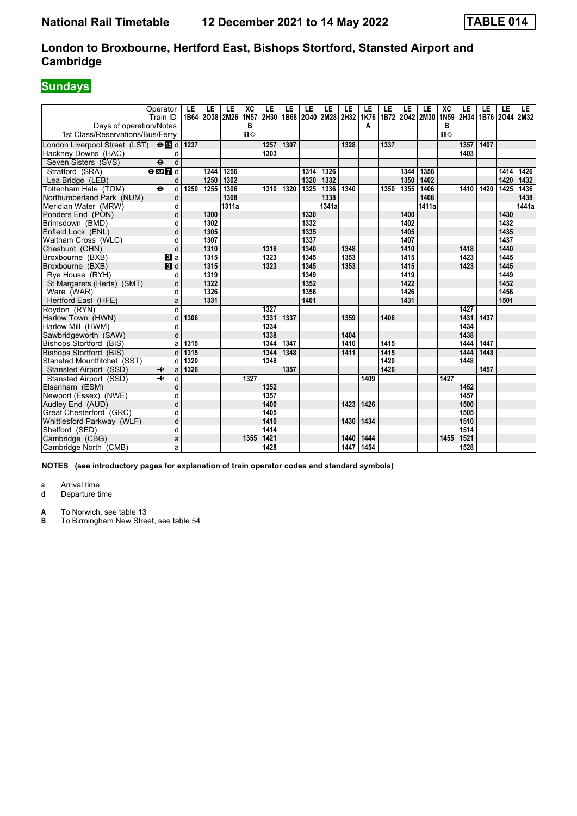# **Sundays**

| Operator<br>Train ID<br>Days of operation/Notes                 | LE<br>1B64 | LE   | LE<br>2038 2M26 | XC<br>1N <sub>57</sub><br>В | LE<br>2H30 | LE   | LE   | LE<br>1B68 2040 2M28 2H32 | LE   | LE<br>1K76<br>А | LE   | LE<br>1B72 2042 2M30 | LE    | XC<br>1N59<br>в | LE<br>2H34 | LE<br>1B76 2044 | LE   | LE.<br>2M32 |
|-----------------------------------------------------------------|------------|------|-----------------|-----------------------------|------------|------|------|---------------------------|------|-----------------|------|----------------------|-------|-----------------|------------|-----------------|------|-------------|
| 1st Class/Reservations/Bus/Ferry                                |            |      |                 | $\mathbf{u}$                |            |      |      |                           |      |                 |      |                      |       | $\mathbf{u}$    |            |                 |      |             |
| London Liverpool Street (LST) $\Theta$ I d                      | 1237       |      |                 |                             | 1257       | 1307 |      |                           | 1328 |                 | 1337 |                      |       |                 | 1357       | 1407            |      |             |
| Hackney Downs (HAC)<br>d                                        |            |      |                 |                             | 1303       |      |      |                           |      |                 |      |                      |       |                 | 1403       |                 |      |             |
| d<br>Seven Sisters (SVS)<br>$\ddot{\boldsymbol{\Theta}}$        |            |      |                 |                             |            |      |      |                           |      |                 |      |                      |       |                 |            |                 |      |             |
| Stratford (SRA)<br>$\overline{\Theta}$ or $\overline{\Omega}$ d |            | 1244 | 1256            |                             |            |      | 1314 | 1326                      |      |                 |      | 1344                 | 1356  |                 |            |                 | 1414 | 1426        |
| Lea Bridge (LEB)<br>d                                           |            | 1250 | 1302            |                             |            |      | 1320 | 1332                      |      |                 |      | 1350                 | 1402  |                 |            |                 | 1420 | 1432        |
| $\ddot{\mathbf{e}}$<br>Tottenham Hale (TOM)<br>d                | 1250       | 1255 | 1306            |                             | 1310       | 1320 | 1325 | 1336                      | 1340 |                 | 1350 | 1355                 | 1406  |                 | 1410       | 1420            | 1425 | 1436        |
| Northumberland Park (NUM)<br>d                                  |            |      | 1308            |                             |            |      |      | 1338                      |      |                 |      |                      | 1408  |                 |            |                 |      | 1438        |
| Meridian Water (MRW)<br>d                                       |            |      | 1311a           |                             |            |      |      | 1341a                     |      |                 |      |                      | 1411a |                 |            |                 |      | 1441a       |
| d<br>Ponders End (PON)                                          |            | 1300 |                 |                             |            |      | 1330 |                           |      |                 |      | 1400                 |       |                 |            |                 | 1430 |             |
| Brimsdown (BMD)<br>d                                            |            | 1302 |                 |                             |            |      | 1332 |                           |      |                 |      | 1402                 |       |                 |            |                 | 1432 |             |
| Enfield Lock (ENL)<br>d                                         |            | 1305 |                 |                             |            |      | 1335 |                           |      |                 |      | 1405                 |       |                 |            |                 | 1435 |             |
| Waltham Cross (WLC)<br>d                                        |            | 1307 |                 |                             |            |      | 1337 |                           |      |                 |      | 1407                 |       |                 |            |                 | 1437 |             |
| d<br>Cheshunt (CHN)                                             |            | 1310 |                 |                             | 1318       |      | 1340 |                           | 1348 |                 |      | 1410                 |       |                 | 1418       |                 | 1440 |             |
| Broxbourne (BXB)<br>BI a                                        |            | 1315 |                 |                             | 1323       |      | 1345 |                           | 1353 |                 |      | 1415                 |       |                 | 1423       |                 | 1445 |             |
| $\blacksquare$<br>Broxbourne (BXB)                              |            | 1315 |                 |                             | 1323       |      | 1345 |                           | 1353 |                 |      | 1415                 |       |                 | 1423       |                 | 1445 |             |
| Rye House (RYH)<br>d                                            |            | 1319 |                 |                             |            |      | 1349 |                           |      |                 |      | 1419                 |       |                 |            |                 | 1449 |             |
| St Margarets (Herts) (SMT)<br>d                                 |            | 1322 |                 |                             |            |      | 1352 |                           |      |                 |      | 1422                 |       |                 |            |                 | 1452 |             |
| Ware (WAR)<br>d                                                 |            | 1326 |                 |                             |            |      | 1356 |                           |      |                 |      | 1426                 |       |                 |            |                 | 1456 |             |
| Hertford East (HFE)<br>a                                        |            | 1331 |                 |                             |            |      | 1401 |                           |      |                 |      | 1431                 |       |                 |            |                 | 1501 |             |
| Roydon (RYN)<br>d                                               |            |      |                 |                             | 1327       |      |      |                           |      |                 |      |                      |       |                 | 1427       |                 |      |             |
| d<br>Harlow Town (HWN)                                          | 1306       |      |                 |                             | 1331       | 1337 |      |                           | 1359 |                 | 1406 |                      |       |                 | 1431       | 1437            |      |             |
| Harlow Mill (HWM)<br>d                                          |            |      |                 |                             | 1334       |      |      |                           |      |                 |      |                      |       |                 | 1434       |                 |      |             |
| d<br>Sawbridgeworth (SAW)                                       |            |      |                 |                             | 1338       |      |      |                           | 1404 |                 |      |                      |       |                 | 1438       |                 |      |             |
| Bishops Stortford (BIS)<br>a                                    | 1315       |      |                 |                             | 1344       | 1347 |      |                           | 1410 |                 | 1415 |                      |       |                 | 1444       | 1447            |      |             |
| d<br>Bishops Stortford (BIS)                                    | 1315       |      |                 |                             | 1344       | 1348 |      |                           | 1411 |                 | 1415 |                      |       |                 | 1444       | 1448            |      |             |
| Stansted Mountfitchet (SST)<br>d                                | 1320       |      |                 |                             | 1348       |      |      |                           |      |                 | 1420 |                      |       |                 | 1448       |                 |      |             |
| Stansted Airport (SSD)<br>a<br>↞                                | 1326       |      |                 |                             |            | 1357 |      |                           |      |                 | 1426 |                      |       |                 |            | 1457            |      |             |
| Stansted Airport (SSD)<br>d                                     |            |      |                 | 1327                        |            |      |      |                           |      | 1409            |      |                      |       | 1427            |            |                 |      |             |
| Elsenham (ESM)<br>d                                             |            |      |                 |                             | 1352       |      |      |                           |      |                 |      |                      |       |                 | 1452       |                 |      |             |
| Newport (Essex) (NWE)<br>d                                      |            |      |                 |                             | 1357       |      |      |                           |      |                 |      |                      |       |                 | 1457       |                 |      |             |
| d<br>Audley End (AUD)                                           |            |      |                 |                             | 1400       |      |      |                           | 1423 | 1426            |      |                      |       |                 | 1500       |                 |      |             |
| Great Chesterford (GRC)<br>d                                    |            |      |                 |                             | 1405       |      |      |                           |      |                 |      |                      |       |                 | 1505       |                 |      |             |
| Whittlesford Parkway (WLF)<br>d                                 |            |      |                 |                             | 1410       |      |      |                           | 1430 | 1434            |      |                      |       |                 | 1510       |                 |      |             |
| Shelford (SED)<br>d                                             |            |      |                 |                             | 1414       |      |      |                           |      |                 |      |                      |       |                 | 1514       |                 |      |             |
| Cambridge (CBG)<br>a                                            |            |      |                 | 1355                        | 1421       |      |      |                           | 1440 | 1444            |      |                      |       | 1455            | 1521       |                 |      |             |
| a<br>Cambridge North (CMB)                                      |            |      |                 |                             | 1428       |      |      |                           | 1447 | 1454            |      |                      |       |                 | 1528       |                 |      |             |

**NOTES (see introductory pages for explanation of train operator codes and standard symbols)**

**a** Arrival time<br>**d** Departure t

**d** Departure time

**A** To Norwich, see table 13<br>**B** To Birmingham New Stree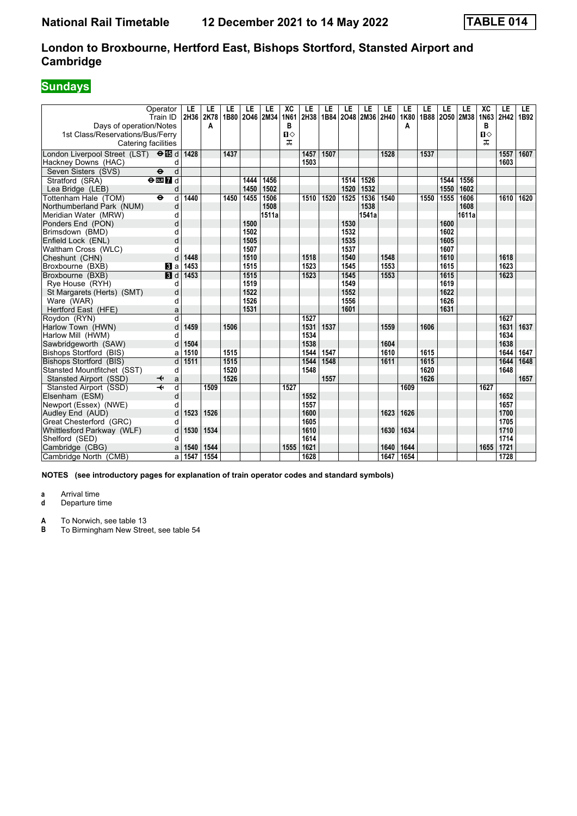# **Sundays**

| Days of operation/Notes                                 | Operator<br>Train ID              | LE<br>2H36 | LE<br>2K78<br>A | LE   | LE<br>1B80 2046 2M34 | LE    | XC<br>1N61<br>в     | LE<br>2H38 | LE<br>1B84 | LE<br>2048 | LE<br>2M36 2H40 | LE   | LE<br>1K80<br>A | LE   | LE<br>1B88 2050 2M38 | LE    | XC<br>1N63<br>в   | LE<br>2H42 | LE.<br>1B92 |
|---------------------------------------------------------|-----------------------------------|------------|-----------------|------|----------------------|-------|---------------------|------------|------------|------------|-----------------|------|-----------------|------|----------------------|-------|-------------------|------------|-------------|
| 1st Class/Reservations/Bus/Ferry<br>Catering facilities |                                   |            |                 |      |                      |       | $\blacksquare$<br>ᠼ |            |            |            |                 |      |                 |      |                      |       | $\mathbf{u}$<br>ᠼ |            |             |
| London Liverpool Street (LST) $\Theta$ <b>is</b> d      |                                   | 1428       |                 | 1437 |                      |       |                     | 1457       | 1507       |            |                 | 1528 |                 | 1537 |                      |       |                   | 1557       | 1607        |
| Hackney Downs (HAC)                                     | d                                 |            |                 |      |                      |       |                     | 1503       |            |            |                 |      |                 |      |                      |       |                   | 1603       |             |
| Seven Sisters (SVS)                                     | $\overline{\mathbf{e}}$<br>d      |            |                 |      |                      |       |                     |            |            |            |                 |      |                 |      |                      |       |                   |            |             |
| Stratford (SRA)                                         | $\Theta$ DE $\overline{7}$ d      |            |                 |      | 1444                 | 1456  |                     |            |            | 1514       | 1526            |      |                 |      | 1544                 | 1556  |                   |            |             |
| Lea Bridge (LEB)                                        | d                                 |            |                 |      | 1450                 | 1502  |                     |            |            | 1520       | 1532            |      |                 |      | 1550                 | 1602  |                   |            |             |
| Tottenham Hale (TOM)                                    | d<br>$\ddot{\boldsymbol{\Theta}}$ | 1440       |                 | 1450 | 1455                 | 1506  |                     | 1510       | 1520       | 1525       | 1536            | 1540 |                 | 1550 | 1555                 | 1606  |                   | 1610       | 1620        |
| Northumberland Park (NUM)                               | d                                 |            |                 |      |                      | 1508  |                     |            |            |            | 1538            |      |                 |      |                      | 1608  |                   |            |             |
| Meridian Water (MRW)                                    | d                                 |            |                 |      |                      | 1511a |                     |            |            |            | 1541a           |      |                 |      |                      | 1611a |                   |            |             |
| Ponders End (PON)                                       | d                                 |            |                 |      | 1500                 |       |                     |            |            | 1530       |                 |      |                 |      | 1600                 |       |                   |            |             |
| Brimsdown (BMD)                                         | d                                 |            |                 |      | 1502                 |       |                     |            |            | 1532       |                 |      |                 |      | 1602                 |       |                   |            |             |
| Enfield Lock (ENL)                                      | d                                 |            |                 |      | 1505                 |       |                     |            |            | 1535       |                 |      |                 |      | 1605                 |       |                   |            |             |
| Waltham Cross (WLC)                                     | d                                 |            |                 |      | 1507                 |       |                     |            |            | 1537       |                 |      |                 |      | 1607                 |       |                   |            |             |
| Cheshunt (CHN)                                          | d                                 | 1448       |                 |      | 1510                 |       |                     | 1518       |            | 1540       |                 | 1548 |                 |      | 1610                 |       |                   | 1618       |             |
| Broxbourne (BXB)                                        | <b>B</b> la                       | 1453       |                 |      | 1515                 |       |                     | 1523       |            | 1545       |                 | 1553 |                 |      | 1615                 |       |                   | 1623       |             |
| Broxbourne (BXB)                                        | $\blacksquare$                    | 1453       |                 |      | 1515                 |       |                     | 1523       |            | 1545       |                 | 1553 |                 |      | 1615                 |       |                   | 1623       |             |
| Rye House (RYH)                                         | d                                 |            |                 |      | 1519                 |       |                     |            |            | 1549       |                 |      |                 |      | 1619                 |       |                   |            |             |
| St Margarets (Herts) (SMT)                              | d                                 |            |                 |      | 1522                 |       |                     |            |            | 1552       |                 |      |                 |      | 1622                 |       |                   |            |             |
| Ware (WAR)                                              | d                                 |            |                 |      | 1526                 |       |                     |            |            | 1556       |                 |      |                 |      | 1626                 |       |                   |            |             |
| Hertford East (HFE)                                     | a                                 |            |                 |      | 1531                 |       |                     |            |            | 1601       |                 |      |                 |      | 1631                 |       |                   |            |             |
| Roydon (RYN)                                            | $\overline{d}$                    |            |                 |      |                      |       |                     | 1527       |            |            |                 |      |                 |      |                      |       |                   | 1627       |             |
| Harlow Town (HWN)                                       | d                                 | 1459       |                 | 1506 |                      |       |                     | 1531       | 1537       |            |                 | 1559 |                 | 1606 |                      |       |                   | 1631       | 1637        |
| Harlow Mill (HWM)                                       | d                                 |            |                 |      |                      |       |                     | 1534       |            |            |                 |      |                 |      |                      |       |                   | 1634       |             |
| Sawbridgeworth (SAW)                                    | d                                 | 1504       |                 |      |                      |       |                     | 1538       |            |            |                 | 1604 |                 |      |                      |       |                   | 1638       |             |
| <b>Bishops Stortford (BIS)</b>                          | a                                 | 1510       |                 | 1515 |                      |       |                     | 1544       | 1547       |            |                 | 1610 |                 | 1615 |                      |       |                   | 1644       | 1647        |
| Bishops Stortford (BIS)                                 | d                                 | 1511       |                 | 1515 |                      |       |                     | 1544       | 1548       |            |                 | 1611 |                 | 1615 |                      |       |                   | 1644       | 1648        |
| Stansted Mountfitchet (SST)                             | d                                 |            |                 | 1520 |                      |       |                     | 1548       |            |            |                 |      |                 | 1620 |                      |       |                   | 1648       |             |
| Stansted Airport (SSD)                                  | a<br>↞                            |            |                 | 1526 |                      |       |                     |            | 1557       |            |                 |      |                 | 1626 |                      |       |                   |            | 1657        |
| Stansted Airport (SSD)                                  | $\overline{\mathcal{H}}$<br>d     |            | 1509            |      |                      |       | 1527                |            |            |            |                 |      | 1609            |      |                      |       | 1627              |            |             |
| Elsenham (ESM)                                          | d                                 |            |                 |      |                      |       |                     | 1552       |            |            |                 |      |                 |      |                      |       |                   | 1652       |             |
| Newport (Essex) (NWE)                                   | d                                 |            |                 |      |                      |       |                     | 1557       |            |            |                 |      |                 |      |                      |       |                   | 1657       |             |
| Audley End (AUD)                                        | d                                 | 1523       | 1526            |      |                      |       |                     | 1600       |            |            |                 | 1623 | 1626            |      |                      |       |                   | 1700       |             |
| Great Chesterford (GRC)                                 | d                                 |            |                 |      |                      |       |                     | 1605       |            |            |                 |      |                 |      |                      |       |                   | 1705       |             |
| Whittlesford Parkway (WLF)                              | d                                 | 1530       | 1534            |      |                      |       |                     | 1610       |            |            |                 | 1630 | 1634            |      |                      |       |                   | 1710       |             |
| Shelford (SED)                                          | d                                 |            |                 |      |                      |       |                     | 1614       |            |            |                 |      |                 |      |                      |       |                   | 1714       |             |
| Cambridge (CBG)                                         | a                                 | 1540       | 1544            |      |                      |       | 1555                | 1621       |            |            |                 | 1640 | 1644            |      |                      |       | 1655              | 1721       |             |
| Cambridge North (CMB)                                   | a                                 | 1547       | 1554            |      |                      |       |                     | 1628       |            |            |                 | 1647 | 1654            |      |                      |       |                   | 1728       |             |

**NOTES (see introductory pages for explanation of train operator codes and standard symbols)**

**a** Arrival time<br>**d** Departure t **d** Departure time

**A** To Norwich, see table 13<br>**B** To Birmingham New Stree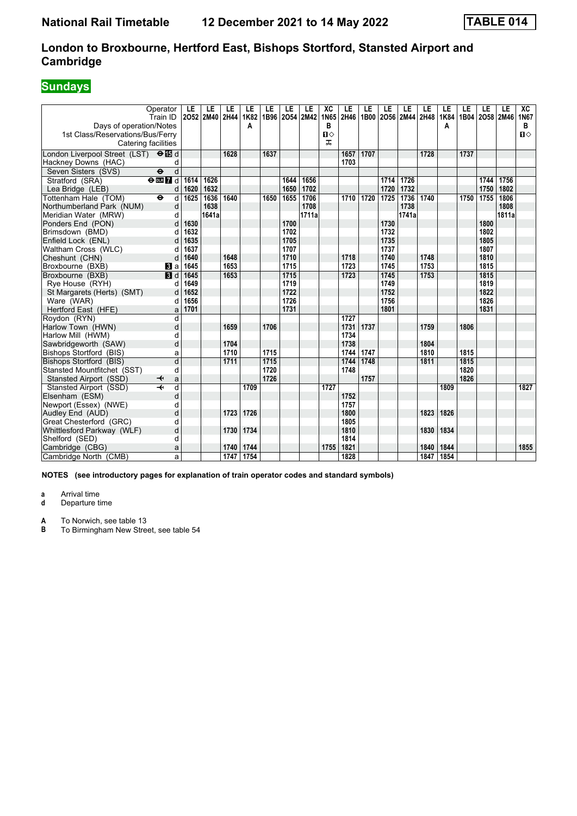# **Sundays**

| Days of operation/Notes<br>1st Class/Reservations/Bus/Ferry<br>Catering facilities | Operator<br>Train ID                                       | LE               | LE<br>2052 2M40 | LE<br>2H44 | LE<br>1K82<br>A | LE   | LE   | LE<br>1B96 2054 2M42 | XC<br>1N65<br>в<br>$\mathbf{u}$<br>ᠼ | LE<br>2H46 | LE<br>1B00 | LE   | LE<br>2056 2M44 | LE<br>2H48 | LE<br>1K84<br>A | LE   | LE<br>1B04 2058 2M46 | LE    | ХC<br>1N67<br>B<br>$\mathbf{u}$ |
|------------------------------------------------------------------------------------|------------------------------------------------------------|------------------|-----------------|------------|-----------------|------|------|----------------------|--------------------------------------|------------|------------|------|-----------------|------------|-----------------|------|----------------------|-------|---------------------------------|
| London Liverpool Street (LST) $\Theta$ <b>is</b> d                                 |                                                            |                  |                 | 1628       |                 | 1637 |      |                      |                                      | 1657 1707  |            |      |                 | 1728       |                 | 1737 |                      |       |                                 |
| Hackney Downs (HAC)                                                                | d                                                          |                  |                 |            |                 |      |      |                      |                                      | 1703       |            |      |                 |            |                 |      |                      |       |                                 |
| Seven Sisters (SVS)                                                                | $\overline{\mathbf{e}}$<br>d                               |                  |                 |            |                 |      |      |                      |                                      |            |            |      |                 |            |                 |      |                      |       |                                 |
| Stratford (SRA)                                                                    | $\overline{\mathbf{e}}$ <b>m</b> $\overline{\mathbf{h}}$ d | 1614             | 1626            |            |                 |      | 1644 | 1656                 |                                      |            |            | 1714 | 1726            |            |                 |      | 1744                 | 1756  |                                 |
| Lea Bridge (LEB)                                                                   | d                                                          | 1620             | 1632            |            |                 |      | 1650 | 1702                 |                                      |            |            | 1720 | 1732            |            |                 |      | 1750                 | 1802  |                                 |
| Tottenham Hale (TOM)                                                               | $\overline{\bullet}$<br>d                                  | $\frac{1625}{ }$ | 1636            | 1640       |                 | 1650 | 1655 | 1706                 |                                      | 1710       | 1720       | 1725 | 1736            | 1740       |                 | 1750 | 1755                 | 1806  |                                 |
| Northumberland Park (NUM)                                                          | d                                                          |                  | 1638            |            |                 |      |      | 1708                 |                                      |            |            |      | 1738            |            |                 |      |                      | 1808  |                                 |
| Meridian Water (MRW)                                                               | d                                                          |                  | 1641a           |            |                 |      |      | 1711a                |                                      |            |            |      | 1741a           |            |                 |      |                      | 1811a |                                 |
| Ponders End (PON)                                                                  | d                                                          | 1630             |                 |            |                 |      | 1700 |                      |                                      |            |            | 1730 |                 |            |                 |      | 1800                 |       |                                 |
| Brimsdown (BMD)                                                                    | d                                                          | 1632             |                 |            |                 |      | 1702 |                      |                                      |            |            | 1732 |                 |            |                 |      | 1802                 |       |                                 |
| Enfield Lock (ENL)                                                                 | d                                                          | 1635             |                 |            |                 |      | 1705 |                      |                                      |            |            | 1735 |                 |            |                 |      | 1805                 |       |                                 |
| Waltham Cross (WLC)                                                                | d                                                          | 1637             |                 |            |                 |      | 1707 |                      |                                      |            |            | 1737 |                 |            |                 |      | 1807                 |       |                                 |
| Cheshunt (CHN)                                                                     | d                                                          | 1640             |                 | 1648       |                 |      | 1710 |                      |                                      | 1718       |            | 1740 |                 | 1748       |                 |      | 1810                 |       |                                 |
| Broxbourne (BXB)                                                                   | <b>B</b> la                                                | 1645             |                 | 1653       |                 |      | 1715 |                      |                                      | 1723       |            | 1745 |                 | 1753       |                 |      | 1815                 |       |                                 |
| Broxbourne (BXB)                                                                   | 3d                                                         | 1645             |                 | 1653       |                 |      | 1715 |                      |                                      | 1723       |            | 1745 |                 | 1753       |                 |      | 1815                 |       |                                 |
| Rye House (RYH)                                                                    | d                                                          | 1649             |                 |            |                 |      | 1719 |                      |                                      |            |            | 1749 |                 |            |                 |      | 1819                 |       |                                 |
| St Margarets (Herts) (SMT)                                                         | d                                                          | 1652             |                 |            |                 |      | 1722 |                      |                                      |            |            | 1752 |                 |            |                 |      | 1822                 |       |                                 |
| Ware (WAR)                                                                         | d                                                          | 1656             |                 |            |                 |      | 1726 |                      |                                      |            |            | 1756 |                 |            |                 |      | 1826                 |       |                                 |
| Hertford East (HFE)                                                                | a                                                          | 1701             |                 |            |                 |      | 1731 |                      |                                      |            |            | 1801 |                 |            |                 |      | 1831                 |       |                                 |
| Roydon (RYN)                                                                       | d                                                          |                  |                 |            |                 |      |      |                      |                                      | 1727       |            |      |                 |            |                 |      |                      |       |                                 |
| Harlow Town (HWN)                                                                  | d                                                          |                  |                 | 1659       |                 | 1706 |      |                      |                                      | 1731       | 1737       |      |                 | 1759       |                 | 1806 |                      |       |                                 |
| Harlow Mill (HWM)                                                                  | d                                                          |                  |                 |            |                 |      |      |                      |                                      | 1734       |            |      |                 |            |                 |      |                      |       |                                 |
| Sawbridgeworth (SAW)                                                               | d                                                          |                  |                 | 1704       |                 |      |      |                      |                                      | 1738       |            |      |                 | 1804       |                 |      |                      |       |                                 |
| Bishops Stortford (BIS)                                                            | a                                                          |                  |                 | 1710       |                 | 1715 |      |                      |                                      | 1744       | 1747       |      |                 | 1810       |                 | 1815 |                      |       |                                 |
| Bishops Stortford (BIS)                                                            | $\overline{\mathsf{d}}$                                    |                  |                 | 1711       |                 | 1715 |      |                      |                                      | 1744       | 1748       |      |                 | 1811       |                 | 1815 |                      |       |                                 |
| Stansted Mountfitchet (SST)                                                        | d                                                          |                  |                 |            |                 | 1720 |      |                      |                                      | 1748       |            |      |                 |            |                 | 1820 |                      |       |                                 |
| Stansted Airport (SSD)                                                             | a<br>↞                                                     |                  |                 |            |                 | 1726 |      |                      |                                      |            | 1757       |      |                 |            |                 | 1826 |                      |       |                                 |
| Stansted Airport (SSD)                                                             | $\overline{\textbf{+}}$<br>d                               |                  |                 |            | 1709            |      |      |                      | 1727                                 |            |            |      |                 |            | 1809            |      |                      |       | 1827                            |
| Elsenham (ESM)                                                                     | d                                                          |                  |                 |            |                 |      |      |                      |                                      | 1752       |            |      |                 |            |                 |      |                      |       |                                 |
| Newport (Essex) (NWE)                                                              | d                                                          |                  |                 |            |                 |      |      |                      |                                      | 1757       |            |      |                 |            |                 |      |                      |       |                                 |
| Audley End (AUD)                                                                   | d                                                          |                  |                 | 1723       | 1726            |      |      |                      |                                      | 1800       |            |      |                 | 1823       | 1826            |      |                      |       |                                 |
| Great Chesterford (GRC)                                                            | d                                                          |                  |                 |            |                 |      |      |                      |                                      | 1805       |            |      |                 |            |                 |      |                      |       |                                 |
| Whittlesford Parkway (WLF)                                                         | d                                                          |                  |                 | 1730       | 1734            |      |      |                      |                                      | 1810       |            |      |                 | 1830       | 1834            |      |                      |       |                                 |
| Shelford (SED)                                                                     | d                                                          |                  |                 |            |                 |      |      |                      |                                      | 1814       |            |      |                 |            |                 |      |                      |       |                                 |
| Cambridge (CBG)                                                                    | a                                                          |                  |                 | 1740       | 1744            |      |      |                      | 1755                                 | 1821       |            |      |                 | 1840       | 1844            |      |                      |       | 1855                            |
| Cambridge North (CMB)                                                              | a                                                          |                  |                 | 1747       | 1754            |      |      |                      |                                      | 1828       |            |      |                 | 1847       | 1854            |      |                      |       |                                 |

**NOTES (see introductory pages for explanation of train operator codes and standard symbols)**

**a** Arrival time<br>**d** Departure t **d** Departure time

**A** To Norwich, see table 13<br>**B** To Birmingham New Stree To Birmingham New Street, see table 54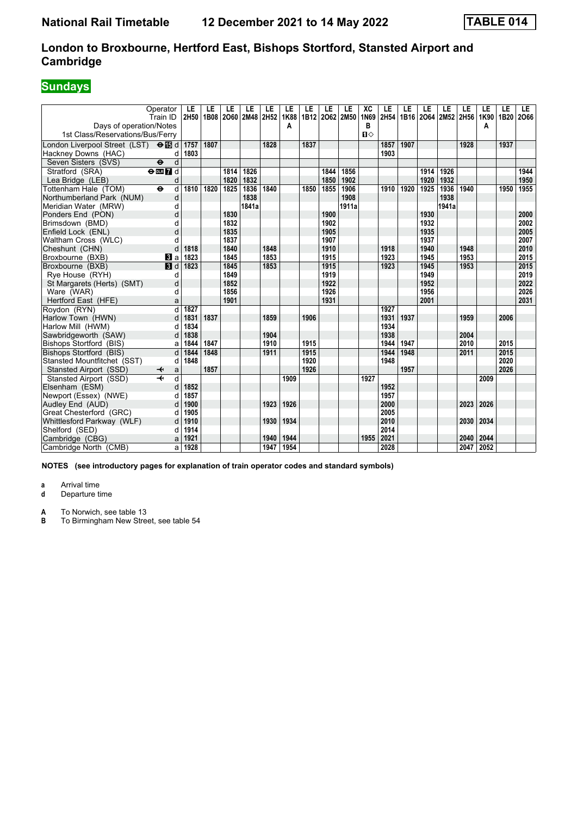# **Sundays**

| Operator<br>Train ID<br>Days of operation/Notes        | LE<br>2H50 | LE<br>1B08 | LE   | LE<br>2060 2M48 | LE<br>2H52 | LE<br>1K88<br>A | LE   | LE   | LE<br>1B12 2062 2M50 | XC<br>1N69<br>в | LE<br>2H54 | LE   | LE   | LE<br>1B16 2O64 2M52 2H56 | LE   | LE<br>1K90<br>A | LE<br>1B20 | LE.<br>2066 |
|--------------------------------------------------------|------------|------------|------|-----------------|------------|-----------------|------|------|----------------------|-----------------|------------|------|------|---------------------------|------|-----------------|------------|-------------|
| 1st Class/Reservations/Bus/Ferry                       |            |            |      |                 |            |                 |      |      |                      | $\P$            |            |      |      |                           |      |                 |            |             |
| London Liverpool Street (LST) $\Theta$ $\Box$ d        | 1757       | 1807       |      |                 | 1828       |                 | 1837 |      |                      |                 | 1857       | 1907 |      |                           | 1928 |                 | 1937       |             |
| Hackney Downs (HAC)<br>d                               | 1803       |            |      |                 |            |                 |      |      |                      |                 | 1903       |      |      |                           |      |                 |            |             |
| d<br>Seven Sisters (SVS)<br>$\ddot{\mathbf{e}}$        |            |            |      |                 |            |                 |      |      |                      |                 |            |      |      |                           |      |                 |            |             |
| Stratford (SRA)<br>$\Theta$ DE $\overline{7}$ d        |            |            | 1814 | 1826            |            |                 |      | 1844 | 1856                 |                 |            |      | 1914 | 1926                      |      |                 |            | 1944        |
| Lea Bridge (LEB)<br>d                                  |            |            | 1820 | 1832            |            |                 |      | 1850 | 1902                 |                 |            |      | 1920 | 1932                      |      |                 |            | 1950        |
| Tottenham Hale (TOM)<br>$\ddot{\mathbf{e}}$<br>d       | 1810       | 1820       | 1825 | 1836            | 1840       |                 | 1850 | 1855 | 1906                 |                 | 1910       | 1920 | 1925 | 1936                      | 1940 |                 | 1950       | 1955        |
| Northumberland Park (NUM)<br>d                         |            |            |      | 1838            |            |                 |      |      | 1908                 |                 |            |      |      | 1938                      |      |                 |            |             |
| Meridian Water (MRW)<br>d                              |            |            |      | 1841a           |            |                 |      |      | 1911a                |                 |            |      |      | 1941a                     |      |                 |            |             |
| d<br>Ponders End (PON)                                 |            |            | 1830 |                 |            |                 |      | 1900 |                      |                 |            |      | 1930 |                           |      |                 |            | 2000        |
| Brimsdown (BMD)<br>d                                   |            |            | 1832 |                 |            |                 |      | 1902 |                      |                 |            |      | 1932 |                           |      |                 |            | 2002        |
| d<br>Enfield Lock (ENL)                                |            |            | 1835 |                 |            |                 |      | 1905 |                      |                 |            |      | 1935 |                           |      |                 |            | 2005        |
| Waltham Cross (WLC)<br>d                               |            |            | 1837 |                 |            |                 |      | 1907 |                      |                 |            |      | 1937 |                           |      |                 |            | 2007        |
| Cheshunt (CHN)<br>d                                    | 1818       |            | 1840 |                 | 1848       |                 |      | 1910 |                      |                 | 1918       |      | 1940 |                           | 1948 |                 |            | 2010        |
| Broxbourne (BXB)<br><b>B</b> la                        | 1823       |            | 1845 |                 | 1853       |                 |      | 1915 |                      |                 | 1923       |      | 1945 |                           | 1953 |                 |            | 2015        |
| Broxbourne (BXB)<br>$\blacksquare$                     | 1823       |            | 1845 |                 | 1853       |                 |      | 1915 |                      |                 | 1923       |      | 1945 |                           | 1953 |                 |            | 2015        |
| Rye House (RYH)<br>d                                   |            |            | 1849 |                 |            |                 |      | 1919 |                      |                 |            |      | 1949 |                           |      |                 |            | 2019        |
| St Margarets (Herts) (SMT)<br>d                        |            |            | 1852 |                 |            |                 |      | 1922 |                      |                 |            |      | 1952 |                           |      |                 |            | 2022        |
| Ware (WAR)<br>d                                        |            |            | 1856 |                 |            |                 |      | 1926 |                      |                 |            |      | 1956 |                           |      |                 |            | 2026        |
| Hertford East (HFE)<br>a                               |            |            | 1901 |                 |            |                 |      | 1931 |                      |                 |            |      | 2001 |                           |      |                 |            | 2031        |
| d<br>Roydon (RYN)                                      | 1827       |            |      |                 |            |                 |      |      |                      |                 | 1927       |      |      |                           |      |                 |            |             |
| Harlow Town (HWN)<br>d                                 | 1831       | 1837       |      |                 | 1859       |                 | 1906 |      |                      |                 | 1931       | 1937 |      |                           | 1959 |                 | 2006       |             |
| Harlow Mill (HWM)<br>d                                 | 1834       |            |      |                 |            |                 |      |      |                      |                 | 1934       |      |      |                           |      |                 |            |             |
| Sawbridgeworth (SAW)<br>d                              | 1838       |            |      |                 | 1904       |                 |      |      |                      |                 | 1938       |      |      |                           | 2004 |                 |            |             |
| Bishops Stortford (BIS)<br>a                           | 1844       | 1847       |      |                 | 1910       |                 | 1915 |      |                      |                 | 1944       | 1947 |      |                           | 2010 |                 | 2015       |             |
| d<br>Bishops Stortford (BIS)                           | 1844       | 1848       |      |                 | 1911       |                 | 1915 |      |                      |                 | 1944       | 1948 |      |                           | 2011 |                 | 2015       |             |
| Stansted Mountfitchet (SST)<br>d                       | 1848       |            |      |                 |            |                 | 1920 |      |                      |                 | 1948       |      |      |                           |      |                 | 2020       |             |
| Stansted Airport (SSD)<br>↞<br>a                       |            | 1857       |      |                 |            |                 | 1926 |      |                      |                 |            | 1957 |      |                           |      |                 | 2026       |             |
| $\overline{\mathbf{r}}$<br>d<br>Stansted Airport (SSD) |            |            |      |                 |            | 1909            |      |      |                      | 1927            |            |      |      |                           |      | 2009            |            |             |
| Elsenham (ESM)<br>d                                    | 1852       |            |      |                 |            |                 |      |      |                      |                 | 1952       |      |      |                           |      |                 |            |             |
| Newport (Essex) (NWE)<br>d                             | 1857       |            |      |                 |            |                 |      |      |                      |                 | 1957       |      |      |                           |      |                 |            |             |
| Audley End (AUD)<br>d                                  | 1900       |            |      |                 | 1923       | 1926            |      |      |                      |                 | 2000       |      |      |                           | 2023 | 2026            |            |             |
| Great Chesterford (GRC)<br>d                           | 1905       |            |      |                 |            |                 |      |      |                      |                 | 2005       |      |      |                           |      |                 |            |             |
| Whittlesford Parkway (WLF)<br>d                        | 1910       |            |      |                 | 1930       | 1934            |      |      |                      |                 | 2010       |      |      |                           | 2030 | 2034            |            |             |
| Shelford (SED)<br>d                                    | 1914       |            |      |                 |            |                 |      |      |                      |                 | 2014       |      |      |                           |      |                 |            |             |
| Cambridge (CBG)<br>a                                   | 1921       |            |      |                 | 1940       | 1944            |      |      |                      | 1955            | 2021       |      |      |                           | 2040 | 2044            |            |             |
| Cambridge North (CMB)<br>a                             | 1928       |            |      |                 | 1947       | 1954            |      |      |                      |                 | 2028       |      |      |                           | 2047 | 2052            |            |             |

**NOTES (see introductory pages for explanation of train operator codes and standard symbols)**

**a** Arrival time<br>**d** Departure t

**d** Departure time

**A** To Norwich, see table 13<br>**B** To Birmingham New Stree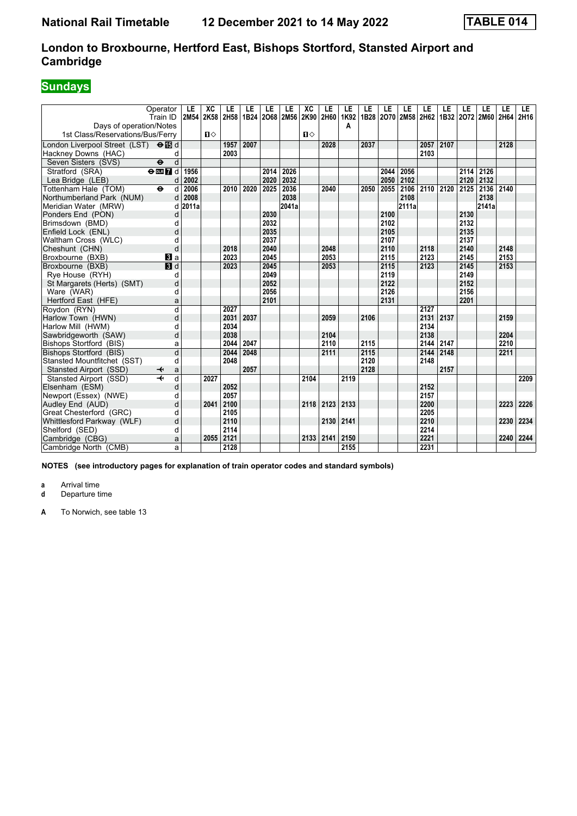# **Sundays**

| Operator<br>Train ID<br>Days of operation/Notes      |                         | LE<br>2M54 | XC<br>2K58   | LE<br>2H58 | LE<br>1B24 | LE<br>2068 2M56 | LE    | XC<br>2K90 | LE<br>2H60 | LE<br>1K92<br>А | LE   | LE   | LE<br>1B28 2070 2M58 2H62 | LE   | LE<br>1B32 | LE   | LE<br>2072 2M60 2H64 | LE   | <b>LE</b><br>2H16 |
|------------------------------------------------------|-------------------------|------------|--------------|------------|------------|-----------------|-------|------------|------------|-----------------|------|------|---------------------------|------|------------|------|----------------------|------|-------------------|
| 1st Class/Reservations/Bus/Ferry                     |                         |            | $\mathbf{u}$ |            |            |                 |       | п⇔         |            |                 |      |      |                           |      |            |      |                      |      |                   |
| London Liverpool Street (LST) <b>⊖ iB</b> d          |                         |            |              | 1957       | 2007       |                 |       |            | 2028       |                 | 2037 |      |                           | 2057 | 2107       |      |                      | 2128 |                   |
| Hackney Downs (HAC)                                  | d                       |            |              | 2003       |            |                 |       |            |            |                 |      |      |                           | 2103 |            |      |                      |      |                   |
| Seven Sisters (SVS)<br>$\ddot{\boldsymbol{\Theta}}$  | d                       |            |              |            |            |                 |       |            |            |                 |      |      |                           |      |            |      |                      |      |                   |
| Stratford (SRA)<br>$rac{1}{2}$ or $rac{1}{2}$ d      |                         | 1956       |              |            |            | 2014            | 2026  |            |            |                 |      | 2044 | 2056                      |      |            | 2114 | 2126                 |      |                   |
| Lea Bridge (LEB)                                     | d                       | 2002       |              |            |            | 2020            | 2032  |            |            |                 |      | 2050 | 2102                      |      |            | 2120 | 2132                 |      |                   |
| Tottenham Hale (TOM)<br>$\ddot{\boldsymbol{\Theta}}$ | d                       | 2006       |              | 2010       | 2020       | 2025            | 2036  |            | 2040       |                 | 2050 | 2055 | 2106                      | 2110 | 2120       | 2125 | 2136                 | 2140 |                   |
| Northumberland Park (NUM)                            | d                       | 2008       |              |            |            |                 | 2038  |            |            |                 |      |      | 2108                      |      |            |      | 2138                 |      |                   |
| Meridian Water (MRW)                                 | d                       | 2011a      |              |            |            |                 | 2041a |            |            |                 |      |      | 2111a                     |      |            |      | 2141a                |      |                   |
| Ponders End (PON)                                    | d                       |            |              |            |            | 2030            |       |            |            |                 |      | 2100 |                           |      |            | 2130 |                      |      |                   |
| Brimsdown (BMD)                                      | d                       |            |              |            |            | 2032            |       |            |            |                 |      | 2102 |                           |      |            | 2132 |                      |      |                   |
| Enfield Lock (ENL)                                   | d                       |            |              |            |            | 2035            |       |            |            |                 |      | 2105 |                           |      |            | 2135 |                      |      |                   |
| Waltham Cross (WLC)                                  | d                       |            |              |            |            | 2037            |       |            |            |                 |      | 2107 |                           |      |            | 2137 |                      |      |                   |
| Cheshunt (CHN)                                       | d                       |            |              | 2018       |            | 2040            |       |            | 2048       |                 |      | 2110 |                           | 2118 |            | 2140 |                      | 2148 |                   |
| Broxbourne (BXB)                                     | <b>El</b> a             |            |              | 2023       |            | 2045            |       |            | 2053       |                 |      | 2115 |                           | 2123 |            | 2145 |                      | 2153 |                   |
| Broxbourne (BXB)                                     | $\blacksquare$          |            |              | 2023       |            | 2045            |       |            | 2053       |                 |      | 2115 |                           | 2123 |            | 2145 |                      | 2153 |                   |
| Rye House (RYH)                                      | d                       |            |              |            |            | 2049            |       |            |            |                 |      | 2119 |                           |      |            | 2149 |                      |      |                   |
| St Margarets (Herts) (SMT)                           | d                       |            |              |            |            | 2052            |       |            |            |                 |      | 2122 |                           |      |            | 2152 |                      |      |                   |
| Ware (WAR)                                           | d                       |            |              |            |            | 2056            |       |            |            |                 |      | 2126 |                           |      |            | 2156 |                      |      |                   |
| Hertford East (HFE)                                  | a                       |            |              |            |            | 2101            |       |            |            |                 |      | 2131 |                           |      |            | 2201 |                      |      |                   |
| Roydon (RYN)                                         | $\overline{\mathsf{d}}$ |            |              | 2027       |            |                 |       |            |            |                 |      |      |                           | 2127 |            |      |                      |      |                   |
| Harlow Town (HWN)                                    | d                       |            |              | 2031       | 2037       |                 |       |            | 2059       |                 | 2106 |      |                           | 2131 | 2137       |      |                      | 2159 |                   |
| Harlow Mill (HWM)                                    | d                       |            |              | 2034       |            |                 |       |            |            |                 |      |      |                           | 2134 |            |      |                      |      |                   |
| Sawbridgeworth (SAW)                                 | d                       |            |              | 2038       |            |                 |       |            | 2104       |                 |      |      |                           | 2138 |            |      |                      | 2204 |                   |
| Bishops Stortford (BIS)                              | a                       |            |              | 2044       | 2047       |                 |       |            | 2110       |                 | 2115 |      |                           | 2144 | 2147       |      |                      | 2210 |                   |
| Bishops Stortford (BIS)                              | d                       |            |              | 2044       | 2048       |                 |       |            | 2111       |                 | 2115 |      |                           | 2144 | 2148       |      |                      | 2211 |                   |
| Stansted Mountfitchet (SST)                          | d                       |            |              | 2048       |            |                 |       |            |            |                 | 2120 |      |                           | 2148 |            |      |                      |      |                   |
| Stansted Airport (SSD)                               | a                       |            |              |            | 2057       |                 |       |            |            |                 | 2128 |      |                           |      | 2157       |      |                      |      |                   |
| Stansted Airport (SSD)                               | d                       |            | 2027         |            |            |                 |       | 2104       |            | 2119            |      |      |                           |      |            |      |                      |      | 2209              |
| Elsenham (ESM)                                       | d                       |            |              | 2052       |            |                 |       |            |            |                 |      |      |                           | 2152 |            |      |                      |      |                   |
| Newport (Essex) (NWE)                                | d                       |            |              | 2057       |            |                 |       |            |            |                 |      |      |                           | 2157 |            |      |                      |      |                   |
| Audley End (AUD)                                     | d                       |            | 2041         | 2100       |            |                 |       | 2118       | 2123       | 2133            |      |      |                           | 2200 |            |      |                      | 2223 | 2226              |
| Great Chesterford (GRC)                              | d                       |            |              | 2105       |            |                 |       |            |            |                 |      |      |                           | 2205 |            |      |                      |      |                   |
| Whittlesford Parkway (WLF)                           | d                       |            |              | 2110       |            |                 |       |            | 2130       | 2141            |      |      |                           | 2210 |            |      |                      | 2230 | 2234              |
| Shelford (SED)                                       | d                       |            |              | 2114       |            |                 |       |            |            |                 |      |      |                           | 2214 |            |      |                      |      |                   |
| Cambridge (CBG)                                      | a                       |            | 2055         | 2121       |            |                 |       | 2133       | 2141       | 2150            |      |      |                           | 2221 |            |      |                      | 2240 | 2244              |
| Cambridge North (CMB)                                | a                       |            |              | 2128       |            |                 |       |            |            | 2155            |      |      |                           | 2231 |            |      |                      |      |                   |

**NOTES (see introductory pages for explanation of train operator codes and standard symbols)**

**a** Arrival time<br>**d** Departure t

**d** Departure time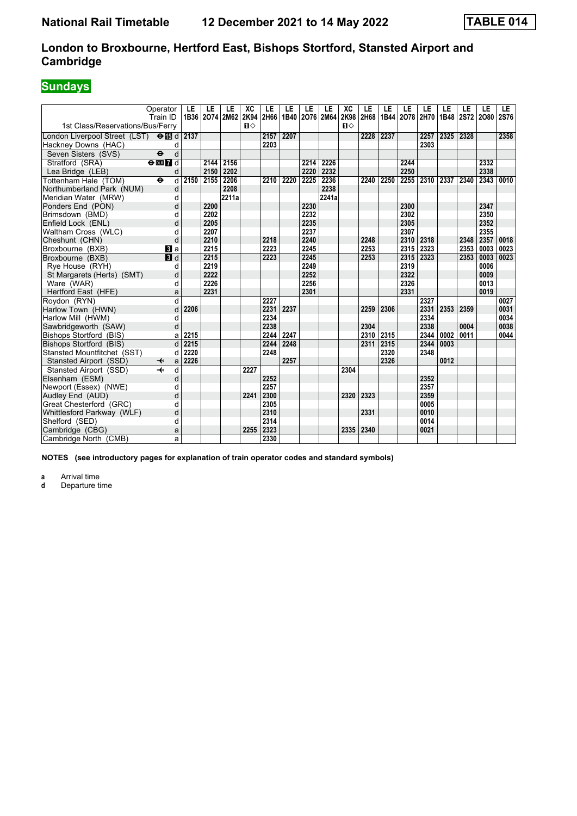### **London to Broxbourne, Hertford East, Bishops Stortford, Stansted Airport and Cambridge**

# **Sundays**

|                                                    | Operator<br>Train ID         | LE   | LE<br>1B36 2074 2M62 | LE    | XC<br>2K94 | LE<br>2H66 | LE<br>1B40 | LE<br>2076 2M64 | LE    | XC<br>2K98   | LE<br>2H68 | LE<br>1B44 2078 | LE   | LE<br>2H70 | LE<br>1B48 | LE<br>2S72 2O80 | LE   | LE<br>2S76 |
|----------------------------------------------------|------------------------------|------|----------------------|-------|------------|------------|------------|-----------------|-------|--------------|------------|-----------------|------|------------|------------|-----------------|------|------------|
| 1st Class/Reservations/Bus/Ferry                   |                              |      |                      |       | $\Pi$      |            |            |                 |       | $\mathbf{u}$ |            |                 |      |            |            |                 |      |            |
| London Liverpool Street (LST) $\Theta$ <b>is</b> d |                              | 2137 |                      |       |            | 2157       | 2207       |                 |       |              | 2228       | 2237            |      | 2257       | 2325       | 2328            |      | 2358       |
| Hackney Downs (HAC)                                | d                            |      |                      |       |            | 2203       |            |                 |       |              |            |                 |      | 2303       |            |                 |      |            |
| Seven Sisters (SVS)                                | d<br>$\ddot{\mathbf{e}}$     |      |                      |       |            |            |            |                 |       |              |            |                 |      |            |            |                 |      |            |
| Stratford (SRA)                                    | $\Theta$ <b>ER</b> d         |      | 2144                 | 2156  |            |            |            | 2214            | 2226  |              |            |                 | 2244 |            |            |                 | 2332 |            |
| Lea Bridge (LEB)                                   | d                            |      | 2150                 | 2202  |            |            |            | 2220            | 2232  |              |            |                 | 2250 |            |            |                 | 2338 |            |
| Tottenham Hale (TOM)                               | d<br>$\bullet$               | 2150 | 2155                 | 2206  |            | 2210       | 2220       | 2225            | 2236  |              | 2240       | 2250            | 2255 | 2310       | 2337       | 2340            | 2343 | 0010       |
| Northumberland Park (NUM)                          | d                            |      |                      | 2208  |            |            |            |                 | 2238  |              |            |                 |      |            |            |                 |      |            |
| Meridian Water (MRW)                               | d                            |      |                      | 2211a |            |            |            |                 | 2241a |              |            |                 |      |            |            |                 |      |            |
| Ponders End (PON)                                  | d                            |      | 2200                 |       |            |            |            | 2230            |       |              |            |                 | 2300 |            |            |                 | 2347 |            |
| Brimsdown (BMD)                                    | d                            |      | 2202                 |       |            |            |            | 2232            |       |              |            |                 | 2302 |            |            |                 | 2350 |            |
| Enfield Lock (ENL)                                 | d                            |      | 2205                 |       |            |            |            | 2235            |       |              |            |                 | 2305 |            |            |                 | 2352 |            |
| Waltham Cross (WLC)                                | d                            |      | 2207                 |       |            |            |            | 2237            |       |              |            |                 | 2307 |            |            |                 | 2355 |            |
| Cheshunt (CHN)                                     | d                            |      | 2210                 |       |            | 2218       |            | 2240            |       |              | 2248       |                 | 2310 | 2318       |            | 2348            | 2357 | 0018       |
| Broxbourne (BXB)                                   | <b>B</b> la                  |      | 2215                 |       |            | 2223       |            | 2245            |       |              | 2253       |                 | 2315 | 2323       |            | 2353            | 0003 | 0023       |
| Broxbourne (BXB)                                   | $\overline{\mathbf{B}}$ d    |      | 2215                 |       |            | 2223       |            | 2245            |       |              | 2253       |                 | 2315 | 2323       |            | 2353            | 0003 | 0023       |
| Rve House (RYH)                                    | d                            |      | 2219                 |       |            |            |            | 2249            |       |              |            |                 | 2319 |            |            |                 | 0006 |            |
| St Margarets (Herts) (SMT)                         | d                            |      | 2222                 |       |            |            |            | 2252            |       |              |            |                 | 2322 |            |            |                 | 0009 |            |
| Ware (WAR)                                         | d                            |      | 2226                 |       |            |            |            | 2256            |       |              |            |                 | 2326 |            |            |                 | 0013 |            |
| Hertford East (HFE)                                | a                            |      | 2231                 |       |            |            |            | 2301            |       |              |            |                 | 2331 |            |            |                 | 0019 |            |
| Rovdon (RYN)                                       | d                            |      |                      |       |            | 2227       |            |                 |       |              |            |                 |      | 2327       |            |                 |      | 0027       |
| Harlow Town (HWN)                                  | d                            | 2206 |                      |       |            | 2231       | 2237       |                 |       |              | 2259       | 2306            |      | 2331       | 2353       | 2359            |      | 0031       |
| Harlow Mill (HWM)                                  | d                            |      |                      |       |            | 2234       |            |                 |       |              |            |                 |      | 2334       |            |                 |      | 0034       |
| Sawbridgeworth (SAW)                               | d                            |      |                      |       |            | 2238       |            |                 |       |              | 2304       |                 |      | 2338       |            | 0004            |      | 0038       |
| Bishops Stortford (BIS)                            | a                            | 2215 |                      |       |            | 2244       | 2247       |                 |       |              | 2310       | 2315            |      | 2344       | 0002       | 0011            |      | 0044       |
| Bishops Stortford (BIS)                            | d                            | 2215 |                      |       |            | 2244       | 2248       |                 |       |              | 2311       | 2315            |      | 2344       | 0003       |                 |      |            |
| Stansted Mountfitchet (SST)                        | d                            | 2220 |                      |       |            | 2248       |            |                 |       |              |            | 2320            |      | 2348       |            |                 |      |            |
| Stansted Airport (SSD)                             | $\overline{\mathbf{t}}$<br>a | 2226 |                      |       |            |            | 2257       |                 |       |              |            | 2326            |      |            | 0012       |                 |      |            |
| Stansted Airport (SSD)                             | $\overline{+}$<br>d          |      |                      |       | 2227       |            |            |                 |       | 2304         |            |                 |      |            |            |                 |      |            |
| Elsenham (ESM)                                     | d                            |      |                      |       |            | 2252       |            |                 |       |              |            |                 |      | 2352       |            |                 |      |            |
| Newport (Essex) (NWE)                              | d                            |      |                      |       |            | 2257       |            |                 |       |              |            |                 |      | 2357       |            |                 |      |            |
| Audley End (AUD)                                   | d                            |      |                      |       | 2241       | 2300       |            |                 |       | 2320         | 2323       |                 |      | 2359       |            |                 |      |            |
| Great Chesterford (GRC)                            | d                            |      |                      |       |            | 2305       |            |                 |       |              |            |                 |      | 0005       |            |                 |      |            |
| Whittlesford Parkway (WLF)                         | d                            |      |                      |       |            | 2310       |            |                 |       |              | 2331       |                 |      | 0010       |            |                 |      |            |
| Shelford (SED)                                     | d                            |      |                      |       |            | 2314       |            |                 |       |              |            |                 |      | 0014       |            |                 |      |            |
| Cambridge (CBG)                                    | a                            |      |                      |       | 2255       | 2323       |            |                 |       | 2335         | 2340       |                 |      | 0021       |            |                 |      |            |
| Cambridge North (CMB)                              | a                            |      |                      |       |            | 2330       |            |                 |       |              |            |                 |      |            |            |                 |      |            |

**NOTES (see introductory pages for explanation of train operator codes and standard symbols)**

**a** Arrival time<br>**d** Departure ti

**d** Departure time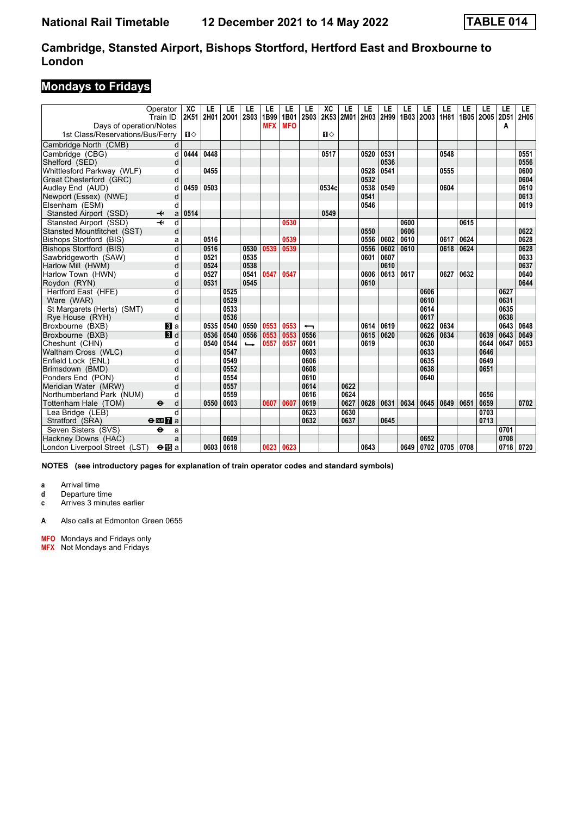### **Mondays to Fridays**

| Days of operation/Notes          | Operator<br>Train ID         | ХC<br>2K51     | LE<br>2H01 | LE<br>2001 | LE<br><b>2S03</b> | LE<br>1B99<br><b>MFX</b> | LE<br>1B01<br><b>MFO</b> | LE<br><b>2S03</b>        | XC<br>2K53   | LE<br><b>2M01</b> | LE<br>2H03 | LE<br>2H99 | LE   | LE<br>1B03 2003 | LE<br>1H81 | LE   | LE<br>1B05 2005 2D51 | LE<br>A | LE.<br>2H05 |
|----------------------------------|------------------------------|----------------|------------|------------|-------------------|--------------------------|--------------------------|--------------------------|--------------|-------------------|------------|------------|------|-----------------|------------|------|----------------------|---------|-------------|
| 1st Class/Reservations/Bus/Ferry |                              | $\blacksquare$ |            |            |                   |                          |                          |                          | $\mathbf{u}$ |                   |            |            |      |                 |            |      |                      |         |             |
| Cambridge North (CMB)            | d                            |                |            |            |                   |                          |                          |                          |              |                   |            |            |      |                 |            |      |                      |         |             |
| Cambridge (CBG)                  | d                            | 0444           | 0448       |            |                   |                          |                          |                          | 0517         |                   | 0520       | 0531       |      |                 | 0548       |      |                      |         | 0551        |
| Shelford (SED)                   | d                            |                |            |            |                   |                          |                          |                          |              |                   |            | 0536       |      |                 |            |      |                      |         | 0556        |
| Whittlesford Parkway (WLF)       | d                            |                | 0455       |            |                   |                          |                          |                          |              |                   | 0528       | 0541       |      |                 | 0555       |      |                      |         | 0600        |
| Great Chesterford (GRC)          | d                            |                |            |            |                   |                          |                          |                          |              |                   | 0532       |            |      |                 |            |      |                      |         | 0604        |
| Audley End (AUD)                 | d                            | 0459           | 0503       |            |                   |                          |                          |                          | 0534c        |                   | 0538       | 0549       |      |                 | 0604       |      |                      |         | 0610        |
| Newport (Essex) (NWE)            | d                            |                |            |            |                   |                          |                          |                          |              |                   | 0541       |            |      |                 |            |      |                      |         | 0613        |
| Elsenham (ESM)                   | d                            |                |            |            |                   |                          |                          |                          |              |                   | 0546       |            |      |                 |            |      |                      |         | 0619        |
| Stansted Airport (SSD)           | ↞<br>a                       | 0514           |            |            |                   |                          |                          |                          | 0549         |                   |            |            |      |                 |            |      |                      |         |             |
| Stansted Airport (SSD)           | d                            |                |            |            |                   |                          | 0530                     |                          |              |                   |            |            | 0600 |                 |            | 0615 |                      |         |             |
| Stansted Mountfitchet (SST)      | d                            |                |            |            |                   |                          |                          |                          |              |                   | 0550       |            | 0606 |                 |            |      |                      |         | 0622        |
| Bishops Stortford (BIS)          | a                            |                | 0516       |            |                   |                          | 0539                     |                          |              |                   | 0556       | 0602       | 0610 |                 | 0617       | 0624 |                      |         | 0628        |
| Bishops Stortford (BIS)          | d                            |                | 0516       |            | 0530              | 0539                     | 0539                     |                          |              |                   | 0556       | 0602       | 0610 |                 | 0618       | 0624 |                      |         | 0628        |
| Sawbridgeworth (SAW)             | d                            |                | 0521       |            | 0535              |                          |                          |                          |              |                   | 0601       | 0607       |      |                 |            |      |                      |         | 0633        |
| Harlow Mill (HWM)                | d                            |                | 0524       |            | 0538              |                          |                          |                          |              |                   |            | 0610       |      |                 |            |      |                      |         | 0637        |
| Harlow Town (HWN)                | d                            |                | 0527       |            | 0541              | 0547                     | 0547                     |                          |              |                   | 0606       | 0613       | 0617 |                 | 0627       | 0632 |                      |         | 0640        |
| Roydon (RYN)                     | d                            |                | 0531       |            | 0545              |                          |                          |                          |              |                   | 0610       |            |      |                 |            |      |                      |         | 0644        |
| Hertford East (HFE)              | d                            |                |            | 0525       |                   |                          |                          |                          |              |                   |            |            |      | 0606            |            |      |                      | 0627    |             |
| Ware (WAR)                       | d                            |                |            | 0529       |                   |                          |                          |                          |              |                   |            |            |      | 0610            |            |      |                      | 0631    |             |
| St Margarets (Herts) (SMT)       | d                            |                |            | 0533       |                   |                          |                          |                          |              |                   |            |            |      | 0614            |            |      |                      | 0635    |             |
| Rye House (RYH)                  | d                            |                |            | 0536       |                   |                          |                          |                          |              |                   |            |            |      | 0617            |            |      |                      | 0638    |             |
| Broxbourne (BXB)                 | BI a                         |                | 0535       | 0540       | 0550              | 0553                     | 0553                     | $\overline{\phantom{0}}$ |              |                   | 0614       | 0619       |      | 0622            | 0634       |      |                      | 0643    | 0648        |
| Broxbourne (BXB)                 | 3d                           |                | 0536       | 0540       | 0556              | 0553                     | 0553                     | 0556                     |              |                   | 0615       | 0620       |      | 0626            | 0634       |      | 0639                 | 0643    | 0649        |
| Cheshunt (CHN)                   | d                            |                | 0540       | 0544       | $\rightarrow$     | 0557                     | 0557                     | 0601                     |              |                   | 0619       |            |      | 0630            |            |      | 0644                 | 0647    | 0653        |
| Waltham Cross (WLC)              | d                            |                |            | 0547       |                   |                          |                          | 0603                     |              |                   |            |            |      | 0633            |            |      | 0646                 |         |             |
| Enfield Lock (ENL)               | d                            |                |            | 0549       |                   |                          |                          | 0606                     |              |                   |            |            |      | 0635            |            |      | 0649                 |         |             |
| Brimsdown (BMD)                  | d                            |                |            | 0552       |                   |                          |                          | 0608                     |              |                   |            |            |      | 0638            |            |      | 0651                 |         |             |
| Ponders End (PON)                | d                            |                |            | 0554       |                   |                          |                          | 0610                     |              |                   |            |            |      | 0640            |            |      |                      |         |             |
| Meridian Water (MRW)             | d                            |                |            | 0557       |                   |                          |                          | 0614                     |              | 0622              |            |            |      |                 |            |      |                      |         |             |
| Northumberland Park (NUM)        | d                            |                |            | 0559       |                   |                          |                          | 0616                     |              | 0624              |            |            |      |                 |            |      | 0656                 |         |             |
| Tottenham Hale (TOM)             | $\ddot{\bm{\Theta}}$<br>d    |                | 0550       | 0603       |                   | 0607                     | 0607                     | 0619                     |              | 0627              | 0628       | 0631       | 0634 | 0645            | 0649       | 0651 | 0659                 |         | 0702        |
| Lea Bridge (LEB)                 | $\mathsf{d}$                 |                |            |            |                   |                          |                          | 0623                     |              | 0630              |            |            |      |                 |            |      | 0703                 |         |             |
| Stratford (SRA)                  | $\Theta$ or $\overline{7}$ a |                |            |            |                   |                          |                          | 0632                     |              | 0637              |            | 0645       |      |                 |            |      | 0713                 |         |             |
| Seven Sisters (SVS)              | $\ddot{\mathbf{e}}$<br>a     |                |            |            |                   |                          |                          |                          |              |                   |            |            |      |                 |            |      |                      | 0701    |             |
| Hackney Downs (HAC)              | a                            |                |            | 0609       |                   |                          |                          |                          |              |                   |            |            |      | 0652            |            |      |                      | 0708    |             |
| London Liverpool Street (LST)    | $\Theta$ is a                |                | 0603       | 0618       |                   | 0623                     | 0623                     |                          |              |                   | 0643       |            |      | 0649 0702 0705  |            | 0708 |                      | 0718    | 0720        |

**NOTES (see introductory pages for explanation of train operator codes and standard symbols)**

**a** Arrival time

**d** Departure time<br>**c** Arrives 3 minute

**c** Arrives 3 minutes earlier

**A** Also calls at Edmonton Green 0655

**0F2** Mondays and Fridays only

**MFX** Not Mondays and Fridays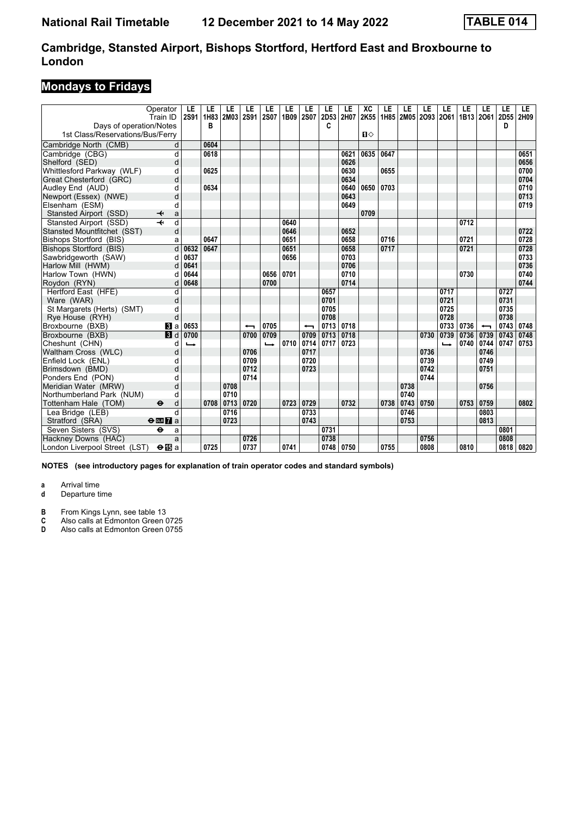### **Mondays to Fridays**

|                                  | Operator<br>Train ID              | LE<br><b>2S91</b> | LE<br>1H83 | LE<br>2M03 | LE<br><b>2S91</b> | LE<br><b>2S07</b> | LE<br>1B09 | LE<br><b>2S07</b> | LE<br>2D53 | LE<br>2H07 | XC<br>2K55 | LE   | LE   | LE<br>1H85 2M05 2O93 2O61 | LE            | LE<br>1B13 2061 | LE                       | LE<br>2D55 | LE<br>2H09 |
|----------------------------------|-----------------------------------|-------------------|------------|------------|-------------------|-------------------|------------|-------------------|------------|------------|------------|------|------|---------------------------|---------------|-----------------|--------------------------|------------|------------|
| Days of operation/Notes          |                                   |                   | в          |            |                   |                   |            |                   | C          |            |            |      |      |                           |               |                 |                          | D          |            |
| 1st Class/Reservations/Bus/Ferry |                                   |                   |            |            |                   |                   |            |                   |            |            | $\Pi$      |      |      |                           |               |                 |                          |            |            |
| Cambridge North (CMB)            | d                                 |                   | 0604       |            |                   |                   |            |                   |            |            |            |      |      |                           |               |                 |                          |            |            |
| Cambridge (CBG)                  | d                                 |                   | 0618       |            |                   |                   |            |                   |            | 0621       | 0635       | 0647 |      |                           |               |                 |                          |            | 0651       |
| Shelford (SED)                   | d                                 |                   |            |            |                   |                   |            |                   |            | 0626       |            |      |      |                           |               |                 |                          |            | 0656       |
| Whittlesford Parkway (WLF)       | d                                 |                   | 0625       |            |                   |                   |            |                   |            | 0630       |            | 0655 |      |                           |               |                 |                          |            | 0700       |
| Great Chesterford (GRC)          | d                                 |                   |            |            |                   |                   |            |                   |            | 0634       |            |      |      |                           |               |                 |                          |            | 0704       |
| Audley End (AUD)                 | d                                 |                   | 0634       |            |                   |                   |            |                   |            | 0640       | 0650       | 0703 |      |                           |               |                 |                          |            | 0710       |
| Newport (Essex) (NWE)            | d                                 |                   |            |            |                   |                   |            |                   |            | 0643       |            |      |      |                           |               |                 |                          |            | 0713       |
| Elsenham (ESM)                   | d                                 |                   |            |            |                   |                   |            |                   |            | 0649       |            |      |      |                           |               |                 |                          |            | 0719       |
| Stansted Airport (SSD)           | ✦<br>a                            |                   |            |            |                   |                   |            |                   |            |            | 0709       |      |      |                           |               |                 |                          |            |            |
| Stansted Airport (SSD)           | d                                 |                   |            |            |                   |                   | 0640       |                   |            |            |            |      |      |                           |               | 0712            |                          |            |            |
| Stansted Mountfitchet (SST)      | d                                 |                   |            |            |                   |                   | 0646       |                   |            | 0652       |            |      |      |                           |               |                 |                          |            | 0722       |
| Bishops Stortford (BIS)          | a                                 |                   | 0647       |            |                   |                   | 0651       |                   |            | 0658       |            | 0716 |      |                           |               | 0721            |                          |            | 0728       |
| Bishops Stortford (BIS)          | d                                 | 0632              | 0647       |            |                   |                   | 0651       |                   |            | 0658       |            | 0717 |      |                           |               | 0721            |                          |            | 0728       |
| Sawbridgeworth (SAW)             | d                                 | 0637              |            |            |                   |                   | 0656       |                   |            | 0703       |            |      |      |                           |               |                 |                          |            | 0733       |
| Harlow Mill (HWM)                |                                   | 0641              |            |            |                   |                   |            |                   |            | 0706       |            |      |      |                           |               |                 |                          |            | 0736       |
| Harlow Town (HWN)                |                                   | 0644              |            |            |                   | 0656              | 0701       |                   |            | 0710       |            |      |      |                           |               | 0730            |                          |            | 0740       |
| Roydon (RYN)                     | d                                 | 0648              |            |            |                   | 0700              |            |                   |            | 0714       |            |      |      |                           |               |                 |                          |            | 0744       |
| Hertford East (HFE)              | d                                 |                   |            |            |                   |                   |            |                   | 0657       |            |            |      |      |                           | 0717          |                 |                          | 0727       |            |
| Ware (WAR)                       | d                                 |                   |            |            |                   |                   |            |                   | 0701       |            |            |      |      |                           | 0721          |                 |                          | 0731       |            |
| St Margarets (Herts) (SMT)       | d                                 |                   |            |            |                   |                   |            |                   | 0705       |            |            |      |      |                           | 0725          |                 |                          | 0735       |            |
| Rye House (RYH)                  | d                                 |                   |            |            |                   |                   |            |                   | 0708       |            |            |      |      |                           | 0728          |                 |                          | 0738       |            |
| Broxbourne (BXB)                 | $\bf{B}$ a                        | 0653              |            |            |                   | 0705              |            |                   | 0713       | 0718       |            |      |      |                           | 0733          | 0736            | $\overline{\phantom{0}}$ | 0743       | 0748       |
| Broxbourne (BXB)                 | $\blacksquare$                    | 0700              |            |            | 0700              | 0709              |            | 0709              | 0713       | 0718       |            |      |      | 0730                      | 0739          | 0736            | 0739                     | 0743       | 0748       |
| Cheshunt (CHN)                   | d                                 | $\rightarrow$     |            |            |                   | $\rightarrow$     | 0710       | 0714              | 0717       | 0723       |            |      |      |                           | $\rightarrow$ | 0740            | 0744                     | 0747       | 0753       |
| Waltham Cross (WLC)              | d                                 |                   |            |            | 0706              |                   |            | 0717              |            |            |            |      |      | 0736                      |               |                 | 0746                     |            |            |
| Enfield Lock (ENL)               | d                                 |                   |            |            | 0709              |                   |            | 0720              |            |            |            |      |      | 0739                      |               |                 | 0749                     |            |            |
| Brimsdown (BMD)                  | d                                 |                   |            |            | 0712              |                   |            | 0723              |            |            |            |      |      | 0742                      |               |                 | 0751                     |            |            |
| Ponders End (PON)                | d                                 |                   |            |            | 0714              |                   |            |                   |            |            |            |      |      | 0744                      |               |                 |                          |            |            |
| Meridian Water (MRW)             | d                                 |                   |            | 0708       |                   |                   |            |                   |            |            |            |      | 0738 |                           |               |                 | 0756                     |            |            |
| Northumberland Park (NUM)        | d                                 |                   |            | 0710       |                   |                   |            |                   |            |            |            |      | 0740 |                           |               |                 |                          |            |            |
| Tottenham Hale (TOM)             | $\ddot{\boldsymbol{\Theta}}$<br>d |                   | 0708       | 0713       | 0720              |                   | 0723       | 0729              |            | 0732       |            | 0738 | 0743 | 0750                      |               | 0753            | 0759                     |            | 0802       |
| Lea Bridge (LEB)                 | d                                 |                   |            | 0716       |                   |                   |            | 0733              |            |            |            |      | 0746 |                           |               |                 | 0803                     |            |            |
| Stratford (SRA)                  | $\Theta$ or $\overline{7}$ a      |                   |            | 0723       |                   |                   |            | 0743              |            |            |            |      | 0753 |                           |               |                 | 0813                     |            |            |
| Seven Sisters (SVS)              | $\ddot{\mathbf{e}}$<br>a          |                   |            |            |                   |                   |            |                   | 0731       |            |            |      |      |                           |               |                 |                          | 0801       |            |
| Hackney Downs (HAC)              | a                                 |                   |            |            | 0726              |                   |            |                   | 0738       |            |            |      |      | 0756                      |               |                 |                          | 0808       |            |
| London Liverpool Street (LST)    | $\Theta$ is a                     |                   | 0725       |            | 0737              |                   | 0741       |                   | 0748       | 0750       |            | 0755 |      | 0808                      |               | 0810            |                          | 0818       | 0820       |

**NOTES (see introductory pages for explanation of train operator codes and standard symbols)**

**a** Arrival time

**d** Departure time

**B** From Kings Lynn, see table 13

**C** Also calls at Edmonton Green 0725<br>**D** Also calls at Edmonton Green 0755

Also calls at Edmonton Green 0755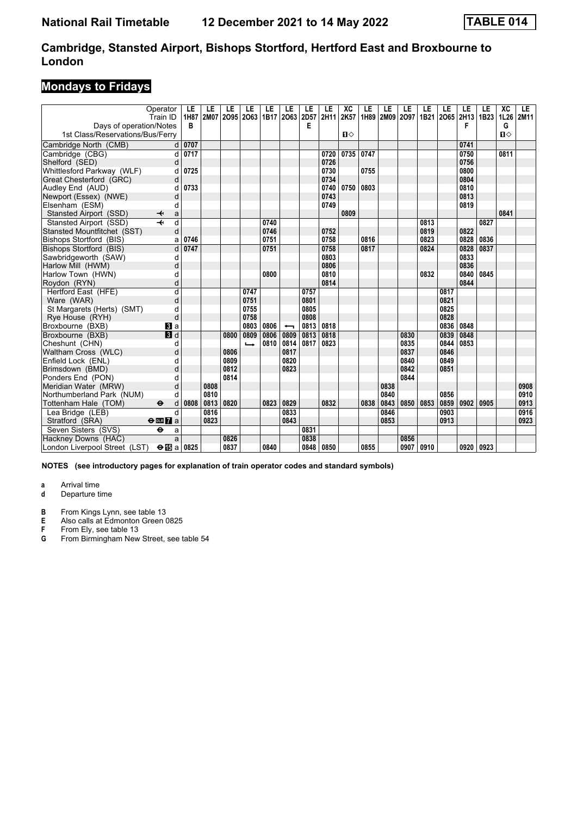### **Mondays to Fridays**

|                                  | Operator<br>Train ID         | LE<br>1H87 | LE   | LE<br>2M07 2095 | LE<br>2063    | LE   | LE<br>1B17 2063          | LE<br>2D57 | LE<br>2H11 | XC<br>2K57   | LE   | LE<br>1H89 2M09 2O97 | LE   | LE   | LE<br>1B21 2065 | LE<br>2H13 | LE<br>1B <sub>23</sub> | XC<br>1L26 | LE<br>2M11 |
|----------------------------------|------------------------------|------------|------|-----------------|---------------|------|--------------------------|------------|------------|--------------|------|----------------------|------|------|-----------------|------------|------------------------|------------|------------|
| Days of operation/Notes          |                              | в          |      |                 |               |      |                          | E          |            |              |      |                      |      |      |                 | F          |                        | G          |            |
| 1st Class/Reservations/Bus/Ferry |                              |            |      |                 |               |      |                          |            |            | $\mathbf{u}$ |      |                      |      |      |                 |            |                        | $\P$       |            |
| Cambridge North (CMB)            | d                            | 0707       |      |                 |               |      |                          |            |            |              |      |                      |      |      |                 | 0741       |                        |            |            |
| Cambridge (CBG)                  | d                            | 0717       |      |                 |               |      |                          |            | 0720       | 0735         | 0747 |                      |      |      |                 | 0750       |                        | 0811       |            |
| Shelford (SED)                   | d                            |            |      |                 |               |      |                          |            | 0726       |              |      |                      |      |      |                 | 0756       |                        |            |            |
| Whittlesford Parkway (WLF)       |                              | 0725       |      |                 |               |      |                          |            | 0730       |              | 0755 |                      |      |      |                 | 0800       |                        |            |            |
| Great Chesterford (GRC)          | d                            |            |      |                 |               |      |                          |            | 0734       |              |      |                      |      |      |                 | 0804       |                        |            |            |
| Audley End (AUD)                 | d                            | 0733       |      |                 |               |      |                          |            | 0740       | 0750         | 0803 |                      |      |      |                 | 0810       |                        |            |            |
| Newport (Essex) (NWE)            | d                            |            |      |                 |               |      |                          |            | 0743       |              |      |                      |      |      |                 | 0813       |                        |            |            |
| Elsenham (ESM)                   | d                            |            |      |                 |               |      |                          |            | 0749       |              |      |                      |      |      |                 | 0819       |                        |            |            |
| Stansted Airport (SSD)           | ↞<br>a                       |            |      |                 |               |      |                          |            |            | 0809         |      |                      |      |      |                 |            |                        | 0841       |            |
| Stansted Airport (SSD)           | d                            |            |      |                 |               | 0740 |                          |            |            |              |      |                      |      | 0813 |                 |            | 0827                   |            |            |
| Stansted Mountfitchet (SST)      | d                            |            |      |                 |               | 0746 |                          |            | 0752       |              |      |                      |      | 0819 |                 | 0822       |                        |            |            |
| <b>Bishops Stortford (BIS)</b>   | a                            | 0746       |      |                 |               | 0751 |                          |            | 0758       |              | 0816 |                      |      | 0823 |                 | 0828       | 0836                   |            |            |
| Bishops Stortford (BIS)          | d                            | 0747       |      |                 |               | 0751 |                          |            | 0758       |              | 0817 |                      |      | 0824 |                 | 0828       | 0837                   |            |            |
| Sawbridgeworth (SAW)             | d                            |            |      |                 |               |      |                          |            | 0803       |              |      |                      |      |      |                 | 0833       |                        |            |            |
| Harlow Mill (HWM)                | d                            |            |      |                 |               |      |                          |            | 0806       |              |      |                      |      |      |                 | 0836       |                        |            |            |
| Harlow Town (HWN)                | d                            |            |      |                 |               | 0800 |                          |            | 0810       |              |      |                      |      | 0832 |                 | 0840       | 0845                   |            |            |
| Roydon (RYN)                     | d                            |            |      |                 |               |      |                          |            | 0814       |              |      |                      |      |      |                 | 0844       |                        |            |            |
| Hertford East (HFE)              | $\overline{\mathsf{d}}$      |            |      |                 | 0747          |      |                          | 0757       |            |              |      |                      |      |      | 0817            |            |                        |            |            |
| Ware (WAR)                       | d                            |            |      |                 | 0751          |      |                          | 0801       |            |              |      |                      |      |      | 0821            |            |                        |            |            |
| St Margarets (Herts) (SMT)       | d                            |            |      |                 | 0755          |      |                          | 0805       |            |              |      |                      |      |      | 0825            |            |                        |            |            |
| Rye House (RYH)                  | d                            |            |      |                 | 0758          |      |                          | 0808       |            |              |      |                      |      |      | 0828            |            |                        |            |            |
| Broxbourne (BXB)                 | $\mathbf{B}$ a               |            |      |                 | 0803          | 0806 | $\overline{\phantom{0}}$ | 0813       | 0818       |              |      |                      |      |      | 0836            | 0848       |                        |            |            |
| Broxbourne (BXB)                 | 3d                           |            |      | 0800            | 0809          | 0806 | 0809                     | 0813       | 0818       |              |      |                      | 0830 |      | 0839            | 0848       |                        |            |            |
| Cheshunt (CHN)                   | d                            |            |      |                 | $\rightarrow$ | 0810 | 0814                     | 0817       | 0823       |              |      |                      | 0835 |      | 0844            | 0853       |                        |            |            |
| Waltham Cross (WLC)              | d                            |            |      | 0806            |               |      | 0817                     |            |            |              |      |                      | 0837 |      | 0846            |            |                        |            |            |
| Enfield Lock (ENL)               | d                            |            |      | 0809            |               |      | 0820                     |            |            |              |      |                      | 0840 |      | 0849            |            |                        |            |            |
| Brimsdown (BMD)                  | d                            |            |      | 0812            |               |      | 0823                     |            |            |              |      |                      | 0842 |      | 0851            |            |                        |            |            |
| Ponders End (PON)                | d                            |            |      | 0814            |               |      |                          |            |            |              |      |                      | 0844 |      |                 |            |                        |            |            |
| Meridian Water (MRW)             | d                            |            | 0808 |                 |               |      |                          |            |            |              |      | 0838                 |      |      |                 |            |                        |            | 0908       |
| Northumberland Park (NUM)        | d                            |            | 0810 |                 |               |      |                          |            |            |              |      | 0840                 |      |      | 0856            |            |                        |            | 0910       |
| Tottenham Hale (TOM)             | $\bullet$<br>d               | 0808       | 0813 | 0820            |               | 0823 | 0829                     |            | 0832       |              | 0838 | 0843                 | 0850 | 0853 | 0859            | 0902       | 0905                   |            | 0913       |
| Lea Bridge (LEB)                 | d                            |            | 0816 |                 |               |      | 0833                     |            |            |              |      | 0846                 |      |      | 0903            |            |                        |            | 0916       |
| Stratford (SRA)                  | $\Theta$ or $\overline{7}$ a |            | 0823 |                 |               |      | 0843                     |            |            |              |      | 0853                 |      |      | 0913            |            |                        |            | 0923       |
| Seven Sisters (SVS)              | $\ddot{\mathbf{e}}$<br>a     |            |      |                 |               |      |                          | 0831       |            |              |      |                      |      |      |                 |            |                        |            |            |
| Hackney Downs (HAC)              | a                            |            |      | 0826            |               |      |                          | 0838       |            |              |      |                      | 0856 |      |                 |            |                        |            |            |
| London Liverpool Street (LST)    | $\Theta$ ibi a               | 0825       |      | 0837            |               | 0840 |                          | 0848       | 0850       |              | 0855 |                      | 0907 | 0910 |                 | 0920       | 0923                   |            |            |

**NOTES (see introductory pages for explanation of train operator codes and standard symbols)**

- **d** Departure time
- **B** From Kings Lynn, see table 13
- **E** Also calls at Edmonton Green 0825<br>**F** From Ely, see table 13
- **F** From Ely, see table 13<br>**G** From Birmingham New
- From Birmingham New Street, see table 54

**a** Arrival time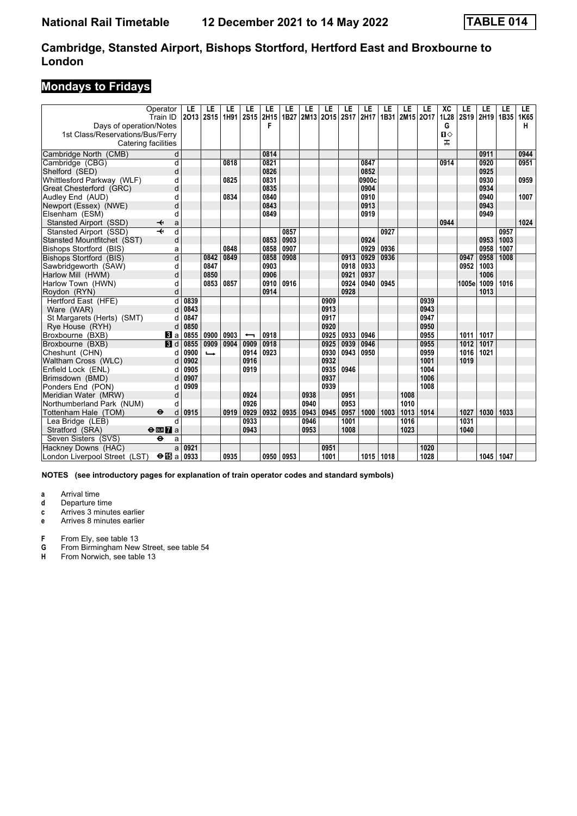### **Mondays to Fridays**

|                                                             | Operator<br>Train ID         | LE<br>2013 | LE<br><b>2S15</b>        | LE<br>1H91 | LE<br><b>2S15</b>        | LE<br>2H15<br>F | LE<br>1B27 | LE   | LE<br>2M13 2O15 | LE<br><b>2S17</b> | LE<br>2H17 | LE<br>1B31 | LE<br>2M15 2O17 | LE   | XC<br>1L28             | LE<br>2S19 | LE<br>2H19 | LE<br>1B35 | LE.<br>1K65 |
|-------------------------------------------------------------|------------------------------|------------|--------------------------|------------|--------------------------|-----------------|------------|------|-----------------|-------------------|------------|------------|-----------------|------|------------------------|------------|------------|------------|-------------|
| Days of operation/Notes<br>1st Class/Reservations/Bus/Ferry | Catering facilities          |            |                          |            |                          |                 |            |      |                 |                   |            |            |                 |      | G<br>$\mathbf{u}$<br>ᠼ |            |            |            | н           |
| Cambridge North (CMB)                                       | d                            |            |                          |            |                          | 0814            |            |      |                 |                   |            |            |                 |      |                        |            | 0911       |            | 0944        |
| Cambridge (CBG)                                             | d                            |            |                          | 0818       |                          | 0821            |            |      |                 |                   | 0847       |            |                 |      | 0914                   |            | 0920       |            | 0951        |
| Shelford (SED)                                              | d                            |            |                          |            |                          | 0826            |            |      |                 |                   | 0852       |            |                 |      |                        |            | 0925       |            |             |
| Whittlesford Parkway (WLF)                                  | d                            |            |                          | 0825       |                          | 0831            |            |      |                 |                   | 0900c      |            |                 |      |                        |            | 0930       |            | 0959        |
| Great Chesterford (GRC)                                     | d                            |            |                          |            |                          | 0835            |            |      |                 |                   | 0904       |            |                 |      |                        |            | 0934       |            |             |
| Audley End (AUD)                                            | d                            |            |                          | 0834       |                          | 0840            |            |      |                 |                   | 0910       |            |                 |      |                        |            | 0940       |            | 1007        |
| Newport (Essex) (NWE)                                       | d                            |            |                          |            |                          | 0843            |            |      |                 |                   | 0913       |            |                 |      |                        |            | 0943       |            |             |
| Elsenham (ESM)                                              | d                            |            |                          |            |                          | 0849            |            |      |                 |                   | 0919       |            |                 |      |                        |            | 0949       |            |             |
| Stansted Airport (SSD)                                      | ↞<br>a                       |            |                          |            |                          |                 |            |      |                 |                   |            |            |                 |      | 0944                   |            |            |            | 1024        |
| Stansted Airport (SSD)                                      | $\overline{\mathbf{t}}$<br>d |            |                          |            |                          |                 | 0857       |      |                 |                   |            | 0927       |                 |      |                        |            |            | 0957       |             |
| Stansted Mountfitchet (SST)                                 | d                            |            |                          |            |                          | 0853            | 0903       |      |                 |                   | 0924       |            |                 |      |                        |            | 0953       | 1003       |             |
| Bishops Stortford (BIS)                                     | a                            |            |                          | 0848       |                          | 0858            | 0907       |      |                 |                   | 0929       | 0936       |                 |      |                        |            | 0958       | 1007       |             |
| <b>Bishops Stortford (BIS)</b>                              | $\overline{\mathsf{d}}$      |            | 0842                     | 0849       |                          | 0858            | 0908       |      |                 | 0913              | 0929       | 0936       |                 |      |                        | 0947       | 0958       | 1008       |             |
| Sawbridgeworth (SAW)                                        | d                            |            | 0847                     |            |                          | 0903            |            |      |                 | 0918              | 0933       |            |                 |      |                        | 0952       | 1003       |            |             |
| Harlow Mill (HWM)                                           | d                            |            | 0850                     |            |                          | 0906            |            |      |                 | 0921              | 0937       |            |                 |      |                        |            | 1006       |            |             |
| Harlow Town (HWN)                                           | d                            |            | 0853                     | 0857       |                          | 0910            | 0916       |      |                 | 0924              | 0940       | 0945       |                 |      |                        | 1005e      | 1009       | 1016       |             |
| Roydon (RYN)                                                | d                            |            |                          |            |                          | 0914            |            |      |                 | 0928              |            |            |                 |      |                        |            | 1013       |            |             |
| Hertford East (HFE)                                         | d                            | 0839       |                          |            |                          |                 |            |      | 0909            |                   |            |            |                 | 0939 |                        |            |            |            |             |
| Ware (WAR)                                                  | d                            | 0843       |                          |            |                          |                 |            |      | 0913            |                   |            |            |                 | 0943 |                        |            |            |            |             |
| St Margarets (Herts) (SMT)                                  | d                            | 0847       |                          |            |                          |                 |            |      | 0917            |                   |            |            |                 | 0947 |                        |            |            |            |             |
| Rye House (RYH)                                             | d                            | 0850       |                          |            |                          |                 |            |      | 0920            |                   |            |            |                 | 0950 |                        |            |            |            |             |
| Broxbourne (BXB)                                            | <b>B</b> la                  | 0855       | 0900                     | 0903       | $\overline{\phantom{0}}$ | 0918            |            |      | 0925            | 0933              | 0946       |            |                 | 0955 |                        | 1011       | 1017       |            |             |
| Broxbourne (BXB)                                            | $\blacksquare$               | 0855       | 0909                     | 0904       | 0909                     | 0918            |            |      | 0925            | 0939              | 0946       |            |                 | 0955 |                        | 1012       | 1017       |            |             |
| Cheshunt (CHN)                                              | d                            | 0900       | $\overline{\phantom{a}}$ |            | 0914                     | 0923            |            |      | 0930            | 0943              | 0950       |            |                 | 0959 |                        | 1016       | 1021       |            |             |
| Waltham Cross (WLC)                                         | d                            | 0902       |                          |            | 0916                     |                 |            |      | 0932            |                   |            |            |                 | 1001 |                        | 1019       |            |            |             |
| Enfield Lock (ENL)                                          | d                            | 0905       |                          |            | 0919                     |                 |            |      | 0935            | 0946              |            |            |                 | 1004 |                        |            |            |            |             |
| Brimsdown (BMD)                                             | d                            | 0907       |                          |            |                          |                 |            |      | 0937            |                   |            |            |                 | 1006 |                        |            |            |            |             |
| Ponders End (PON)                                           | d                            | 0909       |                          |            |                          |                 |            |      | 0939            |                   |            |            |                 | 1008 |                        |            |            |            |             |
| Meridian Water (MRW)                                        | d                            |            |                          |            | 0924                     |                 |            | 0938 |                 | 0951              |            |            | 1008            |      |                        |            |            |            |             |
| Northumberland Park (NUM)                                   | d                            |            |                          |            | 0926                     |                 |            | 0940 |                 | 0953              |            |            | 1010            |      |                        |            |            |            |             |
| Tottenham Hale (TOM)                                        | $\ddot{\bm{\Theta}}$<br>d    | 0915       |                          | 0919       | 0929                     | 0932            | 0935       | 0943 | 0945            | 0957              | 1000       | 1003       | 1013            | 1014 |                        | 1027       | 1030       | 1033       |             |
| Lea Bridge (LEB)                                            | d                            |            |                          |            | 0933                     |                 |            | 0946 |                 | 1001              |            |            | 1016            |      |                        | 1031       |            |            |             |
| Stratford (SRA)                                             | $\Theta$ or $\Gamma$ a       |            |                          |            | 0943                     |                 |            | 0953 |                 | 1008              |            |            | 1023            |      |                        | 1040       |            |            |             |
| Seven Sisters (SVS)                                         | $\ddot{\mathbf{e}}$<br>a     |            |                          |            |                          |                 |            |      |                 |                   |            |            |                 |      |                        |            |            |            |             |
| Hackney Downs (HAC)                                         | a                            | 0921       |                          |            |                          |                 |            |      | 0951            |                   |            |            |                 | 1020 |                        |            |            |            |             |
| London Liverpool Street (LST)                               | $\bigoplus$ a                | 0933       |                          | 0935       |                          | 0950 0953       |            |      | 1001            |                   | 1015 1018  |            |                 | 1028 |                        |            | 1045       | 1047       |             |

**NOTES (see introductory pages for explanation of train operator codes and standard symbols)**

- **a** Arrival time<br>**d** Departure ti
- **d** Departure time
- **c** Arrives 3 minutes earlier
- **e** Arrives 8 minutes earlier
- **F** From Ely, see table 13<br>**G** From Birmingham New
- **6** From Birmingham New Street, see table 54<br>**H** From Norwich, see table 13
- From Norwich, see table 13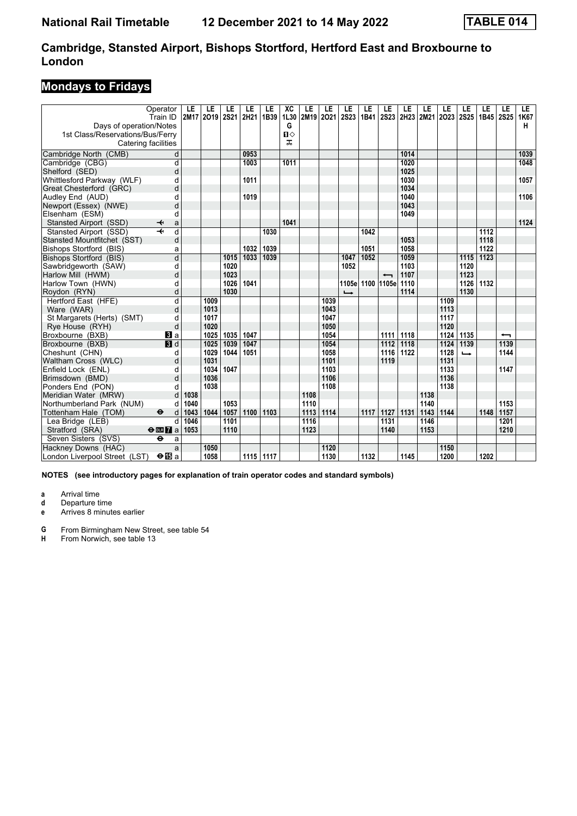### **Mondays to Fridays**

|                                  | Operator<br>Train ID              | LE<br>2M17 | LE<br>2019 | LE<br>2S21 | LE<br>2H21 | LE<br>1B39 | ХC<br>1L30   | LE<br>2M19 | LE<br>2021 | LE<br>2S23    | LE<br>1B41       | LE                       | LE   | LE<br>2S23 2H23 2M21 2O23 | LE   | LE<br><b>2S25</b> | LE<br>1B45 | LE<br><b>2S25</b>        | LE.<br>1K67 |
|----------------------------------|-----------------------------------|------------|------------|------------|------------|------------|--------------|------------|------------|---------------|------------------|--------------------------|------|---------------------------|------|-------------------|------------|--------------------------|-------------|
| Days of operation/Notes          |                                   |            |            |            |            |            | G            |            |            |               |                  |                          |      |                           |      |                   |            |                          | н           |
| 1st Class/Reservations/Bus/Ferry |                                   |            |            |            |            |            | $\mathbf{u}$ |            |            |               |                  |                          |      |                           |      |                   |            |                          |             |
| Catering facilities              |                                   |            |            |            |            |            | ᠼ            |            |            |               |                  |                          |      |                           |      |                   |            |                          |             |
| Cambridge North (CMB)            | d                                 |            |            |            | 0953       |            |              |            |            |               |                  |                          | 1014 |                           |      |                   |            |                          | 1039        |
| Cambridge (CBG)                  | d                                 |            |            |            | 1003       |            | 1011         |            |            |               |                  |                          | 1020 |                           |      |                   |            |                          | 1048        |
| Shelford (SED)                   | d                                 |            |            |            |            |            |              |            |            |               |                  |                          | 1025 |                           |      |                   |            |                          |             |
| Whittlesford Parkway (WLF)       | d                                 |            |            |            | 1011       |            |              |            |            |               |                  |                          | 1030 |                           |      |                   |            |                          | 1057        |
| Great Chesterford (GRC)          | d                                 |            |            |            |            |            |              |            |            |               |                  |                          | 1034 |                           |      |                   |            |                          |             |
| Audley End (AUD)                 | d                                 |            |            |            | 1019       |            |              |            |            |               |                  |                          | 1040 |                           |      |                   |            |                          | 1106        |
| Newport (Essex) (NWE)            | d                                 |            |            |            |            |            |              |            |            |               |                  |                          | 1043 |                           |      |                   |            |                          |             |
| Elsenham (ESM)                   | d                                 |            |            |            |            |            |              |            |            |               |                  |                          | 1049 |                           |      |                   |            |                          |             |
| Stansted Airport (SSD)           | ✦<br>a                            |            |            |            |            |            | 1041         |            |            |               |                  |                          |      |                           |      |                   |            |                          | 1124        |
| Stansted Airport (SSD)           | d<br>$\overline{\phantom{a}}$     |            |            |            |            | 1030       |              |            |            |               | 1042             |                          |      |                           |      |                   | 1112       |                          |             |
| Stansted Mountfitchet (SST)      | d                                 |            |            |            |            |            |              |            |            |               |                  |                          | 1053 |                           |      |                   | 1118       |                          |             |
| Bishops Stortford (BIS)          | a                                 |            |            |            | 1032       | 1039       |              |            |            |               | 1051             |                          | 1058 |                           |      |                   | 1122       |                          |             |
| Bishops Stortford (BIS)          | $\overline{\mathsf{d}}$           |            |            | 1015       | 1033       | 1039       |              |            |            | 1047          | 1052             |                          | 1059 |                           |      | 1115              | 1123       |                          |             |
| Sawbridgeworth (SAW)             | d                                 |            |            | 1020       |            |            |              |            |            | 1052          |                  |                          | 1103 |                           |      | 1120              |            |                          |             |
| Harlow Mill (HWM)                | d                                 |            |            | 1023       |            |            |              |            |            |               |                  | $\overline{\phantom{0}}$ | 1107 |                           |      | 1123              |            |                          |             |
| Harlow Town (HWN)                | d                                 |            |            | 1026       | 1041       |            |              |            |            |               | 1105e 1100 1105e |                          | 1110 |                           |      | 1126              | 1132       |                          |             |
| Roydon (RYN)                     | d                                 |            |            | 1030       |            |            |              |            |            | $\rightarrow$ |                  |                          | 1114 |                           |      | 1130              |            |                          |             |
| Hertford East (HFE)              | d                                 |            | 1009       |            |            |            |              |            | 1039       |               |                  |                          |      |                           | 1109 |                   |            |                          |             |
| Ware (WAR)                       | d                                 |            | 1013       |            |            |            |              |            | 1043       |               |                  |                          |      |                           | 1113 |                   |            |                          |             |
| St Margarets (Herts) (SMT)       | d                                 |            | 1017       |            |            |            |              |            | 1047       |               |                  |                          |      |                           | 1117 |                   |            |                          |             |
| Rye House (RYH)                  | d                                 |            | 1020       |            |            |            |              |            | 1050       |               |                  |                          |      |                           | 1120 |                   |            |                          |             |
| Broxbourne (BXB)                 | <b>B</b> la                       |            | 1025       | 1035       | 1047       |            |              |            | 1054       |               |                  | 1111                     | 1118 |                           | 1124 | 1135              |            | $\overline{\phantom{0}}$ |             |
| Broxbourne (BXB)                 | 3d                                |            | 1025       | 1039       | 1047       |            |              |            | 1054       |               |                  | 1112                     | 1118 |                           | 1124 | 1139              |            | 1139                     |             |
| Cheshunt (CHN)                   | d                                 |            | 1029       | 1044       | 1051       |            |              |            | 1058       |               |                  | 1116                     | 1122 |                           | 1128 | $\rightarrow$     |            | 1144                     |             |
| Waltham Cross (WLC)              | d                                 |            | 1031       |            |            |            |              |            | 1101       |               |                  | 1119                     |      |                           | 1131 |                   |            |                          |             |
| Enfield Lock (ENL)               | d                                 |            | 1034       | 1047       |            |            |              |            | 1103       |               |                  |                          |      |                           | 1133 |                   |            | 1147                     |             |
| Brimsdown (BMD)                  | d                                 |            | 1036       |            |            |            |              |            | 1106       |               |                  |                          |      |                           | 1136 |                   |            |                          |             |
| Ponders End (PON)                | d                                 |            | 1038       |            |            |            |              |            | 1108       |               |                  |                          |      |                           | 1138 |                   |            |                          |             |
| Meridian Water (MRW)             | d                                 | 1038       |            |            |            |            |              | 1108       |            |               |                  |                          |      | 1138                      |      |                   |            |                          |             |
| Northumberland Park (NUM)        | d                                 | 1040       |            | 1053       |            |            |              | 1110       |            |               |                  |                          |      | 1140                      |      |                   |            | 1153                     |             |
| Tottenham Hale (TOM)             | $\ddot{\boldsymbol{\Theta}}$<br>d | 1043       | 1044       | 1057       | 1100       | 1103       |              | 1113       | 1114       |               | 1117             | 1127                     | 1131 | 1143                      | 1144 |                   | 1148       | 1157                     |             |
| Lea Bridge (LEB)                 | d                                 | 1046       |            | 1101       |            |            |              | 1116       |            |               |                  | 1131                     |      | 1146                      |      |                   |            | 1201                     |             |
| Stratford (SRA)                  | $\Theta$ <b>ER</b> a              | 1053       |            | 1110       |            |            |              | 1123       |            |               |                  | 1140                     |      | 1153                      |      |                   |            | 1210                     |             |
| Seven Sisters (SVS)              | $\ddot{\mathbf{e}}$<br>a          |            |            |            |            |            |              |            |            |               |                  |                          |      |                           |      |                   |            |                          |             |
| Hackney Downs (HAC)              | a                                 |            | 1050       |            |            |            |              |            | 1120       |               |                  |                          |      |                           | 1150 |                   |            |                          |             |
| London Liverpool Street (LST)    | $\Theta$ is a                     |            | 1058       |            | 1115 1117  |            |              |            | 1130       |               | 1132             |                          | 1145 |                           | 1200 |                   | 1202       |                          |             |

**NOTES (see introductory pages for explanation of train operator codes and standard symbols)**

**a** Arrival time<br>**d** Departure ti

**d** Departure time

**e** Arrives 8 minutes earlier

**4** From Birmingham New Street, see table 54<br>**H** From Norwich, see table 13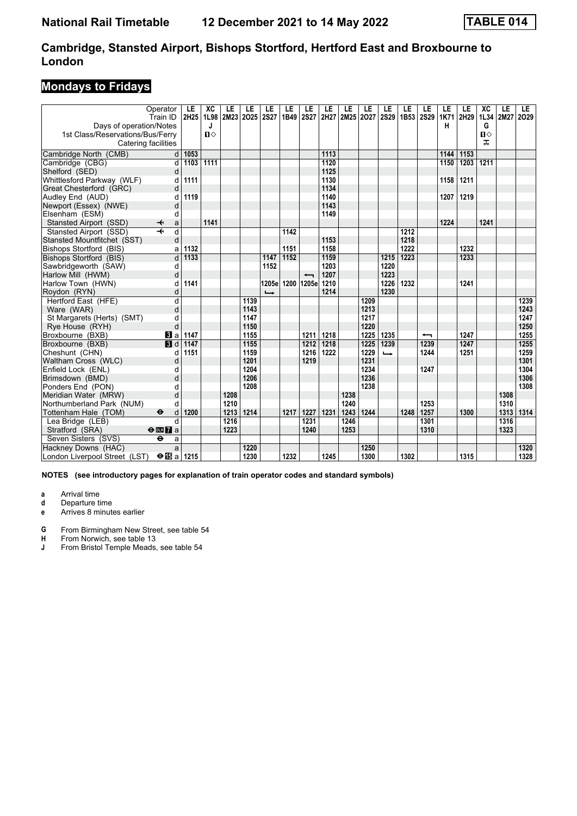### **Mondays to Fridays**

|                                  | Operator                     | LE   | XC   | LE   | LE        | LE            | LE   | LE                       | LE   | LE        | LE   | LE                       | LE        | LE                       | LE   | LE   | XC           | LE   | LE   |
|----------------------------------|------------------------------|------|------|------|-----------|---------------|------|--------------------------|------|-----------|------|--------------------------|-----------|--------------------------|------|------|--------------|------|------|
|                                  | Train ID                     | 2H25 | 1L98 |      | 2M23 2O25 | <b>2S27</b>   | 1B49 | <b>2S27</b>              | 2H27 | 2M25 2027 |      | <b>2S29</b>              | 1B53 2S29 |                          | 1K71 | 2H29 | 1L34         | 2M27 | 2029 |
| Days of operation/Notes          |                              |      | J    |      |           |               |      |                          |      |           |      |                          |           |                          | н    |      | G            |      |      |
| 1st Class/Reservations/Bus/Ferry |                              |      | $\P$ |      |           |               |      |                          |      |           |      |                          |           |                          |      |      | $\mathbf{u}$ |      |      |
| Catering facilities              |                              |      |      |      |           |               |      |                          |      |           |      |                          |           |                          |      |      | ᠼ            |      |      |
| Cambridge North (CMB)            | d                            | 1053 |      |      |           |               |      |                          | 1113 |           |      |                          |           |                          | 1144 | 1153 |              |      |      |
| Cambridge (CBG)                  | d                            | 1103 | 1111 |      |           |               |      |                          | 1120 |           |      |                          |           |                          | 1150 | 1203 | 1211         |      |      |
| Shelford (SED)                   | d                            |      |      |      |           |               |      |                          | 1125 |           |      |                          |           |                          |      |      |              |      |      |
| Whittlesford Parkway (WLF)       | d                            | 1111 |      |      |           |               |      |                          | 1130 |           |      |                          |           |                          | 1158 | 1211 |              |      |      |
| Great Chesterford (GRC)          | d                            |      |      |      |           |               |      |                          | 1134 |           |      |                          |           |                          |      |      |              |      |      |
| Audley End (AUD)                 | d                            | 1119 |      |      |           |               |      |                          | 1140 |           |      |                          |           |                          | 1207 | 1219 |              |      |      |
| Newport (Essex) (NWE)            | d                            |      |      |      |           |               |      |                          | 1143 |           |      |                          |           |                          |      |      |              |      |      |
| Elsenham (ESM)                   | d                            |      |      |      |           |               |      |                          | 1149 |           |      |                          |           |                          |      |      |              |      |      |
| Stansted Airport (SSD)           | ↞<br>a                       |      | 1141 |      |           |               |      |                          |      |           |      |                          |           |                          | 1224 |      | 1241         |      |      |
| Stansted Airport (SSD)           | $\overline{\mathbf{H}}$<br>d |      |      |      |           |               | 1142 |                          |      |           |      |                          | 1212      |                          |      |      |              |      |      |
| Stansted Mountfitchet (SST)      | d                            |      |      |      |           |               |      |                          | 1153 |           |      |                          | 1218      |                          |      |      |              |      |      |
| Bishops Stortford (BIS)          | a                            | 1132 |      |      |           |               | 1151 |                          | 1158 |           |      |                          | 1222      |                          |      | 1232 |              |      |      |
| <b>Bishops Stortford (BIS)</b>   | d                            | 1133 |      |      |           | 1147          | 1152 |                          | 1159 |           |      | 1215                     | 1223      |                          |      | 1233 |              |      |      |
| Sawbridgeworth (SAW)             | d                            |      |      |      |           | 1152          |      |                          | 1203 |           |      | 1220                     |           |                          |      |      |              |      |      |
| Harlow Mill (HWM)                | d                            |      |      |      |           |               |      | $\overline{\phantom{0}}$ | 1207 |           |      | 1223                     |           |                          |      |      |              |      |      |
| Harlow Town (HWN)                | d                            | 1141 |      |      |           | 1205e         |      | 1200 1205e               | 1210 |           |      | 1226                     | 1232      |                          |      | 1241 |              |      |      |
| Roydon (RYN)                     | d                            |      |      |      |           | $\rightarrow$ |      |                          | 1214 |           |      | 1230                     |           |                          |      |      |              |      |      |
| Hertford East (HFE)              | d                            |      |      |      | 1139      |               |      |                          |      |           | 1209 |                          |           |                          |      |      |              |      | 1239 |
| Ware (WAR)                       | d                            |      |      |      | 1143      |               |      |                          |      |           | 1213 |                          |           |                          |      |      |              |      | 1243 |
| St Margarets (Herts) (SMT)       | d                            |      |      |      | 1147      |               |      |                          |      |           | 1217 |                          |           |                          |      |      |              |      | 1247 |
| Rye House (RYH)                  | d                            |      |      |      | 1150      |               |      |                          |      |           | 1220 |                          |           |                          |      |      |              |      | 1250 |
| Broxbourne (BXB)                 | $\bf{B}$ a                   | 1147 |      |      | 1155      |               |      | 1211                     | 1218 |           | 1225 | 1235                     |           | $\overline{\phantom{0}}$ |      | 1247 |              |      | 1255 |
| Broxbourne (BXB)                 | $\blacksquare$               | 1147 |      |      | 1155      |               |      | 1212                     | 1218 |           | 1225 | 1239                     |           | 1239                     |      | 1247 |              |      | 1255 |
| Cheshunt (CHN)                   | d                            | 1151 |      |      | 1159      |               |      | 1216                     | 1222 |           | 1229 | $\overline{\phantom{a}}$ |           | 1244                     |      | 1251 |              |      | 1259 |
| Waltham Cross (WLC)              | d                            |      |      |      | 1201      |               |      | 1219                     |      |           | 1231 |                          |           |                          |      |      |              |      | 1301 |
| Enfield Lock (ENL)               | d                            |      |      |      | 1204      |               |      |                          |      |           | 1234 |                          |           | 1247                     |      |      |              |      | 1304 |
| Brimsdown (BMD)                  | d                            |      |      |      | 1206      |               |      |                          |      |           | 1236 |                          |           |                          |      |      |              |      | 1306 |
| Ponders End (PON)                | d                            |      |      |      | 1208      |               |      |                          |      |           | 1238 |                          |           |                          |      |      |              |      | 1308 |
| Meridian Water (MRW)             | d                            |      |      | 1208 |           |               |      |                          |      | 1238      |      |                          |           |                          |      |      |              | 1308 |      |
| Northumberland Park (NUM)        | d                            |      |      | 1210 |           |               |      |                          |      | 1240      |      |                          |           | 1253                     |      |      |              | 1310 |      |
| Tottenham Hale (TOM)             | $\bullet$<br>d               | 1200 |      | 1213 | 1214      |               | 1217 | 1227                     | 1231 | 1243      | 1244 |                          | 1248      | 1257                     |      | 1300 |              | 1313 | 1314 |
| Lea Bridge (LEB)                 | d                            |      |      | 1216 |           |               |      | 1231                     |      | 1246      |      |                          |           | 1301                     |      |      |              | 1316 |      |
| Stratford (SRA)                  | $\Theta$ or $\Gamma$ a       |      |      | 1223 |           |               |      | 1240                     |      | 1253      |      |                          |           | 1310                     |      |      |              | 1323 |      |
| Seven Sisters (SVS)              | $\ddot{\phantom{1}}$<br>a    |      |      |      |           |               |      |                          |      |           |      |                          |           |                          |      |      |              |      |      |
| Hackney Downs (HAC)              | a                            |      |      |      | 1220      |               |      |                          |      |           | 1250 |                          |           |                          |      |      |              |      | 1320 |
| London Liverpool Street (LST)    | $\Theta$ is a                | 1215 |      |      | 1230      |               | 1232 |                          | 1245 |           | 1300 |                          | 1302      |                          |      | 1315 |              |      | 1328 |

**NOTES (see introductory pages for explanation of train operator codes and standard symbols)**

**a** Arrival time<br>**d** Departure ti

**d** Departure time

**e** Arrives 8 minutes earlier

**4** From Birmingham New Street, see table 54<br>**H** From Norwich, see table 13

**+** From Norwich, see table 13<br>**4** From Bristol Temple Meads.

From Bristol Temple Meads, see table 54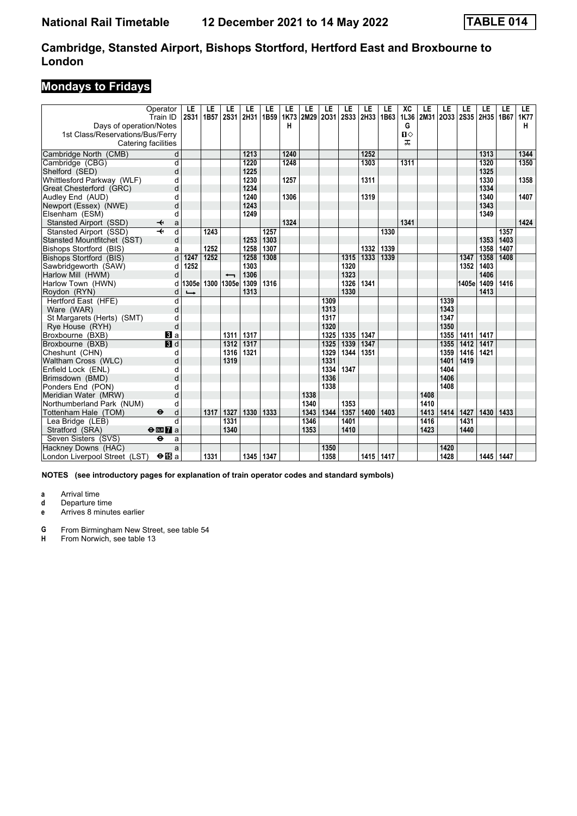### **Mondays to Fridays**

| Days of operation/Notes                                 | Operator<br>Train ID         | LE<br><b>2S31</b> | LE<br>1B57 | LE<br><b>2S31</b>        | LE<br>2H31 | LE<br>1B59 | LE<br>1K73<br>н | LE<br>2M29   | LE<br>2031 | LE<br><b>2S33</b> | LE<br>2H33 | LE<br>1B63 | XC<br>1L36<br>G   | LE<br>2M31 | LE<br>2033   | LE    | LE<br>2S35 2H35 1B67 | LE   | LE.<br><b>1K77</b><br>н |
|---------------------------------------------------------|------------------------------|-------------------|------------|--------------------------|------------|------------|-----------------|--------------|------------|-------------------|------------|------------|-------------------|------------|--------------|-------|----------------------|------|-------------------------|
| 1st Class/Reservations/Bus/Ferry<br>Catering facilities |                              |                   |            |                          |            |            |                 |              |            |                   |            |            | $\mathbf{u}$<br>ᠼ |            |              |       |                      |      |                         |
| Cambridge North (CMB)                                   | d                            |                   |            |                          | 1213       |            | 1240            |              |            |                   | 1252       |            |                   |            |              |       | 1313                 |      | 1344                    |
| Cambridge (CBG)                                         | d                            |                   |            |                          | 1220       |            | 1248            |              |            |                   | 1303       |            | 1311              |            |              |       | 1320                 |      | 1350                    |
| Shelford (SED)                                          | d                            |                   |            |                          | 1225       |            |                 |              |            |                   |            |            |                   |            |              |       | 1325                 |      |                         |
| Whittlesford Parkway (WLF)                              | d                            |                   |            |                          | 1230       |            | 1257            |              |            |                   | 1311       |            |                   |            |              |       | 1330                 |      | 1358                    |
| Great Chesterford (GRC)                                 | d                            |                   |            |                          | 1234       |            |                 |              |            |                   |            |            |                   |            |              |       | 1334                 |      |                         |
| Audley End (AUD)                                        | d                            |                   |            |                          | 1240       |            | 1306            |              |            |                   | 1319       |            |                   |            |              |       | 1340                 |      | 1407                    |
| Newport (Essex) (NWE)                                   | d                            |                   |            |                          | 1243       |            |                 |              |            |                   |            |            |                   |            |              |       | 1343                 |      |                         |
| Elsenham (ESM)                                          | d                            |                   |            |                          | 1249       |            |                 |              |            |                   |            |            |                   |            |              |       | 1349                 |      |                         |
| Stansted Airport (SSD)                                  | ↞<br>a                       |                   |            |                          |            |            | 1324            |              |            |                   |            |            | 1341              |            |              |       |                      |      | 1424                    |
| Stansted Airport (SSD)                                  | $\overline{\mathbf{H}}$<br>d |                   | 1243       |                          |            | 1257       |                 |              |            |                   |            | 1330       |                   |            |              |       |                      | 1357 |                         |
| Stansted Mountfitchet (SST)                             | d                            |                   |            |                          | 1253       | 1303       |                 |              |            |                   |            |            |                   |            |              |       | 1353                 | 1403 |                         |
| Bishops Stortford (BIS)                                 | a                            |                   | 1252       |                          | 1258       | 1307       |                 |              |            |                   | 1332       | 1339       |                   |            |              |       | 1358                 | 1407 |                         |
| Bishops Stortford (BIS)                                 | d                            | 1247              | 1252       |                          | 1258       | 1308       |                 |              |            | 1315              | 1333       | 1339       |                   |            |              | 1347  | 1358                 | 1408 |                         |
| Sawbridgeworth (SAW)                                    | d                            | 1252              |            |                          | 1303       |            |                 |              |            | 1320              |            |            |                   |            |              | 1352  | 1403                 |      |                         |
| Harlow Mill (HWM)                                       | d                            |                   |            | $\overline{\phantom{0}}$ | 1306       |            |                 |              |            | 1323              |            |            |                   |            |              |       | 1406                 |      |                         |
| Harlow Town (HWN)                                       | d                            | 1305e             | 1300       | 1305e                    | 1309       | 1316       |                 |              |            | 1326              | 1341       |            |                   |            |              | 1405e | 1409                 | 1416 |                         |
| Roydon (RYN)                                            | d                            |                   |            |                          | 1313       |            |                 |              |            | 1330              |            |            |                   |            |              |       | 1413                 |      |                         |
| Hertford East (HFE)                                     | d                            |                   |            |                          |            |            |                 |              | 1309       |                   |            |            |                   |            | 1339         |       |                      |      |                         |
| Ware (WAR)                                              | d                            |                   |            |                          |            |            |                 |              | 1313       |                   |            |            |                   |            | 1343         |       |                      |      |                         |
| St Margarets (Herts) (SMT)                              | d                            |                   |            |                          |            |            |                 |              | 1317       |                   |            |            |                   |            | 1347         |       |                      |      |                         |
| Rye House (RYH)                                         | d                            |                   |            |                          |            |            |                 |              | 1320       |                   |            |            |                   |            | 1350         |       |                      |      |                         |
| Broxbourne (BXB)                                        | <b>B</b> a                   |                   |            | 1311                     | 1317       |            |                 |              | 1325       | 1335              | 1347       |            |                   |            | 1355         | 1411  | 1417                 |      |                         |
| Broxbourne (BXB)                                        | $\blacksquare$               |                   |            | 1312                     | 1317       |            |                 |              | 1325       | 1339              | 1347       |            |                   |            | 1355         | 1412  | 1417                 |      |                         |
| Cheshunt (CHN)                                          | d                            |                   |            | 1316                     | 1321       |            |                 |              | 1329       | 1344              | 1351       |            |                   |            | 1359         | 1416  | 1421                 |      |                         |
| Waltham Cross (WLC)                                     | d                            |                   |            | 1319                     |            |            |                 |              | 1331       |                   |            |            |                   |            | 1401         | 1419  |                      |      |                         |
| Enfield Lock (ENL)                                      | d                            |                   |            |                          |            |            |                 |              | 1334       | 1347              |            |            |                   |            | 1404         |       |                      |      |                         |
| Brimsdown (BMD)                                         | d                            |                   |            |                          |            |            |                 |              | 1336       |                   |            |            |                   |            | 1406<br>1408 |       |                      |      |                         |
| Ponders End (PON)                                       | d                            |                   |            |                          |            |            |                 |              | 1338       |                   |            |            |                   | 1408       |              |       |                      |      |                         |
| Meridian Water (MRW)<br>Northumberland Park (NUM)       | d<br>d                       |                   |            |                          |            |            |                 | 1338<br>1340 |            | 1353              |            |            |                   | 1410       |              |       |                      |      |                         |
| Tottenham Hale (TOM)                                    | $\bullet$<br>d               |                   | 1317       | 1327                     | 1330       | 1333       |                 | 1343         | 1344       | 1357              | 1400       | 1403       |                   | 1413       | 1414         | 1427  | 1430                 | 1433 |                         |
| Lea Bridge (LEB)                                        | d                            |                   |            | 1331                     |            |            |                 | 1346         |            | 1401              |            |            |                   | 1416       |              | 1431  |                      |      |                         |
| Stratford (SRA)                                         | $\Theta$ DE $7a$             |                   |            | 1340                     |            |            |                 | 1353         |            | 1410              |            |            |                   | 1423       |              | 1440  |                      |      |                         |
| Seven Sisters (SVS)                                     | θ<br>a                       |                   |            |                          |            |            |                 |              |            |                   |            |            |                   |            |              |       |                      |      |                         |
| Hackney Downs (HAC)                                     | a                            |                   |            |                          |            |            |                 |              | 1350       |                   |            |            |                   |            | 1420         |       |                      |      |                         |
|                                                         |                              |                   | 1331       |                          | 1345       | 1347       |                 |              | 1358       |                   | 1415 1417  |            |                   |            | 1428         |       | 1445                 | 1447 |                         |
| London Liverpool Street (LST)                           | ⊖B∃a                         |                   |            |                          |            |            |                 |              |            |                   |            |            |                   |            |              |       |                      |      |                         |

**NOTES (see introductory pages for explanation of train operator codes and standard symbols)**

**a** Arrival time<br>**d** Departure ti

**d** Departure time

**e** Arrives 8 minutes earlier

**4** From Birmingham New Street, see table 54<br>**H** From Norwich, see table 13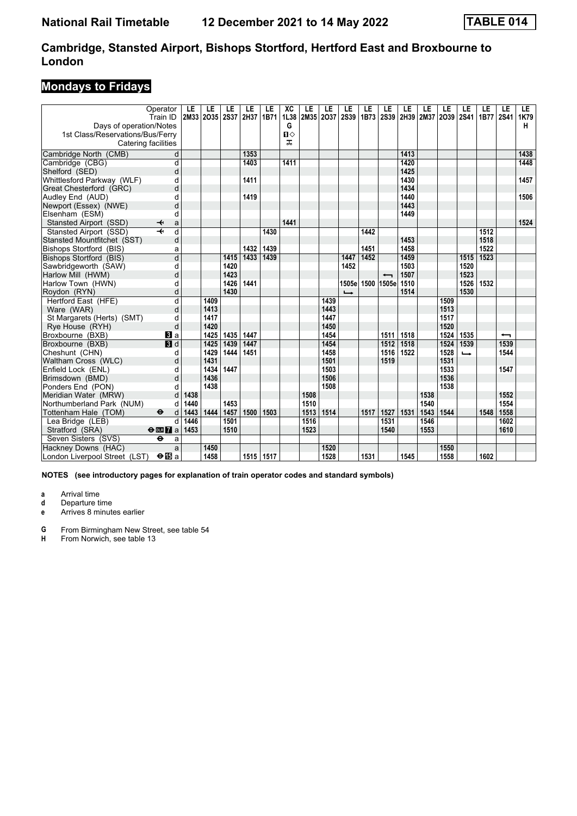### **Mondays to Fridays**

|                                  | Operator                     | LE   | LE   | LE          | LE   | LE   | XC           | LE        | LE   | LE            | LE   | LE                       | LE             | LE   | LE   | LE            | LE   | LE                       | LE   |
|----------------------------------|------------------------------|------|------|-------------|------|------|--------------|-----------|------|---------------|------|--------------------------|----------------|------|------|---------------|------|--------------------------|------|
|                                  | Train ID                     | 2M33 | 2035 | <b>2S37</b> | 2H37 | 1B71 | 1L38         | 2M35 2O37 |      | <b>2S39</b>   | 1B73 |                          | 2S39 2H39 2M37 |      | 2039 | <b>2S41</b>   | 1B77 | <b>2S41</b>              | 1K79 |
| Days of operation/Notes          |                              |      |      |             |      |      | G            |           |      |               |      |                          |                |      |      |               |      |                          | н    |
| 1st Class/Reservations/Bus/Ferry |                              |      |      |             |      |      | $\mathbf{u}$ |           |      |               |      |                          |                |      |      |               |      |                          |      |
|                                  | Catering facilities          |      |      |             |      |      | ᅚ            |           |      |               |      |                          |                |      |      |               |      |                          |      |
| Cambridge North (CMB)            | d                            |      |      |             | 1353 |      |              |           |      |               |      |                          | 1413           |      |      |               |      |                          | 1438 |
| Cambridge (CBG)                  | $\overline{\mathsf{d}}$      |      |      |             | 1403 |      | 1411         |           |      |               |      |                          | 1420           |      |      |               |      |                          | 1448 |
| Shelford (SED)                   | d                            |      |      |             |      |      |              |           |      |               |      |                          | 1425           |      |      |               |      |                          |      |
| Whittlesford Parkway (WLF)       | d                            |      |      |             | 1411 |      |              |           |      |               |      |                          | 1430           |      |      |               |      |                          | 1457 |
| Great Chesterford (GRC)          | d                            |      |      |             |      |      |              |           |      |               |      |                          | 1434           |      |      |               |      |                          |      |
| Audley End (AUD)                 | d                            |      |      |             | 1419 |      |              |           |      |               |      |                          | 1440           |      |      |               |      |                          | 1506 |
| Newport (Essex) (NWE)            | d                            |      |      |             |      |      |              |           |      |               |      |                          | 1443           |      |      |               |      |                          |      |
| Elsenham (ESM)                   | d                            |      |      |             |      |      |              |           |      |               |      |                          | 1449           |      |      |               |      |                          |      |
| Stansted Airport (SSD)           | ↞<br>a                       |      |      |             |      |      | 1441         |           |      |               |      |                          |                |      |      |               |      |                          | 1524 |
| Stansted Airport (SSD)           | $\overline{\mathbf{t}}$<br>d |      |      |             |      | 1430 |              |           |      |               | 1442 |                          |                |      |      |               | 1512 |                          |      |
| Stansted Mountfitchet (SST)      | d                            |      |      |             |      |      |              |           |      |               |      |                          | 1453           |      |      |               | 1518 |                          |      |
| Bishops Stortford (BIS)          | a                            |      |      |             | 1432 | 1439 |              |           |      |               | 1451 |                          | 1458           |      |      |               | 1522 |                          |      |
| Bishops Stortford (BIS)          | $\overline{\mathsf{d}}$      |      |      | 1415        | 1433 | 1439 |              |           |      | 1447          | 1452 |                          | 1459           |      |      | 1515          | 1523 |                          |      |
| Sawbridgeworth (SAW)             | d                            |      |      | 1420        |      |      |              |           |      | 1452          |      |                          | 1503           |      |      | 1520          |      |                          |      |
| Harlow Mill (HWM)                | d                            |      |      | 1423        |      |      |              |           |      |               |      | $\overline{\phantom{0}}$ | 1507           |      |      | 1523          |      |                          |      |
| Harlow Town (HWN)                | d                            |      |      | 1426        | 1441 |      |              |           |      | 1505e         |      | 1500 1505e               | 1510           |      |      | 1526          | 1532 |                          |      |
| Roydon (RYN)                     | d                            |      |      | 1430        |      |      |              |           |      | $\rightarrow$ |      |                          | 1514           |      |      | 1530          |      |                          |      |
| Hertford East (HFE)              | d                            |      | 1409 |             |      |      |              |           | 1439 |               |      |                          |                |      | 1509 |               |      |                          |      |
| Ware (WAR)                       | d                            |      | 1413 |             |      |      |              |           | 1443 |               |      |                          |                |      | 1513 |               |      |                          |      |
| St Margarets (Herts) (SMT)       | d                            |      | 1417 |             |      |      |              |           | 1447 |               |      |                          |                |      | 1517 |               |      |                          |      |
| Rye House (RYH)                  | d                            |      | 1420 |             |      |      |              |           | 1450 |               |      |                          |                |      | 1520 |               |      |                          |      |
| Broxbourne (BXB)                 | $\mathbf{B}$ a               |      | 1425 | 1435        | 1447 |      |              |           | 1454 |               |      | 1511                     | 1518           |      | 1524 | 1535          |      | $\overline{\phantom{0}}$ |      |
| Broxbourne (BXB)                 | $\blacksquare$               |      | 1425 | 1439        | 1447 |      |              |           | 1454 |               |      | 1512                     | 1518           |      | 1524 | 1539          |      | 1539                     |      |
| Cheshunt (CHN)                   | d                            |      | 1429 | 1444        | 1451 |      |              |           | 1458 |               |      | 1516                     | 1522           |      | 1528 | $\rightarrow$ |      | 1544                     |      |
| Waltham Cross (WLC)              | d                            |      | 1431 |             |      |      |              |           | 1501 |               |      | 1519                     |                |      | 1531 |               |      |                          |      |
| Enfield Lock (ENL)               | d                            |      | 1434 | 1447        |      |      |              |           | 1503 |               |      |                          |                |      | 1533 |               |      | 1547                     |      |
| Brimsdown (BMD)                  | d                            |      | 1436 |             |      |      |              |           | 1506 |               |      |                          |                |      | 1536 |               |      |                          |      |
| Ponders End (PON)                | d                            |      | 1438 |             |      |      |              |           | 1508 |               |      |                          |                |      | 1538 |               |      |                          |      |
| Meridian Water (MRW)             | d                            | 1438 |      |             |      |      |              | 1508      |      |               |      |                          |                | 1538 |      |               |      | 1552                     |      |
| Northumberland Park (NUM)        | d                            | 1440 |      | 1453        |      |      |              | 1510      |      |               |      |                          |                | 1540 |      |               |      | 1554                     |      |
| Tottenham Hale (TOM)             | $\bullet$<br>d               | 1443 | 1444 | 1457        | 1500 | 1503 |              | 1513      | 1514 |               | 1517 | 1527                     | 1531           | 1543 | 1544 |               | 1548 | 1558                     |      |
| Lea Bridge (LEB)                 | d                            | 1446 |      | 1501        |      |      |              | 1516      |      |               |      | 1531                     |                | 1546 |      |               |      | 1602                     |      |
| Stratford (SRA)                  | $\Theta$ <b>EM</b> a         | 1453 |      | 1510        |      |      |              | 1523      |      |               |      | 1540                     |                | 1553 |      |               |      | 1610                     |      |
| Seven Sisters (SVS)              | $\ddot{\mathbf{e}}$<br>a     |      |      |             |      |      |              |           |      |               |      |                          |                |      |      |               |      |                          |      |
| Hackney Downs (HAC)              | a                            |      | 1450 |             |      |      |              |           | 1520 |               |      |                          |                |      | 1550 |               |      |                          |      |
| London Liverpool Street (LST)    | $\Theta$ is a                |      | 1458 |             | 1515 | 1517 |              |           | 1528 |               | 1531 |                          | 1545           |      | 1558 |               | 1602 |                          |      |

**NOTES (see introductory pages for explanation of train operator codes and standard symbols)**

**a** Arrival time<br>**d** Departure ti

**d** Departure time

**e** Arrives 8 minutes earlier

**4** From Birmingham New Street, see table 54<br>**H** From Norwich, see table 13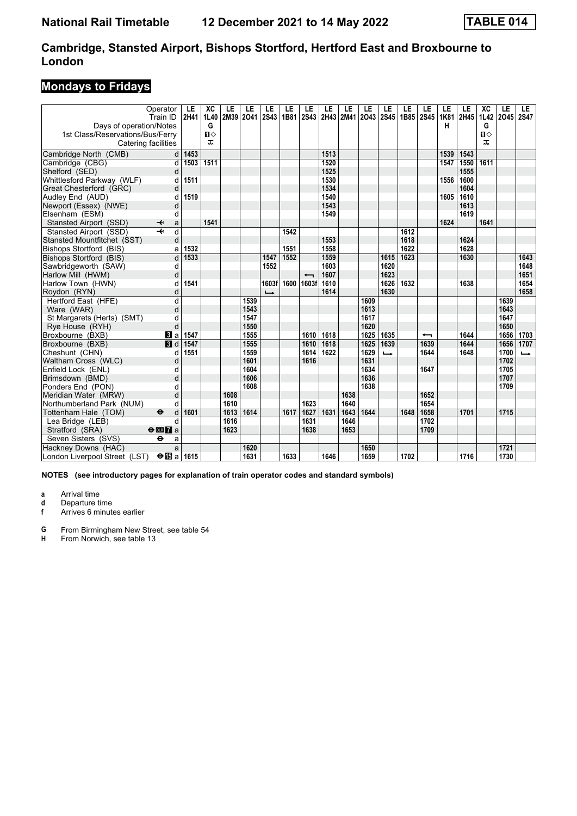### **Mondays to Fridays**

|                                  | Operator<br>Train ID              | LE<br>2H41        | XC<br>1L40   | LE<br>2M39 2O41 | LE   | LE<br><b>2S43</b> | LE<br>1B81 | LE<br>2S43               | LE<br>2H43 2M41 | LE   | LE<br>2043 | LE<br><b>2S45</b> | LE<br>1B85 2S45 | LE                       | LE<br>1K81 | LE<br>2H45 | XC<br>1L42   | LE<br>2045 | LE<br><b>2S47</b> |
|----------------------------------|-----------------------------------|-------------------|--------------|-----------------|------|-------------------|------------|--------------------------|-----------------|------|------------|-------------------|-----------------|--------------------------|------------|------------|--------------|------------|-------------------|
| Days of operation/Notes          |                                   |                   | G            |                 |      |                   |            |                          |                 |      |            |                   |                 |                          | н          |            | G            |            |                   |
| 1st Class/Reservations/Bus/Ferry |                                   |                   | $\mathbf{u}$ |                 |      |                   |            |                          |                 |      |            |                   |                 |                          |            |            | $\mathbf{u}$ |            |                   |
| Catering facilities              |                                   |                   | ᠼ            |                 |      |                   |            |                          |                 |      |            |                   |                 |                          |            |            | ᠼ            |            |                   |
| Cambridge North (CMB)            | d                                 | $\overline{1453}$ |              |                 |      |                   |            |                          | 1513            |      |            |                   |                 |                          | 1539       | 1543       |              |            |                   |
| Cambridge (CBG)                  | d                                 | 1503              | 1511         |                 |      |                   |            |                          | 1520            |      |            |                   |                 |                          | 1547       | 1550       | 1611         |            |                   |
| Shelford (SED)                   | d                                 |                   |              |                 |      |                   |            |                          | 1525            |      |            |                   |                 |                          |            | 1555       |              |            |                   |
| Whittlesford Parkway (WLF)       | d                                 | 1511              |              |                 |      |                   |            |                          | 1530            |      |            |                   |                 |                          | 1556       | 1600       |              |            |                   |
| Great Chesterford (GRC)          | d                                 |                   |              |                 |      |                   |            |                          | 1534            |      |            |                   |                 |                          |            | 1604       |              |            |                   |
| Audley End (AUD)                 | d                                 | 1519              |              |                 |      |                   |            |                          | 1540            |      |            |                   |                 |                          | 1605       | 1610       |              |            |                   |
| Newport (Essex) (NWE)            | d                                 |                   |              |                 |      |                   |            |                          | 1543            |      |            |                   |                 |                          |            | 1613       |              |            |                   |
| Elsenham (ESM)                   | d                                 |                   |              |                 |      |                   |            |                          | 1549            |      |            |                   |                 |                          |            | 1619       |              |            |                   |
| Stansted Airport (SSD)           | ↞<br>a                            |                   | 1541         |                 |      |                   |            |                          |                 |      |            |                   |                 |                          | 1624       |            | 1641         |            |                   |
| Stansted Airport (SSD)           | $\overline{\mathbf{t}}$<br>d      |                   |              |                 |      |                   | 1542       |                          |                 |      |            |                   | 1612            |                          |            |            |              |            |                   |
| Stansted Mountfitchet (SST)      | d                                 |                   |              |                 |      |                   |            |                          | 1553            |      |            |                   | 1618            |                          |            | 1624       |              |            |                   |
| Bishops Stortford (BIS)          | a                                 | 1532              |              |                 |      |                   | 1551       |                          | 1558            |      |            |                   | 1622            |                          |            | 1628       |              |            |                   |
| Bishops Stortford (BIS)          | d                                 | 1533              |              |                 |      | 1547              | 1552       |                          | 1559            |      |            | 1615              | 1623            |                          |            | 1630       |              |            | 1643              |
| Sawbridgeworth (SAW)             | d                                 |                   |              |                 |      | 1552              |            |                          | 1603            |      |            | 1620              |                 |                          |            |            |              |            | 1648              |
| Harlow Mill (HWM)                | d                                 |                   |              |                 |      |                   |            | $\overline{\phantom{0}}$ | 1607            |      |            | 1623              |                 |                          |            |            |              |            | 1651              |
| Harlow Town (HWN)                | d                                 | 1541              |              |                 |      | 1603f             | 1600       | 1603f                    | 1610            |      |            | 1626              | 1632            |                          |            | 1638       |              |            | 1654              |
| Roydon (RYN)                     | d                                 |                   |              |                 |      | $\rightarrow$     |            |                          | 1614            |      |            | 1630              |                 |                          |            |            |              |            | 1658              |
| Hertford East (HFE)              | d                                 |                   |              |                 | 1539 |                   |            |                          |                 |      | 1609       |                   |                 |                          |            |            |              | 1639       |                   |
| Ware (WAR)                       | d                                 |                   |              |                 | 1543 |                   |            |                          |                 |      | 1613       |                   |                 |                          |            |            |              | 1643       |                   |
| St Margarets (Herts) (SMT)       | d                                 |                   |              |                 | 1547 |                   |            |                          |                 |      | 1617       |                   |                 |                          |            |            |              | 1647       |                   |
| Rye House (RYH)                  | d                                 |                   |              |                 | 1550 |                   |            |                          |                 |      | 1620       |                   |                 |                          |            |            |              | 1650       |                   |
| Broxbourne (BXB)                 | $\bf{B}$ a                        | 1547              |              |                 | 1555 |                   |            | 1610                     | 1618            |      | 1625       | 1635              |                 | $\overline{\phantom{0}}$ |            | 1644       |              | 1656       | 1703              |
| Broxbourne (BXB)                 | $\blacksquare$                    | 1547              |              |                 | 1555 |                   |            | 1610                     | 1618            |      | 1625       | 1639              |                 | 1639                     |            | 1644       |              | 1656       | 1707              |
| Cheshunt (CHN)                   | d                                 | 1551              |              |                 | 1559 |                   |            | 1614                     | 1622            |      | 1629       | $\rightarrow$     |                 | 1644                     |            | 1648       |              | 1700       | $\rightarrow$     |
| Waltham Cross (WLC)              | d                                 |                   |              |                 | 1601 |                   |            | 1616                     |                 |      | 1631       |                   |                 |                          |            |            |              | 1702       |                   |
| Enfield Lock (ENL)               | d                                 |                   |              |                 | 1604 |                   |            |                          |                 |      | 1634       |                   |                 | 1647                     |            |            |              | 1705       |                   |
| Brimsdown (BMD)                  | d                                 |                   |              |                 | 1606 |                   |            |                          |                 |      | 1636       |                   |                 |                          |            |            |              | 1707       |                   |
| Ponders End (PON)                | d                                 |                   |              |                 | 1608 |                   |            |                          |                 |      | 1638       |                   |                 |                          |            |            |              | 1709       |                   |
| Meridian Water (MRW)             | d                                 |                   |              | 1608            |      |                   |            |                          |                 | 1638 |            |                   |                 | 1652                     |            |            |              |            |                   |
| Northumberland Park (NUM)        | d                                 |                   |              | 1610            |      |                   |            | 1623                     |                 | 1640 |            |                   |                 | 1654                     |            |            |              |            |                   |
| Tottenham Hale (TOM)             | $\ddot{\boldsymbol{\Theta}}$<br>d | 1601              |              | 1613            | 1614 |                   | 1617       | 1627                     | 1631            | 1643 | 1644       |                   | 1648            | 1658                     |            | 1701       |              | 1715       |                   |
| Lea Bridge (LEB)                 | d                                 |                   |              | 1616            |      |                   |            | 1631                     |                 | 1646 |            |                   |                 | 1702                     |            |            |              |            |                   |
| Stratford (SRA)                  | $\Theta$ or $\Gamma$ a            |                   |              | 1623            |      |                   |            | 1638                     |                 | 1653 |            |                   |                 | 1709                     |            |            |              |            |                   |
| Seven Sisters (SVS)              | $\bullet$<br>a                    |                   |              |                 |      |                   |            |                          |                 |      |            |                   |                 |                          |            |            |              |            |                   |
| Hackney Downs (HAC)              | a                                 |                   |              |                 | 1620 |                   |            |                          |                 |      | 1650       |                   |                 |                          |            |            |              | 1721       |                   |
| London Liverpool Street (LST)    | $\Theta$ ibi a                    | 1615              |              |                 | 1631 |                   | 1633       |                          | 1646            |      | 1659       |                   | 1702            |                          |            | 1716       |              | 1730       |                   |

**NOTES (see introductory pages for explanation of train operator codes and standard symbols)**

**a** Arrival time<br>**d** Departure ti **d** Departure time<br>**f** Arrives 6 minut

**f** Arrives 6 minutes earlier

**4** From Birmingham New Street, see table 54<br>**H** From Norwich, see table 13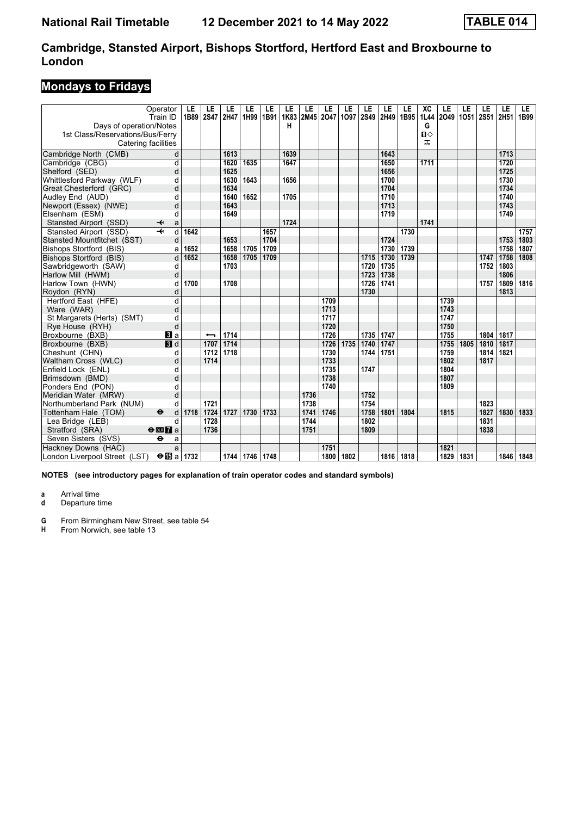### **Mondays to Fridays**

|                                  | Operator<br>Train ID                               | LE<br>1B89 | LE<br><b>2S47</b>        | LE<br><b>2H47</b> | LE<br>1H99 | LE<br>1B91 | LE<br>1K83 | LE<br>2M45 2O47 | LE   | LE<br>1097 | LE<br><b>2S49</b> | LE<br>2H49 | LE<br>1B95 | XC<br>1L44 | LE<br>2049 1051 | LE   | LE<br>2S51 | LE<br>2H51 | LE.<br>1B99 |
|----------------------------------|----------------------------------------------------|------------|--------------------------|-------------------|------------|------------|------------|-----------------|------|------------|-------------------|------------|------------|------------|-----------------|------|------------|------------|-------------|
| Days of operation/Notes          |                                                    |            |                          |                   |            |            | н          |                 |      |            |                   |            |            | G          |                 |      |            |            |             |
| 1st Class/Reservations/Bus/Ferry |                                                    |            |                          |                   |            |            |            |                 |      |            |                   |            |            | Ⅱ◇         |                 |      |            |            |             |
|                                  | Catering facilities                                |            |                          |                   |            |            |            |                 |      |            |                   |            |            | ᠼ          |                 |      |            |            |             |
| Cambridge North (CMB)            | d                                                  |            |                          | 1613              |            |            | 1639       |                 |      |            |                   | 1643       |            |            |                 |      |            | 1713       |             |
| Cambridge (CBG)                  | d                                                  |            |                          | 1620              | 1635       |            | 1647       |                 |      |            |                   | 1650       |            | 1711       |                 |      |            | 1720       |             |
| Shelford (SED)                   | d                                                  |            |                          | 1625              |            |            |            |                 |      |            |                   | 1656       |            |            |                 |      |            | 1725       |             |
| Whittlesford Parkway (WLF)       | d                                                  |            |                          | 1630              | 1643       |            | 1656       |                 |      |            |                   | 1700       |            |            |                 |      |            | 1730       |             |
| Great Chesterford (GRC)          | d                                                  |            |                          | 1634              |            |            |            |                 |      |            |                   | 1704       |            |            |                 |      |            | 1734       |             |
| Audley End (AUD)                 | d                                                  |            |                          | 1640              | 1652       |            | 1705       |                 |      |            |                   | 1710       |            |            |                 |      |            | 1740       |             |
| Newport (Essex) (NWE)            | d                                                  |            |                          | 1643              |            |            |            |                 |      |            |                   | 1713       |            |            |                 |      |            | 1743       |             |
| Elsenham (ESM)                   | d                                                  |            |                          | 1649              |            |            |            |                 |      |            |                   | 1719       |            |            |                 |      |            | 1749       |             |
| Stansted Airport (SSD)           | ↞<br>a                                             |            |                          |                   |            |            | 1724       |                 |      |            |                   |            |            | 1741       |                 |      |            |            |             |
| Stansted Airport (SSD)           | $\overline{\mathbf{t}}$<br>$\overline{\mathsf{d}}$ | 1642       |                          |                   |            | 1657       |            |                 |      |            |                   |            | 1730       |            |                 |      |            |            | 1757        |
| Stansted Mountfitchet (SST)      | d                                                  |            |                          | 1653              |            | 1704       |            |                 |      |            |                   | 1724       |            |            |                 |      |            | 1753       | 1803        |
| Bishops Stortford (BIS)          | a                                                  | 1652       |                          | 1658              | 1705       | 1709       |            |                 |      |            |                   | 1730       | 1739       |            |                 |      |            | 1758       | 1807        |
| Bishops Stortford (BIS)          | d                                                  | 1652       |                          | 1658              | 1705       | 1709       |            |                 |      |            | 1715              | 1730       | 1739       |            |                 |      | 1747       | 1758       | 1808        |
| Sawbridgeworth (SAW)             | d                                                  |            |                          | 1703              |            |            |            |                 |      |            | 1720              | 1735       |            |            |                 |      | 1752       | 1803       |             |
| Harlow Mill (HWM)                | d                                                  |            |                          |                   |            |            |            |                 |      |            | 1723              | 1738       |            |            |                 |      |            | 1806       |             |
| Harlow Town (HWN)                | d                                                  | 1700       |                          | 1708              |            |            |            |                 |      |            | 1726              | 1741       |            |            |                 |      | 1757       | 1809       | 1816        |
| Roydon (RYN)                     | d                                                  |            |                          |                   |            |            |            |                 |      |            | 1730              |            |            |            |                 |      |            | 1813       |             |
| Hertford East (HFE)              | d                                                  |            |                          |                   |            |            |            |                 | 1709 |            |                   |            |            |            | 1739            |      |            |            |             |
| Ware (WAR)                       | d                                                  |            |                          |                   |            |            |            |                 | 1713 |            |                   |            |            |            | 1743            |      |            |            |             |
| St Margarets (Herts) (SMT)       | d                                                  |            |                          |                   |            |            |            |                 | 1717 |            |                   |            |            |            | 1747            |      |            |            |             |
| Rye House (RYH)                  | d                                                  |            |                          |                   |            |            |            |                 | 1720 |            |                   |            |            |            | 1750            |      |            |            |             |
| Broxbourne (BXB)                 | BI a                                               |            | $\overline{\phantom{0}}$ | 1714              |            |            |            |                 | 1726 |            | 1735              | 1747       |            |            | 1755            |      | 1804       | 1817       |             |
| Broxbourne (BXB)                 | 3d                                                 |            | 1707                     | 1714              |            |            |            |                 | 1726 | 1735       | 1740              | 1747       |            |            | 1755            | 1805 | 1810       | 1817       |             |
| Cheshunt (CHN)                   | d                                                  |            | 1712                     | 1718              |            |            |            |                 | 1730 |            | 1744              | 1751       |            |            | 1759            |      | 1814       | 1821       |             |
| Waltham Cross (WLC)              | d                                                  |            | 1714                     |                   |            |            |            |                 | 1733 |            |                   |            |            |            | 1802            |      | 1817       |            |             |
| Enfield Lock (ENL)               | d                                                  |            |                          |                   |            |            |            |                 | 1735 |            | 1747              |            |            |            | 1804            |      |            |            |             |
| Brimsdown (BMD)                  | d                                                  |            |                          |                   |            |            |            |                 | 1738 |            |                   |            |            |            | 1807            |      |            |            |             |
| Ponders End (PON)                | d                                                  |            |                          |                   |            |            |            |                 | 1740 |            |                   |            |            |            | 1809            |      |            |            |             |
| Meridian Water (MRW)             | d                                                  |            |                          |                   |            |            |            | 1736            |      |            | 1752              |            |            |            |                 |      |            |            |             |
| Northumberland Park (NUM)        | d                                                  |            | 1721                     |                   |            |            |            | 1738            |      |            | 1754              |            |            |            |                 |      | 1823       |            |             |
| Tottenham Hale (TOM)             | $\ddot{\bm{\Theta}}$<br>d                          | 1718       | 1724                     | 1727              | 1730       | 1733       |            | 1741            | 1746 |            | 1758              | 1801       | 1804       |            | 1815            |      | 1827       | 1830       | 1833        |
| Lea Bridge (LEB)                 | d                                                  |            | 1728                     |                   |            |            |            | 1744            |      |            | 1802              |            |            |            |                 |      | 1831       |            |             |
| Stratford (SRA)                  | $\Theta$ <b>ER</b> $\theta$ a                      |            | 1736                     |                   |            |            |            | 1751            |      |            | 1809              |            |            |            |                 |      | 1838       |            |             |
| Seven Sisters (SVS)              | θ<br>a                                             |            |                          |                   |            |            |            |                 |      |            |                   |            |            |            |                 |      |            |            |             |
| Hackney Downs (HAC)              | a                                                  |            |                          |                   |            |            |            |                 | 1751 |            |                   |            |            |            | 1821            |      |            |            |             |
| London Liverpool Street (LST)    | $\Theta$ is a 1732                                 |            |                          | 1744              | 1746       | 1748       |            |                 | 1800 | 1802       |                   | 1816       | 1818       |            | 1829            | 1831 |            | 1846       | 1848        |

**NOTES (see introductory pages for explanation of train operator codes and standard symbols)**

**a** Arrival time<br>**d** Departure t **d** Departure time

**4** From Birmingham New Street, see table 54<br>**H** From Norwich, see table 13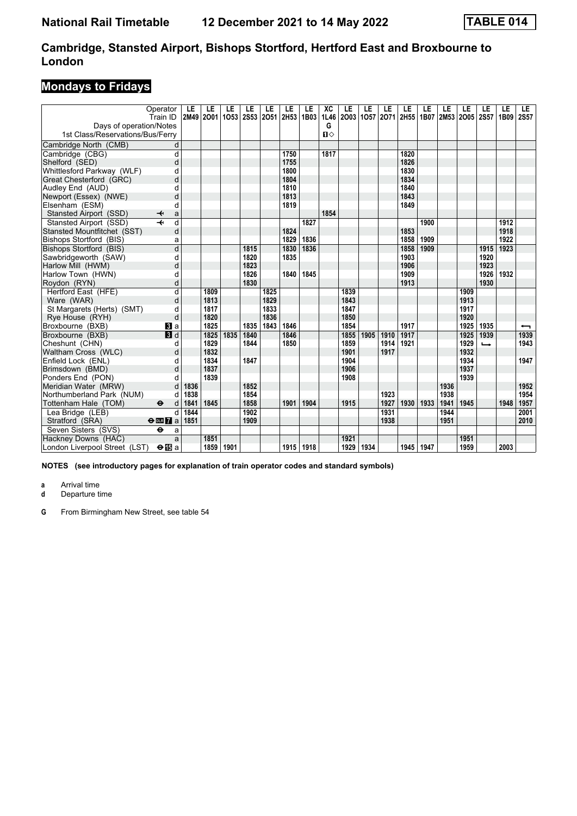# **Mondays to Fridays**

| Operator<br>Train ID                            |            | LE<br>2M49 | LE<br>2001 | LE<br>1053 | LE<br><b>2S53</b> | LE   | LE<br>2051 2H53 | LE<br>1B03  | ХC<br>1L46 | LE<br>2003 1057 | LE   | LE   | LE<br>2071 2H55 | LE   | LE<br>1B07 2M53 2O05 2S57 | LE   | LE            | LE<br>1B09 | LE<br><b>2S57</b> |
|-------------------------------------------------|------------|------------|------------|------------|-------------------|------|-----------------|-------------|------------|-----------------|------|------|-----------------|------|---------------------------|------|---------------|------------|-------------------|
| Days of operation/Notes                         |            |            |            |            |                   |      |                 |             | G          |                 |      |      |                 |      |                           |      |               |            |                   |
| 1st Class/Reservations/Bus/Ferry                |            |            |            |            |                   |      |                 |             | $\P$       |                 |      |      |                 |      |                           |      |               |            |                   |
|                                                 |            |            |            |            |                   |      |                 |             |            |                 |      |      |                 |      |                           |      |               |            |                   |
| Cambridge North (CMB)<br>Cambridge (CBG)        | d<br>d     |            |            |            |                   |      | 1750            |             | 1817       |                 |      |      | 1820            |      |                           |      |               |            |                   |
|                                                 |            |            |            |            |                   |      | 1755            |             |            |                 |      |      | 1826            |      |                           |      |               |            |                   |
| Shelford (SED)<br>Whittlesford Parkway (WLF)    | d          |            |            |            |                   |      | 1800            |             |            |                 |      |      | 1830            |      |                           |      |               |            |                   |
|                                                 | d          |            |            |            |                   |      | 1804            |             |            |                 |      |      | 1834            |      |                           |      |               |            |                   |
| Great Chesterford (GRC)                         | d          |            |            |            |                   |      | 1810            |             |            |                 |      |      | 1840            |      |                           |      |               |            |                   |
| Audley End (AUD)                                | d          |            |            |            |                   |      | 1813            |             |            |                 |      |      | 1843            |      |                           |      |               |            |                   |
| Newport (Essex) (NWE)                           | d          |            |            |            |                   |      |                 |             |            |                 |      |      | 1849            |      |                           |      |               |            |                   |
| Elsenham (ESM)                                  | d          |            |            |            |                   |      | 1819            |             | 1854       |                 |      |      |                 |      |                           |      |               |            |                   |
| Stansted Airport (SSD)<br>✦                     | a          |            |            |            |                   |      |                 |             |            |                 |      |      |                 |      |                           |      |               |            |                   |
| Stansted Airport (SSD)                          | d          |            |            |            |                   |      |                 | 1827        |            |                 |      |      |                 | 1900 |                           |      |               | 1912       |                   |
| Stansted Mountfitchet (SST)                     | d          |            |            |            |                   |      | 1824            |             |            |                 |      |      | 1853            |      |                           |      |               | 1918       |                   |
| Bishops Stortford (BIS)                         | a          |            |            |            |                   |      | 1829            | 1836        |            |                 |      |      | 1858            | 1909 |                           |      |               | 1922       |                   |
| Bishops Stortford (BIS)                         | d          |            |            |            | 1815              |      | 1830            | 1836        |            |                 |      |      | 1858            | 1909 |                           |      | 1915          | 1923       |                   |
| Sawbridgeworth (SAW)                            | d          |            |            |            | 1820              |      | 1835            |             |            |                 |      |      | 1903            |      |                           |      | 1920          |            |                   |
| Harlow Mill (HWM)                               | d          |            |            |            | 1823              |      |                 |             |            |                 |      |      | 1906            |      |                           |      | 1923          |            |                   |
| Harlow Town (HWN)                               | d          |            |            |            | 1826              |      | 1840            | 1845        |            |                 |      |      | 1909            |      |                           |      | 1926          | 1932       |                   |
| Roydon (RYN)                                    | d          |            |            |            | 1830              |      |                 |             |            |                 |      |      | 1913            |      |                           |      | 1930          |            |                   |
| Hertford East (HFE)                             | d          |            | 1809       |            |                   | 1825 |                 |             |            | 1839            |      |      |                 |      |                           | 1909 |               |            |                   |
| Ware (WAR)                                      | d          |            | 1813       |            |                   | 1829 |                 |             |            | 1843            |      |      |                 |      |                           | 1913 |               |            |                   |
| St Margarets (Herts) (SMT)                      | d          |            | 1817       |            |                   | 1833 |                 |             |            | 1847            |      |      |                 |      |                           | 1917 |               |            |                   |
| Rye House (RYH)                                 | d          |            | 1820       |            |                   | 1836 |                 |             |            | 1850            |      |      |                 |      |                           | 1920 |               |            |                   |
| Broxbourne (BXB)                                | $\bf{B}$ a |            | 1825       |            | 1835              | 1843 | 1846            |             |            | 1854            |      |      | 1917            |      |                           | 1925 | 1935          |            | ↽                 |
| Broxbourne (BXB)                                | 3d         |            | 1825       | 1835       | 1840              |      | 1846            |             |            | 1855            | 1905 | 1910 | 1917            |      |                           | 1925 | 1939          |            | 1939              |
| Cheshunt (CHN)                                  | d          |            | 1829       |            | 1844              |      | 1850            |             |            | 1859            |      | 1914 | 1921            |      |                           | 1929 | $\rightarrow$ |            | 1943              |
| Waltham Cross (WLC)                             | d          |            | 1832       |            |                   |      |                 |             |            | 1901            |      | 1917 |                 |      |                           | 1932 |               |            |                   |
| Enfield Lock (ENL)                              | d          |            | 1834       |            | 1847              |      |                 |             |            | 1904            |      |      |                 |      |                           | 1934 |               |            | 1947              |
| Brimsdown (BMD)                                 | d          |            | 1837       |            |                   |      |                 |             |            | 1906            |      |      |                 |      |                           | 1937 |               |            |                   |
| Ponders End (PON)                               |            |            | 1839       |            |                   |      |                 |             |            | 1908            |      |      |                 |      |                           | 1939 |               |            |                   |
| Meridian Water (MRW)                            | d          | 1836       |            |            | 1852              |      |                 |             |            |                 |      |      |                 |      | 1936                      |      |               |            | 1952              |
| Northumberland Park (NUM)                       | d          | 1838       |            |            | 1854              |      |                 |             |            |                 |      | 1923 |                 |      | 1938                      |      |               |            | 1954              |
| Tottenham Hale (TOM)<br>$\bullet$               | d          | 1841       | 1845       |            | 1858              |      | 1901            | 1904        |            | 1915            |      | 1927 | 1930            | 1933 | 1941                      | 1945 |               | 1948       | 1957              |
| Lea Bridge (LEB)                                | d          | 1844       |            |            | 1902              |      |                 |             |            |                 |      | 1931 |                 |      | 1944                      |      |               |            | 2001              |
| Stratford (SRA)<br>$\Theta$ or $\overline{7}$ a |            | 1851       |            |            | 1909              |      |                 |             |            |                 |      | 1938 |                 |      | 1951                      |      |               |            | 2010              |
| $\ddot{\mathbf{e}}$<br>Seven Sisters (SVS)      | a          |            |            |            |                   |      |                 |             |            |                 |      |      |                 |      |                           |      |               |            |                   |
| Hackney Downs (HAC)                             | a          |            | 1851       |            |                   |      |                 |             |            | 1921            |      |      |                 |      |                           | 1951 |               |            |                   |
| London Liverpool Street (LST)<br>$\Theta$ is a  |            |            | 1859       | 1901       |                   |      |                 | 1915   1918 |            | 1929            | 1934 |      | 1945            | 1947 |                           | 1959 |               | 2003       |                   |

**NOTES (see introductory pages for explanation of train operator codes and standard symbols)**

**a** Arrival time<br>**d** Departure t

**d** Departure time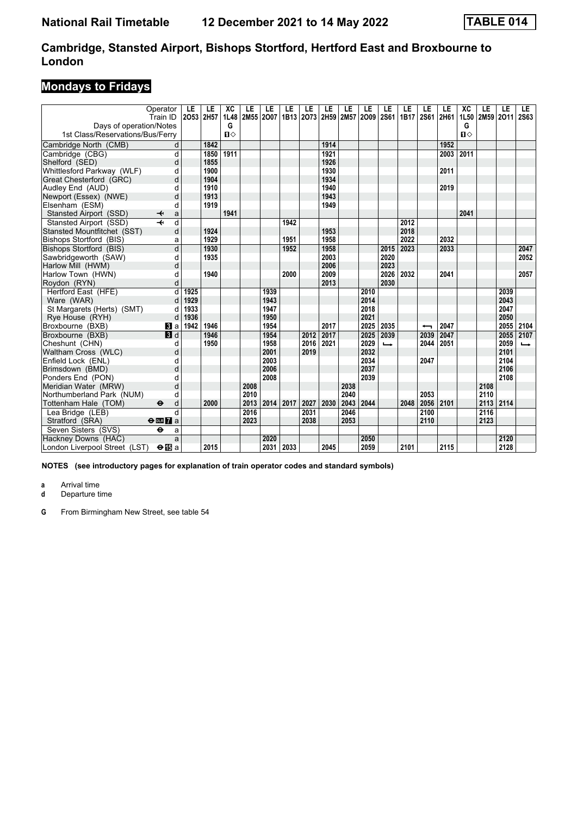# **Mondays to Fridays**

|                                  | Operator<br>Train ID         | LE<br>2053 | LE<br>2H57 | XC<br>1L48   | LE   | LE<br>2M55 2007 | LE   | LE<br>1B13 2073 2H59 | LE   | LE   | LE<br>2M57 2009 | LE<br><b>2S61</b> | LE<br>1B17 | LE<br><b>2S61</b> | LE<br>2H61 | XC<br>1L50   | LE   | LE<br>2M59 2O11 | LE<br><b>2S63</b>        |
|----------------------------------|------------------------------|------------|------------|--------------|------|-----------------|------|----------------------|------|------|-----------------|-------------------|------------|-------------------|------------|--------------|------|-----------------|--------------------------|
| Days of operation/Notes          |                              |            |            | G            |      |                 |      |                      |      |      |                 |                   |            |                   |            | G            |      |                 |                          |
| 1st Class/Reservations/Bus/Ferry |                              |            |            | $\mathbf{u}$ |      |                 |      |                      |      |      |                 |                   |            |                   |            | $\mathbf{u}$ |      |                 |                          |
| Cambridge North (CMB)            | d                            |            | 1842       |              |      |                 |      |                      | 1914 |      |                 |                   |            |                   | 1952       |              |      |                 |                          |
| Cambridge (CBG)                  | d                            |            | 1850       | 1911         |      |                 |      |                      | 1921 |      |                 |                   |            |                   | 2003       | 2011         |      |                 |                          |
| Shelford (SED)                   | d                            |            | 1855       |              |      |                 |      |                      | 1926 |      |                 |                   |            |                   |            |              |      |                 |                          |
| Whittlesford Parkway (WLF)       | d                            |            | 1900       |              |      |                 |      |                      | 1930 |      |                 |                   |            |                   | 2011       |              |      |                 |                          |
| Great Chesterford (GRC)          | d                            |            | 1904       |              |      |                 |      |                      | 1934 |      |                 |                   |            |                   |            |              |      |                 |                          |
| Audley End (AUD)                 | d                            |            | 1910       |              |      |                 |      |                      | 1940 |      |                 |                   |            |                   | 2019       |              |      |                 |                          |
| Newport (Essex) (NWE)            | d                            |            | 1913       |              |      |                 |      |                      | 1943 |      |                 |                   |            |                   |            |              |      |                 |                          |
| Elsenham (ESM)                   | d                            |            | 1919       |              |      |                 |      |                      | 1949 |      |                 |                   |            |                   |            |              |      |                 |                          |
| Stansted Airport (SSD)           | ↞<br>a                       |            |            | 1941         |      |                 |      |                      |      |      |                 |                   |            |                   |            | 2041         |      |                 |                          |
| Stansted Airport (SSD)           | d                            |            |            |              |      |                 | 1942 |                      |      |      |                 |                   | 2012       |                   |            |              |      |                 |                          |
| Stansted Mountfitchet (SST)      | d                            |            | 1924       |              |      |                 |      |                      | 1953 |      |                 |                   | 2018       |                   |            |              |      |                 |                          |
| Bishops Stortford (BIS)          | a                            |            | 1929       |              |      |                 | 1951 |                      | 1958 |      |                 |                   | 2022       |                   | 2032       |              |      |                 |                          |
| Bishops Stortford (BIS)          | d                            |            | 1930       |              |      |                 | 1952 |                      | 1958 |      |                 | 2015              | 2023       |                   | 2033       |              |      |                 | 2047                     |
| Sawbridgeworth (SAW)             | d                            |            | 1935       |              |      |                 |      |                      | 2003 |      |                 | 2020              |            |                   |            |              |      |                 | 2052                     |
| Harlow Mill (HWM)                | d                            |            |            |              |      |                 |      |                      | 2006 |      |                 | 2023              |            |                   |            |              |      |                 |                          |
| Harlow Town (HWN)                | d                            |            | 1940       |              |      |                 | 2000 |                      | 2009 |      |                 | 2026              | 2032       |                   | 2041       |              |      |                 | 2057                     |
| Roydon (RYN)                     | d                            |            |            |              |      |                 |      |                      | 2013 |      |                 | 2030              |            |                   |            |              |      |                 |                          |
| Hertford East (HFE)              | d                            | 1925       |            |              |      | 1939            |      |                      |      |      | 2010            |                   |            |                   |            |              |      | 2039            |                          |
| Ware (WAR)                       | d                            | 1929       |            |              |      | 1943            |      |                      |      |      | 2014            |                   |            |                   |            |              |      | 2043            |                          |
| St Margarets (Herts) (SMT)       | d                            | 1933       |            |              |      | 1947            |      |                      |      |      | 2018            |                   |            |                   |            |              |      | 2047            |                          |
| Rye House (RYH)                  | d                            | 1936       |            |              |      | 1950            |      |                      |      |      | 2021            |                   |            |                   |            |              |      | 2050            |                          |
| Broxbourne (BXB)                 | $\bf{B}$ a                   | 1942       | 1946       |              |      | 1954            |      |                      | 2017 |      | 2025            | 2035              |            | ↽                 | 2047       |              |      | 2055            | 2104                     |
| Broxbourne (BXB)                 | 3d                           |            | 1946       |              |      | 1954            |      | 2012                 | 2017 |      | 2025            | 2039              |            | 2039              | 2047       |              |      | 2055            | 2107                     |
| Cheshunt (CHN)                   | d                            |            | 1950       |              |      | 1958            |      | 2016                 | 2021 |      | 2029            | $\rightarrow$     |            | 2044              | 2051       |              |      | 2059            | $\overline{\phantom{a}}$ |
| Waltham Cross (WLC)              | d                            |            |            |              |      | 2001            |      | 2019                 |      |      | 2032            |                   |            |                   |            |              |      | 2101            |                          |
| Enfield Lock (ENL)               | d                            |            |            |              |      | 2003            |      |                      |      |      | 2034            |                   |            | 2047              |            |              |      | 2104            |                          |
| Brimsdown (BMD)                  | d                            |            |            |              |      | 2006            |      |                      |      |      | 2037            |                   |            |                   |            |              |      | 2106            |                          |
| Ponders End (PON)                | d                            |            |            |              |      | 2008            |      |                      |      |      | 2039            |                   |            |                   |            |              |      | 2108            |                          |
| Meridian Water (MRW)             | d                            |            |            |              | 2008 |                 |      |                      |      | 2038 |                 |                   |            |                   |            |              | 2108 |                 |                          |
| Northumberland Park (NUM)        | d                            |            |            |              | 2010 |                 |      |                      |      | 2040 |                 |                   |            | 2053              |            |              | 2110 |                 |                          |
| Tottenham Hale (TOM)             | $\bullet$<br>d               |            | 2000       |              | 2013 | 2014            | 2017 | 2027                 | 2030 | 2043 | 2044            |                   | 2048       | 2056              | 2101       |              | 2113 | 2114            |                          |
| Lea Bridge (LEB)                 | $\mathsf{d}$                 |            |            |              | 2016 |                 |      | 2031                 |      | 2046 |                 |                   |            | 2100              |            |              | 2116 |                 |                          |
| Stratford (SRA)                  | $\Theta$ or $\overline{7}$ a |            |            |              | 2023 |                 |      | 2038                 |      | 2053 |                 |                   |            | 2110              |            |              | 2123 |                 |                          |
| Seven Sisters (SVS)              | $\ddot{\mathbf{e}}$<br>a     |            |            |              |      |                 |      |                      |      |      |                 |                   |            |                   |            |              |      |                 |                          |
| Hackney Downs (HAC)              | a                            |            |            |              |      | 2020            |      |                      |      |      | 2050            |                   |            |                   |            |              |      | 2120            |                          |
| London Liverpool Street (LST)    | $\Theta$ is a                |            | 2015       |              |      | 2031            | 2033 |                      | 2045 |      | 2059            |                   | 2101       |                   | 2115       |              |      | 2128            |                          |

**NOTES (see introductory pages for explanation of train operator codes and standard symbols)**

**a** Arrival time<br>**d** Departure t

**d** Departure time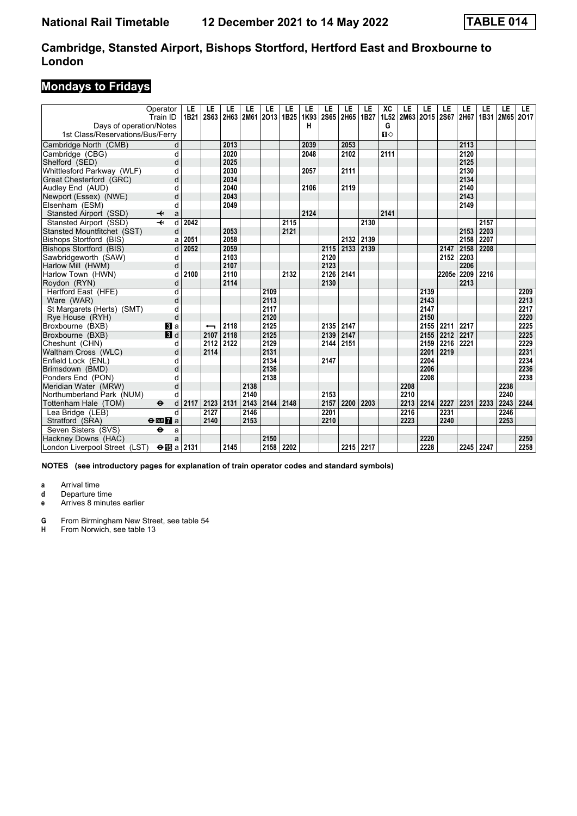### **Mondays to Fridays**

|                                  | Operator<br>Train ID              | LE<br>1B21 | LE<br>2S63 | LE   | LE   | LE<br>2H63 2M61 2O13 | LE<br>1B <sub>25</sub> | LE<br>1K93 | LE<br>2S65 | LE<br>2H65 | LE<br>1B27 | XC<br>1L52   | LE   | LE<br>2M63 2O15 2S67 | LE         | LE<br>2H67 | LE<br>1B31 | LE<br>2M65 2017 | LE.  |
|----------------------------------|-----------------------------------|------------|------------|------|------|----------------------|------------------------|------------|------------|------------|------------|--------------|------|----------------------|------------|------------|------------|-----------------|------|
| Days of operation/Notes          |                                   |            |            |      |      |                      |                        | н          |            |            |            | G            |      |                      |            |            |            |                 |      |
| 1st Class/Reservations/Bus/Ferry |                                   |            |            |      |      |                      |                        |            |            |            |            | $\mathbf{u}$ |      |                      |            |            |            |                 |      |
| Cambridge North (CMB)            | d                                 |            |            | 2013 |      |                      |                        | 2039       |            | 2053       |            |              |      |                      |            | 2113       |            |                 |      |
| Cambridge (CBG)                  | d                                 |            |            | 2020 |      |                      |                        | 2048       |            | 2102       |            | 2111         |      |                      |            | 2120       |            |                 |      |
| Shelford (SED)                   | d                                 |            |            | 2025 |      |                      |                        |            |            |            |            |              |      |                      |            | 2125       |            |                 |      |
| Whittlesford Parkway (WLF)       | d                                 |            |            | 2030 |      |                      |                        | 2057       |            | 2111       |            |              |      |                      |            | 2130       |            |                 |      |
| Great Chesterford (GRC)          | d                                 |            |            | 2034 |      |                      |                        |            |            |            |            |              |      |                      |            | 2134       |            |                 |      |
| Audley End (AUD)                 | d                                 |            |            | 2040 |      |                      |                        | 2106       |            | 2119       |            |              |      |                      |            | 2140       |            |                 |      |
| Newport (Essex) (NWE)            | d                                 |            |            | 2043 |      |                      |                        |            |            |            |            |              |      |                      |            | 2143       |            |                 |      |
| Elsenham (ESM)                   | d                                 |            |            | 2049 |      |                      |                        |            |            |            |            |              |      |                      |            | 2149       |            |                 |      |
| Stansted Airport (SSD)           | ↞<br>a                            |            |            |      |      |                      |                        | 2124       |            |            |            | 2141         |      |                      |            |            |            |                 |      |
| Stansted Airport (SSD)           | $\overline{\phantom{a}}$<br>d     | 2042       |            |      |      |                      | 2115                   |            |            |            | 2130       |              |      |                      |            |            | 2157       |                 |      |
| Stansted Mountfitchet (SST)      | d                                 |            |            | 2053 |      |                      | 2121                   |            |            |            |            |              |      |                      |            | 2153       | 2203       |                 |      |
| <b>Bishops Stortford (BIS)</b>   | a                                 | 2051       |            | 2058 |      |                      |                        |            |            | 2132       | 2139       |              |      |                      |            | 2158       | 2207       |                 |      |
| Bishops Stortford (BIS)          | d                                 | 2052       |            | 2059 |      |                      |                        |            |            | 2115 2133  | 2139       |              |      |                      | 2147       | 2158       | 2208       |                 |      |
| Sawbridgeworth (SAW)             | d                                 |            |            | 2103 |      |                      |                        |            | 2120       |            |            |              |      |                      | 2152       | 2203       |            |                 |      |
| Harlow Mill (HWM)                | d                                 |            |            | 2107 |      |                      |                        |            | 2123       |            |            |              |      |                      |            | 2206       |            |                 |      |
| Harlow Town (HWN)                | d                                 | 2100       |            | 2110 |      |                      | 2132                   |            | 2126       | 2141       |            |              |      |                      | 2205e 2209 |            | 2216       |                 |      |
| Roydon (RYN)                     | d                                 |            |            | 2114 |      |                      |                        |            | 2130       |            |            |              |      |                      |            | 2213       |            |                 |      |
| Hertford East (HFE)              | $\overline{d}$                    |            |            |      |      | 2109                 |                        |            |            |            |            |              |      | 2139                 |            |            |            |                 | 2209 |
| Ware (WAR)                       | d                                 |            |            |      |      | 2113                 |                        |            |            |            |            |              |      | 2143                 |            |            |            |                 | 2213 |
| St Margarets (Herts) (SMT)       | d                                 |            |            |      |      | 2117                 |                        |            |            |            |            |              |      | 2147                 |            |            |            |                 | 2217 |
| Rye House (RYH)                  | d                                 |            |            |      |      | 2120                 |                        |            |            |            |            |              |      | 2150                 |            |            |            |                 | 2220 |
| Broxbourne (BXB)                 | <b>B</b> la                       |            |            | 2118 |      | 2125                 |                        |            | 2135 2147  |            |            |              |      | 2155                 | 2211       | 2217       |            |                 | 2225 |
| Broxbourne (BXB)                 | 3d                                |            | 2107       | 2118 |      | 2125                 |                        |            | 2139       | 2147       |            |              |      | 2155                 | 2212       | 2217       |            |                 | 2225 |
| Cheshunt (CHN)                   | d                                 |            | 2112       | 2122 |      | 2129                 |                        |            | 2144       | 2151       |            |              |      | 2159                 | 2216       | 2221       |            |                 | 2229 |
| Waltham Cross (WLC)              | d                                 |            | 2114       |      |      | 2131                 |                        |            |            |            |            |              |      | 2201                 | 2219       |            |            |                 | 2231 |
| Enfield Lock (ENL)               | d                                 |            |            |      |      | 2134                 |                        |            | 2147       |            |            |              |      | 2204                 |            |            |            |                 | 2234 |
| Brimsdown (BMD)                  | d                                 |            |            |      |      | 2136                 |                        |            |            |            |            |              |      | 2206                 |            |            |            |                 | 2236 |
| Ponders End (PON)                | d                                 |            |            |      |      | 2138                 |                        |            |            |            |            |              |      | 2208                 |            |            |            |                 | 2238 |
| Meridian Water (MRW)             | d                                 |            |            |      | 2138 |                      |                        |            |            |            |            |              | 2208 |                      |            |            |            | 2238            |      |
| Northumberland Park (NUM)        | d                                 |            |            |      | 2140 |                      |                        |            | 2153       |            |            |              | 2210 |                      |            |            |            | 2240            |      |
| Tottenham Hale (TOM)             | $\ddot{\boldsymbol{\Theta}}$<br>d | 2117       | 2123       | 2131 | 2143 | 2144                 | 2148                   |            | 2157       | 2200       | 2203       |              | 2213 | 2214                 | 2227       | 2231       | 2233       | 2243            | 2244 |
| Lea Bridge (LEB)                 | $\mathsf{d}$                      |            | 2127       |      | 2146 |                      |                        |            | 2201       |            |            |              | 2216 |                      | 2231       |            |            | 2246            |      |
| Stratford (SRA)                  | $\Theta$ or $\overline{7}$ a      |            | 2140       |      | 2153 |                      |                        |            | 2210       |            |            |              | 2223 |                      | 2240       |            |            | 2253            |      |
| Seven Sisters (SVS)              | $\ddot{\mathbf{e}}$<br>a          |            |            |      |      |                      |                        |            |            |            |            |              |      |                      |            |            |            |                 |      |
| Hackney Downs (HAC)              | a                                 |            |            |      |      | 2150                 |                        |            |            |            |            |              |      | 2220                 |            |            |            |                 | 2250 |
| London Liverpool Street (LST)    | $\Theta$ is a 2131                |            |            | 2145 |      | 2158                 | 2202                   |            |            |            | 2215 2217  |              |      | 2228                 |            | 2245 2247  |            |                 | 2258 |

**NOTES (see introductory pages for explanation of train operator codes and standard symbols)**

**a** Arrival time

**d** Departure time<br>**e** Arrives 8 minute

**e** Arrives minutes earlier

**G** From Birmingham New Street, see table 54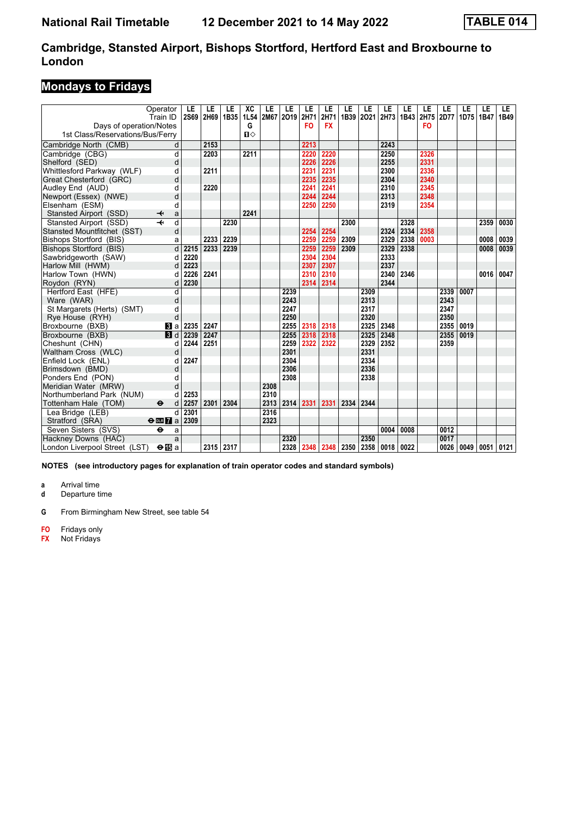### **Mondays to Fridays**

|                                             | Operator<br>Train ID                                | LE<br><b>2S69</b> | LE<br>2H69   | LE<br>1B35   | XC<br><b>1L54</b> | LE   | LE<br>2M67 2O19 | LE<br>2H71   | LE<br>2H71   | LE<br>1B39   | LE<br>2021 | LE<br>2H73   | LE<br>1B43   | LE<br>2H75     | LE<br>2D77 | LE<br>1D75 | LE<br>1B47 | LE<br>1B49 |
|---------------------------------------------|-----------------------------------------------------|-------------------|--------------|--------------|-------------------|------|-----------------|--------------|--------------|--------------|------------|--------------|--------------|----------------|------------|------------|------------|------------|
| Days of operation/Notes                     |                                                     |                   |              |              | G                 |      |                 | FO           | <b>FX</b>    |              |            |              |              | F <sub>O</sub> |            |            |            |            |
| 1st Class/Reservations/Bus/Ferry            |                                                     |                   |              |              | $\mathbf{u}$      |      |                 |              |              |              |            |              |              |                |            |            |            |            |
|                                             | d                                                   |                   | 2153         |              |                   |      |                 | 2213         |              |              |            | 2243         |              |                |            |            |            |            |
| Cambridge North (CMB)<br>Cambridge (CBG)    | d                                                   |                   | 2203         |              | 2211              |      |                 | 2220         | 2220         |              |            | 2250         |              | 2326           |            |            |            |            |
| Shelford (SED)                              | d                                                   |                   |              |              |                   |      |                 | 2226         | 2226         |              |            | 2255         |              | 2331           |            |            |            |            |
| Whittlesford Parkway (WLF)                  | d                                                   |                   | 2211         |              |                   |      |                 | 2231         | 2231         |              |            | 2300         |              | 2336           |            |            |            |            |
|                                             | d                                                   |                   |              |              |                   |      |                 | 2235         | 2235         |              |            | 2304         |              | 2340           |            |            |            |            |
| Great Chesterford (GRC)<br>Audley End (AUD) | d                                                   |                   | 2220         |              |                   |      |                 | 2241         | 2241         |              |            | 2310         |              | 2345           |            |            |            |            |
|                                             | d                                                   |                   |              |              |                   |      |                 | 2244         | 2244         |              |            | 2313         |              | 2348           |            |            |            |            |
| Newport (Essex) (NWE)<br>Elsenham (ESM)     | d                                                   |                   |              |              |                   |      |                 | 2250         | 2250         |              |            | 2319         |              | 2354           |            |            |            |            |
|                                             |                                                     |                   |              |              | 2241              |      |                 |              |              |              |            |              |              |                |            |            |            |            |
| Stansted Airport (SSD)                      | $\overline{\mathbf{t}}$<br>a<br>$\overline{+}$<br>d |                   |              | 2230         |                   |      |                 |              |              |              |            |              | 2328         |                |            |            |            |            |
| Stansted Airport (SSD)                      |                                                     |                   |              |              |                   |      |                 |              |              | 2300         |            | 2324         |              | 2358           |            |            | 2359       | 0030       |
| Stansted Mountfitchet (SST)                 | d                                                   |                   |              |              |                   |      |                 | 2254         | 2254         |              |            |              | 2334         | 0003           |            |            |            |            |
| <b>Bishops Stortford (BIS)</b>              | a<br>$\overline{d}$                                 |                   | 2233<br>2233 | 2239<br>2239 |                   |      |                 | 2259         | 2259         | 2309<br>2309 |            | 2329<br>2329 | 2338<br>2338 |                |            |            | 0008       | 0039       |
| Bishops Stortford (BIS)                     |                                                     | 2215              |              |              |                   |      |                 | 2259         | 2259         |              |            |              |              |                |            |            | 0008       | 0039       |
| Sawbridgeworth (SAW)                        | d<br>d                                              | 2220              |              |              |                   |      |                 | 2304         | 2304<br>2307 |              |            | 2333         |              |                |            |            |            |            |
| Harlow Mill (HWM)                           |                                                     | 2223              |              |              |                   |      |                 | 2307         |              |              |            | 2337         |              |                |            |            |            |            |
| Harlow Town (HWN)                           | d                                                   | 2226              | 2241         |              |                   |      |                 | 2310<br>2314 | 2310         |              |            | 2340<br>2344 | 2346         |                |            |            | 0016       | 0047       |
| Roydon (RYN)                                | d                                                   | 2230              |              |              |                   |      |                 |              | 2314         |              |            |              |              |                |            |            |            |            |
| Hertford East (HFE)                         | d                                                   |                   |              |              |                   |      | 2239            |              |              |              | 2309       |              |              |                | 2339       | 0007       |            |            |
| Ware (WAR)                                  | d                                                   |                   |              |              |                   |      | 2243            |              |              |              | 2313       |              |              |                | 2343       |            |            |            |
| St Margarets (Herts) (SMT)                  | d                                                   |                   |              |              |                   |      | 2247            |              |              |              | 2317       |              |              |                | 2347       |            |            |            |
| Rye House (RYH)                             | d                                                   |                   |              |              |                   |      | 2250            |              |              |              | 2320       |              |              |                | 2350       |            |            |            |
| Broxbourne (BXB)                            | Bl a                                                | 2235              | 2247         |              |                   |      | 2255            | 2318         | 2318         |              | 2325       | 2348         |              |                | 2355       | 0019       |            |            |
| Broxbourne (BXB)                            | $\blacksquare$                                      | 2239              | 2247         |              |                   |      | 2255            | 2318         | 2318         |              | 2325       | 2348         |              |                | 2355       | 0019       |            |            |
| Cheshunt (CHN)                              | d                                                   | 2244              | 2251         |              |                   |      | 2259            | 2322         | 2322         |              | 2329       | 2352         |              |                | 2359       |            |            |            |
| Waltham Cross (WLC)                         | d                                                   |                   |              |              |                   |      | 2301            |              |              |              | 2331       |              |              |                |            |            |            |            |
| Enfield Lock (ENL)                          | d                                                   | 2247              |              |              |                   |      | 2304            |              |              |              | 2334       |              |              |                |            |            |            |            |
| Brimsdown (BMD)                             | d                                                   |                   |              |              |                   |      | 2306            |              |              |              | 2336       |              |              |                |            |            |            |            |
| Ponders End (PON)                           | d                                                   |                   |              |              |                   |      | 2308            |              |              |              | 2338       |              |              |                |            |            |            |            |
| Meridian Water (MRW)                        | d                                                   |                   |              |              |                   | 2308 |                 |              |              |              |            |              |              |                |            |            |            |            |
| Northumberland Park (NUM)                   | d                                                   | 2253              |              |              |                   | 2310 |                 |              |              |              |            |              |              |                |            |            |            |            |
| Tottenham Hale (TOM)                        | $\ddot{\mathbf{e}}$<br>d                            | 2257              | 2301         | 2304         |                   | 2313 | 2314            | 2331         | 2331         | 2334         | 2344       |              |              |                |            |            |            |            |
| Lea Bridge (LEB)                            | d                                                   | 2301              |              |              |                   | 2316 |                 |              |              |              |            |              |              |                |            |            |            |            |
| Stratford (SRA)                             | $\Theta$ or $\overline{7}$ a                        | 2309              |              |              |                   | 2323 |                 |              |              |              |            |              |              |                |            |            |            |            |
| Seven Sisters (SVS)                         | θ<br>a                                              |                   |              |              |                   |      |                 |              |              |              |            | 0004         | 0008         |                | 0012       |            |            |            |
| Hackney Downs (HAC)                         | a                                                   |                   |              |              |                   |      | 2320            |              |              |              | 2350       |              |              |                | 0017       |            |            |            |
| London Liverpool Street (LST) <b>⊖ iB</b> a |                                                     |                   | 2315 2317    |              |                   |      | 2328            | 2348         | 2348         | 2350         | 2358       | 0018         | 0022         |                | 0026       | 0049       | 0051       | 0121       |

**NOTES (see introductory pages for explanation of train operator codes and standard symbols)**

**a** Arrival time

**d** Departure time

**6** From Birmingham New Street, see table 54

**F0** Fridays only<br>**FX** Not Fridays

**F;** Not Fridays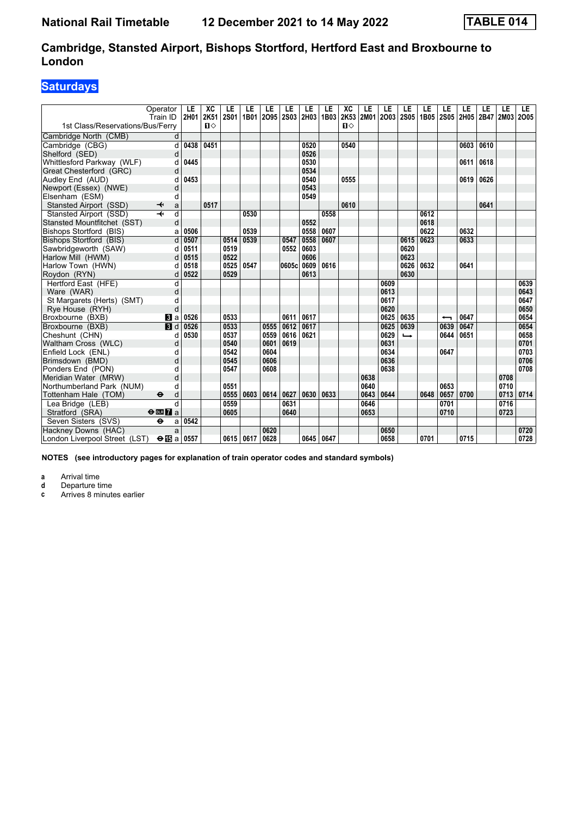### **Saturdays**

|                                  | Operator<br>Train ID              | LE<br>2H01 | XC<br>2K51   | LE<br><b>2S01</b> | LE<br>1B01 | LE<br>2095 | LE<br><b>2S03</b> | LE<br>2H03 1B03 | LE   | XC<br>2K53   | LE<br>2M01 | LE<br>2003 | LE<br><b>2S05</b> | LE<br>1B05 | LE<br><b>2S05</b> | LE<br>2H05 | LE<br>2B47 | LE<br><b>2M03</b> | LE.<br>2005 |
|----------------------------------|-----------------------------------|------------|--------------|-------------------|------------|------------|-------------------|-----------------|------|--------------|------------|------------|-------------------|------------|-------------------|------------|------------|-------------------|-------------|
| 1st Class/Reservations/Bus/Ferry |                                   |            | $\mathbf{u}$ |                   |            |            |                   |                 |      | $\mathbf{n}$ |            |            |                   |            |                   |            |            |                   |             |
| Cambridge North (CMB)            | d                                 |            |              |                   |            |            |                   |                 |      |              |            |            |                   |            |                   |            |            |                   |             |
| Cambridge (CBG)                  | d                                 | 0438       | 0451         |                   |            |            |                   | 0520            |      | 0540         |            |            |                   |            |                   | 0603       | 0610       |                   |             |
| Shelford (SED)                   | d                                 |            |              |                   |            |            |                   | 0526            |      |              |            |            |                   |            |                   |            |            |                   |             |
| Whittlesford Parkway (WLF)       | d                                 | 0445       |              |                   |            |            |                   | 0530            |      |              |            |            |                   |            |                   | 0611       | 0618       |                   |             |
| Great Chesterford (GRC)          | d                                 |            |              |                   |            |            |                   | 0534            |      |              |            |            |                   |            |                   |            |            |                   |             |
| Audley End (AUD)                 | d                                 | 0453       |              |                   |            |            |                   | 0540            |      | 0555         |            |            |                   |            |                   | 0619       | 0626       |                   |             |
| Newport (Essex) (NWE)            | d                                 |            |              |                   |            |            |                   | 0543            |      |              |            |            |                   |            |                   |            |            |                   |             |
| Elsenham (ESM)                   | d                                 |            |              |                   |            |            |                   | 0549            |      |              |            |            |                   |            |                   |            |            |                   |             |
| Stansted Airport (SSD)           | a<br>↞                            |            | 0517         |                   |            |            |                   |                 |      | 0610         |            |            |                   |            |                   |            | 0641       |                   |             |
| Stansted Airport (SSD)           | d                                 |            |              |                   | 0530       |            |                   |                 | 0558 |              |            |            |                   | 0612       |                   |            |            |                   |             |
| Stansted Mountfitchet (SST)      | d                                 |            |              |                   |            |            |                   | 0552            |      |              |            |            |                   | 0618       |                   |            |            |                   |             |
| Bishops Stortford (BIS)          | a                                 | 0506       |              |                   | 0539       |            |                   | 0558            | 0607 |              |            |            |                   | 0622       |                   | 0632       |            |                   |             |
| Bishops Stortford (BIS)          | d                                 | 0507       |              | 0514              | 0539       |            | 0547              | 0558            | 0607 |              |            |            | 0615              | 0623       |                   | 0633       |            |                   |             |
| Sawbridgeworth (SAW)             | d                                 | 0511       |              | 0519              |            |            | 0552              | 0603            |      |              |            |            | 0620              |            |                   |            |            |                   |             |
| Harlow Mill (HWM)                | d                                 | 0515       |              | 0522              |            |            |                   | 0606            |      |              |            |            | 0623              |            |                   |            |            |                   |             |
| Harlow Town (HWN)                | d                                 | 0518       |              | 0525              | 0547       |            | 0605cl            | 0609            | 0616 |              |            |            | 0626              | 0632       |                   | 0641       |            |                   |             |
| Roydon (RYN)                     | d                                 | 0522       |              | 0529              |            |            |                   | 0613            |      |              |            |            | 0630              |            |                   |            |            |                   |             |
| Hertford East (HFE)              | d                                 |            |              |                   |            |            |                   |                 |      |              |            | 0609       |                   |            |                   |            |            |                   | 0639        |
| Ware (WAR)                       | d                                 |            |              |                   |            |            |                   |                 |      |              |            | 0613       |                   |            |                   |            |            |                   | 0643        |
| St Margarets (Herts) (SMT)       | d                                 |            |              |                   |            |            |                   |                 |      |              |            | 0617       |                   |            |                   |            |            |                   | 0647        |
| Rye House (RYH)                  | d                                 |            |              |                   |            |            |                   |                 |      |              |            | 0620       |                   |            |                   |            |            |                   | 0650        |
| Broxbourne (BXB)                 | $\mathbf{B}$ a                    | 0526       |              | 0533              |            |            | 0611              | 0617            |      |              |            | 0625       | 0635              |            | ↽                 | 0647       |            |                   | 0654        |
| Broxbourne (BXB)                 | $\blacksquare$                    | 0526       |              | 0533              |            | 0555       | 0612              | 0617            |      |              |            | 0625       | 0639              |            | 0639              | 0647       |            |                   | 0654        |
| Cheshunt (CHN)                   | d                                 | 0530       |              | 0537              |            | 0559       | 0616              | 0621            |      |              |            | 0629       | $\rightarrow$     |            | 0644              | 0651       |            |                   | 0658        |
| Waltham Cross (WLC)              | d                                 |            |              | 0540              |            | 0601       | 0619              |                 |      |              |            | 0631       |                   |            |                   |            |            |                   | 0701        |
| Enfield Lock (ENL)               | d                                 |            |              | 0542              |            | 0604       |                   |                 |      |              |            | 0634       |                   |            | 0647              |            |            |                   | 0703        |
| Brimsdown (BMD)                  | d                                 |            |              | 0545              |            | 0606       |                   |                 |      |              |            | 0636       |                   |            |                   |            |            |                   | 0706        |
| Ponders End (PON)                | d                                 |            |              | 0547              |            | 0608       |                   |                 |      |              |            | 0638       |                   |            |                   |            |            |                   | 0708        |
| Meridian Water (MRW)             | d                                 |            |              |                   |            |            |                   |                 |      |              | 0638       |            |                   |            |                   |            |            | 0708              |             |
| Northumberland Park (NUM)        | d                                 |            |              | 0551              |            |            |                   |                 |      |              | 0640       |            |                   |            | 0653              |            |            | 0710              |             |
| Tottenham Hale (TOM)             | $\ddot{\boldsymbol{\Theta}}$<br>d |            |              | 0555              | 0603       | 0614       | 0627              | 0630            | 0633 |              | 0643       | 0644       |                   | 0648       | 0657              | 0700       |            | 0713              | 0714        |
| Lea Bridge (LEB)                 | d                                 |            |              | 0559              |            |            | 0631              |                 |      |              | 0646       |            |                   |            | 0701              |            |            | 0716              |             |
| Stratford (SRA)                  | $\Theta$ <b>ER</b> $\theta$ a     |            |              | 0605              |            |            | 0640              |                 |      |              | 0653       |            |                   |            | 0710              |            |            | 0723              |             |
| Seven Sisters (SVS)              | $\ddot{\boldsymbol{\Theta}}$<br>a | 0542       |              |                   |            |            |                   |                 |      |              |            |            |                   |            |                   |            |            |                   |             |
| Hackney Downs (HAC)              | a                                 |            |              |                   |            | 0620       |                   |                 |      |              |            | 0650       |                   |            |                   |            |            |                   | 0720        |
| London Liverpool Street (LST)    | $\Theta$ $\mathbb{E}$ a           | 0557       |              | 0615              | 0617       | 0628       |                   | 0645 0647       |      |              |            | 0658       |                   | 0701       |                   | 0715       |            |                   | 0728        |

**NOTES (see introductory pages for explanation of train operator codes and standard symbols)**

**a** Arrival time<br>**d** Departure ti

**d** Departure time<br>**c** Arrives 8 minute

Arrives 8 minutes earlier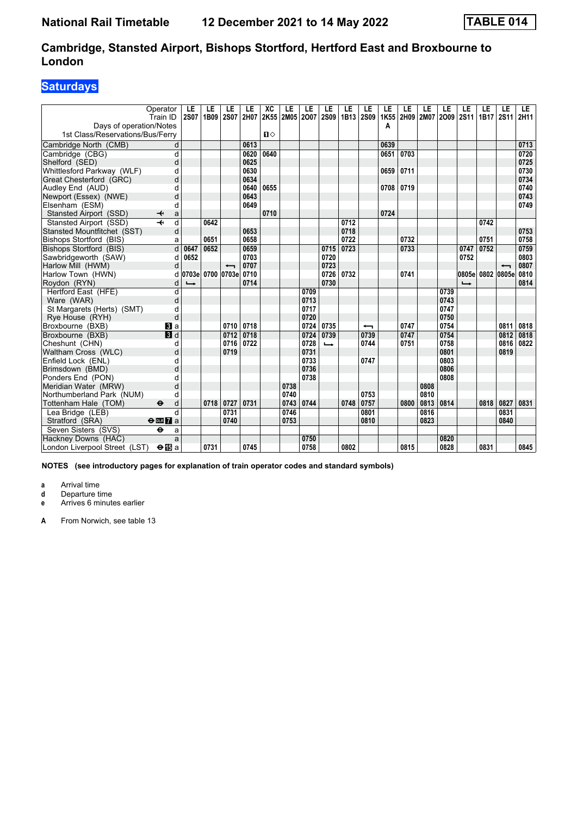### **Saturdays**

| Operator<br>Train ID                                      | LE<br><b>2S07</b>        | LE<br>1B09 | LE<br><b>2S07</b>        | LE<br>2H07 | XC<br>2K55   | LE<br>2M05 2007 | LE   | LE<br><b>2S09</b> | LE<br>1B13 | LE<br><b>2S09</b> | LE<br>1K55 | LE<br>2H09 2M07 | LE   | LE<br>2009 2S11 | LE                       | LE<br>1B17 | LE<br>2S11 | LE.<br>2H11 |
|-----------------------------------------------------------|--------------------------|------------|--------------------------|------------|--------------|-----------------|------|-------------------|------------|-------------------|------------|-----------------|------|-----------------|--------------------------|------------|------------|-------------|
| Days of operation/Notes                                   |                          |            |                          |            |              |                 |      |                   |            |                   | Α          |                 |      |                 |                          |            |            |             |
| 1st Class/Reservations/Bus/Ferry                          |                          |            |                          |            | $\mathbf{u}$ |                 |      |                   |            |                   |            |                 |      |                 |                          |            |            |             |
| Cambridge North (CMB)<br>d                                |                          |            |                          | 0613       |              |                 |      |                   |            |                   | 0639       |                 |      |                 |                          |            |            | 0713        |
| d<br>Cambridge (CBG)                                      |                          |            |                          | 0620       | 0640         |                 |      |                   |            |                   | 0651       | 0703            |      |                 |                          |            |            | 0720        |
| Shelford (SED)<br>d                                       |                          |            |                          | 0625       |              |                 |      |                   |            |                   |            |                 |      |                 |                          |            |            | 0725        |
| Whittlesford Parkway (WLF)<br>d                           |                          |            |                          | 0630       |              |                 |      |                   |            |                   | 0659       | 0711            |      |                 |                          |            |            | 0730        |
| Great Chesterford (GRC)<br>d                              |                          |            |                          | 0634       |              |                 |      |                   |            |                   |            |                 |      |                 |                          |            |            | 0734        |
| Audley End (AUD)<br>d                                     |                          |            |                          | 0640       | 0655         |                 |      |                   |            |                   | 0708       | 0719            |      |                 |                          |            |            | 0740        |
| Newport (Essex) (NWE)<br>d                                |                          |            |                          | 0643       |              |                 |      |                   |            |                   |            |                 |      |                 |                          |            |            | 0743        |
| Elsenham (ESM)<br>d                                       |                          |            |                          | 0649       |              |                 |      |                   |            |                   |            |                 |      |                 |                          |            |            | 0749        |
| Stansted Airport (SSD)<br>↞<br>a                          |                          |            |                          |            | 0710         |                 |      |                   |            |                   | 0724       |                 |      |                 |                          |            |            |             |
| Stansted Airport (SSD)<br>d                               |                          | 0642       |                          |            |              |                 |      |                   | 0712       |                   |            |                 |      |                 |                          | 0742       |            |             |
| Stansted Mountfitchet (SST)<br>d                          |                          |            |                          | 0653       |              |                 |      |                   | 0718       |                   |            |                 |      |                 |                          |            |            | 0753        |
| Bishops Stortford (BIS)<br>a                              |                          | 0651       |                          | 0658       |              |                 |      |                   | 0722       |                   |            | 0732            |      |                 |                          | 0751       |            | 0758        |
| d<br>Bishops Stortford (BIS)                              | 0647                     | 0652       |                          | 0659       |              |                 |      | 0715              | 0723       |                   |            | 0733            |      |                 | 0747                     | 0752       |            | 0759        |
| Sawbridgeworth (SAW)<br>d                                 | 0652                     |            |                          | 0703       |              |                 |      | 0720              |            |                   |            |                 |      |                 | 0752                     |            |            | 0803        |
| d<br>Harlow Mill (HWM)                                    |                          |            | $\overline{\phantom{0}}$ | 0707       |              |                 |      | 0723              |            |                   |            |                 |      |                 |                          |            |            | 0807        |
| Harlow Town (HWN)<br>d                                    | 0703e                    |            | 0700 0703e               | 0710       |              |                 |      | 0726              | 0732       |                   |            | 0741            |      |                 | 0805e 0802 0805e         |            |            | 0810        |
| Roydon (RYN)<br>d                                         | $\overline{\phantom{a}}$ |            |                          | 0714       |              |                 |      | 0730              |            |                   |            |                 |      |                 | $\overline{\phantom{a}}$ |            |            | 0814        |
| d<br>Hertford East (HFE)                                  |                          |            |                          |            |              |                 | 0709 |                   |            |                   |            |                 |      | 0739            |                          |            |            |             |
| d<br>Ware (WAR)                                           |                          |            |                          |            |              |                 | 0713 |                   |            |                   |            |                 |      | 0743            |                          |            |            |             |
| d<br>St Margarets (Herts) (SMT)                           |                          |            |                          |            |              |                 | 0717 |                   |            |                   |            |                 |      | 0747            |                          |            |            |             |
| d<br>Rye House (RYH)                                      |                          |            |                          |            |              |                 | 0720 |                   |            |                   |            |                 |      | 0750            |                          |            |            |             |
| Broxbourne (BXB)<br>$\blacksquare$ a                      |                          |            | 0710                     | 0718       |              |                 | 0724 | 0735              |            | ╼                 |            | 0747            |      | 0754            |                          |            | 0811       | 0818        |
| Broxbourne (BXB)<br>$\blacksquare$                        |                          |            | 0712                     | 0718       |              |                 | 0724 | 0739              |            | 0739              |            | 0747            |      | 0754            |                          |            | 0812       | 0818        |
| Cheshunt (CHN)<br>d                                       |                          |            | 0716                     | 0722       |              |                 | 0728 | $\rightarrow$     |            | 0744              |            | 0751            |      | 0758            |                          |            | 0816       | 0822        |
| Waltham Cross (WLC)<br>d                                  |                          |            | 0719                     |            |              |                 | 0731 |                   |            |                   |            |                 |      | 0801            |                          |            | 0819       |             |
| Enfield Lock (ENL)<br>d                                   |                          |            |                          |            |              |                 | 0733 |                   |            | 0747              |            |                 |      | 0803            |                          |            |            |             |
| d<br>Brimsdown (BMD)                                      |                          |            |                          |            |              |                 | 0736 |                   |            |                   |            |                 |      | 0806            |                          |            |            |             |
| Ponders End (PON)<br>d                                    |                          |            |                          |            |              |                 | 0738 |                   |            |                   |            |                 |      | 0808            |                          |            |            |             |
| Meridian Water (MRW)<br>d                                 |                          |            |                          |            |              | 0738            |      |                   |            |                   |            |                 | 0808 |                 |                          |            |            |             |
| Northumberland Park (NUM)<br>d                            |                          |            |                          |            |              | 0740            |      |                   |            | 0753              |            |                 | 0810 |                 |                          |            |            |             |
| Tottenham Hale (TOM)<br>$\ddot{\boldsymbol{\Theta}}$<br>d |                          | 0718       | 0727                     | 0731       |              | 0743            | 0744 |                   | 0748       | 0757              |            | 0800            | 0813 | 0814            |                          | 0818       | 0827       | 0831        |
| d<br>Lea Bridge (LEB)                                     |                          |            | 0731                     |            |              | 0746            |      |                   |            | 0801              |            |                 | 0816 |                 |                          |            | 0831       |             |
| Stratford (SRA)<br>$\Theta$ or $\overline{h}$ a           |                          |            | 0740                     |            |              | 0753            |      |                   |            | 0810              |            |                 | 0823 |                 |                          |            | 0840       |             |
| Seven Sisters (SVS)<br>$\ddot{\mathbf{e}}$<br>a           |                          |            |                          |            |              |                 |      |                   |            |                   |            |                 |      |                 |                          |            |            |             |
| Hackney Downs (HAC)<br>a                                  |                          |            |                          |            |              |                 | 0750 |                   |            |                   |            |                 |      | 0820            |                          |            |            |             |
| London Liverpool Street (LST)<br>$\Theta$ is a            |                          | 0731       |                          | 0745       |              |                 | 0758 |                   | 0802       |                   |            | 0815            |      | 0828            |                          | 0831       |            | 0845        |

**NOTES (see introductory pages for explanation of train operator codes and standard symbols)**

**a** Arrival time

**d** Departure time<br>**e** Arrives 6 minute

**e** Arrives 6 minutes earlier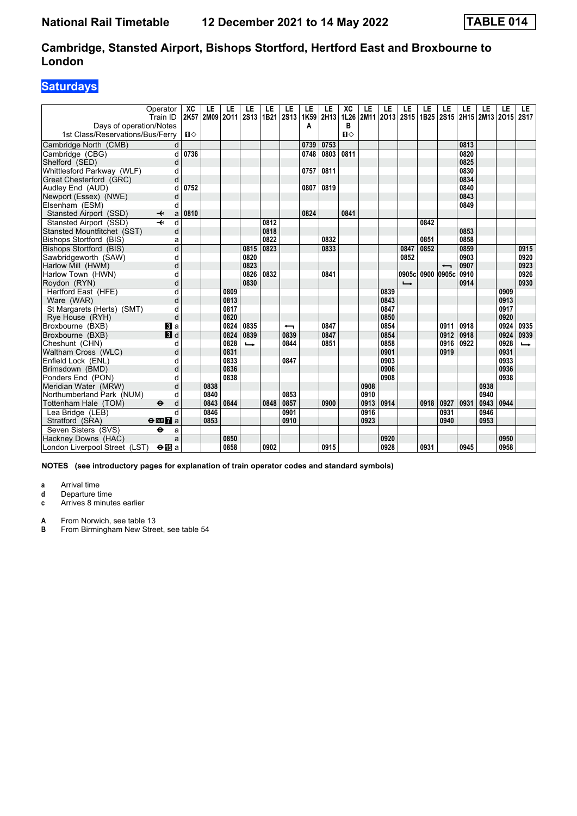### **Saturdays**

| Operator<br>Train ID                               |                | XC<br>LE<br>2M09<br>2K57 | LE<br>2011 | LE<br><b>2S13</b> | LE<br>1B21 | LE<br>2S13 | LE<br>1K59 | LE<br>2H13 | XC<br>1L26   | LE<br>2M11 | LE<br>2013 | LE<br>2S15               | LE<br>1B25 | LE<br>2S15 | LE<br>2H15 | LE<br>2M13 2O15 | LE   | LE.<br><b>2S17</b> |
|----------------------------------------------------|----------------|--------------------------|------------|-------------------|------------|------------|------------|------------|--------------|------------|------------|--------------------------|------------|------------|------------|-----------------|------|--------------------|
| Days of operation/Notes                            |                |                          |            |                   |            |            | Α          |            | в            |            |            |                          |            |            |            |                 |      |                    |
| 1st Class/Reservations/Bus/Ferry                   |                | Ⅱ♦                       |            |                   |            |            |            |            | $\mathbf{u}$ |            |            |                          |            |            |            |                 |      |                    |
| Cambridge North (CMB)                              | d              |                          |            |                   |            |            | 0739       | 0753       |              |            |            |                          |            |            | 0813       |                 |      |                    |
| Cambridge (CBG)                                    | d              | 0736                     |            |                   |            |            | 0748       | 0803       | 0811         |            |            |                          |            |            | 0820       |                 |      |                    |
| Shelford (SED)                                     | d              |                          |            |                   |            |            |            |            |              |            |            |                          |            |            | 0825       |                 |      |                    |
| Whittlesford Parkway (WLF)                         | d              |                          |            |                   |            |            | 0757       | 0811       |              |            |            |                          |            |            | 0830       |                 |      |                    |
| Great Chesterford (GRC)                            | d              |                          |            |                   |            |            |            |            |              |            |            |                          |            |            | 0834       |                 |      |                    |
| Audley End (AUD)                                   | d              | 0752                     |            |                   |            |            | 0807       | 0819       |              |            |            |                          |            |            | 0840       |                 |      |                    |
| Newport (Essex) (NWE)                              | d              |                          |            |                   |            |            |            |            |              |            |            |                          |            |            | 0843       |                 |      |                    |
| Elsenham (ESM)                                     | d              |                          |            |                   |            |            |            |            |              |            |            |                          |            |            | 0849       |                 |      |                    |
| Stansted Airport (SSD)<br>↞                        | a              | 0810                     |            |                   |            |            | 0824       |            | 0841         |            |            |                          |            |            |            |                 |      |                    |
| Stansted Airport (SSD)<br>$\overline{\phantom{a}}$ | d              |                          |            |                   | 0812       |            |            |            |              |            |            |                          | 0842       |            |            |                 |      |                    |
| Stansted Mountfitchet (SST)                        | d              |                          |            |                   | 0818       |            |            |            |              |            |            |                          |            |            | 0853       |                 |      |                    |
| <b>Bishops Stortford (BIS)</b>                     | a              |                          |            |                   | 0822       |            |            | 0832       |              |            |            |                          | 0851       |            | 0858       |                 |      |                    |
| Bishops Stortford (BIS)                            | d              |                          |            | 0815              | 0823       |            |            | 0833       |              |            |            | 0847                     | 0852       |            | 0859       |                 |      | 0915               |
| Sawbridgeworth (SAW)                               | d              |                          |            | 0820              |            |            |            |            |              |            |            | 0852                     |            |            | 0903       |                 |      | 0920               |
| Harlow Mill (HWM)                                  | d              |                          |            | 0823              |            |            |            |            |              |            |            |                          |            |            | 0907       |                 |      | 0923               |
| Harlow Town (HWN)                                  | d              |                          |            | 0826              | 0832       |            |            | 0841       |              |            |            | 0905c 0900               |            | 0905c      | 0910       |                 |      | 0926               |
| Roydon (RYN)                                       | d              |                          |            | 0830              |            |            |            |            |              |            |            | $\overline{\phantom{a}}$ |            |            | 0914       |                 |      | 0930               |
| Hertford East (HFE)                                | $\overline{d}$ |                          | 0809       |                   |            |            |            |            |              |            | 0839       |                          |            |            |            |                 | 0909 |                    |
| Ware (WAR)                                         | d              |                          | 0813       |                   |            |            |            |            |              |            | 0843       |                          |            |            |            |                 | 0913 |                    |
| St Margarets (Herts) (SMT)                         | d              |                          | 0817       |                   |            |            |            |            |              |            | 0847       |                          |            |            |            |                 | 0917 |                    |
| Rye House (RYH)                                    | d              |                          | 0820       |                   |            |            |            |            |              |            | 0850       |                          |            |            |            |                 | 0920 |                    |
| Broxbourne (BXB)                                   | <b>3</b> a     |                          | 0824       | 0835              |            | ↽          |            | 0847       |              |            | 0854       |                          |            | 0911       | 0918       |                 | 0924 | 0935               |
| Broxbourne (BXB)                                   | 3d             |                          | 0824       | 0839              |            | 0839       |            | 0847       |              |            | 0854       |                          |            | 0912       | 0918       |                 | 0924 | 0939               |
| Cheshunt (CHN)                                     | d              |                          | 0828       | $\rightarrow$     |            | 0844       |            | 0851       |              |            | 0858       |                          |            | 0916       | 0922       |                 | 0928 | $\rightarrow$      |
| Waltham Cross (WLC)                                | d              |                          | 0831       |                   |            |            |            |            |              |            | 0901       |                          |            | 0919       |            |                 | 0931 |                    |
| Enfield Lock (ENL)                                 | d              |                          | 0833       |                   |            | 0847       |            |            |              |            | 0903       |                          |            |            |            |                 | 0933 |                    |
| Brimsdown (BMD)                                    | d              |                          | 0836       |                   |            |            |            |            |              |            | 0906       |                          |            |            |            |                 | 0936 |                    |
| Ponders End (PON)                                  | d              |                          | 0838       |                   |            |            |            |            |              |            | 0908       |                          |            |            |            |                 | 0938 |                    |
| Meridian Water (MRW)                               | d              | 0838                     |            |                   |            |            |            |            |              | 0908       |            |                          |            |            |            | 0938            |      |                    |
| Northumberland Park (NUM)                          | d              | 0840                     |            |                   |            | 0853       |            |            |              | 0910       |            |                          |            |            |            | 0940            |      |                    |
| Tottenham Hale (TOM)<br>$\bullet$                  | d              | 0843                     | 0844       |                   | 0848       | 0857       |            | 0900       |              | 0913       | 0914       |                          | 0918       | 0927       | 0931       | 0943            | 0944 |                    |
| Lea Bridge (LEB)                                   | d              | 0846                     |            |                   |            | 0901       |            |            |              | 0916       |            |                          |            | 0931       |            | 0946            |      |                    |
| Stratford (SRA)<br>$\Theta$ or $\overline{7}$ a    |                | 0853                     |            |                   |            | 0910       |            |            |              | 0923       |            |                          |            | 0940       |            | 0953            |      |                    |
| Seven Sisters (SVS)<br>$\ddot{\mathbf{e}}$         | a              |                          |            |                   |            |            |            |            |              |            |            |                          |            |            |            |                 |      |                    |
| Hackney Downs (HAC)                                | a              |                          | 0850       |                   |            |            |            |            |              |            | 0920       |                          |            |            |            |                 | 0950 |                    |
| London Liverpool Street (LST)                      | $\bigoplus$ a  |                          | 0858       |                   | 0902       |            |            | 0915       |              |            | 0928       |                          | 0931       |            | 0945       |                 | 0958 |                    |

**NOTES (see introductory pages for explanation of train operator codes and standard symbols)**

**a** Arrival time

**d** Departure time<br>**c** Arrives 8 minute

Arrives 8 minutes earlier

**A** From Norwich, see table 13<br>**B** From Birmingham New Stree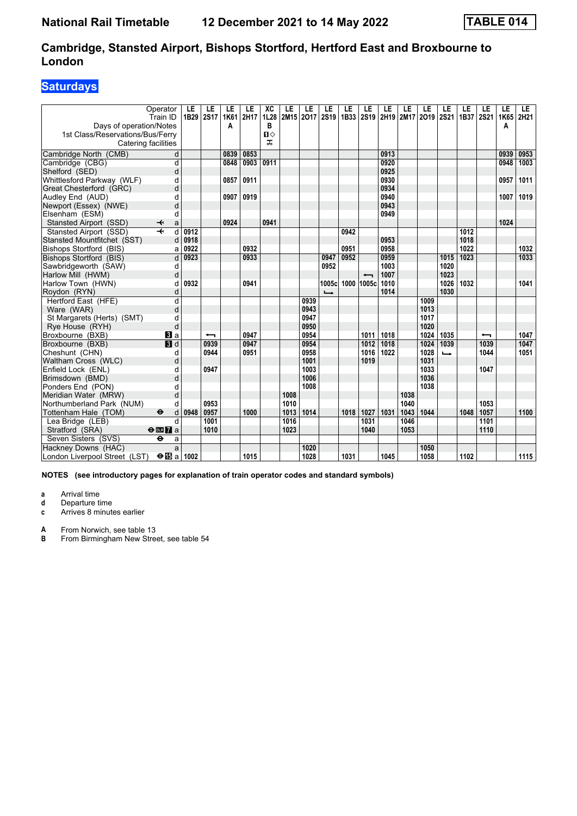### **Saturdays**

|                                  | Operator<br>Train ID                      | LE<br>1B29 | LE<br><b>2S17</b> | LE<br>1K61 | LE<br>2H17 | XC<br>1L28   | LE   | LE<br>2M15 2017 | LE<br><b>2S19</b> | LE<br>1B33 | LE<br>2S <sub>19</sub>   | LE   | LE<br>2H19 2M17 2O19 | LE   | LE<br><b>2S21</b> | LE<br>1B37 | LE<br><b>2S21</b>        | LE<br>1K65 | LE.<br>2H21 |
|----------------------------------|-------------------------------------------|------------|-------------------|------------|------------|--------------|------|-----------------|-------------------|------------|--------------------------|------|----------------------|------|-------------------|------------|--------------------------|------------|-------------|
| Days of operation/Notes          |                                           |            |                   | A          |            | в            |      |                 |                   |            |                          |      |                      |      |                   |            |                          | A          |             |
| 1st Class/Reservations/Bus/Ferry |                                           |            |                   |            |            | $\mathbf{u}$ |      |                 |                   |            |                          |      |                      |      |                   |            |                          |            |             |
| Catering facilities              |                                           |            |                   |            |            | ᠼ            |      |                 |                   |            |                          |      |                      |      |                   |            |                          |            |             |
| Cambridge North (CMB)            | d                                         |            |                   | 0839       | 0853       |              |      |                 |                   |            |                          | 0913 |                      |      |                   |            |                          | 0939       | 0953        |
| Cambridge (CBG)                  | d                                         |            |                   | 0848       | 0903       | 0911         |      |                 |                   |            |                          | 0920 |                      |      |                   |            |                          | 0948       | 1003        |
| Shelford (SED)                   | d                                         |            |                   |            |            |              |      |                 |                   |            |                          | 0925 |                      |      |                   |            |                          |            |             |
| Whittlesford Parkway (WLF)       | d                                         |            |                   | 0857       | 0911       |              |      |                 |                   |            |                          | 0930 |                      |      |                   |            |                          | 0957       | 1011        |
| Great Chesterford (GRC)          | d                                         |            |                   |            |            |              |      |                 |                   |            |                          | 0934 |                      |      |                   |            |                          |            |             |
| Audley End (AUD)                 | d                                         |            |                   | 0907       | 0919       |              |      |                 |                   |            |                          | 0940 |                      |      |                   |            |                          | 1007       | 1019        |
| Newport (Essex) (NWE)            | d                                         |            |                   |            |            |              |      |                 |                   |            |                          | 0943 |                      |      |                   |            |                          |            |             |
| Elsenham (ESM)                   | d                                         |            |                   |            |            |              |      |                 |                   |            |                          | 0949 |                      |      |                   |            |                          |            |             |
| Stansted Airport (SSD)           | ✦<br>a                                    |            |                   | 0924       |            | 0941         |      |                 |                   |            |                          |      |                      |      |                   |            |                          | 1024       |             |
| Stansted Airport (SSD)           | $\overline{\mathbf{H}}$<br>$\overline{d}$ | 0912       |                   |            |            |              |      |                 |                   | 0942       |                          |      |                      |      |                   | 1012       |                          |            |             |
| Stansted Mountfitchet (SST)      | d                                         | 0918       |                   |            |            |              |      |                 |                   |            |                          | 0953 |                      |      |                   | 1018       |                          |            |             |
| Bishops Stortford (BIS)          | a                                         | 0922       |                   |            | 0932       |              |      |                 |                   | 0951       |                          | 0958 |                      |      |                   | 1022       |                          |            | 1032        |
| Bishops Stortford (BIS)          | d                                         | 0923       |                   |            | 0933       |              |      |                 | 0947              | 0952       |                          | 0959 |                      |      | 1015              | 1023       |                          |            | 1033        |
| Sawbridgeworth (SAW)             | d                                         |            |                   |            |            |              |      |                 | 0952              |            |                          | 1003 |                      |      | 1020              |            |                          |            |             |
| Harlow Mill (HWM)                | d                                         |            |                   |            |            |              |      |                 |                   |            | $\overline{\phantom{0}}$ | 1007 |                      |      | 1023              |            |                          |            |             |
| Harlow Town (HWN)                | d                                         | 0932       |                   |            | 0941       |              |      |                 | 1005c             |            | 1000 1005c               | 1010 |                      |      | 1026              | 1032       |                          |            | 1041        |
| Roydon (RYN)                     | d                                         |            |                   |            |            |              |      |                 | $\rightarrow$     |            |                          | 1014 |                      |      | 1030              |            |                          |            |             |
| Hertford East (HFE)              | d                                         |            |                   |            |            |              |      | 0939            |                   |            |                          |      |                      | 1009 |                   |            |                          |            |             |
| Ware (WAR)                       | d                                         |            |                   |            |            |              |      | 0943            |                   |            |                          |      |                      | 1013 |                   |            |                          |            |             |
| St Margarets (Herts) (SMT)       | d                                         |            |                   |            |            |              |      | 0947            |                   |            |                          |      |                      | 1017 |                   |            |                          |            |             |
| Rye House (RYH)                  | d                                         |            |                   |            |            |              |      | 0950            |                   |            |                          |      |                      | 1020 |                   |            |                          |            |             |
| Broxbourne (BXB)                 | <b>3</b> a                                |            | ↽                 |            | 0947       |              |      | 0954            |                   |            | 1011                     | 1018 |                      | 1024 | 1035              |            | $\overline{\phantom{0}}$ |            | 1047        |
| Broxbourne (BXB)                 | $\overline{B}$ d                          |            | 0939              |            | 0947       |              |      | 0954            |                   |            | 1012                     | 1018 |                      | 1024 | 1039              |            | 1039                     |            | 1047        |
| Cheshunt (CHN)                   | d                                         |            | 0944              |            | 0951       |              |      | 0958            |                   |            | 1016                     | 1022 |                      | 1028 | ┗                 |            | 1044                     |            | 1051        |
| Waltham Cross (WLC)              | d                                         |            |                   |            |            |              |      | 1001            |                   |            | 1019                     |      |                      | 1031 |                   |            |                          |            |             |
| Enfield Lock (ENL)               | d                                         |            | 0947              |            |            |              |      | 1003            |                   |            |                          |      |                      | 1033 |                   |            | 1047                     |            |             |
| Brimsdown (BMD)                  | d                                         |            |                   |            |            |              |      | 1006            |                   |            |                          |      |                      | 1036 |                   |            |                          |            |             |
| Ponders End (PON)                | d                                         |            |                   |            |            |              |      | 1008            |                   |            |                          |      |                      | 1038 |                   |            |                          |            |             |
| Meridian Water (MRW)             | d                                         |            |                   |            |            |              | 1008 |                 |                   |            |                          |      | 1038                 |      |                   |            |                          |            |             |
| Northumberland Park (NUM)        | d                                         |            | 0953              |            |            |              | 1010 |                 |                   |            |                          |      | 1040                 |      |                   |            | 1053                     |            |             |
| Tottenham Hale (TOM)             | $\bullet$<br>d                            | 0948       | 0957              |            | 1000       |              | 1013 | 1014            |                   | 1018       | 1027                     | 1031 | 1043                 | 1044 |                   | 1048       | 1057                     |            | 1100        |
| Lea Bridge (LEB)                 | d                                         |            | 1001              |            |            |              | 1016 |                 |                   |            | 1031                     |      | 1046                 |      |                   |            | 1101                     |            |             |
| Stratford (SRA)                  | $\Theta$ DE $7a$                          |            | 1010              |            |            |              | 1023 |                 |                   |            | 1040                     |      | 1053                 |      |                   |            | 1110                     |            |             |
| Seven Sisters (SVS)              | θ<br>a                                    |            |                   |            |            |              |      |                 |                   |            |                          |      |                      |      |                   |            |                          |            |             |
| Hackney Downs (HAC)              | a                                         |            |                   |            |            |              |      | 1020            |                   |            |                          |      |                      | 1050 |                   |            |                          |            |             |
| London Liverpool Street (LST)    | $\Theta$ is a                             | 1002       |                   |            | 1015       |              |      | 1028            |                   | 1031       |                          | 1045 |                      | 1058 |                   | 1102       |                          |            | 1115        |

**NOTES (see introductory pages for explanation of train operator codes and standard symbols)**

**a** Arrival time<br>**d** Departure ti

**d** Departure time

**c** Arrives 8 minutes earlier

**A** From Norwich, see table 13<br>**B** From Birmingham New Stree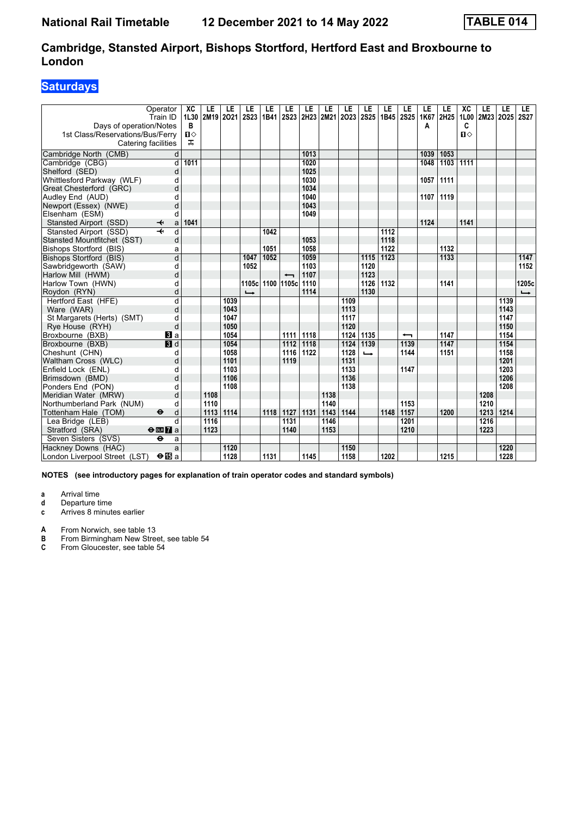### **Saturdays**

| Days of operation/Notes<br>1st Class/Reservations/Bus/Ferry<br>Catering facilities | Operator<br>Train ID         | ХC<br>1L30<br>в<br>$\mathbf{u}$<br>ᠼ | LE<br>2M19 | LE<br>2021 | LE<br><b>2S23</b>        | LE<br>1B41 | LE<br><b>2S23</b>        | LE   | LE<br>2H23 2M21 | LE<br>2023 | LE<br><b>2S25</b> | LE<br>1B45 2S25 | LE                       | LE<br>1K67<br>A | LE<br>2H25 | XC<br>1L00<br>C<br>$\P$ | LE<br>2M23 | LE<br>2025 | LE<br><b>2S27</b> |
|------------------------------------------------------------------------------------|------------------------------|--------------------------------------|------------|------------|--------------------------|------------|--------------------------|------|-----------------|------------|-------------------|-----------------|--------------------------|-----------------|------------|-------------------------|------------|------------|-------------------|
| Cambridge North (CMB)                                                              | d                            |                                      |            |            |                          |            |                          | 1013 |                 |            |                   |                 |                          | 1039            | 1053       |                         |            |            |                   |
| Cambridge (CBG)                                                                    | d                            | 1011                                 |            |            |                          |            |                          | 1020 |                 |            |                   |                 |                          | 1048            | 1103       | 1111                    |            |            |                   |
| Shelford (SED)                                                                     | d                            |                                      |            |            |                          |            |                          | 1025 |                 |            |                   |                 |                          |                 |            |                         |            |            |                   |
| Whittlesford Parkway (WLF)                                                         | d                            |                                      |            |            |                          |            |                          | 1030 |                 |            |                   |                 |                          | 1057            | 1111       |                         |            |            |                   |
| Great Chesterford (GRC)                                                            | d                            |                                      |            |            |                          |            |                          | 1034 |                 |            |                   |                 |                          |                 |            |                         |            |            |                   |
| Audley End (AUD)                                                                   | d                            |                                      |            |            |                          |            |                          | 1040 |                 |            |                   |                 |                          | 1107            | 1119       |                         |            |            |                   |
| Newport (Essex) (NWE)                                                              | d                            |                                      |            |            |                          |            |                          | 1043 |                 |            |                   |                 |                          |                 |            |                         |            |            |                   |
| Elsenham (ESM)                                                                     | d                            |                                      |            |            |                          |            |                          | 1049 |                 |            |                   |                 |                          |                 |            |                         |            |            |                   |
| Stansted Airport (SSD)                                                             | ↞<br>a                       | 1041                                 |            |            |                          |            |                          |      |                 |            |                   |                 |                          | 1124            |            | 1141                    |            |            |                   |
| Stansted Airport (SSD)                                                             | $\overline{\mathbf{t}}$<br>d |                                      |            |            |                          | 1042       |                          |      |                 |            |                   | 1112            |                          |                 |            |                         |            |            |                   |
| Stansted Mountfitchet (SST)                                                        | d                            |                                      |            |            |                          |            |                          | 1053 |                 |            |                   | 1118            |                          |                 |            |                         |            |            |                   |
| Bishops Stortford (BIS)                                                            | a                            |                                      |            |            |                          | 1051       |                          | 1058 |                 |            |                   | 1122            |                          |                 | 1132       |                         |            |            |                   |
| <b>Bishops Stortford (BIS)</b>                                                     | $\overline{d}$               |                                      |            |            | 1047                     | 1052       |                          | 1059 |                 |            | 1115              | 1123            |                          |                 | 1133       |                         |            |            | 1147              |
| Sawbridgeworth (SAW)                                                               | d                            |                                      |            |            | 1052                     |            |                          | 1103 |                 |            | 1120              |                 |                          |                 |            |                         |            |            | 1152              |
| Harlow Mill (HWM)                                                                  | d                            |                                      |            |            |                          |            | $\overline{\phantom{0}}$ | 1107 |                 |            | 1123              |                 |                          |                 |            |                         |            |            |                   |
| Harlow Town (HWN)                                                                  | d                            |                                      |            |            | 1105c                    |            | 1100 1105c               | 1110 |                 |            | 1126              | 1132            |                          |                 | 1141       |                         |            |            | 1205c             |
| Roydon (RYN)                                                                       | d                            |                                      |            |            | $\overline{\phantom{a}}$ |            |                          | 1114 |                 |            | 1130              |                 |                          |                 |            |                         |            |            | $\rightarrow$     |
| Hertford East (HFE)                                                                | d                            |                                      |            | 1039       |                          |            |                          |      |                 | 1109       |                   |                 |                          |                 |            |                         |            | 1139       |                   |
| Ware (WAR)                                                                         | d                            |                                      |            | 1043       |                          |            |                          |      |                 | 1113       |                   |                 |                          |                 |            |                         |            | 1143       |                   |
| St Margarets (Herts) (SMT)                                                         | d                            |                                      |            | 1047       |                          |            |                          |      |                 | 1117       |                   |                 |                          |                 |            |                         |            | 1147       |                   |
| Rye House (RYH)                                                                    | d                            |                                      |            | 1050       |                          |            |                          |      |                 | 1120       |                   |                 |                          |                 |            |                         |            | 1150       |                   |
| Broxbourne (BXB)                                                                   | BI a                         |                                      |            | 1054       |                          |            | 1111                     | 1118 |                 | 1124       | 1135              |                 | $\overline{\phantom{0}}$ |                 | 1147       |                         |            | 1154       |                   |
| Broxbourne (BXB)                                                                   | $\blacksquare$               |                                      |            | 1054       |                          |            | 1112                     | 1118 |                 | 1124       | 1139              |                 | 1139                     |                 | 1147       |                         |            | 1154       |                   |
| Cheshunt (CHN)                                                                     | d                            |                                      |            | 1058       |                          |            | 1116                     | 1122 |                 | 1128       | $\rightarrow$     |                 | 1144                     |                 | 1151       |                         |            | 1158       |                   |
| Waltham Cross (WLC)                                                                | d                            |                                      |            | 1101       |                          |            | 1119                     |      |                 | 1131       |                   |                 |                          |                 |            |                         |            | 1201       |                   |
| Enfield Lock (ENL)                                                                 | d                            |                                      |            | 1103       |                          |            |                          |      |                 | 1133       |                   |                 | 1147                     |                 |            |                         |            | 1203       |                   |
| Brimsdown (BMD)                                                                    | d                            |                                      |            | 1106       |                          |            |                          |      |                 | 1136       |                   |                 |                          |                 |            |                         |            | 1206       |                   |
| Ponders End (PON)                                                                  | d                            |                                      |            | 1108       |                          |            |                          |      |                 | 1138       |                   |                 |                          |                 |            |                         |            | 1208       |                   |
| Meridian Water (MRW)                                                               | d                            |                                      | 1108       |            |                          |            |                          |      | 1138            |            |                   |                 |                          |                 |            |                         | 1208       |            |                   |
| Northumberland Park (NUM)                                                          | d                            |                                      | 1110       |            |                          |            |                          |      | 1140            |            |                   |                 | 1153                     |                 |            |                         | 1210       |            |                   |
| Tottenham Hale (TOM)                                                               | $\ddot{\bm{\Theta}}$<br>d    |                                      | 1113       | 1114       |                          | 1118       | 1127                     | 1131 | 1143            | 1144       |                   | 1148            | 1157                     |                 | 1200       |                         | 1213       | 1214       |                   |
| Lea Bridge (LEB)                                                                   | q                            |                                      | 1116       |            |                          |            | 1131                     |      | 1146            |            |                   |                 | 1201                     |                 |            |                         | 1216       |            |                   |
| Stratford (SRA)                                                                    | $\Theta$ or $\overline{7}$ a |                                      | 1123       |            |                          |            | 1140                     |      | 1153            |            |                   |                 | 1210                     |                 |            |                         | 1223       |            |                   |
| Seven Sisters (SVS)                                                                | ٠<br>a                       |                                      |            |            |                          |            |                          |      |                 |            |                   |                 |                          |                 |            |                         |            |            |                   |
| Hackney Downs (HAC)                                                                | a                            |                                      |            | 1120       |                          |            |                          |      |                 | 1150       |                   |                 |                          |                 |            |                         |            | 1220       |                   |
| London Liverpool Street (LST)                                                      | $\Theta$ is a                |                                      |            | 1128       |                          | 1131       |                          | 1145 |                 | 1158       |                   | 1202            |                          |                 | 1215       |                         |            | 1228       |                   |

**NOTES (see introductory pages for explanation of train operator codes and standard symbols)**

**a** Arrival time<br>**d** Departure ti

**d** Departure time

**c** Arrives 8 minutes earlier

**A** From Norwich, see table 13<br>**B** From Birmingham New Stree

**B** From Birmingham New Street, see table 54<br>**C** From Gloucester, see table 54

From Gloucester, see table 54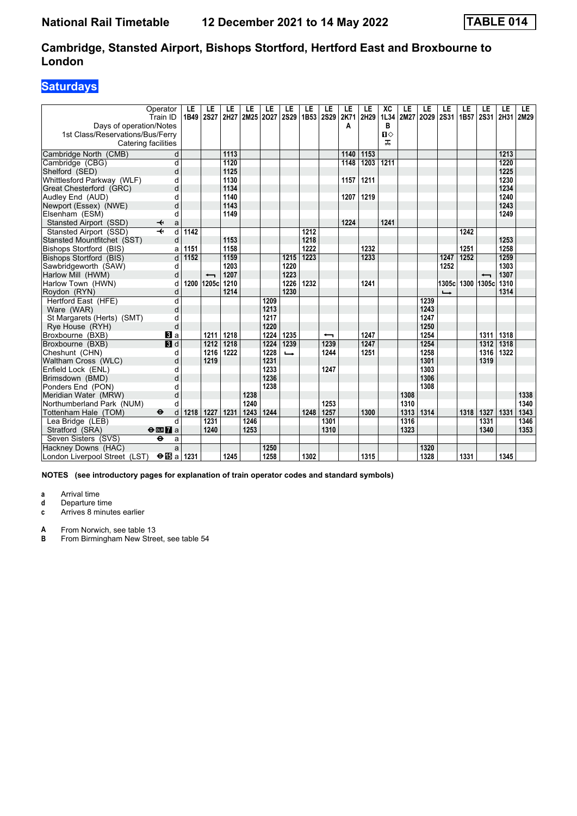### **Saturdays**

|                                  | Operator<br>Train ID                      | LE<br>1B49 | LE<br><b>2S27</b> | LE<br>2H27 2M25 2O27 | LE   | LE   | LE<br><b>2S29</b> | LE<br>1B53 | LE<br><b>2S29</b>        | LE<br>2K71 | LE<br>2H29 | XC<br>1L34 | LE<br>2M27 | LE<br>2029 | LE<br><b>2S31</b> | LE<br>1B57 | LE<br>2S31 2H31 2M29 | LE   | LE   |
|----------------------------------|-------------------------------------------|------------|-------------------|----------------------|------|------|-------------------|------------|--------------------------|------------|------------|------------|------------|------------|-------------------|------------|----------------------|------|------|
| Days of operation/Notes          |                                           |            |                   |                      |      |      |                   |            |                          | A          |            | в          |            |            |                   |            |                      |      |      |
| 1st Class/Reservations/Bus/Ferry |                                           |            |                   |                      |      |      |                   |            |                          |            |            | $\P$       |            |            |                   |            |                      |      |      |
| Catering facilities              |                                           |            |                   |                      |      |      |                   |            |                          |            |            | ᠼ          |            |            |                   |            |                      |      |      |
| Cambridge North (CMB)            | d                                         |            |                   | 1113                 |      |      |                   |            |                          | 1140       | 1153       |            |            |            |                   |            |                      | 1213 |      |
| Cambridge (CBG)                  | d                                         |            |                   | 1120                 |      |      |                   |            |                          | 1148       | 1203       | 1211       |            |            |                   |            |                      | 1220 |      |
| Shelford (SED)                   | d                                         |            |                   | 1125                 |      |      |                   |            |                          |            |            |            |            |            |                   |            |                      | 1225 |      |
| Whittlesford Parkway (WLF)       | d                                         |            |                   | 1130                 |      |      |                   |            |                          | 1157       | 1211       |            |            |            |                   |            |                      | 1230 |      |
| Great Chesterford (GRC)          | d                                         |            |                   | 1134                 |      |      |                   |            |                          |            |            |            |            |            |                   |            |                      | 1234 |      |
| Audley End (AUD)                 | d                                         |            |                   | 1140                 |      |      |                   |            |                          | 1207       | 1219       |            |            |            |                   |            |                      | 1240 |      |
| Newport (Essex) (NWE)            | d                                         |            |                   | 1143                 |      |      |                   |            |                          |            |            |            |            |            |                   |            |                      | 1243 |      |
| Elsenham (ESM)                   | d                                         |            |                   | 1149                 |      |      |                   |            |                          |            |            |            |            |            |                   |            |                      | 1249 |      |
| Stansted Airport (SSD)           | ↞<br>a                                    |            |                   |                      |      |      |                   |            |                          | 1224       |            | 1241       |            |            |                   |            |                      |      |      |
| Stansted Airport (SSD)           | $\overline{d}$<br>$\overline{\mathbf{t}}$ | 1142       |                   |                      |      |      |                   | 1212       |                          |            |            |            |            |            |                   | 1242       |                      |      |      |
| Stansted Mountfitchet (SST)      | d                                         |            |                   | 1153                 |      |      |                   | 1218       |                          |            |            |            |            |            |                   |            |                      | 1253 |      |
| Bishops Stortford (BIS)          | a                                         | 1151       |                   | 1158                 |      |      |                   | 1222       |                          |            | 1232       |            |            |            |                   | 1251       |                      | 1258 |      |
| Bishops Stortford (BIS)          | d                                         | 1152       |                   | 1159                 |      |      | 1215              | 1223       |                          |            | 1233       |            |            |            | 1247              | 1252       |                      | 1259 |      |
| Sawbridgeworth (SAW)             | d                                         |            |                   | 1203                 |      |      | 1220              |            |                          |            |            |            |            |            | 1252              |            |                      | 1303 |      |
| Harlow Mill (HWM)                | d                                         |            | ↽                 | 1207                 |      |      | 1223              |            |                          |            |            |            |            |            |                   |            |                      | 1307 |      |
| Harlow Town (HWN)                | d                                         |            | 1200 1205c        | 1210                 |      |      | 1226              | 1232       |                          |            | 1241       |            |            |            | 1305c             | 1300 1305c |                      | 1310 |      |
| Roydon (RYN)                     | d                                         |            |                   | 1214                 |      |      | 1230              |            |                          |            |            |            |            |            |                   |            |                      | 1314 |      |
| Hertford East (HFE)              | d                                         |            |                   |                      |      | 1209 |                   |            |                          |            |            |            |            | 1239       |                   |            |                      |      |      |
| Ware (WAR)                       | d                                         |            |                   |                      |      | 1213 |                   |            |                          |            |            |            |            | 1243       |                   |            |                      |      |      |
| St Margarets (Herts) (SMT)       | d                                         |            |                   |                      |      | 1217 |                   |            |                          |            |            |            |            | 1247       |                   |            |                      |      |      |
| Rye House (RYH)                  | d                                         |            |                   |                      |      | 1220 |                   |            |                          |            |            |            |            | 1250       |                   |            |                      |      |      |
| Broxbourne (BXB)                 | <b>3</b> a                                |            | 1211              | 1218                 |      | 1224 | 1235              |            | $\overline{\phantom{0}}$ |            | 1247       |            |            | 1254       |                   |            | 1311                 | 1318 |      |
| Broxbourne (BXB)                 | $\blacksquare$                            |            | 1212              | 1218                 |      | 1224 | 1239              |            | 1239                     |            | 1247       |            |            | 1254       |                   |            | 1312                 | 1318 |      |
| Cheshunt (CHN)                   | d                                         |            | 1216              | 1222                 |      | 1228 | $\rightarrow$     |            | 1244                     |            | 1251       |            |            | 1258       |                   |            | 1316                 | 1322 |      |
| Waltham Cross (WLC)              | d                                         |            | 1219              |                      |      | 1231 |                   |            |                          |            |            |            |            | 1301       |                   |            | 1319                 |      |      |
| Enfield Lock (ENL)               | d                                         |            |                   |                      |      | 1233 |                   |            | 1247                     |            |            |            |            | 1303       |                   |            |                      |      |      |
| Brimsdown (BMD)                  | d                                         |            |                   |                      |      | 1236 |                   |            |                          |            |            |            |            | 1306       |                   |            |                      |      |      |
| Ponders End (PON)                | d                                         |            |                   |                      |      | 1238 |                   |            |                          |            |            |            |            | 1308       |                   |            |                      |      |      |
| Meridian Water (MRW)             | d                                         |            |                   |                      | 1238 |      |                   |            |                          |            |            |            | 1308       |            |                   |            |                      |      | 1338 |
| Northumberland Park (NUM)        | d                                         |            |                   |                      | 1240 |      |                   |            | 1253                     |            |            |            | 1310       |            |                   |            |                      |      | 1340 |
| Tottenham Hale (TOM)             | $\ddot{\bm{\Theta}}$<br>d                 | 1218       | 1227              | 1231                 | 1243 | 1244 |                   | 1248       | 1257                     |            | 1300       |            | 1313       | 1314       |                   | 1318       | 1327                 | 1331 | 1343 |
| Lea Bridge (LEB)                 | d                                         |            | 1231              |                      | 1246 |      |                   |            | 1301                     |            |            |            | 1316       |            |                   |            | 1331                 |      | 1346 |
| Stratford (SRA)                  | $\Theta$ <b>EM</b> a                      |            | 1240              |                      | 1253 |      |                   |            | 1310                     |            |            |            | 1323       |            |                   |            | 1340                 |      | 1353 |
| Seven Sisters (SVS)              | ٠<br>a                                    |            |                   |                      |      |      |                   |            |                          |            |            |            |            |            |                   |            |                      |      |      |
| Hackney Downs (HAC)              | a                                         |            |                   |                      |      | 1250 |                   |            |                          |            |            |            |            | 1320       |                   |            |                      |      |      |
| London Liverpool Street (LST)    | $\bigoplus$ a                             | 1231       |                   | 1245                 |      | 1258 |                   | 1302       |                          |            | 1315       |            |            | 1328       |                   | 1331       |                      | 1345 |      |

**NOTES (see introductory pages for explanation of train operator codes and standard symbols)**

**a** Arrival time<br>**d** Departure ti

**d** Departure time

**c** Arrives 8 minutes earlier

**A** From Norwich, see table 13<br>**B** From Birmingham New Stree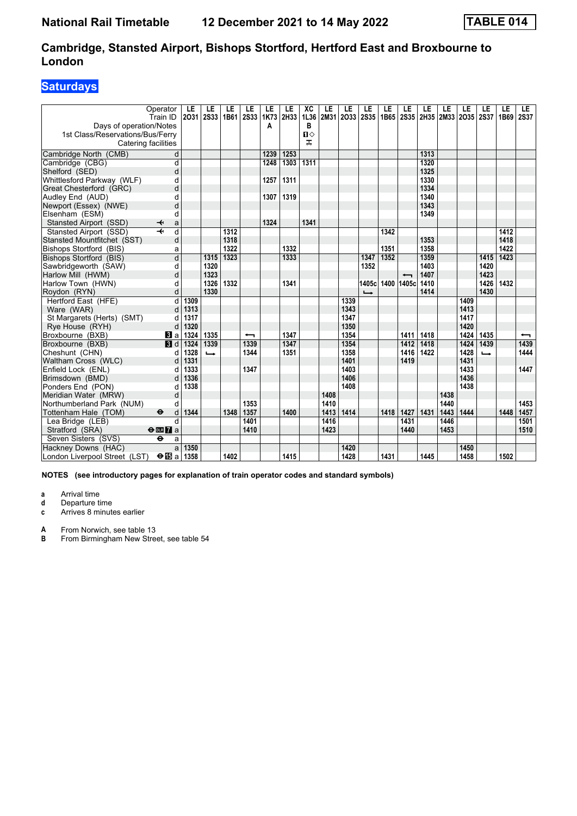### **Saturdays**

|                                  | Operator<br>Train ID         | LE<br>2031 | LE<br><b>2S33</b> | LE<br>1B61 | LE<br><b>2S33</b>        | LE<br>1K73 | LE<br>2H33 | XC<br>1L36   | LE   | LE<br>2M31 2O33 | LE<br><b>2S35</b> | LE<br>1B65 | LE<br><b>2S35</b>        | LE   | LE   | LE<br>2H35 2M33 2O35 | LE<br>2S37    | LE<br>1B69 | LE.<br><b>2S37</b>       |
|----------------------------------|------------------------------|------------|-------------------|------------|--------------------------|------------|------------|--------------|------|-----------------|-------------------|------------|--------------------------|------|------|----------------------|---------------|------------|--------------------------|
| Days of operation/Notes          |                              |            |                   |            |                          | A          |            | B            |      |                 |                   |            |                          |      |      |                      |               |            |                          |
| 1st Class/Reservations/Bus/Ferry |                              |            |                   |            |                          |            |            | $\mathbf{u}$ |      |                 |                   |            |                          |      |      |                      |               |            |                          |
| Catering facilities              |                              |            |                   |            |                          |            |            | ᅚ            |      |                 |                   |            |                          |      |      |                      |               |            |                          |
| Cambridge North (CMB)            | d                            |            |                   |            |                          | 1239       | 1253       |              |      |                 |                   |            |                          | 1313 |      |                      |               |            |                          |
| Cambridge (CBG)                  | d                            |            |                   |            |                          | 1248       | 1303       | 1311         |      |                 |                   |            |                          | 1320 |      |                      |               |            |                          |
| Shelford (SED)                   | d                            |            |                   |            |                          |            |            |              |      |                 |                   |            |                          | 1325 |      |                      |               |            |                          |
| Whittlesford Parkway (WLF)       | d                            |            |                   |            |                          | 1257       | 1311       |              |      |                 |                   |            |                          | 1330 |      |                      |               |            |                          |
| Great Chesterford (GRC)          | d                            |            |                   |            |                          |            |            |              |      |                 |                   |            |                          | 1334 |      |                      |               |            |                          |
| Audley End (AUD)                 | d                            |            |                   |            |                          | 1307       | 1319       |              |      |                 |                   |            |                          | 1340 |      |                      |               |            |                          |
| Newport (Essex) (NWE)            | d                            |            |                   |            |                          |            |            |              |      |                 |                   |            |                          | 1343 |      |                      |               |            |                          |
| Elsenham (ESM)                   | d                            |            |                   |            |                          |            |            |              |      |                 |                   |            |                          | 1349 |      |                      |               |            |                          |
| Stansted Airport (SSD)           | ↞<br>a                       |            |                   |            |                          | 1324       |            | 1341         |      |                 |                   |            |                          |      |      |                      |               |            |                          |
| Stansted Airport (SSD)           | $\overline{\mathbf{H}}$<br>d |            |                   | 1312       |                          |            |            |              |      |                 |                   | 1342       |                          |      |      |                      |               | 1412       |                          |
| Stansted Mountfitchet (SST)      | d                            |            |                   | 1318       |                          |            |            |              |      |                 |                   |            |                          | 1353 |      |                      |               | 1418       |                          |
| Bishops Stortford (BIS)          | a                            |            |                   | 1322       |                          |            | 1332       |              |      |                 |                   | 1351       |                          | 1358 |      |                      |               | 1422       |                          |
| Bishops Stortford (BIS)          | $\overline{\mathsf{d}}$      |            | 1315              | 1323       |                          |            | 1333       |              |      |                 | 1347              | 1352       |                          | 1359 |      |                      | 1415          | 1423       |                          |
| Sawbridgeworth (SAW)             | d                            |            | 1320              |            |                          |            |            |              |      |                 | 1352              |            |                          | 1403 |      |                      | 1420          |            |                          |
| Harlow Mill (HWM)                | d                            |            | 1323              |            |                          |            |            |              |      |                 |                   |            | $\overline{\phantom{0}}$ | 1407 |      |                      | 1423          |            |                          |
| Harlow Town (HWN)                | d                            |            | 1326              | 1332       |                          |            | 1341       |              |      |                 |                   |            | 1405c 1400 1405c         | 1410 |      |                      | 1426          | 1432       |                          |
| Roydon (RYN)                     | d                            |            | 1330              |            |                          |            |            |              |      |                 | $\rightarrow$     |            |                          | 1414 |      |                      | 1430          |            |                          |
| Hertford East (HFE)              | d                            | 1309       |                   |            |                          |            |            |              |      | 1339            |                   |            |                          |      |      | 1409                 |               |            |                          |
| Ware (WAR)                       | d                            | 1313       |                   |            |                          |            |            |              |      | 1343            |                   |            |                          |      |      | 1413                 |               |            |                          |
| St Margarets (Herts) (SMT)       | d                            | 1317       |                   |            |                          |            |            |              |      | 1347            |                   |            |                          |      |      | 1417                 |               |            |                          |
| Rye House (RYH)                  | d                            | 1320       |                   |            |                          |            |            |              |      | 1350            |                   |            |                          |      |      | 1420                 |               |            |                          |
| Broxbourne (BXB)                 | $\bf{B}$ a                   | 1324       | 1335              |            | $\overline{\phantom{0}}$ |            | 1347       |              |      | 1354            |                   |            | 1411                     | 1418 |      | 1424                 | 1435          |            | $\overline{\phantom{0}}$ |
| Broxbourne (BXB)                 | $\blacksquare$               | 1324       | 1339              |            | 1339                     |            | 1347       |              |      | 1354            |                   |            | 1412                     | 1418 |      | 1424                 | 1439          |            | 1439                     |
| Cheshunt (CHN)                   | d                            | 1328       | ┗                 |            | 1344                     |            | 1351       |              |      | 1358            |                   |            | 1416                     | 1422 |      | 1428                 | $\rightarrow$ |            | 1444                     |
| Waltham Cross (WLC)              | d                            | 1331       |                   |            |                          |            |            |              |      | 1401            |                   |            | 1419                     |      |      | 1431                 |               |            |                          |
| Enfield Lock (ENL)               | d                            | 1333       |                   |            | 1347                     |            |            |              |      | 1403            |                   |            |                          |      |      | 1433                 |               |            | 1447                     |
| Brimsdown (BMD)                  | d                            | 1336       |                   |            |                          |            |            |              |      | 1406            |                   |            |                          |      |      | 1436                 |               |            |                          |
| Ponders End (PON)                | d                            | 1338       |                   |            |                          |            |            |              |      | 1408            |                   |            |                          |      |      | 1438                 |               |            |                          |
| Meridian Water (MRW)             | d                            |            |                   |            |                          |            |            |              | 1408 |                 |                   |            |                          |      | 1438 |                      |               |            |                          |
| Northumberland Park (NUM)        | d                            |            |                   |            | 1353                     |            |            |              | 1410 |                 |                   |            |                          |      | 1440 |                      |               |            | 1453                     |
| Tottenham Hale (TOM)             | $\bullet$<br>d               | 1344       |                   | 1348       | 1357                     |            | 1400       |              | 1413 | 1414            |                   | 1418       | 1427                     | 1431 | 1443 | 1444                 |               | 1448       | 1457                     |
| Lea Bridge (LEB)                 | d                            |            |                   |            | 1401                     |            |            |              | 1416 |                 |                   |            | 1431                     |      | 1446 |                      |               |            | 1501                     |
| Stratford (SRA)                  | $\Theta$ <b>ER</b> a         |            |                   |            | 1410                     |            |            |              | 1423 |                 |                   |            | 1440                     |      | 1453 |                      |               |            | 1510                     |
| Seven Sisters (SVS)              | $\ddot{\mathbf{e}}$<br>a     |            |                   |            |                          |            |            |              |      |                 |                   |            |                          |      |      |                      |               |            |                          |
| Hackney Downs (HAC)              | a                            | 1350       |                   |            |                          |            |            |              |      | 1420            |                   |            |                          |      |      | 1450                 |               |            |                          |
| London Liverpool Street (LST)    | $\Theta$ is a                | 1358       |                   | 1402       |                          |            | 1415       |              |      | 1428            |                   | 1431       |                          | 1445 |      | 1458                 |               | 1502       |                          |

**NOTES (see introductory pages for explanation of train operator codes and standard symbols)**

**a** Arrival time<br>**d** Departure ti **d** Departure time

**c** Arrives 8 minutes earlier

**A** From Norwich, see table 13<br>**B** From Birmingham New Stree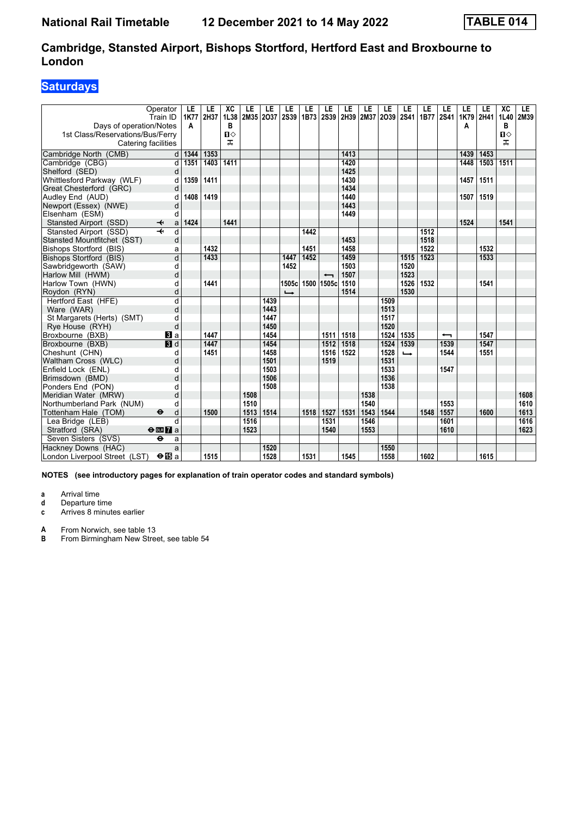### **Saturdays**

|                                                                                    | Operator<br>Train ID                      | LE<br>1K77 | LE<br>2H37 | XC<br>1L38             | LE   | LE<br>2M35 2O37 | LE<br><b>2S39</b>        | LE<br>1B73 | LE<br><b>2S39</b>        | LE<br>2H39 | LE<br>2M37 | LE<br>2039 | LE<br><b>2S41</b> | LE<br>1B77 | LE<br><b>2S41</b>        | LE<br>1K79 | LE<br>2H41 | $\overline{\text{XC}}$<br>1L40 | LE<br>2M39 |
|------------------------------------------------------------------------------------|-------------------------------------------|------------|------------|------------------------|------|-----------------|--------------------------|------------|--------------------------|------------|------------|------------|-------------------|------------|--------------------------|------------|------------|--------------------------------|------------|
| Days of operation/Notes<br>1st Class/Reservations/Bus/Ferry<br>Catering facilities |                                           | A          |            | В<br>$\mathbf{u}$<br>ᠼ |      |                 |                          |            |                          |            |            |            |                   |            |                          | Α          |            | В<br>Ⅱ◇<br>ᠼ                   |            |
| Cambridge North (CMB)                                                              | d                                         | 1344       | 1353       |                        |      |                 |                          |            |                          | 1413       |            |            |                   |            |                          | 1439       | 1453       |                                |            |
| Cambridge (CBG)                                                                    | $\overline{\mathsf{d}}$                   | 1351       | 1403       | 1411                   |      |                 |                          |            |                          | 1420       |            |            |                   |            |                          | 1448       | 1503       | 1511                           |            |
| Shelford (SED)                                                                     | d                                         |            |            |                        |      |                 |                          |            |                          | 1425       |            |            |                   |            |                          |            |            |                                |            |
| Whittlesford Parkway (WLF)                                                         | d                                         | 1359       | 1411       |                        |      |                 |                          |            |                          | 1430       |            |            |                   |            |                          | 1457       | 1511       |                                |            |
| Great Chesterford (GRC)                                                            | d                                         |            |            |                        |      |                 |                          |            |                          | 1434       |            |            |                   |            |                          |            |            |                                |            |
| Audley End (AUD)                                                                   | d                                         | 1408       | 1419       |                        |      |                 |                          |            |                          | 1440       |            |            |                   |            |                          | 1507       | 1519       |                                |            |
| Newport (Essex) (NWE)                                                              | d                                         |            |            |                        |      |                 |                          |            |                          | 1443       |            |            |                   |            |                          |            |            |                                |            |
| Elsenham (ESM)                                                                     | d                                         |            |            |                        |      |                 |                          |            |                          | 1449       |            |            |                   |            |                          |            |            |                                |            |
| Stansted Airport (SSD)                                                             | ↞<br>a                                    | 1424       |            | 1441                   |      |                 |                          |            |                          |            |            |            |                   |            |                          | 1524       |            | 1541                           |            |
| Stansted Airport (SSD)                                                             | $\overline{\mathbf{H}}$<br>$\overline{d}$ |            |            |                        |      |                 |                          | 1442       |                          |            |            |            |                   | 1512       |                          |            |            |                                |            |
| Stansted Mountfitchet (SST)                                                        | d                                         |            |            |                        |      |                 |                          |            |                          | 1453       |            |            |                   | 1518       |                          |            |            |                                |            |
| Bishops Stortford (BIS)                                                            | a                                         |            | 1432       |                        |      |                 |                          | 1451       |                          | 1458       |            |            |                   | 1522       |                          |            | 1532       |                                |            |
| Bishops Stortford (BIS)                                                            | d                                         |            | 1433       |                        |      |                 | 1447                     | 1452       |                          | 1459       |            |            | 1515              | 1523       |                          |            | 1533       |                                |            |
| Sawbridgeworth (SAW)                                                               | d                                         |            |            |                        |      |                 | 1452                     |            |                          | 1503       |            |            | 1520              |            |                          |            |            |                                |            |
| Harlow Mill (HWM)                                                                  | d                                         |            |            |                        |      |                 |                          |            | $\overline{\phantom{0}}$ | 1507       |            |            | 1523              |            |                          |            |            |                                |            |
| Harlow Town (HWN)                                                                  | d                                         |            | 1441       |                        |      |                 | 1505cl                   |            | 1500 1505c               | 1510       |            |            | 1526              | 1532       |                          |            | 1541       |                                |            |
| Roydon (RYN)                                                                       | d                                         |            |            |                        |      |                 | $\overline{\phantom{a}}$ |            |                          | 1514       |            |            | 1530              |            |                          |            |            |                                |            |
| Hertford East (HFE)                                                                | d                                         |            |            |                        |      | 1439            |                          |            |                          |            |            | 1509       |                   |            |                          |            |            |                                |            |
| Ware (WAR)                                                                         | d                                         |            |            |                        |      | 1443            |                          |            |                          |            |            | 1513       |                   |            |                          |            |            |                                |            |
| St Margarets (Herts) (SMT)                                                         | d                                         |            |            |                        |      | 1447            |                          |            |                          |            |            | 1517       |                   |            |                          |            |            |                                |            |
| Rye House (RYH)                                                                    | d                                         |            |            |                        |      | 1450            |                          |            |                          |            |            | 1520       |                   |            |                          |            |            |                                |            |
| Broxbourne (BXB)                                                                   | <b>3</b> a                                |            | 1447       |                        |      | 1454            |                          |            | 1511                     | 1518       |            | 1524       | 1535              |            | $\overline{\phantom{0}}$ |            | 1547       |                                |            |
| Broxbourne (BXB)                                                                   | <b>B</b> d                                |            | 1447       |                        |      | 1454            |                          |            | 1512                     | 1518       |            | 1524       | 1539              |            | 1539                     |            | 1547       |                                |            |
| Cheshunt (CHN)                                                                     | d                                         |            | 1451       |                        |      | 1458            |                          |            | 1516                     | 1522       |            | 1528       | $\rightarrow$     |            | 1544                     |            | 1551       |                                |            |
| Waltham Cross (WLC)                                                                | d                                         |            |            |                        |      | 1501            |                          |            | 1519                     |            |            | 1531       |                   |            |                          |            |            |                                |            |
| Enfield Lock (ENL)                                                                 | d                                         |            |            |                        |      | 1503            |                          |            |                          |            |            | 1533       |                   |            | 1547                     |            |            |                                |            |
| Brimsdown (BMD)                                                                    | d                                         |            |            |                        |      | 1506            |                          |            |                          |            |            | 1536       |                   |            |                          |            |            |                                |            |
| Ponders End (PON)                                                                  | d                                         |            |            |                        |      | 1508            |                          |            |                          |            |            | 1538       |                   |            |                          |            |            |                                |            |
| Meridian Water (MRW)                                                               | d                                         |            |            |                        | 1508 |                 |                          |            |                          |            | 1538       |            |                   |            |                          |            |            |                                | 1608       |
| Northumberland Park (NUM)                                                          | d                                         |            |            |                        | 1510 |                 |                          |            |                          |            | 1540       |            |                   |            | 1553                     |            |            |                                | 1610       |
| Tottenham Hale (TOM)                                                               | $\bullet$<br>d                            |            | 1500       |                        | 1513 | 1514            |                          | 1518       | 1527                     | 1531       | 1543       | 1544       |                   | 1548       | 1557                     |            | 1600       |                                | 1613       |
| Lea Bridge (LEB)                                                                   | d                                         |            |            |                        | 1516 |                 |                          |            | 1531                     |            | 1546       |            |                   |            | 1601                     |            |            |                                | 1616       |
| Stratford (SRA)                                                                    | $\Theta$ or $\Gamma$ a                    |            |            |                        | 1523 |                 |                          |            | 1540                     |            | 1553       |            |                   |            | 1610                     |            |            |                                | 1623       |
| Seven Sisters (SVS)                                                                | ٠<br>a                                    |            |            |                        |      |                 |                          |            |                          |            |            |            |                   |            |                          |            |            |                                |            |
| Hackney Downs (HAC)                                                                | a                                         |            |            |                        |      | 1520            |                          |            |                          |            |            | 1550       |                   |            |                          |            |            |                                |            |
| London Liverpool Street (LST)                                                      | $\Theta$ is a                             |            | 1515       |                        |      | 1528            |                          | 1531       |                          | 1545       |            | 1558       |                   | 1602       |                          |            | 1615       |                                |            |

**NOTES (see introductory pages for explanation of train operator codes and standard symbols)**

**a** Arrival time<br>**d** Departure ti

**d** Departure time

**c** Arrives 8 minutes earlier

**A** From Norwich, see table 13<br>**B** From Birmingham New Stree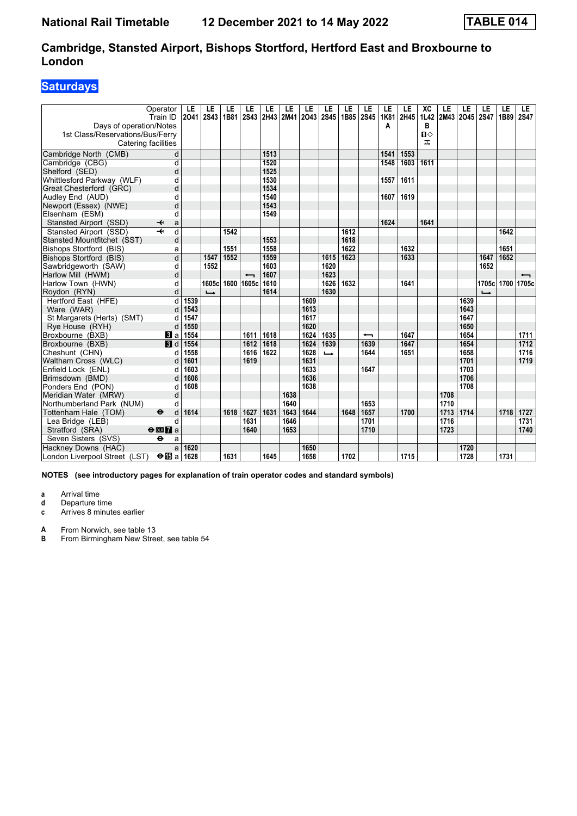### **Saturdays**

|                                             | Operator<br>Train ID              | LE<br>2041 | LE<br><b>2S43</b>        | LE<br>1B81 | LE<br>2S43               | LE   | LE   | LE<br>2H43 2M41 2O43 | LE<br><b>2S45</b> | LE<br>1B85 | LE<br><b>2S45</b>        | LE<br><b>1K81</b> | LE<br>2H45 | XC<br><b>1L42</b> | LE<br>2M43 | LE<br>2045 2S47 | LE               | LE<br>1B89 | LE.<br><b>2S47</b> |
|---------------------------------------------|-----------------------------------|------------|--------------------------|------------|--------------------------|------|------|----------------------|-------------------|------------|--------------------------|-------------------|------------|-------------------|------------|-----------------|------------------|------------|--------------------|
| Days of operation/Notes                     |                                   |            |                          |            |                          |      |      |                      |                   |            |                          | А                 |            | в                 |            |                 |                  |            |                    |
| 1st Class/Reservations/Bus/Ferry            |                                   |            |                          |            |                          |      |      |                      |                   |            |                          |                   |            | $\mathbf{u}$      |            |                 |                  |            |                    |
| Catering facilities                         |                                   |            |                          |            |                          |      |      |                      |                   |            |                          |                   |            | ᠼ                 |            |                 |                  |            |                    |
| Cambridge North (CMB)                       | d                                 |            |                          |            |                          | 1513 |      |                      |                   |            |                          | 1541              | 1553       |                   |            |                 |                  |            |                    |
| Cambridge (CBG)                             | d                                 |            |                          |            |                          | 1520 |      |                      |                   |            |                          | 1548              | 1603       | 1611              |            |                 |                  |            |                    |
| Shelford (SED)                              | d                                 |            |                          |            |                          | 1525 |      |                      |                   |            |                          |                   |            |                   |            |                 |                  |            |                    |
| Whittlesford Parkway (WLF)                  | d                                 |            |                          |            |                          | 1530 |      |                      |                   |            |                          | 1557              | 1611       |                   |            |                 |                  |            |                    |
| Great Chesterford (GRC)                     | d                                 |            |                          |            |                          | 1534 |      |                      |                   |            |                          |                   |            |                   |            |                 |                  |            |                    |
| Audley End (AUD)                            | d                                 |            |                          |            |                          | 1540 |      |                      |                   |            |                          | 1607              | 1619       |                   |            |                 |                  |            |                    |
| Newport (Essex) (NWE)                       | d                                 |            |                          |            |                          | 1543 |      |                      |                   |            |                          |                   |            |                   |            |                 |                  |            |                    |
| Elsenham (ESM)                              | d                                 |            |                          |            |                          | 1549 |      |                      |                   |            |                          |                   |            |                   |            |                 |                  |            |                    |
| Stansted Airport (SSD)                      | ✦<br>a                            |            |                          |            |                          |      |      |                      |                   |            |                          | 1624              |            | 1641              |            |                 |                  |            |                    |
| Stansted Airport (SSD)                      | $\overline{\mathbf{t}}$<br>d      |            |                          | 1542       |                          |      |      |                      |                   | 1612       |                          |                   |            |                   |            |                 |                  | 1642       |                    |
| Stansted Mountfitchet (SST)                 | d                                 |            |                          |            |                          | 1553 |      |                      |                   | 1618       |                          |                   |            |                   |            |                 |                  |            |                    |
| Bishops Stortford (BIS)                     | a                                 |            |                          | 1551       |                          | 1558 |      |                      |                   | 1622       |                          |                   | 1632       |                   |            |                 |                  | 1651       |                    |
| Bishops Stortford (BIS)                     | $\overline{\mathsf{d}}$           |            | 1547                     | 1552       |                          | 1559 |      |                      | 1615              | 1623       |                          |                   | 1633       |                   |            |                 | 1647             | 1652       |                    |
| Sawbridgeworth (SAW)                        | d                                 |            | 1552                     |            |                          | 1603 |      |                      | 1620              |            |                          |                   |            |                   |            |                 | 1652             |            |                    |
| Harlow Mill (HWM)                           | d                                 |            |                          |            | $\overline{\phantom{0}}$ | 1607 |      |                      | 1623              |            |                          |                   |            |                   |            |                 |                  |            |                    |
| Harlow Town (HWN)                           | d                                 |            | 1605c                    |            | 1600 1605c               | 1610 |      |                      | 1626              | 1632       |                          |                   | 1641       |                   |            |                 | 1705c 1700 1705c |            |                    |
| Roydon (RYN)                                | d                                 |            | $\overline{\phantom{a}}$ |            |                          | 1614 |      |                      | 1630              |            |                          |                   |            |                   |            |                 |                  |            |                    |
| Hertford East (HFE)                         | d                                 | 1539       |                          |            |                          |      |      | 1609                 |                   |            |                          |                   |            |                   |            | 1639            |                  |            |                    |
| Ware (WAR)                                  | d                                 | 1543       |                          |            |                          |      |      | 1613                 |                   |            |                          |                   |            |                   |            | 1643            |                  |            |                    |
| St Margarets (Herts) (SMT)                  | d                                 | 1547       |                          |            |                          |      |      | 1617                 |                   |            |                          |                   |            |                   |            | 1647            |                  |            |                    |
| Rye House (RYH)                             | d                                 | 1550       |                          |            |                          |      |      | 1620                 |                   |            |                          |                   |            |                   |            | 1650            |                  |            |                    |
| Broxbourne (BXB)                            | $\bf{B}$ a                        | 1554       |                          |            | 1611                     | 1618 |      | 1624                 | 1635              |            | $\overline{\phantom{0}}$ |                   | 1647       |                   |            | 1654            |                  |            | 1711               |
| Broxbourne (BXB)                            | 3d                                | 1554       |                          |            | 1612                     | 1618 |      | 1624                 | 1639              |            | 1639                     |                   | 1647       |                   |            | 1654            |                  |            | 1712               |
| Cheshunt (CHN)                              | d                                 | 1558       |                          |            | 1616                     | 1622 |      | 1628                 | $\rightarrow$     |            | 1644                     |                   | 1651       |                   |            | 1658            |                  |            | 1716               |
| Waltham Cross (WLC)                         | d                                 | 1601       |                          |            | 1619                     |      |      | 1631                 |                   |            |                          |                   |            |                   |            | 1701            |                  |            | 1719               |
| Enfield Lock (ENL)                          | d                                 | 1603       |                          |            |                          |      |      | 1633                 |                   |            | 1647                     |                   |            |                   |            | 1703            |                  |            |                    |
| Brimsdown (BMD)                             | d                                 | 1606       |                          |            |                          |      |      | 1636                 |                   |            |                          |                   |            |                   |            | 1706            |                  |            |                    |
| Ponders End (PON)                           | d                                 | 1608       |                          |            |                          |      |      | 1638                 |                   |            |                          |                   |            |                   |            | 1708            |                  |            |                    |
| Meridian Water (MRW)                        | d                                 |            |                          |            |                          |      | 1638 |                      |                   |            |                          |                   |            |                   | 1708       |                 |                  |            |                    |
| Northumberland Park (NUM)                   | d                                 |            |                          |            |                          |      | 1640 |                      |                   |            | 1653                     |                   |            |                   | 1710       |                 |                  |            |                    |
| Tottenham Hale (TOM)                        | $\ddot{\boldsymbol{\Theta}}$<br>d | 1614       |                          | 1618       | 1627                     | 1631 | 1643 | 1644                 |                   | 1648       | 1657                     |                   | 1700       |                   | 1713       | 1714            |                  | 1718       | 1727               |
| Lea Bridge (LEB)                            | d                                 |            |                          |            | 1631                     |      | 1646 |                      |                   |            | 1701                     |                   |            |                   | 1716       |                 |                  |            | 1731               |
| Stratford (SRA)                             | $\Theta$ or $\Gamma$ a            |            |                          |            | 1640                     |      | 1653 |                      |                   |            | 1710                     |                   |            |                   | 1723       |                 |                  |            | 1740               |
| Seven Sisters (SVS)                         | $\ddot{\mathbf{e}}$<br>a          |            |                          |            |                          |      |      |                      |                   |            |                          |                   |            |                   |            |                 |                  |            |                    |
| Hackney Downs (HAC)                         | a                                 | 1620       |                          |            |                          |      |      | 1650                 |                   |            |                          |                   |            |                   |            | 1720            |                  |            |                    |
| London Liverpool Street (LST) <b>⊖ is</b> a |                                   | 1628       |                          | 1631       |                          | 1645 |      | 1658                 |                   | 1702       |                          |                   | 1715       |                   |            | 1728            |                  | 1731       |                    |

**NOTES (see introductory pages for explanation of train operator codes and standard symbols)**

**a** Arrival time<br>**d** Departure ti

**d** Departure time

**c** Arrives 8 minutes earlier

**A** From Norwich, see table 13<br>**B** From Birmingham New Stree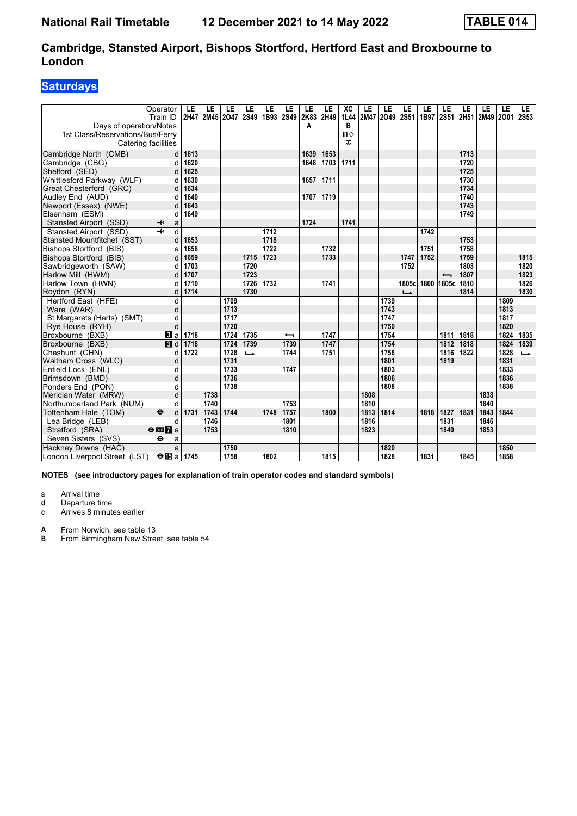### **Saturdays**

|                                                         | Operator<br>Train ID              | LE<br>2H47 | LE<br>2M45 | LE<br>2047 | LE<br><b>2S49</b> | LE<br>1B93 | LE<br><b>2S49</b>        | LE<br>2K83 | LE<br>2H49 | XC<br>1L44        | LE<br>2M47 | LE<br>2049 | LE<br><b>2S51</b> | LE<br>1B97 | LE<br><b>2S51</b>        | LE<br>2H51 | LE<br>2M49 2001 | LE   | LE.<br><b>2S53</b> |
|---------------------------------------------------------|-----------------------------------|------------|------------|------------|-------------------|------------|--------------------------|------------|------------|-------------------|------------|------------|-------------------|------------|--------------------------|------------|-----------------|------|--------------------|
| Days of operation/Notes                                 |                                   |            |            |            |                   |            |                          | Α          |            | В<br>$\mathbf{u}$ |            |            |                   |            |                          |            |                 |      |                    |
| 1st Class/Reservations/Bus/Ferry<br>Catering facilities |                                   |            |            |            |                   |            |                          |            |            | ᠼ                 |            |            |                   |            |                          |            |                 |      |                    |
| Cambridge North (CMB)                                   | d                                 | 1613       |            |            |                   |            |                          | 1639       | 1653       |                   |            |            |                   |            |                          | 1713       |                 |      |                    |
| Cambridge (CBG)                                         |                                   | 1620       |            |            |                   |            |                          | 1648       | 1703       | 1711              |            |            |                   |            |                          | 1720       |                 |      |                    |
| Shelford (SED)                                          | d<br>d                            | 1625       |            |            |                   |            |                          |            |            |                   |            |            |                   |            |                          | 1725       |                 |      |                    |
| Whittlesford Parkway (WLF)                              | d                                 | 1630       |            |            |                   |            |                          | 1657       | 1711       |                   |            |            |                   |            |                          | 1730       |                 |      |                    |
| Great Chesterford (GRC)                                 | d                                 | 1634       |            |            |                   |            |                          |            |            |                   |            |            |                   |            |                          | 1734       |                 |      |                    |
| Audley End (AUD)                                        | d                                 | 1640       |            |            |                   |            |                          | 1707       | 1719       |                   |            |            |                   |            |                          | 1740       |                 |      |                    |
| Newport (Essex) (NWE)                                   | d                                 | 1643       |            |            |                   |            |                          |            |            |                   |            |            |                   |            |                          | 1743       |                 |      |                    |
| Elsenham (ESM)                                          | d                                 | 1649       |            |            |                   |            |                          |            |            |                   |            |            |                   |            |                          | 1749       |                 |      |                    |
| Stansted Airport (SSD)                                  | ↞<br>a                            |            |            |            |                   |            |                          | 1724       |            | 1741              |            |            |                   |            |                          |            |                 |      |                    |
| Stansted Airport (SSD)                                  | $\overline{d}$<br>$\overline{+}$  |            |            |            |                   | 1712       |                          |            |            |                   |            |            |                   | 1742       |                          |            |                 |      |                    |
| Stansted Mountfitchet (SST)                             | d                                 | 1653       |            |            |                   | 1718       |                          |            |            |                   |            |            |                   |            |                          | 1753       |                 |      |                    |
| Bishops Stortford (BIS)                                 | a                                 | 1658       |            |            |                   | 1722       |                          |            | 1732       |                   |            |            |                   | 1751       |                          | 1758       |                 |      |                    |
| Bishops Stortford (BIS)                                 | d                                 | 1659       |            |            | 1715              | 1723       |                          |            | 1733       |                   |            |            | 1747              | 1752       |                          | 1759       |                 |      | 1815               |
| Sawbridgeworth (SAW)                                    | d                                 | 1703       |            |            | 1720              |            |                          |            |            |                   |            |            | 1752              |            |                          | 1803       |                 |      | 1820               |
| Harlow Mill (HWM)                                       | d                                 | 1707       |            |            | 1723              |            |                          |            |            |                   |            |            |                   |            | $\overline{\phantom{0}}$ | 1807       |                 |      | 1823               |
| Harlow Town (HWN)                                       | d                                 | 1710       |            |            | 1726              | 1732       |                          |            | 1741       |                   |            |            |                   |            | 1805cl 1800   1805cl     | 1810       |                 |      | 1826               |
| Roydon (RYN)                                            | d                                 | 1714       |            |            | 1730              |            |                          |            |            |                   |            |            | $\rightarrow$     |            |                          | 1814       |                 |      | 1830               |
| Hertford East (HFE)                                     | d                                 |            |            | 1709       |                   |            |                          |            |            |                   |            | 1739       |                   |            |                          |            |                 | 1809 |                    |
| Ware (WAR)                                              | d                                 |            |            | 1713       |                   |            |                          |            |            |                   |            | 1743       |                   |            |                          |            |                 | 1813 |                    |
| St Margarets (Herts) (SMT)                              | d                                 |            |            | 1717       |                   |            |                          |            |            |                   |            | 1747       |                   |            |                          |            |                 | 1817 |                    |
| Rye House (RYH)                                         | d                                 |            |            | 1720       |                   |            |                          |            |            |                   |            | 1750       |                   |            |                          |            |                 | 1820 |                    |
| Broxbourne (BXB)                                        | a                                 | 1718       |            | 1724       | 1735              |            | $\overline{\phantom{0}}$ |            | 1747       |                   |            | 1754       |                   |            | 1811                     | 1818       |                 | 1824 | 1835               |
| Broxbourne (BXB)                                        | $\blacksquare$                    | 1718       |            | 1724       | 1739              |            | 1739                     |            | 1747       |                   |            | 1754       |                   |            | 1812                     | 1818       |                 | 1824 | 1839               |
| Cheshunt (CHN)                                          | d                                 | 1722       |            | 1728       | $\rightarrow$     |            | 1744                     |            | 1751       |                   |            | 1758       |                   |            | 1816                     | 1822       |                 | 1828 | $\rightarrow$      |
| Waltham Cross (WLC)                                     | d                                 |            |            | 1731       |                   |            |                          |            |            |                   |            | 1801       |                   |            | 1819                     |            |                 | 1831 |                    |
| Enfield Lock (ENL)                                      | d                                 |            |            | 1733       |                   |            | 1747                     |            |            |                   |            | 1803       |                   |            |                          |            |                 | 1833 |                    |
| Brimsdown (BMD)                                         | d                                 |            |            | 1736       |                   |            |                          |            |            |                   |            | 1806       |                   |            |                          |            |                 | 1836 |                    |
| Ponders End (PON)                                       | d                                 |            |            | 1738       |                   |            |                          |            |            |                   |            | 1808       |                   |            |                          |            |                 | 1838 |                    |
| Meridian Water (MRW)                                    | d                                 |            | 1738       |            |                   |            |                          |            |            |                   | 1808       |            |                   |            |                          |            | 1838            |      |                    |
| Northumberland Park (NUM)                               | d                                 |            | 1740       |            |                   |            | 1753                     |            |            |                   | 1810       |            |                   |            |                          |            | 1840            |      |                    |
| Tottenham Hale (TOM)                                    | $\ddot{\boldsymbol{\Theta}}$<br>d | 1731       | 1743       | 1744       |                   | 1748       | 1757                     |            | 1800       |                   | 1813       | 1814       |                   | 1818       | 1827                     | 1831       | 1843            | 1844 |                    |
| Lea Bridge (LEB)                                        | d                                 |            | 1746       |            |                   |            | 1801                     |            |            |                   | 1816       |            |                   |            | 1831                     |            | 1846            |      |                    |
| Stratford (SRA)                                         | $\Theta$ or $\overline{Z}$ a      |            | 1753       |            |                   |            | 1810                     |            |            |                   | 1823       |            |                   |            | 1840                     |            | 1853            |      |                    |
| Seven Sisters (SVS)                                     | θ<br>a                            |            |            |            |                   |            |                          |            |            |                   |            |            |                   |            |                          |            |                 |      |                    |
| Hackney Downs (HAC)                                     | a                                 |            |            | 1750       |                   |            |                          |            |            |                   |            | 1820       |                   |            |                          |            |                 | 1850 |                    |
| London Liverpool Street (LST)                           | $\Theta$ is a 1745                |            |            | 1758       |                   | 1802       |                          |            | 1815       |                   |            | 1828       |                   | 1831       |                          | 1845       |                 | 1858 |                    |

**NOTES (see introductory pages for explanation of train operator codes and standard symbols)**

**a** Arrival time<br>**d** Departure ti

**d** Departure time

**c** Arrives 8 minutes earlier

**A** From Norwich, see table 13<br>**B** From Birmingham New Stree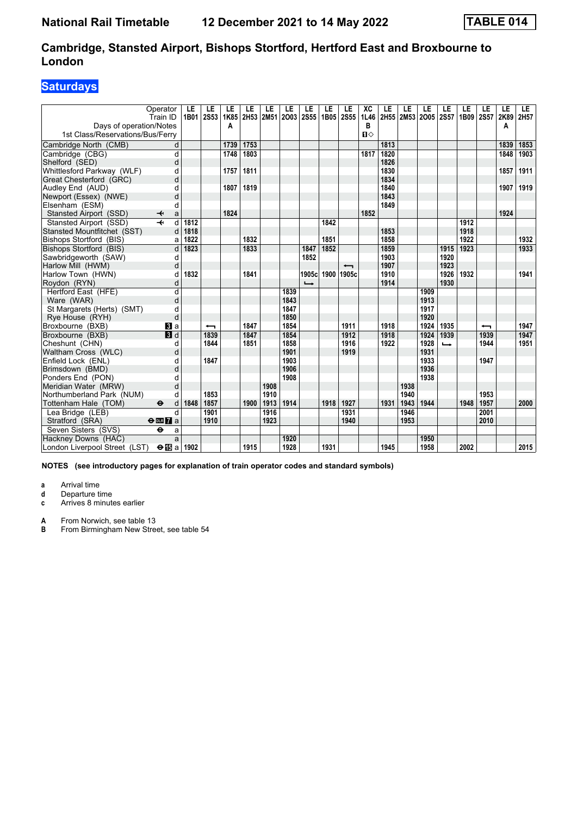### **Saturdays**

|                                                      | Operator<br>Train ID         | LE<br>1B01 | LE<br><b>2S53</b> | LE<br>1K85 | LE   | LE   | LE<br>2H53 2M51 2O03 | LE<br>2S55    | LE<br>1B05 | LE<br><b>2S55</b>        | XC<br>1L46      | LE   | LE   | LE<br>2H55 2M53 2O05 2S57 | LE            | LE<br>1B09 2S57 | LE                       | LE<br>2K89 | LE<br>2H57 |
|------------------------------------------------------|------------------------------|------------|-------------------|------------|------|------|----------------------|---------------|------------|--------------------------|-----------------|------|------|---------------------------|---------------|-----------------|--------------------------|------------|------------|
| Days of operation/Notes                              |                              |            |                   | A          |      |      |                      |               |            |                          | в               |      |      |                           |               |                 |                          | A          |            |
| 1st Class/Reservations/Bus/Ferry                     |                              |            |                   |            |      |      |                      |               |            |                          | $\P$ $\diamond$ |      |      |                           |               |                 |                          |            |            |
| Cambridge North (CMB)                                | d                            |            |                   | 1739       | 1753 |      |                      |               |            |                          |                 | 1813 |      |                           |               |                 |                          | 1839       | 1853       |
| Cambridge (CBG)                                      | d                            |            |                   | 1748       | 1803 |      |                      |               |            |                          | 1817            | 1820 |      |                           |               |                 |                          | 1848       | 1903       |
| Shelford (SED)                                       | d                            |            |                   |            |      |      |                      |               |            |                          |                 | 1826 |      |                           |               |                 |                          |            |            |
| Whittlesford Parkway (WLF)                           | d                            |            |                   | 1757       | 1811 |      |                      |               |            |                          |                 | 1830 |      |                           |               |                 |                          | 1857       | 1911       |
| Great Chesterford (GRC)                              | d                            |            |                   |            |      |      |                      |               |            |                          |                 | 1834 |      |                           |               |                 |                          |            |            |
| Audley End (AUD)                                     | d                            |            |                   | 1807       | 1819 |      |                      |               |            |                          |                 | 1840 |      |                           |               |                 |                          | 1907       | 1919       |
| Newport (Essex) (NWE)                                | d                            |            |                   |            |      |      |                      |               |            |                          |                 | 1843 |      |                           |               |                 |                          |            |            |
| Elsenham (ESM)                                       | d                            |            |                   |            |      |      |                      |               |            |                          |                 | 1849 |      |                           |               |                 |                          |            |            |
| Stansted Airport (SSD)                               | ↞<br>a                       |            |                   | 1824       |      |      |                      |               |            |                          | 1852            |      |      |                           |               |                 |                          | 1924       |            |
| Stansted Airport (SSD)                               | $\overline{\mathbf{H}}$<br>d | 1812       |                   |            |      |      |                      |               | 1842       |                          |                 |      |      |                           |               | 1912            |                          |            |            |
| Stansted Mountfitchet (SST)                          | d                            | 1818       |                   |            |      |      |                      |               |            |                          |                 | 1853 |      |                           |               | 1918            |                          |            |            |
| Bishops Stortford (BIS)                              | a                            | 1822       |                   |            | 1832 |      |                      |               | 1851       |                          |                 | 1858 |      |                           |               | 1922            |                          |            | 1932       |
| Bishops Stortford (BIS)                              | d                            | 1823       |                   |            | 1833 |      |                      | 1847          | 1852       |                          |                 | 1859 |      |                           | 1915          | 1923            |                          |            | 1933       |
| Sawbridgeworth (SAW)                                 | d                            |            |                   |            |      |      |                      | 1852          |            |                          |                 | 1903 |      |                           | 1920          |                 |                          |            |            |
| Harlow Mill (HWM)                                    | d                            |            |                   |            |      |      |                      |               |            | $\overline{\phantom{0}}$ |                 | 1907 |      |                           | 1923          |                 |                          |            |            |
| Harlow Town (HWN)                                    | d                            | 1832       |                   |            | 1841 |      |                      | 1905cl        | 1900       | 1905c                    |                 | 1910 |      |                           | 1926          | 1932            |                          |            | 1941       |
| Roydon (RYN)                                         | d                            |            |                   |            |      |      |                      | $\rightarrow$ |            |                          |                 | 1914 |      |                           | 1930          |                 |                          |            |            |
| Hertford East (HFE)                                  | $\overline{d}$               |            |                   |            |      |      | 1839                 |               |            |                          |                 |      |      | 1909                      |               |                 |                          |            |            |
| Ware (WAR)                                           | d                            |            |                   |            |      |      | 1843                 |               |            |                          |                 |      |      | 1913                      |               |                 |                          |            |            |
| St Margarets (Herts) (SMT)                           | d                            |            |                   |            |      |      | 1847                 |               |            |                          |                 |      |      | 1917                      |               |                 |                          |            |            |
| Rye House (RYH)                                      | d                            |            |                   |            |      |      | 1850                 |               |            |                          |                 |      |      | 1920                      |               |                 |                          |            |            |
| Broxbourne (BXB)                                     | $\bf{B}$ a                   |            | ↽                 |            | 1847 |      | 1854                 |               |            | 1911                     |                 | 1918 |      | 1924                      | 1935          |                 | $\overline{\phantom{0}}$ |            | 1947       |
| Broxbourne (BXB)                                     | 3d                           |            | 1839              |            | 1847 |      | 1854                 |               |            | 1912                     |                 | 1918 |      | 1924                      | 1939          |                 | 1939                     |            | 1947       |
| Cheshunt (CHN)                                       | d                            |            | 1844              |            | 1851 |      | 1858                 |               |            | 1916                     |                 | 1922 |      | 1928                      | $\rightarrow$ |                 | 1944                     |            | 1951       |
| Waltham Cross (WLC)                                  | d                            |            |                   |            |      |      | 1901                 |               |            | 1919                     |                 |      |      | 1931                      |               |                 |                          |            |            |
| Enfield Lock (ENL)                                   | d                            |            | 1847              |            |      |      | 1903                 |               |            |                          |                 |      |      | 1933                      |               |                 | 1947                     |            |            |
| Brimsdown (BMD)                                      | d                            |            |                   |            |      |      | 1906                 |               |            |                          |                 |      |      | 1936                      |               |                 |                          |            |            |
| Ponders End (PON)                                    |                              |            |                   |            |      |      | 1908                 |               |            |                          |                 |      |      | 1938                      |               |                 |                          |            |            |
| Meridian Water (MRW)                                 | d                            |            |                   |            |      | 1908 |                      |               |            |                          |                 |      | 1938 |                           |               |                 |                          |            |            |
| Northumberland Park (NUM)                            | d                            |            | 1853              |            |      | 1910 |                      |               |            |                          |                 |      | 1940 |                           |               |                 | 1953                     |            |            |
| Tottenham Hale (TOM)                                 | $\bullet$<br>d               | 1848       | 1857              |            | 1900 | 1913 | 1914                 |               | 1918       | 1927                     |                 | 1931 | 1943 | 1944                      |               | 1948            | 1957                     |            | 2000       |
| Lea Bridge (LEB)                                     | $\mathsf{d}$                 |            | 1901              |            |      | 1916 |                      |               |            | 1931                     |                 |      | 1946 |                           |               |                 | 2001                     |            |            |
| Stratford (SRA)                                      | $\Theta$ or $\overline{7}$ a |            | 1910              |            |      | 1923 |                      |               |            | 1940                     |                 |      | 1953 |                           |               |                 | 2010                     |            |            |
| Seven Sisters (SVS)                                  | $\ddot{\mathbf{e}}$<br>a     |            |                   |            |      |      |                      |               |            |                          |                 |      |      |                           |               |                 |                          |            |            |
| Hackney Downs (HAC)                                  | a                            |            |                   |            |      |      | 1920                 |               |            |                          |                 |      |      | 1950                      |               |                 |                          |            |            |
| London Liverpool Street (LST) $\Theta$ $\Box$ a 1902 |                              |            |                   |            | 1915 |      | 1928                 |               | 1931       |                          |                 | 1945 |      | 1958                      |               | 2002            |                          |            | 2015       |

**NOTES (see introductory pages for explanation of train operator codes and standard symbols)**

**a** Arrival time

**d** Departure time<br>**c** Arrives 8 minute

Arrives 8 minutes earlier

**A** From Norwich, see table 13<br>**B** From Birmingham New Stree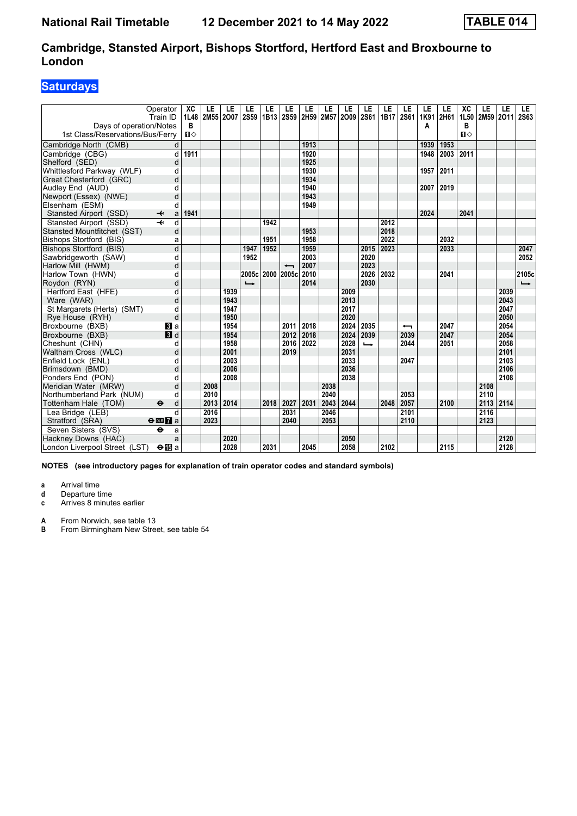### **Saturdays**

| Operator<br>Train ID<br>Days of operation/Notes<br>1st Class/Reservations/Bus/Ferry | XC<br>1L48<br>B<br>Ⅱ♦ | LE   | LE<br>2M55 2007 | LE<br><b>2S59</b> | LE<br>1B13 | LE<br><b>2S59</b>        | LE<br>2H59 2M57 | LE   | LE<br>2009 | LE<br><b>2S61</b> | LE<br>1B17 | LE<br><b>2S61</b> | LE<br>1K91<br>Α | LE<br>2H61 | XC<br>1L50<br>в<br>$\P$ | LE<br>2M59 2O11 | LE   | LE<br><b>2S63</b> |
|-------------------------------------------------------------------------------------|-----------------------|------|-----------------|-------------------|------------|--------------------------|-----------------|------|------------|-------------------|------------|-------------------|-----------------|------------|-------------------------|-----------------|------|-------------------|
| Cambridge North (CMB)                                                               | d                     |      |                 |                   |            |                          | 1913            |      |            |                   |            |                   | 1939            | 1953       |                         |                 |      |                   |
| Cambridge (CBG)                                                                     | 1911<br>d             |      |                 |                   |            |                          | 1920            |      |            |                   |            |                   | 1948            | 2003       | 2011                    |                 |      |                   |
| Shelford (SED)                                                                      | d                     |      |                 |                   |            |                          | 1925            |      |            |                   |            |                   |                 |            |                         |                 |      |                   |
| Whittlesford Parkway (WLF)                                                          | d                     |      |                 |                   |            |                          | 1930            |      |            |                   |            |                   | 1957            | 2011       |                         |                 |      |                   |
| Great Chesterford (GRC)                                                             | d                     |      |                 |                   |            |                          | 1934            |      |            |                   |            |                   |                 |            |                         |                 |      |                   |
| Audley End (AUD)                                                                    | d                     |      |                 |                   |            |                          | 1940            |      |            |                   |            |                   | 2007            | 2019       |                         |                 |      |                   |
| Newport (Essex) (NWE)                                                               | d                     |      |                 |                   |            |                          | 1943            |      |            |                   |            |                   |                 |            |                         |                 |      |                   |
| Elsenham (ESM)                                                                      | d                     |      |                 |                   |            |                          | 1949            |      |            |                   |            |                   |                 |            |                         |                 |      |                   |
| Stansted Airport (SSD)<br>↞                                                         | 1941<br>a             |      |                 |                   |            |                          |                 |      |            |                   |            |                   | 2024            |            | 2041                    |                 |      |                   |
| Stansted Airport (SSD)                                                              | d                     |      |                 |                   | 1942       |                          |                 |      |            |                   | 2012       |                   |                 |            |                         |                 |      |                   |
| Stansted Mountfitchet (SST)                                                         | d                     |      |                 |                   |            |                          | 1953            |      |            |                   | 2018       |                   |                 |            |                         |                 |      |                   |
| Bishops Stortford (BIS)                                                             | a                     |      |                 |                   | 1951       |                          | 1958            |      |            |                   | 2022       |                   |                 | 2032       |                         |                 |      |                   |
| Bishops Stortford (BIS)                                                             | d                     |      |                 | 1947              | 1952       |                          | 1959            |      |            | 2015              | 2023       |                   |                 | 2033       |                         |                 |      | 2047              |
| Sawbridgeworth (SAW)                                                                | d                     |      |                 | 1952              |            |                          | 2003            |      |            | 2020              |            |                   |                 |            |                         |                 |      | 2052              |
| Harlow Mill (HWM)                                                                   | d                     |      |                 |                   |            | $\overline{\phantom{0}}$ | 2007            |      |            | 2023              |            |                   |                 |            |                         |                 |      |                   |
| Harlow Town (HWN)                                                                   | d                     |      |                 | 2005c             |            | 2000 2005c               | 2010            |      |            | 2026              | 2032       |                   |                 | 2041       |                         |                 |      | 2105c             |
| Roydon (RYN)                                                                        | d                     |      |                 | $\rightarrow$     |            |                          | 2014            |      |            | 2030              |            |                   |                 |            |                         |                 |      | $\rightarrow$     |
| Hertford East (HFE)                                                                 | $\overline{d}$        |      | 1939            |                   |            |                          |                 |      | 2009       |                   |            |                   |                 |            |                         |                 | 2039 |                   |
| Ware (WAR)                                                                          | d                     |      | 1943            |                   |            |                          |                 |      | 2013       |                   |            |                   |                 |            |                         |                 | 2043 |                   |
| St Margarets (Herts) (SMT)                                                          | d                     |      | 1947            |                   |            |                          |                 |      | 2017       |                   |            |                   |                 |            |                         |                 | 2047 |                   |
| Rye House (RYH)                                                                     | d                     |      | 1950            |                   |            |                          |                 |      | 2020       |                   |            |                   |                 |            |                         |                 | 2050 |                   |
| Broxbourne (BXB)<br><b>3</b> a                                                      |                       |      | 1954            |                   |            | 2011                     | 2018            |      | 2024       | 2035              |            | ↽                 |                 | 2047       |                         |                 | 2054 |                   |
| 3d<br>Broxbourne (BXB)                                                              |                       |      | 1954            |                   |            | 2012                     | 2018            |      | 2024       | 2039              |            | 2039              |                 | 2047       |                         |                 | 2054 |                   |
| Cheshunt (CHN)                                                                      | d                     |      | 1958            |                   |            | 2016                     | 2022            |      | 2028       | $\rightarrow$     |            | 2044              |                 | 2051       |                         |                 | 2058 |                   |
| Waltham Cross (WLC)                                                                 | d                     |      | 2001            |                   |            | 2019                     |                 |      | 2031       |                   |            |                   |                 |            |                         |                 | 2101 |                   |
| Enfield Lock (ENL)                                                                  | d                     |      | 2003            |                   |            |                          |                 |      | 2033       |                   |            | 2047              |                 |            |                         |                 | 2103 |                   |
| Brimsdown (BMD)                                                                     | d                     |      | 2006            |                   |            |                          |                 |      | 2036       |                   |            |                   |                 |            |                         |                 | 2106 |                   |
| Ponders End (PON)                                                                   | d                     |      | 2008            |                   |            |                          |                 |      | 2038       |                   |            |                   |                 |            |                         |                 | 2108 |                   |
| Meridian Water (MRW)                                                                | d                     | 2008 |                 |                   |            |                          |                 | 2038 |            |                   |            |                   |                 |            |                         | 2108            |      |                   |
| Northumberland Park (NUM)                                                           | d                     | 2010 |                 |                   |            |                          |                 | 2040 |            |                   |            | 2053              |                 |            |                         | 2110            |      |                   |
| Tottenham Hale (TOM)<br>⊖                                                           | d                     | 2013 | 2014            |                   | 2018       | 2027                     | 2031            | 2043 | 2044       |                   | 2048       | 2057              |                 | 2100       |                         | 2113            | 2114 |                   |
| Lea Bridge (LEB)                                                                    | d                     | 2016 |                 |                   |            | 2031                     |                 | 2046 |            |                   |            | 2101              |                 |            |                         | 2116            |      |                   |
| Stratford (SRA)<br>$\Theta$ <b>ER</b> a                                             |                       | 2023 |                 |                   |            | 2040                     |                 | 2053 |            |                   |            | 2110              |                 |            |                         | 2123            |      |                   |
| Seven Sisters (SVS)<br>$\ddot{\mathbf{e}}$                                          | a                     |      |                 |                   |            |                          |                 |      |            |                   |            |                   |                 |            |                         |                 |      |                   |
| Hackney Downs (HAC)                                                                 | a                     |      | 2020            |                   |            |                          |                 |      | 2050       |                   |            |                   |                 |            |                         |                 | 2120 |                   |
| London Liverpool Street (LST)<br>$\Theta$ is a                                      |                       |      | 2028            |                   | 2031       |                          | 2045            |      | 2058       |                   | 2102       |                   |                 | 2115       |                         |                 | 2128 |                   |

**NOTES (see introductory pages for explanation of train operator codes and standard symbols)**

**a** Arrival time

**d** Departure time<br>**c** Arrives 8 minute

Arrives 8 minutes earlier

**A** From Norwich, see table 13<br>**B** From Birmingham New Stree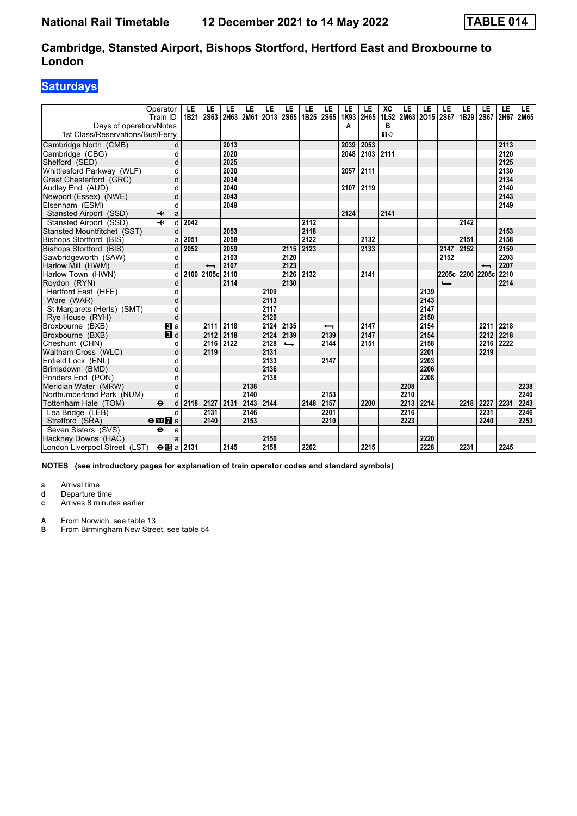### **Saturdays**

|                                  | Operator<br>Train ID          | LE<br>1B21 | LE<br>2S63 | LE<br>2H63 | LE   | LE<br>2M61 2O13 | LE<br>2S65    | LE   | LE<br>1B25 2S65 | LE<br>1K93 | LE<br>2H65 | XC<br>1L52 | LE   | LE<br>2M63 2O15 2S67 | LE                       | LE<br>1B29 | LE<br><b>2S67</b> | LE   | LE<br>2H67 2M65 |
|----------------------------------|-------------------------------|------------|------------|------------|------|-----------------|---------------|------|-----------------|------------|------------|------------|------|----------------------|--------------------------|------------|-------------------|------|-----------------|
| Days of operation/Notes          |                               |            |            |            |      |                 |               |      |                 | Α          |            | в          |      |                      |                          |            |                   |      |                 |
| 1st Class/Reservations/Bus/Ferry |                               |            |            |            |      |                 |               |      |                 |            |            | $\P$       |      |                      |                          |            |                   |      |                 |
| Cambridge North (CMB)            | d                             |            |            | 2013       |      |                 |               |      |                 | 2039       | 2053       |            |      |                      |                          |            |                   | 2113 |                 |
| Cambridge (CBG)                  | d                             |            |            | 2020       |      |                 |               |      |                 | 2048       | 2103       | 2111       |      |                      |                          |            |                   | 2120 |                 |
| Shelford (SED)                   | d                             |            |            | 2025       |      |                 |               |      |                 |            |            |            |      |                      |                          |            |                   | 2125 |                 |
| Whittlesford Parkway (WLF)       | d                             |            |            | 2030       |      |                 |               |      |                 | 2057       | 2111       |            |      |                      |                          |            |                   | 2130 |                 |
| Great Chesterford (GRC)          | d                             |            |            | 2034       |      |                 |               |      |                 |            |            |            |      |                      |                          |            |                   | 2134 |                 |
| Audley End (AUD)                 | d                             |            |            | 2040       |      |                 |               |      |                 | 2107       | 2119       |            |      |                      |                          |            |                   | 2140 |                 |
| Newport (Essex) (NWE)            | d                             |            |            | 2043       |      |                 |               |      |                 |            |            |            |      |                      |                          |            |                   | 2143 |                 |
| Elsenham (ESM)                   | d                             |            |            | 2049       |      |                 |               |      |                 |            |            |            |      |                      |                          |            |                   | 2149 |                 |
| Stansted Airport (SSD)           | ↞<br>a                        |            |            |            |      |                 |               |      |                 | 2124       |            | 2141       |      |                      |                          |            |                   |      |                 |
| Stansted Airport (SSD)           | $\overline{\phantom{a}}$<br>d | 2042       |            |            |      |                 |               | 2112 |                 |            |            |            |      |                      |                          | 2142       |                   |      |                 |
| Stansted Mountfitchet (SST)      | d                             |            |            | 2053       |      |                 |               | 2118 |                 |            |            |            |      |                      |                          |            |                   | 2153 |                 |
| Bishops Stortford (BIS)          | a                             | 2051       |            | 2058       |      |                 |               | 2122 |                 |            | 2132       |            |      |                      |                          | 2151       |                   | 2158 |                 |
| Bishops Stortford (BIS)          | d                             | 2052       |            | 2059       |      |                 | 2115          | 2123 |                 |            | 2133       |            |      |                      | 2147                     | 2152       |                   | 2159 |                 |
| Sawbridgeworth (SAW)             | d                             |            |            | 2103       |      |                 | 2120          |      |                 |            |            |            |      |                      | 2152                     |            |                   | 2203 |                 |
| Harlow Mill (HWM)                | d                             |            |            | 2107       |      |                 | 2123          |      |                 |            |            |            |      |                      |                          |            |                   | 2207 |                 |
| Harlow Town (HWN)                | d                             | 2100       | 2105c      | 2110       |      |                 | 2126          | 2132 |                 |            | 2141       |            |      |                      | 2205c 2200               |            | 2205c             | 2210 |                 |
| Roydon (RYN)                     | d                             |            |            | 2114       |      |                 | 2130          |      |                 |            |            |            |      |                      | $\overline{\phantom{a}}$ |            |                   | 2214 |                 |
| Hertford East (HFE)              | $\overline{d}$                |            |            |            |      | 2109            |               |      |                 |            |            |            |      | 2139                 |                          |            |                   |      |                 |
| Ware (WAR)                       | d                             |            |            |            |      | 2113            |               |      |                 |            |            |            |      | 2143                 |                          |            |                   |      |                 |
| St Margarets (Herts) (SMT)       | d                             |            |            |            |      | 2117            |               |      |                 |            |            |            |      | 2147                 |                          |            |                   |      |                 |
| Rye House (RYH)                  | d                             |            |            |            |      | 2120            |               |      |                 |            |            |            |      | 2150                 |                          |            |                   |      |                 |
| Broxbourne (BXB)                 | $\bf{B}$ a                    |            | 2111       | 2118       |      | 2124            | 2135          |      | ↽               |            | 2147       |            |      | 2154                 |                          |            | 2211              | 2218 |                 |
| Broxbourne (BXB)                 | 3d                            |            | 2112       | 2118       |      | 2124            | 2139          |      | 2139            |            | 2147       |            |      | 2154                 |                          |            | 2212              | 2218 |                 |
| Cheshunt (CHN)                   | d                             |            | 2116       | 2122       |      | 2128            | $\rightarrow$ |      | 2144            |            | 2151       |            |      | 2158                 |                          |            | 2216              | 2222 |                 |
| Waltham Cross (WLC)              | d                             |            | 2119       |            |      | 2131            |               |      |                 |            |            |            |      | 2201                 |                          |            | 2219              |      |                 |
| Enfield Lock (ENL)               | d                             |            |            |            |      | 2133            |               |      | 2147            |            |            |            |      | 2203                 |                          |            |                   |      |                 |
| Brimsdown (BMD)                  | d                             |            |            |            |      | 2136            |               |      |                 |            |            |            |      | 2206                 |                          |            |                   |      |                 |
| Ponders End (PON)                | d                             |            |            |            |      | 2138            |               |      |                 |            |            |            |      | 2208                 |                          |            |                   |      |                 |
| Meridian Water (MRW)             | d                             |            |            |            | 2138 |                 |               |      |                 |            |            |            | 2208 |                      |                          |            |                   |      | 2238            |
| Northumberland Park (NUM)        | d                             |            |            |            | 2140 |                 |               |      | 2153            |            |            |            | 2210 |                      |                          |            |                   |      | 2240            |
| Tottenham Hale (TOM)             | $\bullet$<br>d                | 2118       | 2127       | 2131       | 2143 | 2144            |               | 2148 | 2157            |            | 2200       |            | 2213 | 2214                 |                          | 2218       | 2227              | 2231 | 2243            |
| Lea Bridge (LEB)                 | $\mathsf{d}$                  |            | 2131       |            | 2146 |                 |               |      | 2201            |            |            |            | 2216 |                      |                          |            | 2231              |      | 2246            |
| Stratford (SRA)                  | $\Theta$ or $\overline{7}$ a  |            | 2140       |            | 2153 |                 |               |      | 2210            |            |            |            | 2223 |                      |                          |            | 2240              |      | 2253            |
| Seven Sisters (SVS)              | $\ddot{\mathbf{e}}$<br>a      |            |            |            |      |                 |               |      |                 |            |            |            |      |                      |                          |            |                   |      |                 |
| Hackney Downs (HAC)              | a                             |            |            |            |      | 2150            |               |      |                 |            |            |            |      | 2220                 |                          |            |                   |      |                 |
| London Liverpool Street (LST)    | $\Theta$ is a 2131            |            |            | 2145       |      | 2158            |               | 2202 |                 |            | 2215       |            |      | 2228                 |                          | 2231       |                   | 2245 |                 |

**NOTES (see introductory pages for explanation of train operator codes and standard symbols)**

**a** Arrival time

**d** Departure time<br>**c** Arrives 8 minute

Arrives 8 minutes earlier

**A** From Norwich, see table 13<br>**B** From Birmingham New Stree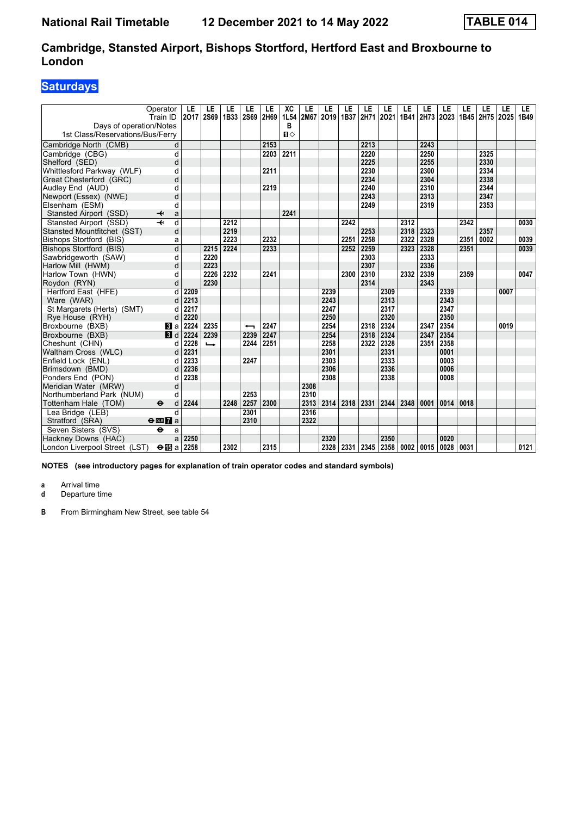### **Saturdays**

|                                      | Operator<br>Train ID                                 | LE<br>2017   | LE<br><b>2S69</b> | LE<br>1B33   | LE<br>2S69 | LE<br>2H69 | XC        | LE<br>2M67 | LE<br>2019   | LE<br>1B37 | LE           | LE<br>2H71 2O21           | LE<br>1B41 | LE<br>2H73 2O23 | LE           | LE   | LE           | LE             | LE<br>1B49 |
|--------------------------------------|------------------------------------------------------|--------------|-------------------|--------------|------------|------------|-----------|------------|--------------|------------|--------------|---------------------------|------------|-----------------|--------------|------|--------------|----------------|------------|
| Days of operation/Notes              |                                                      |              |                   |              |            |            | 1L54<br>в |            |              |            |              |                           |            |                 |              |      |              | 1B45 2H75 2O25 |            |
| 1st Class/Reservations/Bus/Ferry     |                                                      |              |                   |              |            |            | $\P$      |            |              |            |              |                           |            |                 |              |      |              |                |            |
|                                      |                                                      |              |                   |              |            |            |           |            |              |            | 2213         |                           |            | 2243            |              |      |              |                |            |
| Cambridge North (CMB)                | d                                                    |              |                   |              |            | 2153       |           |            |              |            |              |                           |            |                 |              |      |              |                |            |
| Cambridge (CBG)                      | d                                                    |              |                   |              |            | 2203       | 2211      |            |              |            | 2220         |                           |            | 2250            |              |      | 2325         |                |            |
| Shelford (SED)                       | d                                                    |              |                   |              |            |            |           |            |              |            | 2225         |                           |            | 2255            |              |      | 2330         |                |            |
| Whittlesford Parkway (WLF)           | d                                                    |              |                   |              |            | 2211       |           |            |              |            | 2230         |                           |            | 2300            |              |      | 2334         |                |            |
| Great Chesterford (GRC)              | d                                                    |              |                   |              |            |            |           |            |              |            | 2234<br>2240 |                           |            | 2304<br>2310    |              |      | 2338<br>2344 |                |            |
| Audley End (AUD)                     | d                                                    |              |                   |              |            | 2219       |           |            |              |            | 2243         |                           |            |                 |              |      |              |                |            |
| Newport (Essex) (NWE)                | d                                                    |              |                   |              |            |            |           |            |              |            | 2249         |                           |            | 2313<br>2319    |              |      | 2347<br>2353 |                |            |
| Elsenham (ESM)                       | d                                                    |              |                   |              |            |            | 2241      |            |              |            |              |                           |            |                 |              |      |              |                |            |
| Stansted Airport (SSD)               | ↞<br>a                                               |              |                   |              |            |            |           |            |              |            |              |                           |            |                 |              |      |              |                |            |
| Stansted Airport (SSD)               | d                                                    |              |                   | 2212<br>2219 |            |            |           |            |              | 2242       | 2253         |                           | 2312       | 2323            |              | 2342 | 2357         |                | 0030       |
| Stansted Mountfitchet (SST)          | d                                                    |              |                   |              |            |            |           |            |              |            |              |                           | 2318       |                 |              |      |              |                |            |
| Bishops Stortford (BIS)              | a                                                    |              |                   | 2223         |            | 2232       |           |            |              | 2251       | 2258         |                           | 2322       | 2328            |              | 2351 | 0002         |                | 0039       |
| Bishops Stortford (BIS)              | d                                                    |              | 2215              | 2224         |            | 2233       |           |            |              | 2252       | 2259         |                           | 2323       | 2328            |              | 2351 |              |                | 0039       |
| Sawbridgeworth (SAW)                 | d                                                    |              | 2220<br>2223      |              |            |            |           |            |              |            | 2303         |                           |            | 2333            |              |      |              |                |            |
| Harlow Mill (HWM)                    | d                                                    |              |                   |              |            |            |           |            |              |            | 2307         |                           |            | 2336            |              |      |              |                |            |
| Harlow Town (HWN)                    | d                                                    |              | 2226<br>2230      | 2232         |            | 2241       |           |            |              | 2300       | 2310<br>2314 |                           | 2332       | 2339<br>2343    |              | 2359 |              |                | 0047       |
| Roydon (RYN)                         | d                                                    |              |                   |              |            |            |           |            |              |            |              |                           |            |                 |              |      |              |                |            |
| Hertford East (HFE)                  | d                                                    | 2209         |                   |              |            |            |           |            | 2239         |            |              | 2309                      |            |                 | 2339         |      |              | 0007           |            |
| Ware (WAR)                           | d                                                    | 2213         |                   |              |            |            |           |            | 2243         |            |              | 2313                      |            |                 | 2343         |      |              |                |            |
| St Margarets (Herts) (SMT)           | d                                                    | 2217         |                   |              |            |            |           |            | 2247         |            |              | 2317                      |            |                 | 2347         |      |              |                |            |
| Rye House (RYH)                      | d                                                    | 2220         |                   |              |            |            |           |            | 2250         |            |              | 2320                      |            |                 | 2350         |      |              |                |            |
| Broxbourne (BXB)                     | <b>B</b> la                                          | 2224         | 2235              |              |            | 2247       |           |            | 2254         |            | 2318         | 2324                      |            | 2347            | 2354         |      |              | 0019           |            |
| Broxbourne (BXB)                     | 3d                                                   | 2224         | 2239              |              | 2239       | 2247       |           |            | 2254         |            | 2318         | 2324                      |            | 2347            | 2354         |      |              |                |            |
| Cheshunt (CHN)                       | d                                                    | 2228         | $\rightarrow$     |              | 2244       | 2251       |           |            | 2258         |            | 2322         | 2328                      |            | 2351            | 2358         |      |              |                |            |
| Waltham Cross (WLC)                  | d                                                    | 2231<br>2233 |                   |              | 2247       |            |           |            | 2301<br>2303 |            |              | 2331<br>2333              |            |                 | 0001<br>0003 |      |              |                |            |
| Enfield Lock (ENL)                   | d                                                    |              |                   |              |            |            |           |            |              |            |              | 2336                      |            |                 | 0006         |      |              |                |            |
| Brimsdown (BMD)<br>Ponders End (PON) | d<br>d                                               | 2236<br>2238 |                   |              |            |            |           |            | 2306<br>2308 |            |              | 2338                      |            |                 | 0008         |      |              |                |            |
| Meridian Water (MRW)                 | d                                                    |              |                   |              |            |            |           | 2308       |              |            |              |                           |            |                 |              |      |              |                |            |
| Northumberland Park (NUM)            | d                                                    |              |                   |              | 2253       |            |           | 2310       |              |            |              |                           |            |                 |              |      |              |                |            |
| Tottenham Hale (TOM)                 | $\ddot{\boldsymbol{\Theta}}$<br>d                    | 2244         |                   | 2248         | 2257       | 2300       |           | 2313       | 2314         | 2318       | 2331         | 2344                      | 2348       | 0001            | 0014         | 0018 |              |                |            |
|                                      | $\mathsf{d}$                                         |              |                   |              | 2301       |            |           | 2316       |              |            |              |                           |            |                 |              |      |              |                |            |
| Lea Bridge (LEB)                     |                                                      |              |                   |              | 2310       |            |           | 2322       |              |            |              |                           |            |                 |              |      |              |                |            |
| Stratford (SRA)                      | $\Theta$ <b>ER</b> $\theta$ a<br>$\ddot{\mathbf{e}}$ |              |                   |              |            |            |           |            |              |            |              |                           |            |                 |              |      |              |                |            |
| Seven Sisters (SVS)                  | a                                                    |              |                   |              |            |            |           |            |              |            |              |                           |            |                 |              |      |              |                |            |
| Hackney Downs (HAC)                  | a                                                    | 2250         |                   |              |            |            |           |            | 2320         |            |              | 2350                      |            |                 | 0020         |      |              |                |            |
| London Liverpool Street (LST)        | $\Theta$ is a 2258                                   |              |                   | 2302         |            | 2315       |           |            | 2328         | 2331       |              | 2345   2358   0002   0015 |            |                 | 0028         | 0031 |              |                | 0121       |

**NOTES (see introductory pages for explanation of train operator codes and standard symbols)**

**a** Arrival time<br>**d** Departure t

**d** Departure time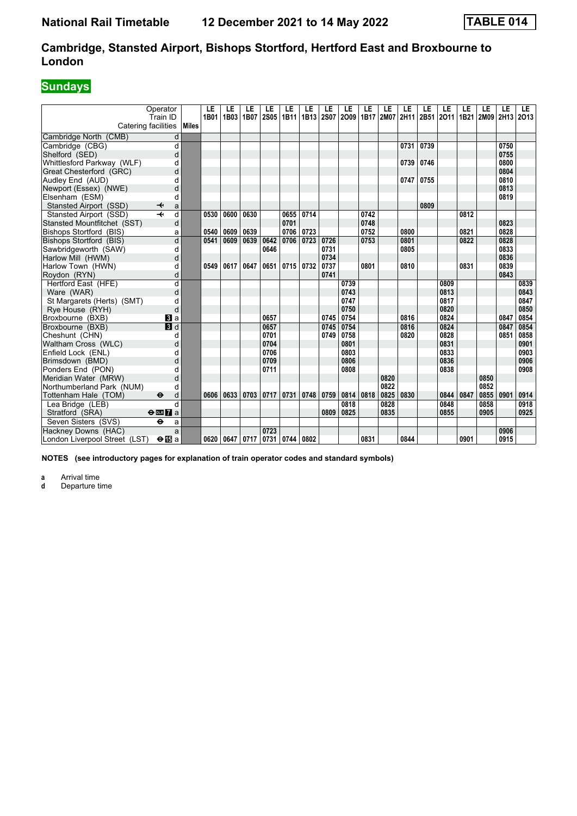## **Sundays**

| Catering facilities           | Operator<br>Train ID          | Miles | LE<br>1B01 | LE<br>1B03 | LE<br>1B07 | LE<br><b>2S05</b> | LE<br>1B11 | LE<br>1B13 | LE<br><b>2S07</b> | LE<br>2009 | LE<br>1B17 | LE<br>2M07 | LE<br>2H11 | LE<br>2B51 | LE<br>2011 | LE<br>1B21 | LE<br>2M09 | LE<br>2H13 | LE.<br>2013 |
|-------------------------------|-------------------------------|-------|------------|------------|------------|-------------------|------------|------------|-------------------|------------|------------|------------|------------|------------|------------|------------|------------|------------|-------------|
| Cambridge North (CMB)         | d                             |       |            |            |            |                   |            |            |                   |            |            |            |            |            |            |            |            |            |             |
| Cambridge (CBG)               | d                             |       |            |            |            |                   |            |            |                   |            |            |            | 0731       | 0739       |            |            |            | 0750       |             |
| Shelford (SED)                | d                             |       |            |            |            |                   |            |            |                   |            |            |            |            |            |            |            |            | 0755       |             |
| Whittlesford Parkway (WLF)    | d                             |       |            |            |            |                   |            |            |                   |            |            |            | 0739       | 0746       |            |            |            | 0800       |             |
| Great Chesterford (GRC)       | d                             |       |            |            |            |                   |            |            |                   |            |            |            |            |            |            |            |            | 0804       |             |
| Audley End (AUD)              | d                             |       |            |            |            |                   |            |            |                   |            |            |            | 0747       | 0755       |            |            |            | 0810       |             |
| Newport (Essex) (NWE)         | d                             |       |            |            |            |                   |            |            |                   |            |            |            |            |            |            |            |            | 0813       |             |
| Elsenham (ESM)                | d                             |       |            |            |            |                   |            |            |                   |            |            |            |            |            |            |            |            | 0819       |             |
| Stansted Airport (SSD)        | ↞<br>a                        |       |            |            |            |                   |            |            |                   |            |            |            |            | 0809       |            |            |            |            |             |
| Stansted Airport (SSD)        | $\overline{\phantom{a}}$<br>d |       | 0530       | 0600       | 0630       |                   | 0655       | 0714       |                   |            | 0742       |            |            |            |            | 0812       |            |            |             |
| Stansted Mountfitchet (SST)   | d                             |       |            |            |            |                   | 0701       |            |                   |            | 0748       |            |            |            |            |            |            | 0823       |             |
| Bishops Stortford (BIS)       | a                             |       | 0540       | 0609       | 0639       |                   | 0706       | 0723       |                   |            | 0752       |            | 0800       |            |            | 0821       |            | 0828       |             |
| Bishops Stortford (BIS)       | d                             |       | 0541       | 0609       | 0639       | 0642              | 0706       | 0723       | 0726              |            | 0753       |            | 0801       |            |            | 0822       |            | 0828       |             |
| Sawbridgeworth (SAW)          | d                             |       |            |            |            | 0646              |            |            | 0731              |            |            |            | 0805       |            |            |            |            | 0833       |             |
| Harlow Mill (HWM)             | d                             |       |            |            |            |                   |            |            | 0734              |            |            |            |            |            |            |            |            | 0836       |             |
| Harlow Town (HWN)             | d                             |       | 0549       | 0617       | 0647       | 0651              | 0715       | 0732       | 0737              |            | 0801       |            | 0810       |            |            | 0831       |            | 0839       |             |
| Roydon (RYN)                  | d                             |       |            |            |            |                   |            |            | 0741              |            |            |            |            |            |            |            |            | 0843       |             |
| Hertford East (HFE)           | d                             |       |            |            |            |                   |            |            |                   | 0739       |            |            |            |            | 0809       |            |            |            | 0839        |
| Ware (WAR)                    | d                             |       |            |            |            |                   |            |            |                   | 0743       |            |            |            |            | 0813       |            |            |            | 0843        |
| St Margarets (Herts) (SMT)    | d                             |       |            |            |            |                   |            |            |                   | 0747       |            |            |            |            | 0817       |            |            |            | 0847        |
| Rye House (RYH)               | d                             |       |            |            |            |                   |            |            |                   | 0750       |            |            |            |            | 0820       |            |            |            | 0850        |
| Broxbourne (BXB)              | BI a                          |       |            |            |            | 0657              |            |            | 0745              | 0754       |            |            | 0816       |            | 0824       |            |            | 0847       | 0854        |
| Broxbourne (BXB)              | 3d                            |       |            |            |            | 0657              |            |            | 0745              | 0754       |            |            | 0816       |            | 0824       |            |            | 0847       | 0854        |
| Cheshunt (CHN)                | d                             |       |            |            |            | 0701              |            |            | 0749              | 0758       |            |            | 0820       |            | 0828       |            |            | 0851       | 0858        |
| Waltham Cross (WLC)           | d                             |       |            |            |            | 0704              |            |            |                   | 0801       |            |            |            |            | 0831       |            |            |            | 0901        |
| Enfield Lock (ENL)            | d                             |       |            |            |            | 0706              |            |            |                   | 0803       |            |            |            |            | 0833       |            |            |            | 0903        |
| Brimsdown (BMD)               | d                             |       |            |            |            | 0709              |            |            |                   | 0806       |            |            |            |            | 0836       |            |            |            | 0906        |
| Ponders End (PON)             | d                             |       |            |            |            | 0711              |            |            |                   | 0808       |            |            |            |            | 0838       |            |            |            | 0908        |
| Meridian Water (MRW)          | d                             |       |            |            |            |                   |            |            |                   |            |            | 0820       |            |            |            |            | 0850       |            |             |
| Northumberland Park (NUM)     | d                             |       |            |            |            |                   |            |            |                   |            |            | 0822       |            |            |            |            | 0852       |            |             |
| Tottenham Hale (TOM)          | $\mathbf e$<br>d              |       | 0606       | 0633       | 0703       | 0717              | 0731       | 0748       | 0759              | 0814       | 0818       | 0825       | 0830       |            | 0844       | 0847       | 0855       | 0901       | 0914        |
| Lea Bridge (LEB)              | d                             |       |            |            |            |                   |            |            |                   | 0818       |            | 0828       |            |            | 0848       |            | 0858       |            | 0918        |
| Stratford (SRA)               | $\Theta$ or $\Gamma$ a        |       |            |            |            |                   |            |            | 0809              | 0825       |            | 0835       |            |            | 0855       |            | 0905       |            | 0925        |
| Seven Sisters (SVS)           | $\ddot{\mathbf{e}}$<br>a      |       |            |            |            |                   |            |            |                   |            |            |            |            |            |            |            |            |            |             |
| Hackney Downs (HAC)           | a                             |       |            |            |            | 0723              |            |            |                   |            |            |            |            |            |            |            |            | 0906       |             |
| London Liverpool Street (LST) | $\Theta$ is a                 |       | 0620       | 0647       | 0717       |                   | 0731 0744  | 0802       |                   |            | 0831       |            | 0844       |            |            | 0901       |            | 0915       |             |

**NOTES (see introductory pages for explanation of train operator codes and standard symbols)**

**a** Arrival time

**d** Departure time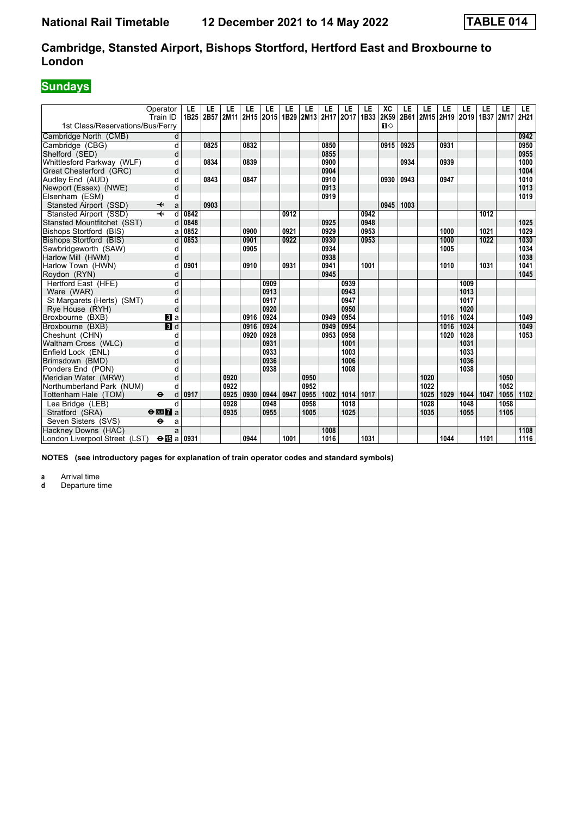# **Sundays**

|                                  | Operator<br>Train ID              | LE<br>1B25 | LE   | LE<br>2B57 2M11 2H15 2O15 | LE   | LE   | LE   | LE<br>1B29 2M13 2H17 2O17 | LE   | LE   | LE<br>1B33 | XC<br>2K59   | LE   | LE   | LE   | LE<br>2B61 2M15 2H19 2O19 1B37 | LE               | LE<br>2M17 | LE.<br>2H21 |
|----------------------------------|-----------------------------------|------------|------|---------------------------|------|------|------|---------------------------|------|------|------------|--------------|------|------|------|--------------------------------|------------------|------------|-------------|
| 1st Class/Reservations/Bus/Ferry |                                   |            |      |                           |      |      |      |                           |      |      |            | $\mathbf{n}$ |      |      |      |                                |                  |            |             |
| Cambridge North (CMB)            | d                                 |            |      |                           |      |      |      |                           |      |      |            |              |      |      |      |                                |                  |            | 0942        |
| Cambridge (CBG)                  | d                                 |            | 0825 |                           | 0832 |      |      |                           | 0850 |      |            | 0915         | 0925 |      | 0931 |                                |                  |            | 0950        |
| Shelford (SED)                   | d                                 |            |      |                           |      |      |      |                           | 0855 |      |            |              |      |      |      |                                |                  |            | 0955        |
| Whittlesford Parkway (WLF)       | d                                 |            | 0834 |                           | 0839 |      |      |                           | 0900 |      |            |              | 0934 |      | 0939 |                                |                  |            | 1000        |
| Great Chesterford (GRC)          | d                                 |            |      |                           |      |      |      |                           | 0904 |      |            |              |      |      |      |                                |                  |            | 1004        |
| Audley End (AUD)                 | d                                 |            | 0843 |                           | 0847 |      |      |                           | 0910 |      |            | 0930         | 0943 |      | 0947 |                                |                  |            | 1010        |
| Newport (Essex) (NWE)            | d                                 |            |      |                           |      |      |      |                           | 0913 |      |            |              |      |      |      |                                |                  |            | 1013        |
| Elsenham (ESM)                   | d                                 |            |      |                           |      |      |      |                           | 0919 |      |            |              |      |      |      |                                |                  |            | 1019        |
| Stansted Airport (SSD)           | a<br>↞                            |            | 0903 |                           |      |      |      |                           |      |      |            | 0945         | 1003 |      |      |                                |                  |            |             |
| Stansted Airport (SSD)           | $\overline{+}$<br>d               | 0842       |      |                           |      |      | 0912 |                           |      |      | 0942       |              |      |      |      |                                | 1012             |            |             |
| Stansted Mountfitchet (SST)      | d                                 | 0848       |      |                           |      |      |      |                           | 0925 |      | 0948       |              |      |      |      |                                |                  |            | 1025        |
| Bishops Stortford (BIS)          | a                                 | 0852       |      |                           | 0900 |      | 0921 |                           | 0929 |      | 0953       |              |      |      | 1000 |                                | 1021             |            | 1029        |
| Bishops Stortford (BIS)          | d                                 | 0853       |      |                           | 0901 |      | 0922 |                           | 0930 |      | 0953       |              |      |      | 1000 |                                | $\frac{1022}{ }$ |            | 1030        |
| Sawbridgeworth (SAW)             | d                                 |            |      |                           | 0905 |      |      |                           | 0934 |      |            |              |      |      | 1005 |                                |                  |            | 1034        |
| Harlow Mill (HWM)                | d                                 |            |      |                           |      |      |      |                           | 0938 |      |            |              |      |      |      |                                |                  |            | 1038        |
| Harlow Town (HWN)                | d                                 | 0901       |      |                           | 0910 |      | 0931 |                           | 0941 |      | 1001       |              |      |      | 1010 |                                | 1031             |            | 1041        |
| Roydon (RYN)                     | d                                 |            |      |                           |      |      |      |                           | 0945 |      |            |              |      |      |      |                                |                  |            | 1045        |
| Hertford East (HFE)              | d                                 |            |      |                           |      | 0909 |      |                           |      | 0939 |            |              |      |      |      | 1009                           |                  |            |             |
| Ware (WAR)                       | d                                 |            |      |                           |      | 0913 |      |                           |      | 0943 |            |              |      |      |      | 1013                           |                  |            |             |
| St Margarets (Herts) (SMT)       | d                                 |            |      |                           |      | 0917 |      |                           |      | 0947 |            |              |      |      |      | 1017                           |                  |            |             |
| Rye House (RYH)                  | d                                 |            |      |                           |      | 0920 |      |                           |      | 0950 |            |              |      |      |      | 1020                           |                  |            |             |
| Broxbourne (BXB)                 | $\mathbf{B}$ a                    |            |      |                           | 0916 | 0924 |      |                           | 0949 | 0954 |            |              |      |      | 1016 | 1024                           |                  |            | 1049        |
| Broxbourne (BXB)                 | $\blacksquare$                    |            |      |                           | 0916 | 0924 |      |                           | 0949 | 0954 |            |              |      |      | 1016 | 1024                           |                  |            | 1049        |
| Cheshunt (CHN)                   | d                                 |            |      |                           | 0920 | 0928 |      |                           | 0953 | 0958 |            |              |      |      | 1020 | 1028                           |                  |            | 1053        |
| Waltham Cross (WLC)              | d                                 |            |      |                           |      | 0931 |      |                           |      | 1001 |            |              |      |      |      | 1031                           |                  |            |             |
| Enfield Lock (ENL)               | d                                 |            |      |                           |      | 0933 |      |                           |      | 1003 |            |              |      |      |      | 1033                           |                  |            |             |
| Brimsdown (BMD)                  | d                                 |            |      |                           |      | 0936 |      |                           |      | 1006 |            |              |      |      |      | 1036                           |                  |            |             |
| Ponders End (PON)                | d                                 |            |      |                           |      | 0938 |      |                           |      | 1008 |            |              |      |      |      | 1038                           |                  |            |             |
| Meridian Water (MRW)             | d                                 |            |      | 0920                      |      |      |      | 0950                      |      |      |            |              |      | 1020 |      |                                |                  | 1050       |             |
| Northumberland Park (NUM)        | d                                 |            |      | 0922                      |      |      |      | 0952                      |      |      |            |              |      | 1022 |      |                                |                  | 1052       |             |
| Tottenham Hale (TOM)             | $\ddot{\boldsymbol{\Theta}}$<br>d | 0917       |      | 0925                      | 0930 | 0944 | 0947 | 0955                      | 1002 | 1014 | 1017       |              |      | 1025 | 1029 | 1044                           | 1047             | 1055       | 1102        |
| Lea Bridge (LEB)                 | d                                 |            |      | 0928                      |      | 0948 |      | 0958                      |      | 1018 |            |              |      | 1028 |      | 1048                           |                  | 1058       |             |
| Stratford (SRA)                  | $rac{1}{2}$                       |            |      | 0935                      |      | 0955 |      | 1005                      |      | 1025 |            |              |      | 1035 |      | 1055                           |                  | 1105       |             |
| Seven Sisters (SVS)              | $\ddot{\bullet}$<br>a             |            |      |                           |      |      |      |                           |      |      |            |              |      |      |      |                                |                  |            |             |
| Hackney Downs (HAC)              | a                                 |            |      |                           |      |      |      |                           | 1008 |      |            |              |      |      |      |                                |                  |            | 1108        |
| London Liverpool Street (LST)    | $\Theta$ is a 0931                |            |      |                           | 0944 |      | 1001 |                           | 1016 |      | 1031       |              |      |      | 1044 |                                | 1101             |            | 1116        |

**NOTES (see introductory pages for explanation of train operator codes and standard symbols)**

**a** Arrival time<br>**d** Departure ti

**d** Departure time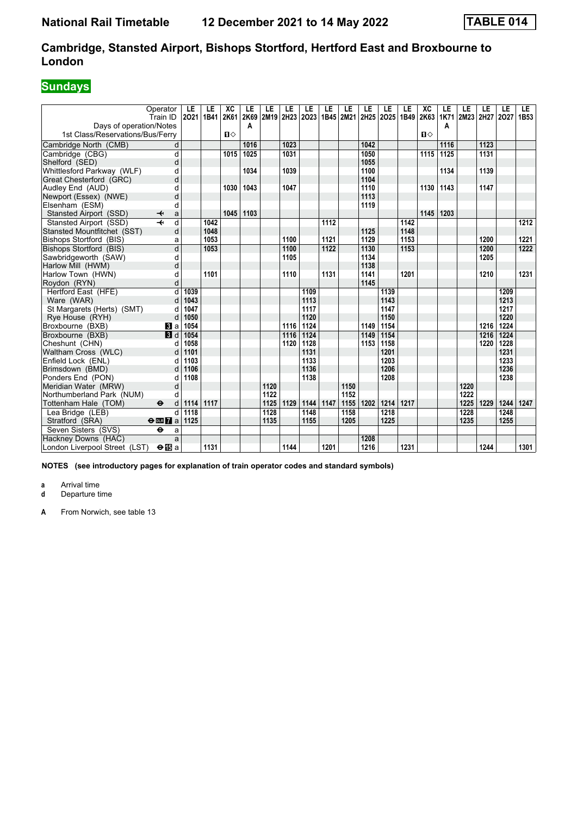# **Sundays**

|                                  | Operator                          | LE   | LE   | XC           | LE   | LE   | LE   | LE   | LE   | LE                       | LE   | LE                  | LE   | XC    | LE   | LE        | LE   | LE   | LE               |
|----------------------------------|-----------------------------------|------|------|--------------|------|------|------|------|------|--------------------------|------|---------------------|------|-------|------|-----------|------|------|------------------|
|                                  | Train ID                          | 2021 | 1B41 | 2K61         | 2K69 |      |      |      |      | 2M19 2H23 2O23 1B45 2M21 |      | 2H25 2O25 1B49 2K63 |      |       | 1K71 | 2M23 2H27 |      | 2027 | 1B <sub>53</sub> |
| Days of operation/Notes          |                                   |      |      |              | A    |      |      |      |      |                          |      |                     |      |       | A    |           |      |      |                  |
| 1st Class/Reservations/Bus/Ferry |                                   |      |      | $\mathbf{u}$ |      |      |      |      |      |                          |      |                     |      | $\Pi$ |      |           |      |      |                  |
| Cambridge North (CMB)            | d                                 |      |      |              | 1016 |      | 1023 |      |      |                          | 1042 |                     |      |       | 1116 |           | 1123 |      |                  |
| Cambridge (CBG)                  | $\overline{d}$                    |      |      | 1015         | 1025 |      | 1031 |      |      |                          | 1050 |                     |      | 1115  | 1125 |           | 1131 |      |                  |
| Shelford (SED)                   | d                                 |      |      |              |      |      |      |      |      |                          | 1055 |                     |      |       |      |           |      |      |                  |
| Whittlesford Parkway (WLF)       | d                                 |      |      |              | 1034 |      | 1039 |      |      |                          | 1100 |                     |      |       | 1134 |           | 1139 |      |                  |
| Great Chesterford (GRC)          | d                                 |      |      |              |      |      |      |      |      |                          | 1104 |                     |      |       |      |           |      |      |                  |
| Audley End (AUD)                 | d                                 |      |      | 1030         | 1043 |      | 1047 |      |      |                          | 1110 |                     |      | 1130  | 1143 |           | 1147 |      |                  |
| Newport (Essex) (NWE)            | d                                 |      |      |              |      |      |      |      |      |                          | 1113 |                     |      |       |      |           |      |      |                  |
| Elsenham (ESM)                   | d                                 |      |      |              |      |      |      |      |      |                          | 1119 |                     |      |       |      |           |      |      |                  |
| Stansted Airport (SSD)           | ↞<br>a                            |      |      | 1045         | 1103 |      |      |      |      |                          |      |                     |      | 1145  | 1203 |           |      |      |                  |
| Stansted Airport (SSD)           | d                                 |      | 1042 |              |      |      |      |      | 1112 |                          |      |                     | 1142 |       |      |           |      |      | 1212             |
| Stansted Mountfitchet (SST)      | d                                 |      | 1048 |              |      |      |      |      |      |                          | 1125 |                     | 1148 |       |      |           |      |      |                  |
| Bishops Stortford (BIS)          | a                                 |      | 1053 |              |      |      | 1100 |      | 1121 |                          | 1129 |                     | 1153 |       |      |           | 1200 |      | 1221             |
| Bishops Stortford (BIS)          | d                                 |      | 1053 |              |      |      | 1100 |      | 1122 |                          | 1130 |                     | 1153 |       |      |           | 1200 |      | 1222             |
| Sawbridgeworth (SAW)             | d                                 |      |      |              |      |      | 1105 |      |      |                          | 1134 |                     |      |       |      |           | 1205 |      |                  |
| Harlow Mill (HWM)                | d                                 |      |      |              |      |      |      |      |      |                          | 1138 |                     |      |       |      |           |      |      |                  |
| Harlow Town (HWN)                | d                                 |      | 1101 |              |      |      | 1110 |      | 1131 |                          | 1141 |                     | 1201 |       |      |           | 1210 |      | 1231             |
| Roydon (RYN)                     | d                                 |      |      |              |      |      |      |      |      |                          | 1145 |                     |      |       |      |           |      |      |                  |
| Hertford East (HFE)              | d                                 | 1039 |      |              |      |      |      | 1109 |      |                          |      | 1139                |      |       |      |           |      | 1209 |                  |
| Ware (WAR)                       | d                                 | 1043 |      |              |      |      |      | 1113 |      |                          |      | 1143                |      |       |      |           |      | 1213 |                  |
| St Margarets (Herts) (SMT)       | d                                 | 1047 |      |              |      |      |      | 1117 |      |                          |      | 1147                |      |       |      |           |      | 1217 |                  |
| Rye House (RYH)                  | d                                 | 1050 |      |              |      |      |      | 1120 |      |                          |      | 1150                |      |       |      |           |      | 1220 |                  |
| Broxbourne (BXB)                 | $\bf{B}$ a                        | 1054 |      |              |      |      | 1116 | 1124 |      |                          | 1149 | 1154                |      |       |      |           | 1216 | 1224 |                  |
| Broxbourne (BXB)                 | 3d                                | 1054 |      |              |      |      | 1116 | 1124 |      |                          | 1149 | 1154                |      |       |      |           | 1216 | 1224 |                  |
| Cheshunt (CHN)                   | d                                 | 1058 |      |              |      |      | 1120 | 1128 |      |                          | 1153 | 1158                |      |       |      |           | 1220 | 1228 |                  |
| Waltham Cross (WLC)              | d                                 | 1101 |      |              |      |      |      | 1131 |      |                          |      | 1201                |      |       |      |           |      | 1231 |                  |
| Enfield Lock (ENL)               | d                                 | 1103 |      |              |      |      |      | 1133 |      |                          |      | 1203                |      |       |      |           |      | 1233 |                  |
| Brimsdown (BMD)                  | d                                 | 1106 |      |              |      |      |      | 1136 |      |                          |      | 1206                |      |       |      |           |      | 1236 |                  |
| Ponders End (PON)                | d                                 | 1108 |      |              |      |      |      | 1138 |      |                          |      | 1208                |      |       |      |           |      | 1238 |                  |
| Meridian Water (MRW)             | d                                 |      |      |              |      | 1120 |      |      |      | 1150                     |      |                     |      |       |      | 1220      |      |      |                  |
| Northumberland Park (NUM)        | d                                 |      |      |              |      | 1122 |      |      |      | 1152                     |      |                     |      |       |      | 1222      |      |      |                  |
| Tottenham Hale (TOM)             | $\ddot{\boldsymbol{\Theta}}$<br>d | 1114 | 1117 |              |      | 1125 | 1129 | 1144 | 1147 | 1155                     | 1202 | 1214                | 1217 |       |      | 1225      | 1229 | 1244 | 1247             |
| Lea Bridge (LEB)                 | d                                 | 1118 |      |              |      | 1128 |      | 1148 |      | 1158                     |      | 1218                |      |       |      | 1228      |      | 1248 |                  |
| Stratford (SRA)                  | $\Theta$ <b>EM</b> a              | 1125 |      |              |      | 1135 |      | 1155 |      | 1205                     |      | 1225                |      |       |      | 1235      |      | 1255 |                  |
| Seven Sisters (SVS)              | $\ddot{\mathbf{e}}$<br>a          |      |      |              |      |      |      |      |      |                          |      |                     |      |       |      |           |      |      |                  |
| Hackney Downs (HAC)              | a                                 |      |      |              |      |      |      |      |      |                          | 1208 |                     |      |       |      |           |      |      |                  |
| London Liverpool Street (LST)    | $\Theta$ is a                     |      | 1131 |              |      |      | 1144 |      | 1201 |                          | 1216 |                     | 1231 |       |      |           | 1244 |      | 1301             |

**NOTES (see introductory pages for explanation of train operator codes and standard symbols)**

**a** Arrival time<br>**d** Departure t

**d** Departure time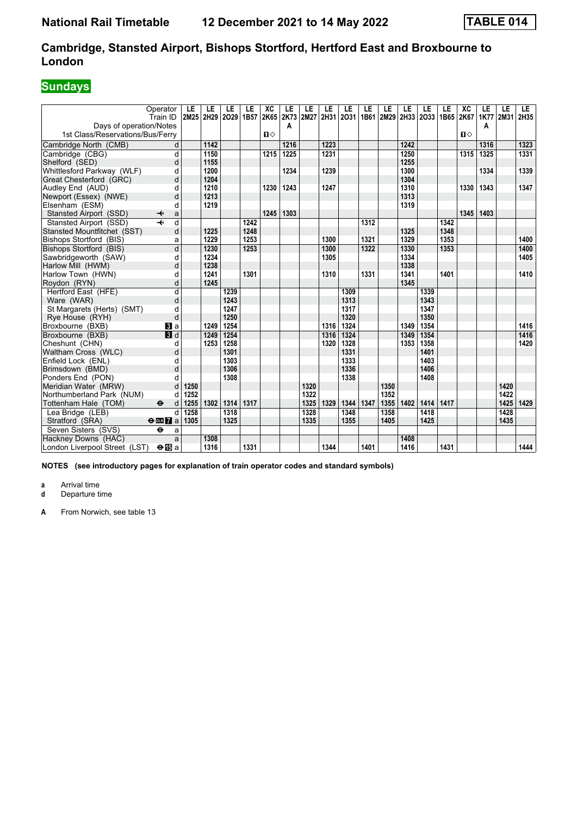# **Sundays**

|                                  | Operator<br>Train ID              | LE<br>2M25 | LE<br>2H29 | LE<br>2029 | LE<br>1B57 | XC<br>2K65   | LE<br>2K73 | LE<br>2M27 | LE<br>2H31 | LE<br>2031 | LE   | LE<br>1B61 2M29 | LE   | LE<br>2H33 2O33 | LE<br>1B65 | $\overline{X}C$<br>2K67 | LE<br><b>1K77</b> | LE<br>2M31 | LE.<br>2H35 |
|----------------------------------|-----------------------------------|------------|------------|------------|------------|--------------|------------|------------|------------|------------|------|-----------------|------|-----------------|------------|-------------------------|-------------------|------------|-------------|
| Davs of operation/Notes          |                                   |            |            |            |            |              | Α          |            |            |            |      |                 |      |                 |            |                         | A                 |            |             |
| 1st Class/Reservations/Bus/Ferry |                                   |            |            |            |            | $\mathbf{u}$ |            |            |            |            |      |                 |      |                 |            | $\mathbf{n}$            |                   |            |             |
| Cambridge North (CMB)            | d                                 |            | 1142       |            |            |              | 1216       |            | 1223       |            |      |                 | 1242 |                 |            |                         | 1316              |            | 1323        |
| Cambridge (CBG)                  | d                                 |            | 1150       |            |            | 1215         | 1225       |            | 1231       |            |      |                 | 1250 |                 |            | 1315                    | 1325              |            | 1331        |
| Shelford (SED)                   | d                                 |            | 1155       |            |            |              |            |            |            |            |      |                 | 1255 |                 |            |                         |                   |            |             |
| Whittlesford Parkway (WLF)       | d                                 |            | 1200       |            |            |              | 1234       |            | 1239       |            |      |                 | 1300 |                 |            |                         | 1334              |            | 1339        |
| Great Chesterford (GRC)          | d                                 |            | 1204       |            |            |              |            |            |            |            |      |                 | 1304 |                 |            |                         |                   |            |             |
| Audley End (AUD)                 | d                                 |            | 1210       |            |            | 1230         | 1243       |            | 1247       |            |      |                 | 1310 |                 |            | 1330                    | 1343              |            | 1347        |
| Newport (Essex) (NWE)            | d                                 |            | 1213       |            |            |              |            |            |            |            |      |                 | 1313 |                 |            |                         |                   |            |             |
| Elsenham (ESM)                   | d                                 |            | 1219       |            |            |              |            |            |            |            |      |                 | 1319 |                 |            |                         |                   |            |             |
| Stansted Airport (SSD)           | ↞<br>a                            |            |            |            |            | 1245         | 1303       |            |            |            |      |                 |      |                 |            | 1345                    | 1403              |            |             |
| Stansted Airport (SSD)           | d                                 |            |            |            | 1242       |              |            |            |            |            | 1312 |                 |      |                 | 1342       |                         |                   |            |             |
| Stansted Mountfitchet (SST)      | d                                 |            | 1225       |            | 1248       |              |            |            |            |            |      |                 | 1325 |                 | 1348       |                         |                   |            |             |
| Bishops Stortford (BIS)          | a                                 |            | 1229       |            | 1253       |              |            |            | 1300       |            | 1321 |                 | 1329 |                 | 1353       |                         |                   |            | 1400        |
| Bishops Stortford (BIS)          | d                                 |            | 1230       |            | 1253       |              |            |            | 1300       |            | 1322 |                 | 1330 |                 | 1353       |                         |                   |            | 1400        |
| Sawbridgeworth (SAW)             | d                                 |            | 1234       |            |            |              |            |            | 1305       |            |      |                 | 1334 |                 |            |                         |                   |            | 1405        |
| Harlow Mill (HWM)                | d                                 |            | 1238       |            |            |              |            |            |            |            |      |                 | 1338 |                 |            |                         |                   |            |             |
| Harlow Town (HWN)                | d                                 |            | 1241       |            | 1301       |              |            |            | 1310       |            | 1331 |                 | 1341 |                 | 1401       |                         |                   |            | 1410        |
| Roydon (RYN)                     | d                                 |            | 1245       |            |            |              |            |            |            |            |      |                 | 1345 |                 |            |                         |                   |            |             |
| Hertford East (HFE)              | $\overline{d}$                    |            |            | 1239       |            |              |            |            |            | 1309       |      |                 |      | 1339            |            |                         |                   |            |             |
| Ware (WAR)                       | d                                 |            |            | 1243       |            |              |            |            |            | 1313       |      |                 |      | 1343            |            |                         |                   |            |             |
| St Margarets (Herts) (SMT)       | d                                 |            |            | 1247       |            |              |            |            |            | 1317       |      |                 |      | 1347            |            |                         |                   |            |             |
| Rye House (RYH)                  | d                                 |            |            | 1250       |            |              |            |            |            | 1320       |      |                 |      | 1350            |            |                         |                   |            |             |
| Broxbourne (BXB)                 | $\mathbf{B}$ a                    |            | 1249       | 1254       |            |              |            |            | 1316       | 1324       |      |                 | 1349 | 1354            |            |                         |                   |            | 1416        |
| Broxbourne (BXB)                 | 3d                                |            | 1249       | 1254       |            |              |            |            | 1316       | 1324       |      |                 | 1349 | 1354            |            |                         |                   |            | 1416        |
| Cheshunt (CHN)                   | d                                 |            | 1253       | 1258       |            |              |            |            | 1320       | 1328       |      |                 | 1353 | 1358            |            |                         |                   |            | 1420        |
| Waltham Cross (WLC)              | d                                 |            |            | 1301       |            |              |            |            |            | 1331       |      |                 |      | 1401            |            |                         |                   |            |             |
| Enfield Lock (ENL)               | d                                 |            |            | 1303       |            |              |            |            |            | 1333       |      |                 |      | 1403            |            |                         |                   |            |             |
| Brimsdown (BMD)                  | d                                 |            |            | 1306       |            |              |            |            |            | 1336       |      |                 |      | 1406            |            |                         |                   |            |             |
| Ponders End (PON)                |                                   |            |            | 1308       |            |              |            |            |            | 1338       |      |                 |      | 1408            |            |                         |                   |            |             |
| Meridian Water (MRW)             | d                                 | 1250       |            |            |            |              |            | 1320       |            |            |      | 1350            |      |                 |            |                         |                   | 1420       |             |
| Northumberland Park (NUM)        | d                                 | 1252       |            |            |            |              |            | 1322       |            |            |      | 1352            |      |                 |            |                         |                   | 1422       |             |
| Tottenham Hale (TOM)             | $\ddot{\boldsymbol{\Theta}}$<br>d | 1255       | 1302       | 1314       | 1317       |              |            | 1325       | 1329       | 1344       | 1347 | 1355            | 1402 | 1414            | 1417       |                         |                   | 1425       | 1429        |
| Lea Bridge (LEB)                 | d                                 | 1258       |            | 1318       |            |              |            | 1328       |            | 1348       |      | 1358            |      | 1418            |            |                         |                   | 1428       |             |
| Stratford (SRA)                  | $\Theta$ or $\overline{7}$ a      | 1305       |            | 1325       |            |              |            | 1335       |            | 1355       |      | 1405            |      | 1425            |            |                         |                   | 1435       |             |
| Seven Sisters (SVS)              | $\ddot{\mathbf{e}}$<br>a          |            |            |            |            |              |            |            |            |            |      |                 |      |                 |            |                         |                   |            |             |
| Hackney Downs (HAC)              | a                                 |            | 1308       |            |            |              |            |            |            |            |      |                 | 1408 |                 |            |                         |                   |            |             |
| London Liverpool Street (LST)    | $\Theta$ is a                     |            | 1316       |            | 1331       |              |            |            | 1344       |            | 1401 |                 | 1416 |                 | 1431       |                         |                   |            | 1444        |

**NOTES (see introductory pages for explanation of train operator codes and standard symbols)**

**a** Arrival time<br>**d** Departure t

**d** Departure time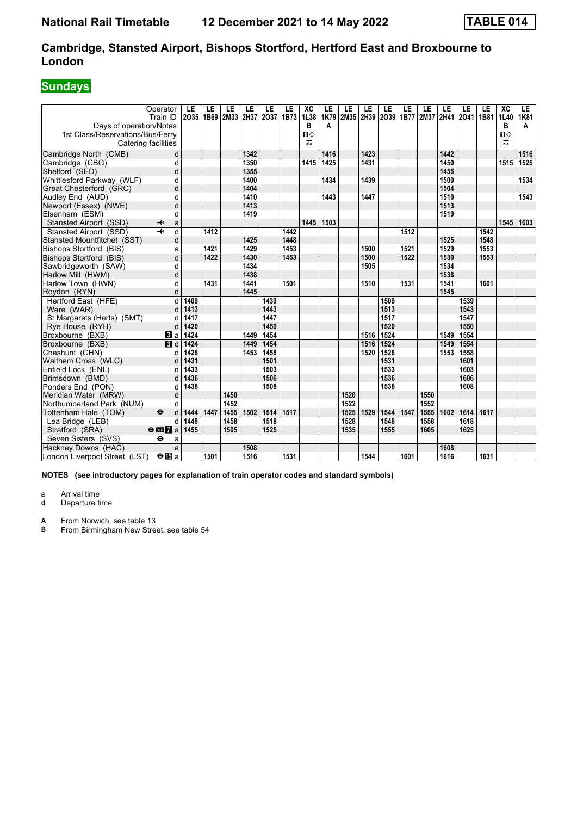### **Sundays**

| Operator<br>Train ID                                                               |                         | LE<br>2035   | LE<br>1B69 | LE<br>2M33 2H37 | LE   | LE<br>2037   | LE<br>1B73 | XC<br>1L38             | LE<br>1K79 | LE<br>2M35 2H39 | LE   | LE<br>2039 | LE   | LE<br>1B77 2M37 | LE<br>2H41 | LE<br>2041   | LE<br>1B81 | $\overline{AC}$<br>1L40 | LE.<br>1K81 |
|------------------------------------------------------------------------------------|-------------------------|--------------|------------|-----------------|------|--------------|------------|------------------------|------------|-----------------|------|------------|------|-----------------|------------|--------------|------------|-------------------------|-------------|
| Days of operation/Notes<br>1st Class/Reservations/Bus/Ferry<br>Catering facilities |                         |              |            |                 |      |              |            | в<br>$\mathbf{u}$<br>ᠼ | A          |                 |      |            |      |                 |            |              |            | в<br>$\mathbf{u}$<br>ᠼ  | A           |
| Cambridge North (CMB)                                                              | d                       |              |            |                 | 1342 |              |            |                        | 1416       |                 | 1423 |            |      |                 | 1442       |              |            |                         | 1516        |
| Cambridge (CBG)                                                                    | d                       |              |            |                 | 1350 |              |            | 1415                   | 1425       |                 | 1431 |            |      |                 | 1450       |              |            | 1515                    | 1525        |
| Shelford (SED)                                                                     | d                       |              |            |                 | 1355 |              |            |                        |            |                 |      |            |      |                 | 1455       |              |            |                         |             |
| Whittlesford Parkway (WLF)                                                         | d                       |              |            |                 | 1400 |              |            |                        | 1434       |                 | 1439 |            |      |                 | 1500       |              |            |                         | 1534        |
| Great Chesterford (GRC)                                                            | d                       |              |            |                 | 1404 |              |            |                        |            |                 |      |            |      |                 | 1504       |              |            |                         |             |
| Audley End (AUD)                                                                   | d                       |              |            |                 | 1410 |              |            |                        | 1443       |                 | 1447 |            |      |                 | 1510       |              |            |                         | 1543        |
| Newport (Essex) (NWE)                                                              | d                       |              |            |                 | 1413 |              |            |                        |            |                 |      |            |      |                 | 1513       |              |            |                         |             |
| Elsenham (ESM)                                                                     | d                       |              |            |                 | 1419 |              |            |                        |            |                 |      |            |      |                 | 1519       |              |            |                         |             |
| Stansted Airport (SSD)<br>↞                                                        | a                       |              |            |                 |      |              |            | 1445                   | 1503       |                 |      |            |      |                 |            |              |            | 1545                    | 1603        |
| $\overline{\mathbf{r}}$<br>Stansted Airport (SSD)                                  | d                       |              | 1412       |                 |      |              | 1442       |                        |            |                 |      |            | 1512 |                 |            |              | 1542       |                         |             |
| Stansted Mountfitchet (SST)                                                        | d                       |              |            |                 | 1425 |              | 1448       |                        |            |                 |      |            |      |                 | 1525       |              | 1548       |                         |             |
| Bishops Stortford (BIS)                                                            | a                       |              | 1421       |                 | 1429 |              | 1453       |                        |            |                 | 1500 |            | 1521 |                 | 1529       |              | 1553       |                         |             |
| Bishops Stortford (BIS)                                                            | $\overline{\mathsf{d}}$ |              | 1422       |                 | 1430 |              | 1453       |                        |            |                 | 1500 |            | 1522 |                 | 1530       |              | 1553       |                         |             |
| Sawbridgeworth (SAW)                                                               | d                       |              |            |                 | 1434 |              |            |                        |            |                 | 1505 |            |      |                 | 1534       |              |            |                         |             |
| Harlow Mill (HWM)                                                                  | d                       |              |            |                 | 1438 |              |            |                        |            |                 |      |            |      |                 | 1538       |              |            |                         |             |
| Harlow Town (HWN)                                                                  | d                       |              | 1431       |                 | 1441 |              | 1501       |                        |            |                 | 1510 |            | 1531 |                 | 1541       |              | 1601       |                         |             |
| Roydon (RYN)                                                                       | d                       |              |            |                 | 1445 |              |            |                        |            |                 |      |            |      |                 | 1545       |              |            |                         |             |
| Hertford East (HFE)                                                                | d                       | 1409         |            |                 |      | 1439         |            |                        |            |                 |      | 1509       |      |                 |            | 1539         |            |                         |             |
| Ware (WAR)                                                                         | d                       | 1413         |            |                 |      | 1443         |            |                        |            |                 |      | 1513       |      |                 |            | 1543         |            |                         |             |
| St Margarets (Herts) (SMT)                                                         | d                       | 1417         |            |                 |      | 1447         |            |                        |            |                 |      | 1517       |      |                 |            | 1547         |            |                         |             |
| Rye House (RYH)                                                                    | d                       | 1420         |            |                 |      | 1450         |            |                        |            |                 |      | 1520       |      |                 |            | 1550         |            |                         |             |
| Broxbourne (BXB)                                                                   | $\bf{3}$ a              | 1424         |            |                 | 1449 | 1454         |            |                        |            |                 | 1516 | 1524       |      |                 | 1549       | 1554         |            |                         |             |
| Broxbourne (BXB)                                                                   | $\blacksquare$          | 1424         |            |                 | 1449 | 1454         |            |                        |            |                 | 1516 | 1524       |      |                 | 1549       | 1554         |            |                         |             |
| Cheshunt (CHN)                                                                     | d                       | 1428         |            |                 | 1453 | 1458         |            |                        |            |                 | 1520 | 1528       |      |                 | 1553       | 1558         |            |                         |             |
| Waltham Cross (WLC)                                                                | d                       | 1431         |            |                 |      | 1501         |            |                        |            |                 |      | 1531       |      |                 |            | 1601         |            |                         |             |
| Enfield Lock (ENL)                                                                 | d                       | 1433         |            |                 |      | 1503         |            |                        |            |                 |      | 1533       |      |                 |            | 1603         |            |                         |             |
| Brimsdown (BMD)                                                                    | d                       | 1436<br>1438 |            |                 |      | 1506<br>1508 |            |                        |            |                 |      | 1536       |      |                 |            | 1606<br>1608 |            |                         |             |
| Ponders End (PON)                                                                  | d<br>d                  |              |            | 1450            |      |              |            |                        |            | 1520            |      | 1538       |      | 1550            |            |              |            |                         |             |
| Meridian Water (MRW)<br>Northumberland Park (NUM)                                  | d                       |              |            | 1452            |      |              |            |                        |            | 1522            |      |            |      | 1552            |            |              |            |                         |             |
| $\ddot{\boldsymbol{\Theta}}$                                                       | d                       | 1444         | 1447       | 1455            | 1502 | 1514         | 1517       |                        |            | 1525            | 1529 | 1544       | 1547 | 1555            | 1602       | 1614         | 1617       |                         |             |
| Tottenham Hale (TOM)<br>Lea Bridge (LEB)                                           | d                       | 1448         |            | 1458            |      | 1518         |            |                        |            | 1528            |      | 1548       |      | 1558            |            | 1618         |            |                         |             |
| Stratford (SRA)<br>$\Theta$ <b>ER</b> $\theta$ a                                   |                         | 1455         |            | 1505            |      | 1525         |            |                        |            | 1535            |      | 1555       |      | 1605            |            | 1625         |            |                         |             |
| Seven Sisters (SVS)<br>٠                                                           | a                       |              |            |                 |      |              |            |                        |            |                 |      |            |      |                 |            |              |            |                         |             |
| Hackney Downs (HAC)                                                                | a                       |              |            |                 | 1508 |              |            |                        |            |                 |      |            |      |                 | 1608       |              |            |                         |             |
| London Liverpool Street (LST)                                                      | $\Theta$ $\mathbf{E}$ a |              | 1501       |                 | 1516 |              | 1531       |                        |            |                 | 1544 |            | 1601 |                 | 1616       |              | 1631       |                         |             |
|                                                                                    |                         |              |            |                 |      |              |            |                        |            |                 |      |            |      |                 |            |              |            |                         |             |

**NOTES (see introductory pages for explanation of train operator codes and standard symbols)**

**a** Arrival time<br>**d** Departure t **d** Departure time

**A** From Norwich, see table 13<br>**B** From Birmingham New Stree From Birmingham New Street, see table 54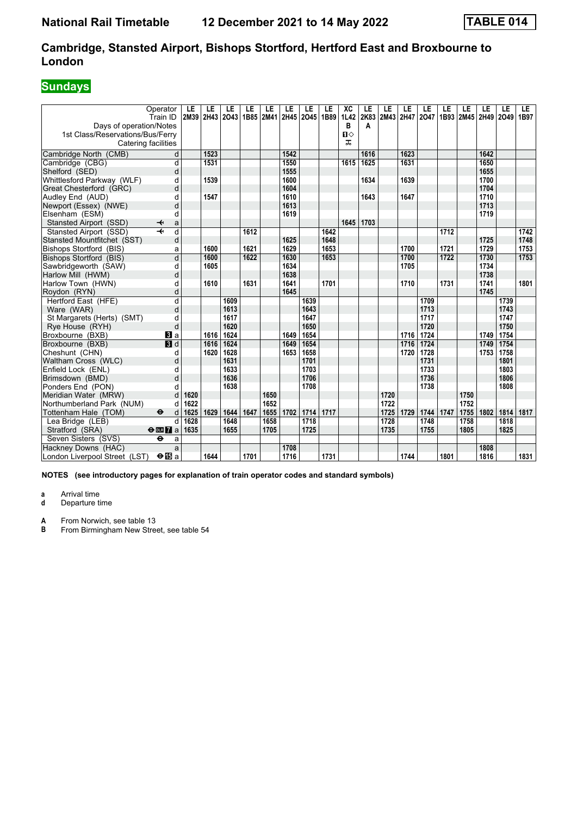### **Sundays**

|                                     | Operator                                  | LE           | LE   | LE   | LE   | LE           | LE   | LE                       | LE   | XC           | LE        | LE           | LE   | LE   | LE   | LE             | LE   | LE   | LE                |
|-------------------------------------|-------------------------------------------|--------------|------|------|------|--------------|------|--------------------------|------|--------------|-----------|--------------|------|------|------|----------------|------|------|-------------------|
| Days of operation/Notes             | Train ID                                  | 2M39         | 2H43 | 2043 |      |              |      | 1B85 2M41 2H45 2O45 1B89 |      | 1L42<br>в    | 2K83<br>A | 2M43 2H47    |      | 2047 |      | 1B93 2M45 2H49 |      | 2049 | 1B97              |
| 1st Class/Reservations/Bus/Ferry    |                                           |              |      |      |      |              |      |                          |      | $\mathbf{u}$ |           |              |      |      |      |                |      |      |                   |
| Catering facilities                 |                                           |              |      |      |      |              |      |                          |      | ᠼ            |           |              |      |      |      |                |      |      |                   |
| Cambridge North (CMB)               | d                                         |              | 1523 |      |      |              | 1542 |                          |      |              | 1616      |              | 1623 |      |      |                | 1642 |      |                   |
| Cambridge (CBG)                     | d                                         |              | 1531 |      |      |              | 1550 |                          |      | 1615         | 1625      |              | 1631 |      |      |                | 1650 |      |                   |
| Shelford (SED)                      | d                                         |              |      |      |      |              | 1555 |                          |      |              |           |              |      |      |      |                | 1655 |      |                   |
| Whittlesford Parkway (WLF)          | d                                         |              | 1539 |      |      |              | 1600 |                          |      |              | 1634      |              | 1639 |      |      |                | 1700 |      |                   |
| Great Chesterford (GRC)             | d                                         |              |      |      |      |              | 1604 |                          |      |              |           |              |      |      |      |                | 1704 |      |                   |
| Audley End (AUD)                    | d                                         |              | 1547 |      |      |              | 1610 |                          |      |              | 1643      |              | 1647 |      |      |                | 1710 |      |                   |
| Newport (Essex) (NWE)               | d                                         |              |      |      |      |              | 1613 |                          |      |              |           |              |      |      |      |                | 1713 |      |                   |
| Elsenham (ESM)                      | d                                         |              |      |      |      |              | 1619 |                          |      |              |           |              |      |      |      |                | 1719 |      |                   |
| Stansted Airport (SSD)              | ↞<br>a                                    |              |      |      |      |              |      |                          |      | 1645         | 1703      |              |      |      |      |                |      |      |                   |
| Stansted Airport (SSD)              | $\overline{d}$<br>$\overline{\mathbf{t}}$ |              |      |      | 1612 |              |      |                          | 1642 |              |           |              |      |      | 1712 |                |      |      | $\overline{1742}$ |
| Stansted Mountfitchet (SST)         | d                                         |              |      |      |      |              | 1625 |                          | 1648 |              |           |              |      |      |      |                | 1725 |      | 1748              |
| Bishops Stortford (BIS)             | a                                         |              | 1600 |      | 1621 |              | 1629 |                          | 1653 |              |           |              | 1700 |      | 1721 |                | 1729 |      | 1753              |
| Bishops Stortford (BIS)             | d                                         |              | 1600 |      | 1622 |              | 1630 |                          | 1653 |              |           |              | 1700 |      | 1722 |                | 1730 |      | 1753              |
| Sawbridgeworth (SAW)                | d                                         |              | 1605 |      |      |              | 1634 |                          |      |              |           |              | 1705 |      |      |                | 1734 |      |                   |
| Harlow Mill (HWM)                   | d                                         |              |      |      |      |              | 1638 |                          |      |              |           |              |      |      |      |                | 1738 |      |                   |
| Harlow Town (HWN)                   | d                                         |              | 1610 |      | 1631 |              | 1641 |                          | 1701 |              |           |              | 1710 |      | 1731 |                | 1741 |      | 1801              |
| Roydon (RYN)                        | d                                         |              |      |      |      |              | 1645 |                          |      |              |           |              |      |      |      |                | 1745 |      |                   |
| Hertford East (HFE)                 | d                                         |              |      | 1609 |      |              |      | 1639                     |      |              |           |              |      | 1709 |      |                |      | 1739 |                   |
| Ware (WAR)                          | d                                         |              |      | 1613 |      |              |      | 1643                     |      |              |           |              |      | 1713 |      |                |      | 1743 |                   |
| St Margarets (Herts) (SMT)          | d                                         |              |      | 1617 |      |              |      | 1647                     |      |              |           |              |      | 1717 |      |                |      | 1747 |                   |
| Rye House (RYH)                     | d                                         |              |      | 1620 |      |              |      | 1650                     |      |              |           |              |      | 1720 |      |                |      | 1750 |                   |
| Broxbourne (BXB)                    | $\mathbf{B}$ a                            |              | 1616 | 1624 |      |              | 1649 | 1654                     |      |              |           |              | 1716 | 1724 |      |                | 1749 | 1754 |                   |
| Broxbourne (BXB)                    | <b>B</b> d                                |              | 1616 | 1624 |      |              | 1649 | 1654                     |      |              |           |              | 1716 | 1724 |      |                | 1749 | 1754 |                   |
| Cheshunt (CHN)                      | d                                         |              | 1620 | 1628 |      |              | 1653 | 1658                     |      |              |           |              | 1720 | 1728 |      |                | 1753 | 1758 |                   |
| Waltham Cross (WLC)                 | d                                         |              |      | 1631 |      |              |      | 1701                     |      |              |           |              |      | 1731 |      |                |      | 1801 |                   |
| Enfield Lock (ENL)                  | d                                         |              |      | 1633 |      |              |      | 1703                     |      |              |           |              |      | 1733 |      |                |      | 1803 |                   |
| Brimsdown (BMD)                     | d                                         |              |      | 1636 |      |              |      | 1706                     |      |              |           |              |      | 1736 |      |                |      | 1806 |                   |
| Ponders End (PON)                   | d                                         |              |      | 1638 |      |              |      | 1708                     |      |              |           |              |      | 1738 |      |                |      | 1808 |                   |
| Meridian Water (MRW)                | d                                         | 1620<br>1622 |      |      |      | 1650<br>1652 |      |                          |      |              |           | 1720<br>1722 |      |      |      | 1750<br>1752   |      |      |                   |
| Northumberland Park (NUM)           | d<br>$\ddot{\boldsymbol{\Theta}}$         | 1625         | 1629 | 1644 | 1647 | 1655         | 1702 | 1714                     | 1717 |              |           | 1725         | 1729 | 1744 | 1747 | 1755           | 1802 | 1814 | 1817              |
| Tottenham Hale (TOM)                | d<br>d                                    | 1628         |      | 1648 |      | 1658         |      | 1718                     |      |              |           | 1728         |      | 1748 |      | 1758           |      | 1818 |                   |
| Lea Bridge (LEB)<br>Stratford (SRA) | $\Theta$ or $\Gamma$ a                    | 1635         |      | 1655 |      | 1705         |      | 1725                     |      |              |           | 1735         |      | 1755 |      | 1805           |      | 1825 |                   |
| Seven Sisters (SVS)                 | $\ddot{\mathbf{e}}$<br>a                  |              |      |      |      |              |      |                          |      |              |           |              |      |      |      |                |      |      |                   |
|                                     | a                                         |              |      |      |      |              | 1708 |                          |      |              |           |              |      |      |      |                | 1808 |      |                   |
| Hackney Downs (HAC)                 |                                           |              | 1644 |      | 1701 |              | 1716 |                          | 1731 |              |           |              | 1744 |      | 1801 |                | 1816 |      | 1831              |
| London Liverpool Street (LST)       | $\Theta$ is a                             |              |      |      |      |              |      |                          |      |              |           |              |      |      |      |                |      |      |                   |

**NOTES (see introductory pages for explanation of train operator codes and standard symbols)**

**a** Arrival time<br>**d** Departure t **d** Departure time

**A** From Norwich, see table 13<br>**B** From Birmingham New Stree From Birmingham New Street, see table 54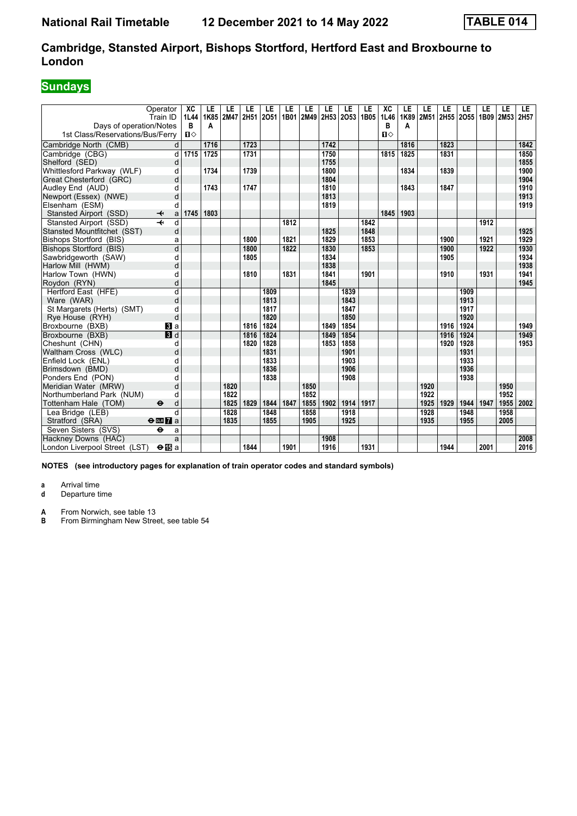### **Sundays**

| Operator<br>Train ID<br>Days of operation/Notes      | XC<br>1L44<br>B | LE<br>1K85<br>A | LE<br><b>2M47</b> | LE   | LE<br>2H51 2O51 | LE<br>1B01 | LE<br>2M49 2H53 2O53 | LE   | LE   | LE<br>1B05 | XC<br>1L46<br>в | LE<br>1K89<br>А | LE<br>2M51 | LE   | LE<br>2H55 2O55 | LE<br>1B09 2M53 | LE   | LE.<br>2H57 |
|------------------------------------------------------|-----------------|-----------------|-------------------|------|-----------------|------------|----------------------|------|------|------------|-----------------|-----------------|------------|------|-----------------|-----------------|------|-------------|
| 1st Class/Reservations/Bus/Ferry                     | $\mathbf{u}$    |                 |                   |      |                 |            |                      |      |      |            | $\mathbf{n}$    |                 |            |      |                 |                 |      |             |
| Cambridge North (CMB)                                | d               | 1716            |                   | 1723 |                 |            |                      | 1742 |      |            |                 | 1816            |            | 1823 |                 |                 |      | 1842        |
| Cambridge (CBG)                                      | 1715<br>d       | 1725            |                   | 1731 |                 |            |                      | 1750 |      |            | 1815            | 1825            |            | 1831 |                 |                 |      | 1850        |
| Shelford (SED)                                       | d               |                 |                   |      |                 |            |                      | 1755 |      |            |                 |                 |            |      |                 |                 |      | 1855        |
| Whittlesford Parkway (WLF)                           | d               | 1734            |                   | 1739 |                 |            |                      | 1800 |      |            |                 | 1834            |            | 1839 |                 |                 |      | 1900        |
| Great Chesterford (GRC)                              | d               |                 |                   |      |                 |            |                      | 1804 |      |            |                 |                 |            |      |                 |                 |      | 1904        |
| Audley End (AUD)                                     | d               | 1743            |                   | 1747 |                 |            |                      | 1810 |      |            |                 | 1843            |            | 1847 |                 |                 |      | 1910        |
| Newport (Essex) (NWE)                                | d               |                 |                   |      |                 |            |                      | 1813 |      |            |                 |                 |            |      |                 |                 |      | 1913        |
| Elsenham (ESM)                                       | d               |                 |                   |      |                 |            |                      | 1819 |      |            |                 |                 |            |      |                 |                 |      | 1919        |
| Stansted Airport (SSD)<br>↞                          | 1745<br>a       | 1803            |                   |      |                 |            |                      |      |      |            | 1845            | 1903            |            |      |                 |                 |      |             |
| Stansted Airport (SSD)                               | d               |                 |                   |      |                 | 1812       |                      |      |      | 1842       |                 |                 |            |      |                 | 1912            |      |             |
| Stansted Mountfitchet (SST)                          | d               |                 |                   |      |                 |            |                      | 1825 |      | 1848       |                 |                 |            |      |                 |                 |      | 1925        |
| Bishops Stortford (BIS)                              | a               |                 |                   | 1800 |                 | 1821       |                      | 1829 |      | 1853       |                 |                 |            | 1900 |                 | 1921            |      | 1929        |
| Bishops Stortford (BIS)                              | d               |                 |                   | 1800 |                 | 1822       |                      | 1830 |      | 1853       |                 |                 |            | 1900 |                 | 1922            |      | 1930        |
| Sawbridgeworth (SAW)                                 | d               |                 |                   | 1805 |                 |            |                      | 1834 |      |            |                 |                 |            | 1905 |                 |                 |      | 1934        |
| Harlow Mill (HWM)                                    | d               |                 |                   |      |                 |            |                      | 1838 |      |            |                 |                 |            |      |                 |                 |      | 1938        |
| Harlow Town (HWN)                                    | d               |                 |                   | 1810 |                 | 1831       |                      | 1841 |      | 1901       |                 |                 |            | 1910 |                 | 1931            |      | 1941        |
| Roydon (RYN)                                         | d               |                 |                   |      |                 |            |                      | 1845 |      |            |                 |                 |            |      |                 |                 |      | 1945        |
| Hertford East (HFE)                                  | $\overline{d}$  |                 |                   |      | 1809            |            |                      |      | 1839 |            |                 |                 |            |      | 1909            |                 |      |             |
| Ware (WAR)                                           | d               |                 |                   |      | 1813            |            |                      |      | 1843 |            |                 |                 |            |      | 1913            |                 |      |             |
| St Margarets (Herts) (SMT)                           | d               |                 |                   |      | 1817            |            |                      |      | 1847 |            |                 |                 |            |      | 1917            |                 |      |             |
| Rye House (RYH)                                      | d               |                 |                   |      | 1820            |            |                      |      | 1850 |            |                 |                 |            |      | 1920            |                 |      |             |
| Broxbourne (BXB)                                     | <b>B</b> la     |                 |                   | 1816 | 1824            |            |                      | 1849 | 1854 |            |                 |                 |            | 1916 | 1924            |                 |      | 1949        |
| Broxbourne (BXB)                                     | 3d              |                 |                   | 1816 | 1824            |            |                      | 1849 | 1854 |            |                 |                 |            | 1916 | 1924            |                 |      | 1949        |
| Cheshunt (CHN)                                       | d               |                 |                   | 1820 | 1828            |            |                      | 1853 | 1858 |            |                 |                 |            | 1920 | 1928            |                 |      | 1953        |
| Waltham Cross (WLC)                                  | d               |                 |                   |      | 1831            |            |                      |      | 1901 |            |                 |                 |            |      | 1931            |                 |      |             |
| Enfield Lock (ENL)                                   | d               |                 |                   |      | 1833            |            |                      |      | 1903 |            |                 |                 |            |      | 1933            |                 |      |             |
| Brimsdown (BMD)                                      | d               |                 |                   |      | 1836            |            |                      |      | 1906 |            |                 |                 |            |      | 1936            |                 |      |             |
| Ponders End (PON)                                    | d               |                 |                   |      | 1838            |            |                      |      | 1908 |            |                 |                 |            |      | 1938            |                 |      |             |
| Meridian Water (MRW)                                 | d               |                 | 1820              |      |                 |            | 1850                 |      |      |            |                 |                 | 1920       |      |                 |                 | 1950 |             |
| Northumberland Park (NUM)                            | d               |                 | 1822              |      |                 |            | 1852                 |      |      |            |                 |                 | 1922       |      |                 |                 | 1952 |             |
| Tottenham Hale (TOM)<br>$\ddot{\boldsymbol{\Theta}}$ | d               |                 | 1825              | 1829 | 1844            | 1847       | 1855                 | 1902 | 1914 | 1917       |                 |                 | 1925       | 1929 | 1944            | 1947            | 1955 | 2002        |
| Lea Bridge (LEB)                                     | d               |                 | 1828              |      | 1848            |            | 1858                 |      | 1918 |            |                 |                 | 1928       |      | 1948            |                 | 1958 |             |
| Stratford (SRA)<br>$\Theta$ or $\overline{7}$ a      |                 |                 | 1835              |      | 1855            |            | 1905                 |      | 1925 |            |                 |                 | 1935       |      | 1955            |                 | 2005 |             |
| Seven Sisters (SVS)<br>٠                             | a               |                 |                   |      |                 |            |                      |      |      |            |                 |                 |            |      |                 |                 |      |             |
| Hackney Downs (HAC)                                  | a               |                 |                   |      |                 |            |                      | 1908 |      |            |                 |                 |            |      |                 |                 |      | 2008        |
| London Liverpool Street (LST)<br>$\Theta$ is a       |                 |                 |                   | 1844 |                 | 1901       |                      | 1916 |      | 1931       |                 |                 |            | 1944 |                 | 2001            |      | 2016        |

**NOTES (see introductory pages for explanation of train operator codes and standard symbols)**

**a** Arrival time<br>**d** Departure t

**d** Departure time

**A** From Norwich, see table 13<br>**B** From Birmingham New Stree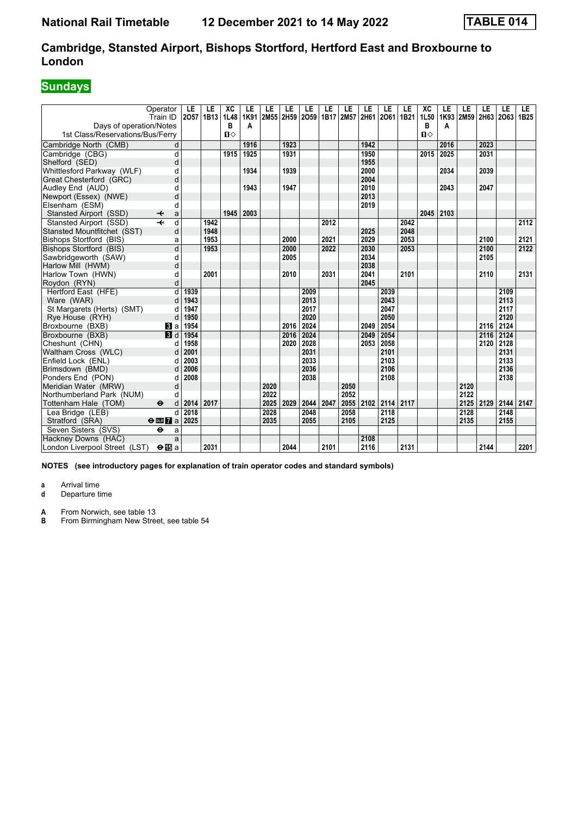### **Cambridge, Stansted Airport, Bishops Stortford, Hertford East and Broxbourne to London**

## **Sundays**

|                                  | Operator<br>Train ID              | LE<br>2057 | LE<br>1B13 | XC<br>1L48 | LE<br>1K91 | LE<br>2M55 | LE   | LE<br>2H59 2O59 1B17 | LE   | LE<br>2M57 | LE<br>2H61 | LE<br>2061 1B21 | LE   | XC<br>1L50   | LE<br>1K93 | LE<br>2M59 2H63 2O63 | LE   | LE   | LE<br>1B <sub>25</sub> |
|----------------------------------|-----------------------------------|------------|------------|------------|------------|------------|------|----------------------|------|------------|------------|-----------------|------|--------------|------------|----------------------|------|------|------------------------|
| Days of operation/Notes          |                                   |            |            | В          | A          |            |      |                      |      |            |            |                 |      | в            | A          |                      |      |      |                        |
| 1st Class/Reservations/Bus/Ferry |                                   |            |            | $\P$       |            |            |      |                      |      |            |            |                 |      | $\mathbf{u}$ |            |                      |      |      |                        |
| Cambridge North (CMB)            | d                                 |            |            |            | 1916       |            | 1923 |                      |      |            | 1942       |                 |      |              | 2016       |                      | 2023 |      |                        |
| Cambridge (CBG)                  | d                                 |            |            | 1915       | 1925       |            | 1931 |                      |      |            | 1950       |                 |      | 2015         | 2025       |                      | 2031 |      |                        |
| Shelford (SED)                   | d                                 |            |            |            |            |            |      |                      |      |            | 1955       |                 |      |              |            |                      |      |      |                        |
| Whittlesford Parkway (WLF)       | d                                 |            |            |            | 1934       |            | 1939 |                      |      |            | 2000       |                 |      |              | 2034       |                      | 2039 |      |                        |
| Great Chesterford (GRC)          | d                                 |            |            |            |            |            |      |                      |      |            | 2004       |                 |      |              |            |                      |      |      |                        |
| Audley End (AUD)                 | d                                 |            |            |            | 1943       |            | 1947 |                      |      |            | 2010       |                 |      |              | 2043       |                      | 2047 |      |                        |
| Newport (Essex) (NWE)            | d                                 |            |            |            |            |            |      |                      |      |            | 2013       |                 |      |              |            |                      |      |      |                        |
| Elsenham (ESM)                   | d                                 |            |            |            |            |            |      |                      |      |            | 2019       |                 |      |              |            |                      |      |      |                        |
| Stansted Airport (SSD)           | ↞<br>a                            |            |            | 1945       | 2003       |            |      |                      |      |            |            |                 |      | 2045         | 2103       |                      |      |      |                        |
| Stansted Airport (SSD)           | d                                 |            | 1942       |            |            |            |      |                      | 2012 |            |            |                 | 2042 |              |            |                      |      |      | 2112                   |
| Stansted Mountfitchet (SST)      | d                                 |            | 1948       |            |            |            |      |                      |      |            | 2025       |                 | 2048 |              |            |                      |      |      |                        |
| Bishops Stortford (BIS)          | a                                 |            | 1953       |            |            |            | 2000 |                      | 2021 |            | 2029       |                 | 2053 |              |            |                      | 2100 |      | 2121                   |
| <b>Bishops Stortford (BIS)</b>   | $\overline{d}$                    |            | 1953       |            |            |            | 2000 |                      | 2022 |            | 2030       |                 | 2053 |              |            |                      | 2100 |      | 2122                   |
| Sawbridgeworth (SAW)             | d                                 |            |            |            |            |            | 2005 |                      |      |            | 2034       |                 |      |              |            |                      | 2105 |      |                        |
| Harlow Mill (HWM)                | d                                 |            |            |            |            |            |      |                      |      |            | 2038       |                 |      |              |            |                      |      |      |                        |
| Harlow Town (HWN)                | d                                 |            | 2001       |            |            |            | 2010 |                      | 2031 |            | 2041       |                 | 2101 |              |            |                      | 2110 |      | 2131                   |
| Roydon (RYN)                     | d                                 |            |            |            |            |            |      |                      |      |            | 2045       |                 |      |              |            |                      |      |      |                        |
| Hertford East (HFE)              | $\overline{d}$                    | 1939       |            |            |            |            |      | 2009                 |      |            |            | 2039            |      |              |            |                      |      | 2109 |                        |
| Ware (WAR)                       | d                                 | 1943       |            |            |            |            |      | 2013                 |      |            |            | 2043            |      |              |            |                      |      | 2113 |                        |
| St Margarets (Herts) (SMT)       | d                                 | 1947       |            |            |            |            |      | 2017                 |      |            |            | 2047            |      |              |            |                      |      | 2117 |                        |
| Rye House (RYH)                  | d                                 | 1950       |            |            |            |            |      | 2020                 |      |            |            | 2050            |      |              |            |                      |      | 2120 |                        |
| Broxbourne (BXB)                 | <b>B</b> la                       | 1954       |            |            |            |            | 2016 | 2024                 |      |            | 2049       | 2054            |      |              |            |                      | 2116 | 2124 |                        |
| Broxbourne (BXB)                 | $\blacksquare$                    | 1954       |            |            |            |            | 2016 | 2024                 |      |            | 2049       | 2054            |      |              |            |                      | 2116 | 2124 |                        |
| Cheshunt (CHN)                   | d                                 | 1958       |            |            |            |            | 2020 | 2028                 |      |            | 2053       | 2058            |      |              |            |                      | 2120 | 2128 |                        |
| Waltham Cross (WLC)              | d                                 | 2001       |            |            |            |            |      | 2031                 |      |            |            | 2101            |      |              |            |                      |      | 2131 |                        |
| Enfield Lock (ENL)               | d                                 | 2003       |            |            |            |            |      | 2033                 |      |            |            | 2103            |      |              |            |                      |      | 2133 |                        |
| Brimsdown (BMD)                  | d                                 | 2006       |            |            |            |            |      | 2036                 |      |            |            | 2106            |      |              |            |                      |      | 2136 |                        |
| Ponders End (PON)                | d                                 | 2008       |            |            |            |            |      | 2038                 |      |            |            | 2108            |      |              |            |                      |      | 2138 |                        |
| Meridian Water (MRW)             | d                                 |            |            |            |            | 2020       |      |                      |      | 2050       |            |                 |      |              |            | 2120                 |      |      |                        |
| Northumberland Park (NUM)        | d                                 |            |            |            |            | 2022       |      |                      |      | 2052       |            |                 |      |              |            | 2122                 |      |      |                        |
| Tottenham Hale (TOM)             | $\ddot{\boldsymbol{\Theta}}$<br>d | 2014       | 2017       |            |            | 2025       | 2029 | 2044                 | 2047 | 2055       | 2102       | 2114 2117       |      |              |            | 2125                 | 2129 | 2144 | 2147                   |
| Lea Bridge (LEB)                 | d                                 | 2018       |            |            |            | 2028       |      | 2048                 |      | 2058       |            | 2118            |      |              |            | 2128                 |      | 2148 |                        |
| Stratford (SRA)                  | $\Theta$ or $\overline{7}$ a      | 2025       |            |            |            | 2035       |      | 2055                 |      | 2105       |            | 2125            |      |              |            | 2135                 |      | 2155 |                        |
| Seven Sisters (SVS)              | $\ddot{\mathbf{e}}$<br>a          |            |            |            |            |            |      |                      |      |            |            |                 |      |              |            |                      |      |      |                        |
| Hackney Downs (HAC)              | a                                 |            |            |            |            |            |      |                      |      |            | 2108       |                 |      |              |            |                      |      |      |                        |
| London Liverpool Street (LST)    | $\Theta$ is a                     |            | 2031       |            |            |            | 2044 |                      | 2101 |            | 2116       |                 | 2131 |              |            |                      | 2144 |      | 2201                   |

**NOTES (see introductory pages for explanation of train operator codes and standard symbols)**

**a** Arrival time<br>**d** Departure t

**d** Departure time

**A** From Norwich, see table 13<br>**B** From Birmingham New Stree

From Birmingham New Street, see table 54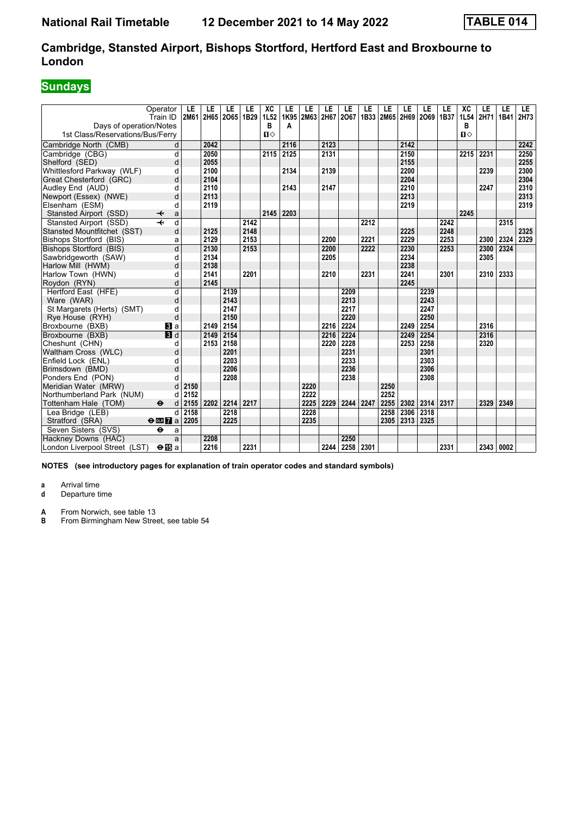#### **Cambridge, Stansted Airport, Bishops Stortford, Hertford East and Broxbourne to London**

## **Sundays**

|                                  | Operator<br>Train ID              | LE<br>2M61 | LE   | LE<br>2H65 2O65 | LE<br>1B29 | XC<br>1L52   | LE<br>1K95 | LE<br>2M63 2H67 | LE   | LE<br>2067 | LE   | LE   | LE   | LE<br>1B33 2M65 2H69 2O69 | LE<br>1B37 | XC<br>1L54   | LE<br>2H71 | LE<br>1B41 | LE.<br>2H73 |
|----------------------------------|-----------------------------------|------------|------|-----------------|------------|--------------|------------|-----------------|------|------------|------|------|------|---------------------------|------------|--------------|------------|------------|-------------|
| Days of operation/Notes          |                                   |            |      |                 |            | В            | Α          |                 |      |            |      |      |      |                           |            | в            |            |            |             |
| 1st Class/Reservations/Bus/Ferry |                                   |            |      |                 |            | $\mathbf{u}$ |            |                 |      |            |      |      |      |                           |            | $\mathbf{n}$ |            |            |             |
| Cambridge North (CMB)            | d                                 |            | 2042 |                 |            |              | 2116       |                 | 2123 |            |      |      | 2142 |                           |            |              |            |            | 2242        |
| Cambridge (CBG)                  | d                                 |            | 2050 |                 |            | 2115         | 2125       |                 | 2131 |            |      |      | 2150 |                           |            | 2215         | 2231       |            | 2250        |
| Shelford (SED)                   | d                                 |            | 2055 |                 |            |              |            |                 |      |            |      |      | 2155 |                           |            |              |            |            | 2255        |
| Whittlesford Parkway (WLF)       | d                                 |            | 2100 |                 |            |              | 2134       |                 | 2139 |            |      |      | 2200 |                           |            |              | 2239       |            | 2300        |
| Great Chesterford (GRC)          | d                                 |            | 2104 |                 |            |              |            |                 |      |            |      |      | 2204 |                           |            |              |            |            | 2304        |
| Audley End (AUD)                 | d                                 |            | 2110 |                 |            |              | 2143       |                 | 2147 |            |      |      | 2210 |                           |            |              | 2247       |            | 2310        |
| Newport (Essex) (NWE)            | d                                 |            | 2113 |                 |            |              |            |                 |      |            |      |      | 2213 |                           |            |              |            |            | 2313        |
| Elsenham (ESM)                   | d                                 |            | 2119 |                 |            |              |            |                 |      |            |      |      | 2219 |                           |            |              |            |            | 2319        |
| Stansted Airport (SSD)           | ↞<br>a                            |            |      |                 |            | 2145         | 2203       |                 |      |            |      |      |      |                           |            | 2245         |            |            |             |
| Stansted Airport (SSD)           | d                                 |            |      |                 | 2142       |              |            |                 |      |            | 2212 |      |      |                           | 2242       |              |            | 2315       |             |
| Stansted Mountfitchet (SST)      | d                                 |            | 2125 |                 | 2148       |              |            |                 |      |            |      |      | 2225 |                           | 2248       |              |            |            | 2325        |
| <b>Bishops Stortford (BIS)</b>   | a                                 |            | 2129 |                 | 2153       |              |            |                 | 2200 |            | 2221 |      | 2229 |                           | 2253       |              | 2300       | 2324       | 2329        |
| Bishops Stortford (BIS)          | d                                 |            | 2130 |                 | 2153       |              |            |                 | 2200 |            | 2222 |      | 2230 |                           | 2253       |              | 2300       | 2324       |             |
| Sawbridgeworth (SAW)             | d                                 |            | 2134 |                 |            |              |            |                 | 2205 |            |      |      | 2234 |                           |            |              | 2305       |            |             |
| Harlow Mill (HWM)                | d                                 |            | 2138 |                 |            |              |            |                 |      |            |      |      | 2238 |                           |            |              |            |            |             |
| Harlow Town (HWN)                | d                                 |            | 2141 |                 | 2201       |              |            |                 | 2210 |            | 2231 |      | 2241 |                           | 2301       |              | 2310       | 2333       |             |
| Roydon (RYN)                     | d                                 |            | 2145 |                 |            |              |            |                 |      |            |      |      | 2245 |                           |            |              |            |            |             |
| Hertford East (HFE)              | d                                 |            |      | 2139            |            |              |            |                 |      | 2209       |      |      |      | 2239                      |            |              |            |            |             |
| Ware (WAR)                       | d                                 |            |      | 2143            |            |              |            |                 |      | 2213       |      |      |      | 2243                      |            |              |            |            |             |
| St Margarets (Herts) (SMT)       | d                                 |            |      | 2147            |            |              |            |                 |      | 2217       |      |      |      | 2247                      |            |              |            |            |             |
| Rye House (RYH)                  | d                                 |            |      | 2150            |            |              |            |                 |      | 2220       |      |      |      | 2250                      |            |              |            |            |             |
| Broxbourne (BXB)                 | <b>B</b> la                       |            | 2149 | 2154            |            |              |            |                 | 2216 | 2224       |      |      | 2249 | 2254                      |            |              | 2316       |            |             |
| Broxbourne (BXB)                 | $\blacksquare$                    |            | 2149 | 2154            |            |              |            |                 | 2216 | 2224       |      |      | 2249 | 2254                      |            |              | 2316       |            |             |
| Cheshunt (CHN)                   | d                                 |            | 2153 | 2158            |            |              |            |                 | 2220 | 2228       |      |      | 2253 | 2258                      |            |              | 2320       |            |             |
| Waltham Cross (WLC)              | d                                 |            |      | 2201            |            |              |            |                 |      | 2231       |      |      |      | 2301                      |            |              |            |            |             |
| Enfield Lock (ENL)               | d                                 |            |      | 2203            |            |              |            |                 |      | 2233       |      |      |      | 2303                      |            |              |            |            |             |
| Brimsdown (BMD)                  | d                                 |            |      | 2206            |            |              |            |                 |      | 2236       |      |      |      | 2306                      |            |              |            |            |             |
| Ponders End (PON)                |                                   |            |      | 2208            |            |              |            |                 |      | 2238       |      |      |      | 2308                      |            |              |            |            |             |
| Meridian Water (MRW)             | d                                 | 2150       |      |                 |            |              |            | 2220            |      |            |      | 2250 |      |                           |            |              |            |            |             |
| Northumberland Park (NUM)        | d                                 | 2152       |      |                 |            |              |            | 2222            |      |            |      | 2252 |      |                           |            |              |            |            |             |
| Tottenham Hale (TOM)             | $\ddot{\boldsymbol{\Theta}}$<br>d | 2155       | 2202 | 2214            | 2217       |              |            | 2225            | 2229 | 2244       | 2247 | 2255 | 2302 | 2314                      | 2317       |              | 2329       | 2349       |             |
| Lea Bridge (LEB)                 | d                                 | 2158       |      | 2218            |            |              |            | 2228            |      |            |      | 2258 | 2306 | 2318                      |            |              |            |            |             |
| Stratford (SRA)                  | $\Theta$ <b>ER</b> $\theta$ a     | 2205       |      | 2225            |            |              |            | 2235            |      |            |      | 2305 | 2313 | 2325                      |            |              |            |            |             |
| Seven Sisters (SVS)              | $\ddot{\mathbf{e}}$<br>a          |            |      |                 |            |              |            |                 |      |            |      |      |      |                           |            |              |            |            |             |
| Hackney Downs (HAC)              | a                                 |            | 2208 |                 |            |              |            |                 |      | 2250       |      |      |      |                           |            |              |            |            |             |
| London Liverpool Street (LST)    | $\Theta$ is a                     |            | 2216 |                 | 2231       |              |            |                 | 2244 | 2258       | 2301 |      |      |                           | 2331       |              | 2343 0002  |            |             |

**NOTES (see introductory pages for explanation of train operator codes and standard symbols)**

**a** Arrival time<br>**d** Departure t

**d** Departure time

**A** From Norwich, see table 13<br>**B** From Birmingham New Stree

From Birmingham New Street, see table 54